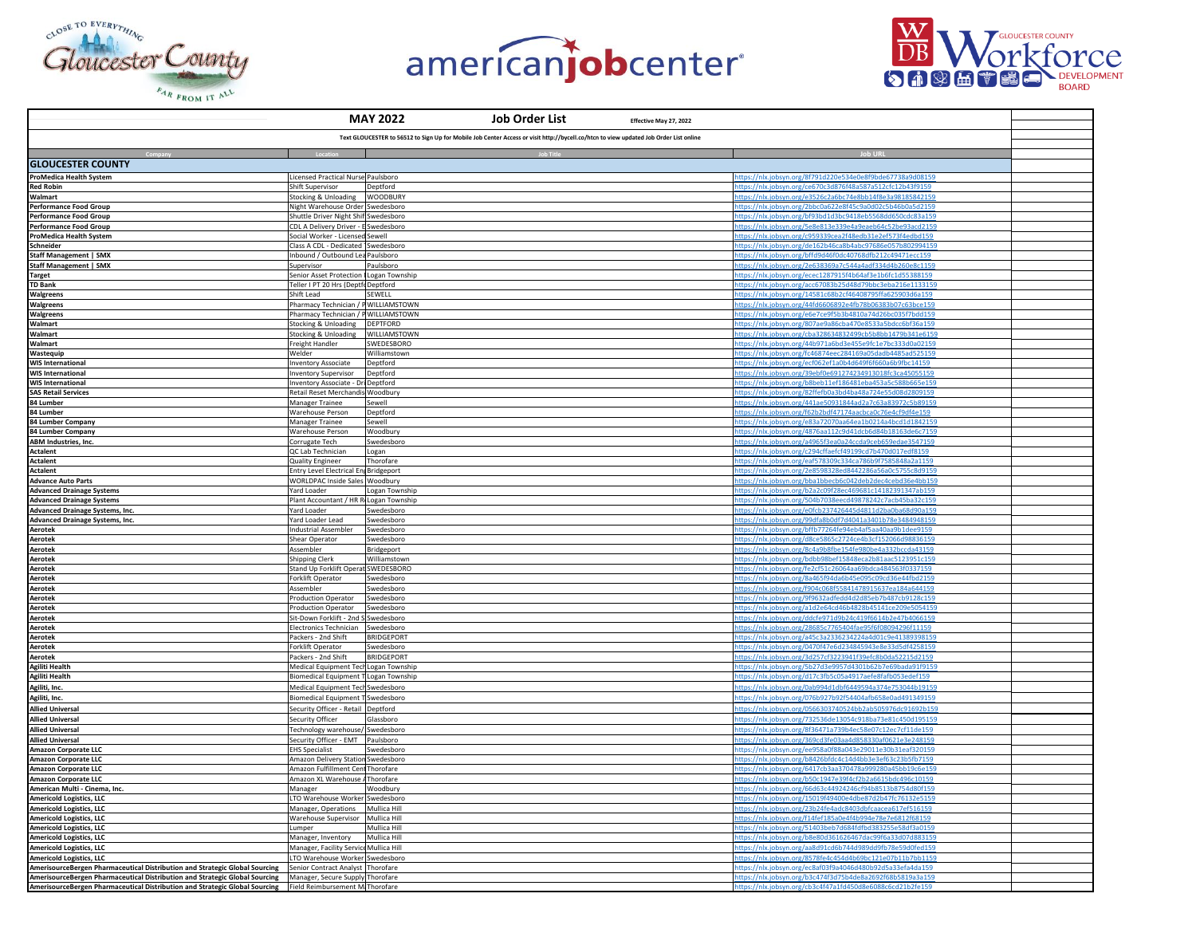





|                                                                                                                                                                                                                             | <b>MAY 2022</b><br><b>Job Order List</b><br>Effective May 27, 2022                                                                    |                                                                                                                          |  |
|-----------------------------------------------------------------------------------------------------------------------------------------------------------------------------------------------------------------------------|---------------------------------------------------------------------------------------------------------------------------------------|--------------------------------------------------------------------------------------------------------------------------|--|
|                                                                                                                                                                                                                             | Text GLOUCESTER to 56512 to Sign Up for Mobile Job Center Access or visit http://bycell.co/htcn to view updated Job Order List online |                                                                                                                          |  |
|                                                                                                                                                                                                                             | <b>Job Title</b>                                                                                                                      |                                                                                                                          |  |
| <b>GLOUCESTER COUNTY</b>                                                                                                                                                                                                    |                                                                                                                                       |                                                                                                                          |  |
| <b>ProMedica Health System</b>                                                                                                                                                                                              | Licensed Practical Nurse Paulsboro                                                                                                    | https://nlx.jobsyn.org/8f791d220e534e0e8f9bde67738a9d08159                                                               |  |
| <b>Red Robin</b>                                                                                                                                                                                                            | Shift Supervisor<br>Deptford                                                                                                          | https://nlx.jobsyn.org/ce670c3d876f48a587a512cfc12b43f9159                                                               |  |
| Walmart                                                                                                                                                                                                                     | Stocking & Unloading WOODBURY                                                                                                         | https://nlx.jobsyn.org/e3526c2a6bc74e8bb14f8e3a98185842159                                                               |  |
| Performance Food Group<br>Performance Food Group                                                                                                                                                                            | Night Warehouse Order Swedesboro<br>Shuttle Driver Night Shif Swedesboro                                                              | https://nlx.jobsyn.org/2bbc0a622e8f45c9a0d02c5b46b0a5d2159<br>ttps://nlx.jobsyn.org/bf93bd1d3bc9418eb5568dd650cdc83a159  |  |
|                                                                                                                                                                                                                             | CDL A Delivery Driver - E Swedesboro                                                                                                  | ttps://nlx.jobsyn.org/5e8e813e339e4a9eaeb64c52be93acd2159                                                                |  |
| <b>Performance Food Group<br/>ProMedica Health System</b>                                                                                                                                                                   | Social Worker - Licensed Sewell                                                                                                       | https://nlx.jobsyn.org/c959339cea2f48edb31e2ef573f4edbd159                                                               |  |
| Schneider                                                                                                                                                                                                                   | Class A CDL - Dedicated Swedesboro                                                                                                    | https://nlx.jobsyn.org/de162b46ca8b4abc97686e057b80299415                                                                |  |
| <b>Staff Management   SMX</b><br><b>Staff Management   SMX</b>                                                                                                                                                              | Inbound / Outbound Lea Paulsboro<br>Supervisor<br>Paulsboro                                                                           | https://nlx.jobsyn.org/bffd9d46f0dc40768dfb212c49471ecc159<br>nttps://nlx.jobsyn.org/2e638369a7c544a4adf334d4b260e8c1159 |  |
| <b>Target</b>                                                                                                                                                                                                               | Senior Asset Protection   Logan Township                                                                                              | https://nlx.jobsyn.org/ecec1287915f4b64af3e1b6fc1d55388159                                                               |  |
| <b>TD Bank</b>                                                                                                                                                                                                              | Teller I PT 20 Hrs (Deptfr Deptford                                                                                                   | https://nlx.jobsyn.org/acc67083b25d48d79bbc3eba216e1133159                                                               |  |
| Walgreens<br>Walgreens<br>Walgreens                                                                                                                                                                                         | Shift Lead<br>SEWELL                                                                                                                  | tps://nlx.jobsyn.org/14581c68b2cf46408795ffa625903d6a159                                                                 |  |
|                                                                                                                                                                                                                             | Pharmacy Technician / P WILLIAMSTOWN                                                                                                  | https://nlx.jobsyn.org/44fd6606892e4fb78b06383b07c63bce159                                                               |  |
| Walmart                                                                                                                                                                                                                     | Pharmacy Technician / P WILLIAMSTOWN<br>Stocking & Unloading DEPTFORD                                                                 | https://nlx.jobsyn.org/e6e7ce9f5b3b4810a74d26bc035f7bdd159<br>https://nlx.jobsyn.org/807ae9a86cba470e8533a5bdcc6bf36a159 |  |
| Walmart                                                                                                                                                                                                                     | WILLIAMSTOWN<br><b>Stocking &amp; Unloading</b>                                                                                       | nttps://nlx.jobsyn.org/cba328634832499cb5b8bb1479b341e6159                                                               |  |
| Walmart                                                                                                                                                                                                                     | Freight Handler<br>SWEDESBORO                                                                                                         | https://nlx.jobsyn.org/44b971a6bd3e455e9fc1e7bc333d0a02159                                                               |  |
| Wastequip                                                                                                                                                                                                                   | Welder<br>Williamstown                                                                                                                | https://nlx.jobsyn.org/fc46874eec284169a05dadb4485ad525159                                                               |  |
| <b>WIS International</b><br><b>WIS International</b>                                                                                                                                                                        | <b>Inventory Associate</b><br>Deptford<br><b>Inventory Supervisor</b><br>Deptford                                                     | https://nlx.jobsyn.org/ecf062ef1a0b4d649f6f660a6b9fbc14159<br>https://nlx.jobsyn.org/39ebf0e691274234913018fc3ca45055159 |  |
| <b>WIS International</b>                                                                                                                                                                                                    | Inventory Associate - Dri Deptford                                                                                                    | https://nlx.jobsyn.org/b8beb11ef186481eba453a5c588b665e15                                                                |  |
| <b>SAS Retail Services</b>                                                                                                                                                                                                  | Retail Reset Merchandis Woodbury                                                                                                      | https://nlx.jobsyn.org/82ffefb0a3bd4ba48a724e55d08d2809159                                                               |  |
|                                                                                                                                                                                                                             | Manager Trainee<br>Sewell                                                                                                             | https://nlx.jobsyn.org/441ae50931844ad2a7c63a83972c5b89159                                                               |  |
| 84 Lumber<br>84 Lumber<br>84 Lumber Company                                                                                                                                                                                 | Warehouse Person<br>Deptford<br>Manager Trainee<br>Sewell                                                                             | https://nlx.jobsyn.org/f62b2bdf47174aacbca0c76e4cf9df4e159<br>https://nlx.jobsyn.org/e83a72070aa64ea1b0214a4bcd1d1842159 |  |
| 84 Lumber Company                                                                                                                                                                                                           | <b>Warehouse Person</b><br>Woodbury                                                                                                   | ttps://nlx.jobsyn.org/4876aa112c9d41dcb6d84b18163de6c7159                                                                |  |
| ABM Industries, Inc.                                                                                                                                                                                                        | Corrugate Tech<br>Swedesboro                                                                                                          | https://nlx.jobsyn.org/a4965f3ea0a24ccda9ceb659edae3547159                                                               |  |
| Actalent                                                                                                                                                                                                                    | QC Lab Technician<br>Logan                                                                                                            | ttps://nlx.jobsyn.org/c294cffaefcf49199cd7b470d017edf8159                                                                |  |
| <b>Actalent</b><br><b>Actalent</b>                                                                                                                                                                                          | Thorofare<br><b>Quality Engineer</b><br>Entry Level Electrical En Bridgeport                                                          | nttps://nlx.jobsyn.org/eaf578309c334ca786b9f7585848a2a1159<br>https://nlx.jobsyn.org/2e8598328ed8442286a56a0c5755c8d9159 |  |
| <b>Advance Auto Parts</b>                                                                                                                                                                                                   | WORLDPAC Inside Sales Woodbury                                                                                                        | https://nlx.jobsyn.org/bba1bbecb6c042deb2dec4cebd36e4bb159                                                               |  |
| <b>Advanced Drainage Systems</b>                                                                                                                                                                                            | Yard Loader<br>Logan Township                                                                                                         | https://nlx.jobsyn.org/b2a2c09f28ec469681c14182391347ab159                                                               |  |
| <b>Advanced Drainage Systems</b>                                                                                                                                                                                            | Plant Accountant / HR R Logan Township                                                                                                | ttps://nlx.jobsyn.org/504b7038eecd49878242c7acb45ba32c159                                                                |  |
| Advanced Drainage Systems, Inc.                                                                                                                                                                                             | Yard Loader<br>Swedesboro                                                                                                             | https://nlx.jobsyn.org/e0fcb237426445d4811d2ba0ba68d90a159                                                               |  |
| Advanced Drainage Systems, Inc.<br>Advanced Drainage Systems, Inc.<br>Aerotek<br>Aerotek<br>Aerotek                                                                                                                         | Yard Loader Lead<br>Swedesboro<br>Industrial Assembler<br>Swedesboro                                                                  | https://nlx.jobsyn.org/99dfa8b0df7d4041a3401b78e3484948159<br>https://nlx.jobsyn.org/bffb77264fe94eb4af5aa40aa9b1dee9159 |  |
|                                                                                                                                                                                                                             | Shear Operator<br>Swedesboro                                                                                                          | nttps://nlx.jobsyn.org/d8ce5865c2724ce4b3cf152066d98836159                                                               |  |
|                                                                                                                                                                                                                             | Assembler<br>Bridgeport                                                                                                               | https://nlx.jobsyn.org/8c4a9b8fbe154fe980be4a332bccda43159                                                               |  |
|                                                                                                                                                                                                                             | <b>Shipping Clerk</b><br>Williamstown                                                                                                 | https://nlx.jobsyn.org/bdbb98bef15848eca2b81aac5123951c159<br>ttps://nlx.jobsyn.org/fe2cf51c26064aa69bdca484563f0337159  |  |
| Aerotek<br>Aerotek                                                                                                                                                                                                          | Stand Up Forklift Operat SWEDESBORO<br>Forklift Operator<br>Swedesboro                                                                | ttps://nlx.jobsyn.org/8a465f94da6b45e095c09cd36e44fbd2159                                                                |  |
|                                                                                                                                                                                                                             | Assembler<br>Swedesboro                                                                                                               | https://nlx.jobsyn.org/f904c068f55841478915637ea184a644159                                                               |  |
|                                                                                                                                                                                                                             | Production Operator<br>Swedesboro                                                                                                     | https://nlx.jobsyn.org/9f9632adfedd4d2d85eb7b487cb9128c159                                                               |  |
|                                                                                                                                                                                                                             | <b>Production Operator</b><br>Swedesboro                                                                                              | https://nlx.jobsyn.org/a1d2e64cd46b4828b45141ce209e5054159                                                               |  |
|                                                                                                                                                                                                                             | Sit-Down Forklift - 2nd S Swedesboro<br>Electronics Technician Swedesboro                                                             | https://nlx.jobsyn.org/ddcfe971d9b24c419f6614b2e47b4066159<br>https://nlx.jobsyn.org/28685c7765404fae95f6f08094296f11159 |  |
|                                                                                                                                                                                                                             | Packers - 2nd Shift<br><b>BRIDGFPORT</b>                                                                                              | ttps://nlx.jobsyn.org/a45c3a2336234224a4d01c9e41389398159                                                                |  |
|                                                                                                                                                                                                                             | Forklift Operator<br>Swedesboro                                                                                                       | ttps://nlx.jobsyn.org/0470f47e6d234845943e8e33d5df4258159                                                                |  |
| Aerotek<br>Aerotek<br>Aerotek<br>Aerotek<br>Aerotek<br>Aerotek<br>Aerotek<br>Aerotek<br>Agiliti Health<br>Agiliti, Inc.<br>Agiliti, Inc.<br>Agiliti, Inc.                                                                   | <b>BRIDGEPORT</b><br>Packers - 2nd Shift                                                                                              | https://nlx.jobsyn.org/3d257cf3223941f39efc8b0da52215d2159                                                               |  |
|                                                                                                                                                                                                                             | Medical Equipment Tech Logan Townshi<br>Biomedical Equipment T Logan Township                                                         | https://nlx.jobsyn.org/5b27d3e9957d4301b62b7e69bada91f915<br>https://nlx.jobsyn.org/d17c3fb5c05a4917aefe8fafb053edef159  |  |
|                                                                                                                                                                                                                             | Medical Equipment Tech Swedesboro                                                                                                     | https://nlx.jobsyn.org/0ab994d1dbf6449594a374e753044b19159                                                               |  |
|                                                                                                                                                                                                                             | Biomedical Equipment T Swedesboro                                                                                                     | nttps://nlx.jobsyn.org/076b927b92f54404afb658e0ad491349159                                                               |  |
| <b>Allied Universal</b>                                                                                                                                                                                                     | Security Officer - Retail Deptford                                                                                                    | https://nlx.jobsyn.org/0566303740524bb2ab505976dc91692b159                                                               |  |
| <b>Allied Universal</b>                                                                                                                                                                                                     | Security Officer<br>Glassboro                                                                                                         | https://nlx.jobsyn.org/732536de13054c918ba73e81c450d195159                                                               |  |
| <b>Allied Universal</b>                                                                                                                                                                                                     | Technology warehouse/ Swedesboro                                                                                                      | https://nlx.jobsyn.org/8f36471a739b4ec58e07c12ec7cf11de159                                                               |  |
| <b>Allied Universal</b><br>Amazon Corporate LLC                                                                                                                                                                             | Security Officer - EMT Paulsboro<br><b>EHS Specialist</b><br>Swedesboro                                                               | https://nlx.jobsyn.org/369cd3fe03aa4d858330af0621e3e248159<br>https://nlx.jobsyn.org/ee958a0f88a043e29011e30b31eaf320159 |  |
| <b>Amazon Corporate LLC</b>                                                                                                                                                                                                 | Amazon Delivery Station Swedesboro                                                                                                    | https://nlx.jobsyn.org/b8426bfdc4c14d4bb3e3ef63c23b5fb7159                                                               |  |
| <b>Amazon Corporate LLC</b>                                                                                                                                                                                                 | Amazon Fulfillment Cent Thorofare                                                                                                     | https://nlx.jobsyn.org/6417cb3aa370478a999280a45bb19c6e159                                                               |  |
| Amazon Corporate LLC                                                                                                                                                                                                        | Amazon XL Warehouse / Thorofare                                                                                                       | ttps://nlx.jobsyn.org/b50c1947e39f4cf2b2a6615bdc496c10159                                                                |  |
| American Multi - Cinema, Inc.                                                                                                                                                                                               | Manager<br>Woodbury                                                                                                                   | https://nlx.jobsyn.org/66d63c44924246cf94b8513b8754d80f159<br>https://nlx.jobsyn.org/15019f49400e4dbe87d2b47fc76132e5159 |  |
| <b>Americold Logistics, LLC<br/>Americold Logistics, LLC<br/>Americold Logistics, LLC</b>                                                                                                                                   | LTO Warehouse Worker Swedesboro<br>Manager, Operations Mullica Hill                                                                   | https://nlx.jobsyn.org/23b24fe4adc8403dbfcaacea617ef516159                                                               |  |
|                                                                                                                                                                                                                             | Warehouse Supervisor Mullica Hill                                                                                                     | nttps://nlx.jobsyn.org/f14fef185a0e4f4b994e78e7e6812f68159                                                               |  |
| <b>Americold Logistics, LLC<br/>Americold Logistics, LLC</b>                                                                                                                                                                | Lumper<br>Mullica Hill                                                                                                                | https://nlx.jobsyn.org/51403beb7d684fdfbd383255e58df3a0159                                                               |  |
|                                                                                                                                                                                                                             | Manager, Inventory<br>Mullica Hill                                                                                                    | https://nlx.jobsyn.org/b8e80d361626467dac99f6a33d07d883159                                                               |  |
| Americold Logistics, LLC<br><b>Americold Logistics, LLC</b>                                                                                                                                                                 | Manager, Facility Service Mullica Hill<br>LTO Warehouse Worker Swedesboro                                                             | https://nlx.jobsyn.org/aa8d91cd6b744d989dd9fb78e59d0fed159<br>ttps://nlx.jobsyn.org/8578fe4c454d4b69bc121e07b11b7bb1159  |  |
| AmerisourceBergen Pharmaceutical Distribution and Strategic Global Sourcing                                                                                                                                                 | Senior Contract Analyst Thorofare                                                                                                     | https://nlx.jobsyn.org/ec8af03f9a4046d480b92d5a33efa4da159                                                               |  |
| AmerisourceBergen Pharmaceutical Distribution and Strategic Global Sourcing Manager, Secure Supply Thorofare<br>AmerisourceBergen Pharmaceutical Distribution and Strategic Global Sourcing Field Reimbursement M Thorofare |                                                                                                                                       | https://nlx.jobsyn.org/b3c474f3d75b4de8a2692f68b5819a3a159                                                               |  |
|                                                                                                                                                                                                                             |                                                                                                                                       | https://nlx.jobsyn.org/cb3c4f47a1fd450d8e6088c6cd21b2fe159                                                               |  |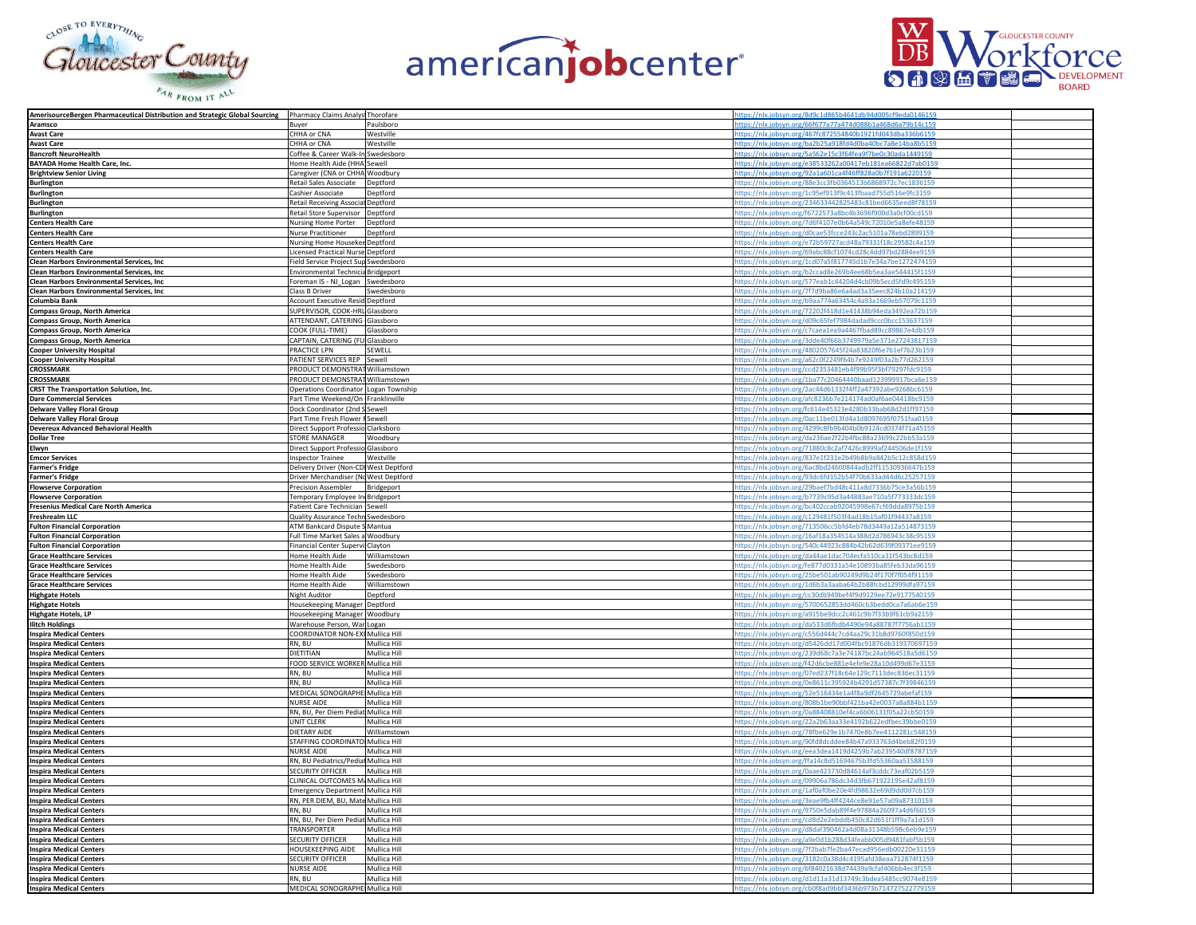





|                                                                             |                                                                                                                                                                                                                 | ttps://nlx.jobsyn.org/8d9c1d865b4641db94d005cf9eda0146159                                                                                                                                                                                                                                                                                                                                                                                                                                                                                                                                                                                                                                                                                                                                                                                                                                                                                                                                                                                                                                                                                                                                          |                                                                                                                                                                                                                                                                                                                                                                                                                                                                                                                                                                                                                                                                                                                                                                                                                                                                                                                                                                                                                                                                                                                                                                                                                                                                                                                                                                                                                                                                                                                                                                                                                                                                                                                                                                                                                                                                                                                                                                                                                                                                                                                                                                                                                                                                                                                                                                                                                                                                                        |
|-----------------------------------------------------------------------------|-----------------------------------------------------------------------------------------------------------------------------------------------------------------------------------------------------------------|----------------------------------------------------------------------------------------------------------------------------------------------------------------------------------------------------------------------------------------------------------------------------------------------------------------------------------------------------------------------------------------------------------------------------------------------------------------------------------------------------------------------------------------------------------------------------------------------------------------------------------------------------------------------------------------------------------------------------------------------------------------------------------------------------------------------------------------------------------------------------------------------------------------------------------------------------------------------------------------------------------------------------------------------------------------------------------------------------------------------------------------------------------------------------------------------------|----------------------------------------------------------------------------------------------------------------------------------------------------------------------------------------------------------------------------------------------------------------------------------------------------------------------------------------------------------------------------------------------------------------------------------------------------------------------------------------------------------------------------------------------------------------------------------------------------------------------------------------------------------------------------------------------------------------------------------------------------------------------------------------------------------------------------------------------------------------------------------------------------------------------------------------------------------------------------------------------------------------------------------------------------------------------------------------------------------------------------------------------------------------------------------------------------------------------------------------------------------------------------------------------------------------------------------------------------------------------------------------------------------------------------------------------------------------------------------------------------------------------------------------------------------------------------------------------------------------------------------------------------------------------------------------------------------------------------------------------------------------------------------------------------------------------------------------------------------------------------------------------------------------------------------------------------------------------------------------------------------------------------------------------------------------------------------------------------------------------------------------------------------------------------------------------------------------------------------------------------------------------------------------------------------------------------------------------------------------------------------------------------------------------------------------------------------------------------------------|
|                                                                             |                                                                                                                                                                                                                 |                                                                                                                                                                                                                                                                                                                                                                                                                                                                                                                                                                                                                                                                                                                                                                                                                                                                                                                                                                                                                                                                                                                                                                                                    |                                                                                                                                                                                                                                                                                                                                                                                                                                                                                                                                                                                                                                                                                                                                                                                                                                                                                                                                                                                                                                                                                                                                                                                                                                                                                                                                                                                                                                                                                                                                                                                                                                                                                                                                                                                                                                                                                                                                                                                                                                                                                                                                                                                                                                                                                                                                                                                                                                                                                        |
|                                                                             |                                                                                                                                                                                                                 |                                                                                                                                                                                                                                                                                                                                                                                                                                                                                                                                                                                                                                                                                                                                                                                                                                                                                                                                                                                                                                                                                                                                                                                                    |                                                                                                                                                                                                                                                                                                                                                                                                                                                                                                                                                                                                                                                                                                                                                                                                                                                                                                                                                                                                                                                                                                                                                                                                                                                                                                                                                                                                                                                                                                                                                                                                                                                                                                                                                                                                                                                                                                                                                                                                                                                                                                                                                                                                                                                                                                                                                                                                                                                                                        |
|                                                                             |                                                                                                                                                                                                                 |                                                                                                                                                                                                                                                                                                                                                                                                                                                                                                                                                                                                                                                                                                                                                                                                                                                                                                                                                                                                                                                                                                                                                                                                    |                                                                                                                                                                                                                                                                                                                                                                                                                                                                                                                                                                                                                                                                                                                                                                                                                                                                                                                                                                                                                                                                                                                                                                                                                                                                                                                                                                                                                                                                                                                                                                                                                                                                                                                                                                                                                                                                                                                                                                                                                                                                                                                                                                                                                                                                                                                                                                                                                                                                                        |
|                                                                             |                                                                                                                                                                                                                 |                                                                                                                                                                                                                                                                                                                                                                                                                                                                                                                                                                                                                                                                                                                                                                                                                                                                                                                                                                                                                                                                                                                                                                                                    |                                                                                                                                                                                                                                                                                                                                                                                                                                                                                                                                                                                                                                                                                                                                                                                                                                                                                                                                                                                                                                                                                                                                                                                                                                                                                                                                                                                                                                                                                                                                                                                                                                                                                                                                                                                                                                                                                                                                                                                                                                                                                                                                                                                                                                                                                                                                                                                                                                                                                        |
|                                                                             |                                                                                                                                                                                                                 |                                                                                                                                                                                                                                                                                                                                                                                                                                                                                                                                                                                                                                                                                                                                                                                                                                                                                                                                                                                                                                                                                                                                                                                                    |                                                                                                                                                                                                                                                                                                                                                                                                                                                                                                                                                                                                                                                                                                                                                                                                                                                                                                                                                                                                                                                                                                                                                                                                                                                                                                                                                                                                                                                                                                                                                                                                                                                                                                                                                                                                                                                                                                                                                                                                                                                                                                                                                                                                                                                                                                                                                                                                                                                                                        |
|                                                                             |                                                                                                                                                                                                                 |                                                                                                                                                                                                                                                                                                                                                                                                                                                                                                                                                                                                                                                                                                                                                                                                                                                                                                                                                                                                                                                                                                                                                                                                    |                                                                                                                                                                                                                                                                                                                                                                                                                                                                                                                                                                                                                                                                                                                                                                                                                                                                                                                                                                                                                                                                                                                                                                                                                                                                                                                                                                                                                                                                                                                                                                                                                                                                                                                                                                                                                                                                                                                                                                                                                                                                                                                                                                                                                                                                                                                                                                                                                                                                                        |
|                                                                             |                                                                                                                                                                                                                 |                                                                                                                                                                                                                                                                                                                                                                                                                                                                                                                                                                                                                                                                                                                                                                                                                                                                                                                                                                                                                                                                                                                                                                                                    |                                                                                                                                                                                                                                                                                                                                                                                                                                                                                                                                                                                                                                                                                                                                                                                                                                                                                                                                                                                                                                                                                                                                                                                                                                                                                                                                                                                                                                                                                                                                                                                                                                                                                                                                                                                                                                                                                                                                                                                                                                                                                                                                                                                                                                                                                                                                                                                                                                                                                        |
|                                                                             |                                                                                                                                                                                                                 |                                                                                                                                                                                                                                                                                                                                                                                                                                                                                                                                                                                                                                                                                                                                                                                                                                                                                                                                                                                                                                                                                                                                                                                                    |                                                                                                                                                                                                                                                                                                                                                                                                                                                                                                                                                                                                                                                                                                                                                                                                                                                                                                                                                                                                                                                                                                                                                                                                                                                                                                                                                                                                                                                                                                                                                                                                                                                                                                                                                                                                                                                                                                                                                                                                                                                                                                                                                                                                                                                                                                                                                                                                                                                                                        |
|                                                                             |                                                                                                                                                                                                                 |                                                                                                                                                                                                                                                                                                                                                                                                                                                                                                                                                                                                                                                                                                                                                                                                                                                                                                                                                                                                                                                                                                                                                                                                    |                                                                                                                                                                                                                                                                                                                                                                                                                                                                                                                                                                                                                                                                                                                                                                                                                                                                                                                                                                                                                                                                                                                                                                                                                                                                                                                                                                                                                                                                                                                                                                                                                                                                                                                                                                                                                                                                                                                                                                                                                                                                                                                                                                                                                                                                                                                                                                                                                                                                                        |
|                                                                             |                                                                                                                                                                                                                 |                                                                                                                                                                                                                                                                                                                                                                                                                                                                                                                                                                                                                                                                                                                                                                                                                                                                                                                                                                                                                                                                                                                                                                                                    |                                                                                                                                                                                                                                                                                                                                                                                                                                                                                                                                                                                                                                                                                                                                                                                                                                                                                                                                                                                                                                                                                                                                                                                                                                                                                                                                                                                                                                                                                                                                                                                                                                                                                                                                                                                                                                                                                                                                                                                                                                                                                                                                                                                                                                                                                                                                                                                                                                                                                        |
|                                                                             |                                                                                                                                                                                                                 |                                                                                                                                                                                                                                                                                                                                                                                                                                                                                                                                                                                                                                                                                                                                                                                                                                                                                                                                                                                                                                                                                                                                                                                                    |                                                                                                                                                                                                                                                                                                                                                                                                                                                                                                                                                                                                                                                                                                                                                                                                                                                                                                                                                                                                                                                                                                                                                                                                                                                                                                                                                                                                                                                                                                                                                                                                                                                                                                                                                                                                                                                                                                                                                                                                                                                                                                                                                                                                                                                                                                                                                                                                                                                                                        |
|                                                                             |                                                                                                                                                                                                                 |                                                                                                                                                                                                                                                                                                                                                                                                                                                                                                                                                                                                                                                                                                                                                                                                                                                                                                                                                                                                                                                                                                                                                                                                    |                                                                                                                                                                                                                                                                                                                                                                                                                                                                                                                                                                                                                                                                                                                                                                                                                                                                                                                                                                                                                                                                                                                                                                                                                                                                                                                                                                                                                                                                                                                                                                                                                                                                                                                                                                                                                                                                                                                                                                                                                                                                                                                                                                                                                                                                                                                                                                                                                                                                                        |
|                                                                             |                                                                                                                                                                                                                 |                                                                                                                                                                                                                                                                                                                                                                                                                                                                                                                                                                                                                                                                                                                                                                                                                                                                                                                                                                                                                                                                                                                                                                                                    |                                                                                                                                                                                                                                                                                                                                                                                                                                                                                                                                                                                                                                                                                                                                                                                                                                                                                                                                                                                                                                                                                                                                                                                                                                                                                                                                                                                                                                                                                                                                                                                                                                                                                                                                                                                                                                                                                                                                                                                                                                                                                                                                                                                                                                                                                                                                                                                                                                                                                        |
|                                                                             |                                                                                                                                                                                                                 |                                                                                                                                                                                                                                                                                                                                                                                                                                                                                                                                                                                                                                                                                                                                                                                                                                                                                                                                                                                                                                                                                                                                                                                                    |                                                                                                                                                                                                                                                                                                                                                                                                                                                                                                                                                                                                                                                                                                                                                                                                                                                                                                                                                                                                                                                                                                                                                                                                                                                                                                                                                                                                                                                                                                                                                                                                                                                                                                                                                                                                                                                                                                                                                                                                                                                                                                                                                                                                                                                                                                                                                                                                                                                                                        |
|                                                                             | Deptford                                                                                                                                                                                                        |                                                                                                                                                                                                                                                                                                                                                                                                                                                                                                                                                                                                                                                                                                                                                                                                                                                                                                                                                                                                                                                                                                                                                                                                    |                                                                                                                                                                                                                                                                                                                                                                                                                                                                                                                                                                                                                                                                                                                                                                                                                                                                                                                                                                                                                                                                                                                                                                                                                                                                                                                                                                                                                                                                                                                                                                                                                                                                                                                                                                                                                                                                                                                                                                                                                                                                                                                                                                                                                                                                                                                                                                                                                                                                                        |
|                                                                             |                                                                                                                                                                                                                 |                                                                                                                                                                                                                                                                                                                                                                                                                                                                                                                                                                                                                                                                                                                                                                                                                                                                                                                                                                                                                                                                                                                                                                                                    |                                                                                                                                                                                                                                                                                                                                                                                                                                                                                                                                                                                                                                                                                                                                                                                                                                                                                                                                                                                                                                                                                                                                                                                                                                                                                                                                                                                                                                                                                                                                                                                                                                                                                                                                                                                                                                                                                                                                                                                                                                                                                                                                                                                                                                                                                                                                                                                                                                                                                        |
|                                                                             |                                                                                                                                                                                                                 |                                                                                                                                                                                                                                                                                                                                                                                                                                                                                                                                                                                                                                                                                                                                                                                                                                                                                                                                                                                                                                                                                                                                                                                                    |                                                                                                                                                                                                                                                                                                                                                                                                                                                                                                                                                                                                                                                                                                                                                                                                                                                                                                                                                                                                                                                                                                                                                                                                                                                                                                                                                                                                                                                                                                                                                                                                                                                                                                                                                                                                                                                                                                                                                                                                                                                                                                                                                                                                                                                                                                                                                                                                                                                                                        |
|                                                                             |                                                                                                                                                                                                                 |                                                                                                                                                                                                                                                                                                                                                                                                                                                                                                                                                                                                                                                                                                                                                                                                                                                                                                                                                                                                                                                                                                                                                                                                    |                                                                                                                                                                                                                                                                                                                                                                                                                                                                                                                                                                                                                                                                                                                                                                                                                                                                                                                                                                                                                                                                                                                                                                                                                                                                                                                                                                                                                                                                                                                                                                                                                                                                                                                                                                                                                                                                                                                                                                                                                                                                                                                                                                                                                                                                                                                                                                                                                                                                                        |
|                                                                             |                                                                                                                                                                                                                 |                                                                                                                                                                                                                                                                                                                                                                                                                                                                                                                                                                                                                                                                                                                                                                                                                                                                                                                                                                                                                                                                                                                                                                                                    |                                                                                                                                                                                                                                                                                                                                                                                                                                                                                                                                                                                                                                                                                                                                                                                                                                                                                                                                                                                                                                                                                                                                                                                                                                                                                                                                                                                                                                                                                                                                                                                                                                                                                                                                                                                                                                                                                                                                                                                                                                                                                                                                                                                                                                                                                                                                                                                                                                                                                        |
|                                                                             |                                                                                                                                                                                                                 |                                                                                                                                                                                                                                                                                                                                                                                                                                                                                                                                                                                                                                                                                                                                                                                                                                                                                                                                                                                                                                                                                                                                                                                                    |                                                                                                                                                                                                                                                                                                                                                                                                                                                                                                                                                                                                                                                                                                                                                                                                                                                                                                                                                                                                                                                                                                                                                                                                                                                                                                                                                                                                                                                                                                                                                                                                                                                                                                                                                                                                                                                                                                                                                                                                                                                                                                                                                                                                                                                                                                                                                                                                                                                                                        |
|                                                                             |                                                                                                                                                                                                                 |                                                                                                                                                                                                                                                                                                                                                                                                                                                                                                                                                                                                                                                                                                                                                                                                                                                                                                                                                                                                                                                                                                                                                                                                    |                                                                                                                                                                                                                                                                                                                                                                                                                                                                                                                                                                                                                                                                                                                                                                                                                                                                                                                                                                                                                                                                                                                                                                                                                                                                                                                                                                                                                                                                                                                                                                                                                                                                                                                                                                                                                                                                                                                                                                                                                                                                                                                                                                                                                                                                                                                                                                                                                                                                                        |
|                                                                             |                                                                                                                                                                                                                 |                                                                                                                                                                                                                                                                                                                                                                                                                                                                                                                                                                                                                                                                                                                                                                                                                                                                                                                                                                                                                                                                                                                                                                                                    |                                                                                                                                                                                                                                                                                                                                                                                                                                                                                                                                                                                                                                                                                                                                                                                                                                                                                                                                                                                                                                                                                                                                                                                                                                                                                                                                                                                                                                                                                                                                                                                                                                                                                                                                                                                                                                                                                                                                                                                                                                                                                                                                                                                                                                                                                                                                                                                                                                                                                        |
|                                                                             |                                                                                                                                                                                                                 |                                                                                                                                                                                                                                                                                                                                                                                                                                                                                                                                                                                                                                                                                                                                                                                                                                                                                                                                                                                                                                                                                                                                                                                                    |                                                                                                                                                                                                                                                                                                                                                                                                                                                                                                                                                                                                                                                                                                                                                                                                                                                                                                                                                                                                                                                                                                                                                                                                                                                                                                                                                                                                                                                                                                                                                                                                                                                                                                                                                                                                                                                                                                                                                                                                                                                                                                                                                                                                                                                                                                                                                                                                                                                                                        |
|                                                                             |                                                                                                                                                                                                                 |                                                                                                                                                                                                                                                                                                                                                                                                                                                                                                                                                                                                                                                                                                                                                                                                                                                                                                                                                                                                                                                                                                                                                                                                    |                                                                                                                                                                                                                                                                                                                                                                                                                                                                                                                                                                                                                                                                                                                                                                                                                                                                                                                                                                                                                                                                                                                                                                                                                                                                                                                                                                                                                                                                                                                                                                                                                                                                                                                                                                                                                                                                                                                                                                                                                                                                                                                                                                                                                                                                                                                                                                                                                                                                                        |
|                                                                             |                                                                                                                                                                                                                 |                                                                                                                                                                                                                                                                                                                                                                                                                                                                                                                                                                                                                                                                                                                                                                                                                                                                                                                                                                                                                                                                                                                                                                                                    |                                                                                                                                                                                                                                                                                                                                                                                                                                                                                                                                                                                                                                                                                                                                                                                                                                                                                                                                                                                                                                                                                                                                                                                                                                                                                                                                                                                                                                                                                                                                                                                                                                                                                                                                                                                                                                                                                                                                                                                                                                                                                                                                                                                                                                                                                                                                                                                                                                                                                        |
|                                                                             |                                                                                                                                                                                                                 |                                                                                                                                                                                                                                                                                                                                                                                                                                                                                                                                                                                                                                                                                                                                                                                                                                                                                                                                                                                                                                                                                                                                                                                                    |                                                                                                                                                                                                                                                                                                                                                                                                                                                                                                                                                                                                                                                                                                                                                                                                                                                                                                                                                                                                                                                                                                                                                                                                                                                                                                                                                                                                                                                                                                                                                                                                                                                                                                                                                                                                                                                                                                                                                                                                                                                                                                                                                                                                                                                                                                                                                                                                                                                                                        |
|                                                                             |                                                                                                                                                                                                                 |                                                                                                                                                                                                                                                                                                                                                                                                                                                                                                                                                                                                                                                                                                                                                                                                                                                                                                                                                                                                                                                                                                                                                                                                    |                                                                                                                                                                                                                                                                                                                                                                                                                                                                                                                                                                                                                                                                                                                                                                                                                                                                                                                                                                                                                                                                                                                                                                                                                                                                                                                                                                                                                                                                                                                                                                                                                                                                                                                                                                                                                                                                                                                                                                                                                                                                                                                                                                                                                                                                                                                                                                                                                                                                                        |
|                                                                             |                                                                                                                                                                                                                 |                                                                                                                                                                                                                                                                                                                                                                                                                                                                                                                                                                                                                                                                                                                                                                                                                                                                                                                                                                                                                                                                                                                                                                                                    |                                                                                                                                                                                                                                                                                                                                                                                                                                                                                                                                                                                                                                                                                                                                                                                                                                                                                                                                                                                                                                                                                                                                                                                                                                                                                                                                                                                                                                                                                                                                                                                                                                                                                                                                                                                                                                                                                                                                                                                                                                                                                                                                                                                                                                                                                                                                                                                                                                                                                        |
|                                                                             |                                                                                                                                                                                                                 |                                                                                                                                                                                                                                                                                                                                                                                                                                                                                                                                                                                                                                                                                                                                                                                                                                                                                                                                                                                                                                                                                                                                                                                                    |                                                                                                                                                                                                                                                                                                                                                                                                                                                                                                                                                                                                                                                                                                                                                                                                                                                                                                                                                                                                                                                                                                                                                                                                                                                                                                                                                                                                                                                                                                                                                                                                                                                                                                                                                                                                                                                                                                                                                                                                                                                                                                                                                                                                                                                                                                                                                                                                                                                                                        |
| PRACTICE LPN                                                                |                                                                                                                                                                                                                 |                                                                                                                                                                                                                                                                                                                                                                                                                                                                                                                                                                                                                                                                                                                                                                                                                                                                                                                                                                                                                                                                                                                                                                                                    |                                                                                                                                                                                                                                                                                                                                                                                                                                                                                                                                                                                                                                                                                                                                                                                                                                                                                                                                                                                                                                                                                                                                                                                                                                                                                                                                                                                                                                                                                                                                                                                                                                                                                                                                                                                                                                                                                                                                                                                                                                                                                                                                                                                                                                                                                                                                                                                                                                                                                        |
|                                                                             |                                                                                                                                                                                                                 |                                                                                                                                                                                                                                                                                                                                                                                                                                                                                                                                                                                                                                                                                                                                                                                                                                                                                                                                                                                                                                                                                                                                                                                                    |                                                                                                                                                                                                                                                                                                                                                                                                                                                                                                                                                                                                                                                                                                                                                                                                                                                                                                                                                                                                                                                                                                                                                                                                                                                                                                                                                                                                                                                                                                                                                                                                                                                                                                                                                                                                                                                                                                                                                                                                                                                                                                                                                                                                                                                                                                                                                                                                                                                                                        |
|                                                                             |                                                                                                                                                                                                                 |                                                                                                                                                                                                                                                                                                                                                                                                                                                                                                                                                                                                                                                                                                                                                                                                                                                                                                                                                                                                                                                                                                                                                                                                    |                                                                                                                                                                                                                                                                                                                                                                                                                                                                                                                                                                                                                                                                                                                                                                                                                                                                                                                                                                                                                                                                                                                                                                                                                                                                                                                                                                                                                                                                                                                                                                                                                                                                                                                                                                                                                                                                                                                                                                                                                                                                                                                                                                                                                                                                                                                                                                                                                                                                                        |
|                                                                             |                                                                                                                                                                                                                 |                                                                                                                                                                                                                                                                                                                                                                                                                                                                                                                                                                                                                                                                                                                                                                                                                                                                                                                                                                                                                                                                                                                                                                                                    |                                                                                                                                                                                                                                                                                                                                                                                                                                                                                                                                                                                                                                                                                                                                                                                                                                                                                                                                                                                                                                                                                                                                                                                                                                                                                                                                                                                                                                                                                                                                                                                                                                                                                                                                                                                                                                                                                                                                                                                                                                                                                                                                                                                                                                                                                                                                                                                                                                                                                        |
|                                                                             |                                                                                                                                                                                                                 |                                                                                                                                                                                                                                                                                                                                                                                                                                                                                                                                                                                                                                                                                                                                                                                                                                                                                                                                                                                                                                                                                                                                                                                                    |                                                                                                                                                                                                                                                                                                                                                                                                                                                                                                                                                                                                                                                                                                                                                                                                                                                                                                                                                                                                                                                                                                                                                                                                                                                                                                                                                                                                                                                                                                                                                                                                                                                                                                                                                                                                                                                                                                                                                                                                                                                                                                                                                                                                                                                                                                                                                                                                                                                                                        |
|                                                                             |                                                                                                                                                                                                                 |                                                                                                                                                                                                                                                                                                                                                                                                                                                                                                                                                                                                                                                                                                                                                                                                                                                                                                                                                                                                                                                                                                                                                                                                    |                                                                                                                                                                                                                                                                                                                                                                                                                                                                                                                                                                                                                                                                                                                                                                                                                                                                                                                                                                                                                                                                                                                                                                                                                                                                                                                                                                                                                                                                                                                                                                                                                                                                                                                                                                                                                                                                                                                                                                                                                                                                                                                                                                                                                                                                                                                                                                                                                                                                                        |
|                                                                             |                                                                                                                                                                                                                 |                                                                                                                                                                                                                                                                                                                                                                                                                                                                                                                                                                                                                                                                                                                                                                                                                                                                                                                                                                                                                                                                                                                                                                                                    |                                                                                                                                                                                                                                                                                                                                                                                                                                                                                                                                                                                                                                                                                                                                                                                                                                                                                                                                                                                                                                                                                                                                                                                                                                                                                                                                                                                                                                                                                                                                                                                                                                                                                                                                                                                                                                                                                                                                                                                                                                                                                                                                                                                                                                                                                                                                                                                                                                                                                        |
|                                                                             |                                                                                                                                                                                                                 |                                                                                                                                                                                                                                                                                                                                                                                                                                                                                                                                                                                                                                                                                                                                                                                                                                                                                                                                                                                                                                                                                                                                                                                                    |                                                                                                                                                                                                                                                                                                                                                                                                                                                                                                                                                                                                                                                                                                                                                                                                                                                                                                                                                                                                                                                                                                                                                                                                                                                                                                                                                                                                                                                                                                                                                                                                                                                                                                                                                                                                                                                                                                                                                                                                                                                                                                                                                                                                                                                                                                                                                                                                                                                                                        |
|                                                                             |                                                                                                                                                                                                                 |                                                                                                                                                                                                                                                                                                                                                                                                                                                                                                                                                                                                                                                                                                                                                                                                                                                                                                                                                                                                                                                                                                                                                                                                    |                                                                                                                                                                                                                                                                                                                                                                                                                                                                                                                                                                                                                                                                                                                                                                                                                                                                                                                                                                                                                                                                                                                                                                                                                                                                                                                                                                                                                                                                                                                                                                                                                                                                                                                                                                                                                                                                                                                                                                                                                                                                                                                                                                                                                                                                                                                                                                                                                                                                                        |
|                                                                             |                                                                                                                                                                                                                 |                                                                                                                                                                                                                                                                                                                                                                                                                                                                                                                                                                                                                                                                                                                                                                                                                                                                                                                                                                                                                                                                                                                                                                                                    |                                                                                                                                                                                                                                                                                                                                                                                                                                                                                                                                                                                                                                                                                                                                                                                                                                                                                                                                                                                                                                                                                                                                                                                                                                                                                                                                                                                                                                                                                                                                                                                                                                                                                                                                                                                                                                                                                                                                                                                                                                                                                                                                                                                                                                                                                                                                                                                                                                                                                        |
|                                                                             |                                                                                                                                                                                                                 |                                                                                                                                                                                                                                                                                                                                                                                                                                                                                                                                                                                                                                                                                                                                                                                                                                                                                                                                                                                                                                                                                                                                                                                                    |                                                                                                                                                                                                                                                                                                                                                                                                                                                                                                                                                                                                                                                                                                                                                                                                                                                                                                                                                                                                                                                                                                                                                                                                                                                                                                                                                                                                                                                                                                                                                                                                                                                                                                                                                                                                                                                                                                                                                                                                                                                                                                                                                                                                                                                                                                                                                                                                                                                                                        |
|                                                                             |                                                                                                                                                                                                                 |                                                                                                                                                                                                                                                                                                                                                                                                                                                                                                                                                                                                                                                                                                                                                                                                                                                                                                                                                                                                                                                                                                                                                                                                    |                                                                                                                                                                                                                                                                                                                                                                                                                                                                                                                                                                                                                                                                                                                                                                                                                                                                                                                                                                                                                                                                                                                                                                                                                                                                                                                                                                                                                                                                                                                                                                                                                                                                                                                                                                                                                                                                                                                                                                                                                                                                                                                                                                                                                                                                                                                                                                                                                                                                                        |
|                                                                             |                                                                                                                                                                                                                 |                                                                                                                                                                                                                                                                                                                                                                                                                                                                                                                                                                                                                                                                                                                                                                                                                                                                                                                                                                                                                                                                                                                                                                                                    |                                                                                                                                                                                                                                                                                                                                                                                                                                                                                                                                                                                                                                                                                                                                                                                                                                                                                                                                                                                                                                                                                                                                                                                                                                                                                                                                                                                                                                                                                                                                                                                                                                                                                                                                                                                                                                                                                                                                                                                                                                                                                                                                                                                                                                                                                                                                                                                                                                                                                        |
|                                                                             |                                                                                                                                                                                                                 |                                                                                                                                                                                                                                                                                                                                                                                                                                                                                                                                                                                                                                                                                                                                                                                                                                                                                                                                                                                                                                                                                                                                                                                                    |                                                                                                                                                                                                                                                                                                                                                                                                                                                                                                                                                                                                                                                                                                                                                                                                                                                                                                                                                                                                                                                                                                                                                                                                                                                                                                                                                                                                                                                                                                                                                                                                                                                                                                                                                                                                                                                                                                                                                                                                                                                                                                                                                                                                                                                                                                                                                                                                                                                                                        |
|                                                                             |                                                                                                                                                                                                                 |                                                                                                                                                                                                                                                                                                                                                                                                                                                                                                                                                                                                                                                                                                                                                                                                                                                                                                                                                                                                                                                                                                                                                                                                    |                                                                                                                                                                                                                                                                                                                                                                                                                                                                                                                                                                                                                                                                                                                                                                                                                                                                                                                                                                                                                                                                                                                                                                                                                                                                                                                                                                                                                                                                                                                                                                                                                                                                                                                                                                                                                                                                                                                                                                                                                                                                                                                                                                                                                                                                                                                                                                                                                                                                                        |
|                                                                             |                                                                                                                                                                                                                 |                                                                                                                                                                                                                                                                                                                                                                                                                                                                                                                                                                                                                                                                                                                                                                                                                                                                                                                                                                                                                                                                                                                                                                                                    |                                                                                                                                                                                                                                                                                                                                                                                                                                                                                                                                                                                                                                                                                                                                                                                                                                                                                                                                                                                                                                                                                                                                                                                                                                                                                                                                                                                                                                                                                                                                                                                                                                                                                                                                                                                                                                                                                                                                                                                                                                                                                                                                                                                                                                                                                                                                                                                                                                                                                        |
|                                                                             |                                                                                                                                                                                                                 |                                                                                                                                                                                                                                                                                                                                                                                                                                                                                                                                                                                                                                                                                                                                                                                                                                                                                                                                                                                                                                                                                                                                                                                                    |                                                                                                                                                                                                                                                                                                                                                                                                                                                                                                                                                                                                                                                                                                                                                                                                                                                                                                                                                                                                                                                                                                                                                                                                                                                                                                                                                                                                                                                                                                                                                                                                                                                                                                                                                                                                                                                                                                                                                                                                                                                                                                                                                                                                                                                                                                                                                                                                                                                                                        |
|                                                                             |                                                                                                                                                                                                                 |                                                                                                                                                                                                                                                                                                                                                                                                                                                                                                                                                                                                                                                                                                                                                                                                                                                                                                                                                                                                                                                                                                                                                                                                    |                                                                                                                                                                                                                                                                                                                                                                                                                                                                                                                                                                                                                                                                                                                                                                                                                                                                                                                                                                                                                                                                                                                                                                                                                                                                                                                                                                                                                                                                                                                                                                                                                                                                                                                                                                                                                                                                                                                                                                                                                                                                                                                                                                                                                                                                                                                                                                                                                                                                                        |
|                                                                             |                                                                                                                                                                                                                 |                                                                                                                                                                                                                                                                                                                                                                                                                                                                                                                                                                                                                                                                                                                                                                                                                                                                                                                                                                                                                                                                                                                                                                                                    |                                                                                                                                                                                                                                                                                                                                                                                                                                                                                                                                                                                                                                                                                                                                                                                                                                                                                                                                                                                                                                                                                                                                                                                                                                                                                                                                                                                                                                                                                                                                                                                                                                                                                                                                                                                                                                                                                                                                                                                                                                                                                                                                                                                                                                                                                                                                                                                                                                                                                        |
|                                                                             |                                                                                                                                                                                                                 |                                                                                                                                                                                                                                                                                                                                                                                                                                                                                                                                                                                                                                                                                                                                                                                                                                                                                                                                                                                                                                                                                                                                                                                                    |                                                                                                                                                                                                                                                                                                                                                                                                                                                                                                                                                                                                                                                                                                                                                                                                                                                                                                                                                                                                                                                                                                                                                                                                                                                                                                                                                                                                                                                                                                                                                                                                                                                                                                                                                                                                                                                                                                                                                                                                                                                                                                                                                                                                                                                                                                                                                                                                                                                                                        |
|                                                                             |                                                                                                                                                                                                                 | nttps://nlx.jobsyn.org/bc402ccab92045998e67cf69dda8975b159                                                                                                                                                                                                                                                                                                                                                                                                                                                                                                                                                                                                                                                                                                                                                                                                                                                                                                                                                                                                                                                                                                                                         |                                                                                                                                                                                                                                                                                                                                                                                                                                                                                                                                                                                                                                                                                                                                                                                                                                                                                                                                                                                                                                                                                                                                                                                                                                                                                                                                                                                                                                                                                                                                                                                                                                                                                                                                                                                                                                                                                                                                                                                                                                                                                                                                                                                                                                                                                                                                                                                                                                                                                        |
|                                                                             |                                                                                                                                                                                                                 |                                                                                                                                                                                                                                                                                                                                                                                                                                                                                                                                                                                                                                                                                                                                                                                                                                                                                                                                                                                                                                                                                                                                                                                                    |                                                                                                                                                                                                                                                                                                                                                                                                                                                                                                                                                                                                                                                                                                                                                                                                                                                                                                                                                                                                                                                                                                                                                                                                                                                                                                                                                                                                                                                                                                                                                                                                                                                                                                                                                                                                                                                                                                                                                                                                                                                                                                                                                                                                                                                                                                                                                                                                                                                                                        |
| Patient Care Technician Sewell                                              |                                                                                                                                                                                                                 |                                                                                                                                                                                                                                                                                                                                                                                                                                                                                                                                                                                                                                                                                                                                                                                                                                                                                                                                                                                                                                                                                                                                                                                                    |                                                                                                                                                                                                                                                                                                                                                                                                                                                                                                                                                                                                                                                                                                                                                                                                                                                                                                                                                                                                                                                                                                                                                                                                                                                                                                                                                                                                                                                                                                                                                                                                                                                                                                                                                                                                                                                                                                                                                                                                                                                                                                                                                                                                                                                                                                                                                                                                                                                                                        |
| Quality Assurance Techn Swedesboro                                          |                                                                                                                                                                                                                 | ttps://nlx.jobsyn.org/c129481f503f4ad18b15af01f94437a8159                                                                                                                                                                                                                                                                                                                                                                                                                                                                                                                                                                                                                                                                                                                                                                                                                                                                                                                                                                                                                                                                                                                                          |                                                                                                                                                                                                                                                                                                                                                                                                                                                                                                                                                                                                                                                                                                                                                                                                                                                                                                                                                                                                                                                                                                                                                                                                                                                                                                                                                                                                                                                                                                                                                                                                                                                                                                                                                                                                                                                                                                                                                                                                                                                                                                                                                                                                                                                                                                                                                                                                                                                                                        |
| ATM Bankcard Dispute S Mantua                                               |                                                                                                                                                                                                                 | ttps://nlx.jobsyn.org/713506cc5bfd4eb78d3449a12a514873159                                                                                                                                                                                                                                                                                                                                                                                                                                                                                                                                                                                                                                                                                                                                                                                                                                                                                                                                                                                                                                                                                                                                          |                                                                                                                                                                                                                                                                                                                                                                                                                                                                                                                                                                                                                                                                                                                                                                                                                                                                                                                                                                                                                                                                                                                                                                                                                                                                                                                                                                                                                                                                                                                                                                                                                                                                                                                                                                                                                                                                                                                                                                                                                                                                                                                                                                                                                                                                                                                                                                                                                                                                                        |
| Full Time Market Sales a Woodbury                                           |                                                                                                                                                                                                                 | tps://nlx.jobsyn.org/16af18a354514a388d2d786943c38c95159                                                                                                                                                                                                                                                                                                                                                                                                                                                                                                                                                                                                                                                                                                                                                                                                                                                                                                                                                                                                                                                                                                                                           |                                                                                                                                                                                                                                                                                                                                                                                                                                                                                                                                                                                                                                                                                                                                                                                                                                                                                                                                                                                                                                                                                                                                                                                                                                                                                                                                                                                                                                                                                                                                                                                                                                                                                                                                                                                                                                                                                                                                                                                                                                                                                                                                                                                                                                                                                                                                                                                                                                                                                        |
|                                                                             |                                                                                                                                                                                                                 |                                                                                                                                                                                                                                                                                                                                                                                                                                                                                                                                                                                                                                                                                                                                                                                                                                                                                                                                                                                                                                                                                                                                                                                                    |                                                                                                                                                                                                                                                                                                                                                                                                                                                                                                                                                                                                                                                                                                                                                                                                                                                                                                                                                                                                                                                                                                                                                                                                                                                                                                                                                                                                                                                                                                                                                                                                                                                                                                                                                                                                                                                                                                                                                                                                                                                                                                                                                                                                                                                                                                                                                                                                                                                                                        |
| Financial Center Supervi Clayton                                            |                                                                                                                                                                                                                 | ttps://nlx.jobsyn.org/540c44923c884b42b62d639f09371ee9159                                                                                                                                                                                                                                                                                                                                                                                                                                                                                                                                                                                                                                                                                                                                                                                                                                                                                                                                                                                                                                                                                                                                          |                                                                                                                                                                                                                                                                                                                                                                                                                                                                                                                                                                                                                                                                                                                                                                                                                                                                                                                                                                                                                                                                                                                                                                                                                                                                                                                                                                                                                                                                                                                                                                                                                                                                                                                                                                                                                                                                                                                                                                                                                                                                                                                                                                                                                                                                                                                                                                                                                                                                                        |
| Home Health Aide                                                            | Williamstown                                                                                                                                                                                                    | ttps://nlx.jobsyn.org/da44ae1dac704ecfa510ca31f543bc8d159                                                                                                                                                                                                                                                                                                                                                                                                                                                                                                                                                                                                                                                                                                                                                                                                                                                                                                                                                                                                                                                                                                                                          |                                                                                                                                                                                                                                                                                                                                                                                                                                                                                                                                                                                                                                                                                                                                                                                                                                                                                                                                                                                                                                                                                                                                                                                                                                                                                                                                                                                                                                                                                                                                                                                                                                                                                                                                                                                                                                                                                                                                                                                                                                                                                                                                                                                                                                                                                                                                                                                                                                                                                        |
| Home Health Aide                                                            | Swedesboro                                                                                                                                                                                                      | https://nlx.jobsyn.org/fe877d0331a54e10893ba85feb33da96159                                                                                                                                                                                                                                                                                                                                                                                                                                                                                                                                                                                                                                                                                                                                                                                                                                                                                                                                                                                                                                                                                                                                         |                                                                                                                                                                                                                                                                                                                                                                                                                                                                                                                                                                                                                                                                                                                                                                                                                                                                                                                                                                                                                                                                                                                                                                                                                                                                                                                                                                                                                                                                                                                                                                                                                                                                                                                                                                                                                                                                                                                                                                                                                                                                                                                                                                                                                                                                                                                                                                                                                                                                                        |
| Home Health Aide                                                            | Swedesboro                                                                                                                                                                                                      | nttps://nlx.jobsyn.org/25be501ab90249d9b24f170f7f054f91159                                                                                                                                                                                                                                                                                                                                                                                                                                                                                                                                                                                                                                                                                                                                                                                                                                                                                                                                                                                                                                                                                                                                         |                                                                                                                                                                                                                                                                                                                                                                                                                                                                                                                                                                                                                                                                                                                                                                                                                                                                                                                                                                                                                                                                                                                                                                                                                                                                                                                                                                                                                                                                                                                                                                                                                                                                                                                                                                                                                                                                                                                                                                                                                                                                                                                                                                                                                                                                                                                                                                                                                                                                                        |
|                                                                             |                                                                                                                                                                                                                 |                                                                                                                                                                                                                                                                                                                                                                                                                                                                                                                                                                                                                                                                                                                                                                                                                                                                                                                                                                                                                                                                                                                                                                                                    |                                                                                                                                                                                                                                                                                                                                                                                                                                                                                                                                                                                                                                                                                                                                                                                                                                                                                                                                                                                                                                                                                                                                                                                                                                                                                                                                                                                                                                                                                                                                                                                                                                                                                                                                                                                                                                                                                                                                                                                                                                                                                                                                                                                                                                                                                                                                                                                                                                                                                        |
| Home Health Aide                                                            | Williamstown                                                                                                                                                                                                    | nttps://nlx.jobsyn.org/1d6b3a3aaba64b2b88fcbd12999dfa97159                                                                                                                                                                                                                                                                                                                                                                                                                                                                                                                                                                                                                                                                                                                                                                                                                                                                                                                                                                                                                                                                                                                                         |                                                                                                                                                                                                                                                                                                                                                                                                                                                                                                                                                                                                                                                                                                                                                                                                                                                                                                                                                                                                                                                                                                                                                                                                                                                                                                                                                                                                                                                                                                                                                                                                                                                                                                                                                                                                                                                                                                                                                                                                                                                                                                                                                                                                                                                                                                                                                                                                                                                                                        |
| Night Auditor                                                               | Deptford                                                                                                                                                                                                        | ttps://nlx.jobsyn.org/cc30db949bef4f9d9129ee72e9177540159                                                                                                                                                                                                                                                                                                                                                                                                                                                                                                                                                                                                                                                                                                                                                                                                                                                                                                                                                                                                                                                                                                                                          |                                                                                                                                                                                                                                                                                                                                                                                                                                                                                                                                                                                                                                                                                                                                                                                                                                                                                                                                                                                                                                                                                                                                                                                                                                                                                                                                                                                                                                                                                                                                                                                                                                                                                                                                                                                                                                                                                                                                                                                                                                                                                                                                                                                                                                                                                                                                                                                                                                                                                        |
| Housekeeping Manager Deptford                                               |                                                                                                                                                                                                                 | ttps://nlx.jobsyn.org/5700652853dd460cb3bedd0ca7a6ab6e159                                                                                                                                                                                                                                                                                                                                                                                                                                                                                                                                                                                                                                                                                                                                                                                                                                                                                                                                                                                                                                                                                                                                          |                                                                                                                                                                                                                                                                                                                                                                                                                                                                                                                                                                                                                                                                                                                                                                                                                                                                                                                                                                                                                                                                                                                                                                                                                                                                                                                                                                                                                                                                                                                                                                                                                                                                                                                                                                                                                                                                                                                                                                                                                                                                                                                                                                                                                                                                                                                                                                                                                                                                                        |
| Housekeeping Manager   Woodbury                                             |                                                                                                                                                                                                                 | ttps://nlx.jobsyn.org/a915be9dcc2c461c9b7f33b9f61cb9a2159                                                                                                                                                                                                                                                                                                                                                                                                                                                                                                                                                                                                                                                                                                                                                                                                                                                                                                                                                                                                                                                                                                                                          |                                                                                                                                                                                                                                                                                                                                                                                                                                                                                                                                                                                                                                                                                                                                                                                                                                                                                                                                                                                                                                                                                                                                                                                                                                                                                                                                                                                                                                                                                                                                                                                                                                                                                                                                                                                                                                                                                                                                                                                                                                                                                                                                                                                                                                                                                                                                                                                                                                                                                        |
|                                                                             |                                                                                                                                                                                                                 |                                                                                                                                                                                                                                                                                                                                                                                                                                                                                                                                                                                                                                                                                                                                                                                                                                                                                                                                                                                                                                                                                                                                                                                                    |                                                                                                                                                                                                                                                                                                                                                                                                                                                                                                                                                                                                                                                                                                                                                                                                                                                                                                                                                                                                                                                                                                                                                                                                                                                                                                                                                                                                                                                                                                                                                                                                                                                                                                                                                                                                                                                                                                                                                                                                                                                                                                                                                                                                                                                                                                                                                                                                                                                                                        |
| Warehouse Person, War Logan                                                 |                                                                                                                                                                                                                 | ttps://nlx.jobsyn.org/da533d6fbdb4490e94a88787f7756ab1159                                                                                                                                                                                                                                                                                                                                                                                                                                                                                                                                                                                                                                                                                                                                                                                                                                                                                                                                                                                                                                                                                                                                          |                                                                                                                                                                                                                                                                                                                                                                                                                                                                                                                                                                                                                                                                                                                                                                                                                                                                                                                                                                                                                                                                                                                                                                                                                                                                                                                                                                                                                                                                                                                                                                                                                                                                                                                                                                                                                                                                                                                                                                                                                                                                                                                                                                                                                                                                                                                                                                                                                                                                                        |
| COORDINATOR NON-EXI Mullica Hill                                            |                                                                                                                                                                                                                 | nttps://nlx.jobsyn.org/c556d444c7cd4aa29c31b8d9760f850d159                                                                                                                                                                                                                                                                                                                                                                                                                                                                                                                                                                                                                                                                                                                                                                                                                                                                                                                                                                                                                                                                                                                                         |                                                                                                                                                                                                                                                                                                                                                                                                                                                                                                                                                                                                                                                                                                                                                                                                                                                                                                                                                                                                                                                                                                                                                                                                                                                                                                                                                                                                                                                                                                                                                                                                                                                                                                                                                                                                                                                                                                                                                                                                                                                                                                                                                                                                                                                                                                                                                                                                                                                                                        |
| RN, BU                                                                      | Mullica Hill                                                                                                                                                                                                    | ttps://nlx.jobsyn.org/d5426dd17d004fbc91876db319370697159                                                                                                                                                                                                                                                                                                                                                                                                                                                                                                                                                                                                                                                                                                                                                                                                                                                                                                                                                                                                                                                                                                                                          |                                                                                                                                                                                                                                                                                                                                                                                                                                                                                                                                                                                                                                                                                                                                                                                                                                                                                                                                                                                                                                                                                                                                                                                                                                                                                                                                                                                                                                                                                                                                                                                                                                                                                                                                                                                                                                                                                                                                                                                                                                                                                                                                                                                                                                                                                                                                                                                                                                                                                        |
| DIETITIAN                                                                   | Mullica Hill                                                                                                                                                                                                    | ttps://nlx.jobsyn.org/239d68c7a3e74187bc24ab964518a5d6159                                                                                                                                                                                                                                                                                                                                                                                                                                                                                                                                                                                                                                                                                                                                                                                                                                                                                                                                                                                                                                                                                                                                          |                                                                                                                                                                                                                                                                                                                                                                                                                                                                                                                                                                                                                                                                                                                                                                                                                                                                                                                                                                                                                                                                                                                                                                                                                                                                                                                                                                                                                                                                                                                                                                                                                                                                                                                                                                                                                                                                                                                                                                                                                                                                                                                                                                                                                                                                                                                                                                                                                                                                                        |
|                                                                             |                                                                                                                                                                                                                 |                                                                                                                                                                                                                                                                                                                                                                                                                                                                                                                                                                                                                                                                                                                                                                                                                                                                                                                                                                                                                                                                                                                                                                                                    |                                                                                                                                                                                                                                                                                                                                                                                                                                                                                                                                                                                                                                                                                                                                                                                                                                                                                                                                                                                                                                                                                                                                                                                                                                                                                                                                                                                                                                                                                                                                                                                                                                                                                                                                                                                                                                                                                                                                                                                                                                                                                                                                                                                                                                                                                                                                                                                                                                                                                        |
| FOOD SERVICE WORKER Mullica Hill                                            |                                                                                                                                                                                                                 | ttps://nlx.jobsyn.org/f42d6cbe881e4efe9e28a10d499d67e3159                                                                                                                                                                                                                                                                                                                                                                                                                                                                                                                                                                                                                                                                                                                                                                                                                                                                                                                                                                                                                                                                                                                                          |                                                                                                                                                                                                                                                                                                                                                                                                                                                                                                                                                                                                                                                                                                                                                                                                                                                                                                                                                                                                                                                                                                                                                                                                                                                                                                                                                                                                                                                                                                                                                                                                                                                                                                                                                                                                                                                                                                                                                                                                                                                                                                                                                                                                                                                                                                                                                                                                                                                                                        |
| RN, BU                                                                      | Mullica Hill                                                                                                                                                                                                    | tps://nlx.jobsyn.org/07ed237f18c64e129c7113dec836ec31159                                                                                                                                                                                                                                                                                                                                                                                                                                                                                                                                                                                                                                                                                                                                                                                                                                                                                                                                                                                                                                                                                                                                           |                                                                                                                                                                                                                                                                                                                                                                                                                                                                                                                                                                                                                                                                                                                                                                                                                                                                                                                                                                                                                                                                                                                                                                                                                                                                                                                                                                                                                                                                                                                                                                                                                                                                                                                                                                                                                                                                                                                                                                                                                                                                                                                                                                                                                                                                                                                                                                                                                                                                                        |
| RN, BU                                                                      | Mullica Hill                                                                                                                                                                                                    | ttps://nlx.jobsyn.org/0e8611c395924b4291d57387c7f39846159                                                                                                                                                                                                                                                                                                                                                                                                                                                                                                                                                                                                                                                                                                                                                                                                                                                                                                                                                                                                                                                                                                                                          |                                                                                                                                                                                                                                                                                                                                                                                                                                                                                                                                                                                                                                                                                                                                                                                                                                                                                                                                                                                                                                                                                                                                                                                                                                                                                                                                                                                                                                                                                                                                                                                                                                                                                                                                                                                                                                                                                                                                                                                                                                                                                                                                                                                                                                                                                                                                                                                                                                                                                        |
| MEDICAL SONOGRAPHE Mullica Hill                                             |                                                                                                                                                                                                                 | ttps://nlx.jobsyn.org/52e516434e1a4f8a9df2645729abefaf159                                                                                                                                                                                                                                                                                                                                                                                                                                                                                                                                                                                                                                                                                                                                                                                                                                                                                                                                                                                                                                                                                                                                          |                                                                                                                                                                                                                                                                                                                                                                                                                                                                                                                                                                                                                                                                                                                                                                                                                                                                                                                                                                                                                                                                                                                                                                                                                                                                                                                                                                                                                                                                                                                                                                                                                                                                                                                                                                                                                                                                                                                                                                                                                                                                                                                                                                                                                                                                                                                                                                                                                                                                                        |
| <b>NURSE AIDE</b>                                                           | Mullica Hill                                                                                                                                                                                                    |                                                                                                                                                                                                                                                                                                                                                                                                                                                                                                                                                                                                                                                                                                                                                                                                                                                                                                                                                                                                                                                                                                                                                                                                    |                                                                                                                                                                                                                                                                                                                                                                                                                                                                                                                                                                                                                                                                                                                                                                                                                                                                                                                                                                                                                                                                                                                                                                                                                                                                                                                                                                                                                                                                                                                                                                                                                                                                                                                                                                                                                                                                                                                                                                                                                                                                                                                                                                                                                                                                                                                                                                                                                                                                                        |
|                                                                             |                                                                                                                                                                                                                 | nttps://nlx.jobsyn.org/808b1be90bbf421ba42e0037a8a884b1159                                                                                                                                                                                                                                                                                                                                                                                                                                                                                                                                                                                                                                                                                                                                                                                                                                                                                                                                                                                                                                                                                                                                         |                                                                                                                                                                                                                                                                                                                                                                                                                                                                                                                                                                                                                                                                                                                                                                                                                                                                                                                                                                                                                                                                                                                                                                                                                                                                                                                                                                                                                                                                                                                                                                                                                                                                                                                                                                                                                                                                                                                                                                                                                                                                                                                                                                                                                                                                                                                                                                                                                                                                                        |
| RN, BU, Per Diem Pediat Mullica Hill                                        |                                                                                                                                                                                                                 | nttps://nlx.jobsyn.org/0a88408810ef4ca6b06131f05a22cb50159                                                                                                                                                                                                                                                                                                                                                                                                                                                                                                                                                                                                                                                                                                                                                                                                                                                                                                                                                                                                                                                                                                                                         |                                                                                                                                                                                                                                                                                                                                                                                                                                                                                                                                                                                                                                                                                                                                                                                                                                                                                                                                                                                                                                                                                                                                                                                                                                                                                                                                                                                                                                                                                                                                                                                                                                                                                                                                                                                                                                                                                                                                                                                                                                                                                                                                                                                                                                                                                                                                                                                                                                                                                        |
| UNIT CLERK                                                                  | Mullica Hill                                                                                                                                                                                                    | ttps://nlx.jobsyn.org/22a2b63aa33e4192b622edfbec39bbe0159                                                                                                                                                                                                                                                                                                                                                                                                                                                                                                                                                                                                                                                                                                                                                                                                                                                                                                                                                                                                                                                                                                                                          |                                                                                                                                                                                                                                                                                                                                                                                                                                                                                                                                                                                                                                                                                                                                                                                                                                                                                                                                                                                                                                                                                                                                                                                                                                                                                                                                                                                                                                                                                                                                                                                                                                                                                                                                                                                                                                                                                                                                                                                                                                                                                                                                                                                                                                                                                                                                                                                                                                                                                        |
| DIETARY AIDE                                                                | Williamstown                                                                                                                                                                                                    | ttps://nlx.jobsyn.org/78fbe629e1b7470e8b7ee4112281c548159                                                                                                                                                                                                                                                                                                                                                                                                                                                                                                                                                                                                                                                                                                                                                                                                                                                                                                                                                                                                                                                                                                                                          |                                                                                                                                                                                                                                                                                                                                                                                                                                                                                                                                                                                                                                                                                                                                                                                                                                                                                                                                                                                                                                                                                                                                                                                                                                                                                                                                                                                                                                                                                                                                                                                                                                                                                                                                                                                                                                                                                                                                                                                                                                                                                                                                                                                                                                                                                                                                                                                                                                                                                        |
| STAFFING COORDINATO Mullica Hill                                            |                                                                                                                                                                                                                 | ttps://nlx.jobsyn.org/90fd8dcddee84b47a933763d4beb82f0159                                                                                                                                                                                                                                                                                                                                                                                                                                                                                                                                                                                                                                                                                                                                                                                                                                                                                                                                                                                                                                                                                                                                          |                                                                                                                                                                                                                                                                                                                                                                                                                                                                                                                                                                                                                                                                                                                                                                                                                                                                                                                                                                                                                                                                                                                                                                                                                                                                                                                                                                                                                                                                                                                                                                                                                                                                                                                                                                                                                                                                                                                                                                                                                                                                                                                                                                                                                                                                                                                                                                                                                                                                                        |
|                                                                             |                                                                                                                                                                                                                 |                                                                                                                                                                                                                                                                                                                                                                                                                                                                                                                                                                                                                                                                                                                                                                                                                                                                                                                                                                                                                                                                                                                                                                                                    |                                                                                                                                                                                                                                                                                                                                                                                                                                                                                                                                                                                                                                                                                                                                                                                                                                                                                                                                                                                                                                                                                                                                                                                                                                                                                                                                                                                                                                                                                                                                                                                                                                                                                                                                                                                                                                                                                                                                                                                                                                                                                                                                                                                                                                                                                                                                                                                                                                                                                        |
| NURSE AIDE                                                                  | Mullica Hill                                                                                                                                                                                                    | ttps://nlx.jobsyn.org/eea3dea1419d4259b7ab239540df8787159                                                                                                                                                                                                                                                                                                                                                                                                                                                                                                                                                                                                                                                                                                                                                                                                                                                                                                                                                                                                                                                                                                                                          |                                                                                                                                                                                                                                                                                                                                                                                                                                                                                                                                                                                                                                                                                                                                                                                                                                                                                                                                                                                                                                                                                                                                                                                                                                                                                                                                                                                                                                                                                                                                                                                                                                                                                                                                                                                                                                                                                                                                                                                                                                                                                                                                                                                                                                                                                                                                                                                                                                                                                        |
| RN, BU Pediatrics/Pedial Mullica Hill                                       |                                                                                                                                                                                                                 | ttps://nlx.jobsyn.org/ffa14c8d51694675b3fd55360aa51588159                                                                                                                                                                                                                                                                                                                                                                                                                                                                                                                                                                                                                                                                                                                                                                                                                                                                                                                                                                                                                                                                                                                                          |                                                                                                                                                                                                                                                                                                                                                                                                                                                                                                                                                                                                                                                                                                                                                                                                                                                                                                                                                                                                                                                                                                                                                                                                                                                                                                                                                                                                                                                                                                                                                                                                                                                                                                                                                                                                                                                                                                                                                                                                                                                                                                                                                                                                                                                                                                                                                                                                                                                                                        |
| SECURITY OFFICER                                                            | Mullica Hill                                                                                                                                                                                                    | ttps://nlx.jobsyn.org/0aae423730d84614af3cddc73eaf02b5159                                                                                                                                                                                                                                                                                                                                                                                                                                                                                                                                                                                                                                                                                                                                                                                                                                                                                                                                                                                                                                                                                                                                          |                                                                                                                                                                                                                                                                                                                                                                                                                                                                                                                                                                                                                                                                                                                                                                                                                                                                                                                                                                                                                                                                                                                                                                                                                                                                                                                                                                                                                                                                                                                                                                                                                                                                                                                                                                                                                                                                                                                                                                                                                                                                                                                                                                                                                                                                                                                                                                                                                                                                                        |
| CLINICAL OUTCOMES M. Mullica Hill                                           |                                                                                                                                                                                                                 | nttps://nlx.jobsyn.org/09906a786dc34d3fb671922195e42af8159                                                                                                                                                                                                                                                                                                                                                                                                                                                                                                                                                                                                                                                                                                                                                                                                                                                                                                                                                                                                                                                                                                                                         |                                                                                                                                                                                                                                                                                                                                                                                                                                                                                                                                                                                                                                                                                                                                                                                                                                                                                                                                                                                                                                                                                                                                                                                                                                                                                                                                                                                                                                                                                                                                                                                                                                                                                                                                                                                                                                                                                                                                                                                                                                                                                                                                                                                                                                                                                                                                                                                                                                                                                        |
|                                                                             |                                                                                                                                                                                                                 |                                                                                                                                                                                                                                                                                                                                                                                                                                                                                                                                                                                                                                                                                                                                                                                                                                                                                                                                                                                                                                                                                                                                                                                                    |                                                                                                                                                                                                                                                                                                                                                                                                                                                                                                                                                                                                                                                                                                                                                                                                                                                                                                                                                                                                                                                                                                                                                                                                                                                                                                                                                                                                                                                                                                                                                                                                                                                                                                                                                                                                                                                                                                                                                                                                                                                                                                                                                                                                                                                                                                                                                                                                                                                                                        |
| <b>Emergency Department Mullica Hill</b>                                    |                                                                                                                                                                                                                 | ttps://nlx.jobsyn.org/1af0af0be20e4fd98632e69d9dd0d7cb159                                                                                                                                                                                                                                                                                                                                                                                                                                                                                                                                                                                                                                                                                                                                                                                                                                                                                                                                                                                                                                                                                                                                          |                                                                                                                                                                                                                                                                                                                                                                                                                                                                                                                                                                                                                                                                                                                                                                                                                                                                                                                                                                                                                                                                                                                                                                                                                                                                                                                                                                                                                                                                                                                                                                                                                                                                                                                                                                                                                                                                                                                                                                                                                                                                                                                                                                                                                                                                                                                                                                                                                                                                                        |
| RN, PER DIEM, BU, Mate Mullica Hill                                         |                                                                                                                                                                                                                 | ttps://nlx.jobsyn.org/3eae9fb4ff4244ce8e91e57a09a87310159                                                                                                                                                                                                                                                                                                                                                                                                                                                                                                                                                                                                                                                                                                                                                                                                                                                                                                                                                                                                                                                                                                                                          |                                                                                                                                                                                                                                                                                                                                                                                                                                                                                                                                                                                                                                                                                                                                                                                                                                                                                                                                                                                                                                                                                                                                                                                                                                                                                                                                                                                                                                                                                                                                                                                                                                                                                                                                                                                                                                                                                                                                                                                                                                                                                                                                                                                                                                                                                                                                                                                                                                                                                        |
| RN, BU                                                                      | Mullica Hill                                                                                                                                                                                                    | ttps://nlx.jobsyn.org/9750e5dab89f4e97884a26097a4d6f60159                                                                                                                                                                                                                                                                                                                                                                                                                                                                                                                                                                                                                                                                                                                                                                                                                                                                                                                                                                                                                                                                                                                                          |                                                                                                                                                                                                                                                                                                                                                                                                                                                                                                                                                                                                                                                                                                                                                                                                                                                                                                                                                                                                                                                                                                                                                                                                                                                                                                                                                                                                                                                                                                                                                                                                                                                                                                                                                                                                                                                                                                                                                                                                                                                                                                                                                                                                                                                                                                                                                                                                                                                                                        |
|                                                                             |                                                                                                                                                                                                                 |                                                                                                                                                                                                                                                                                                                                                                                                                                                                                                                                                                                                                                                                                                                                                                                                                                                                                                                                                                                                                                                                                                                                                                                                    |                                                                                                                                                                                                                                                                                                                                                                                                                                                                                                                                                                                                                                                                                                                                                                                                                                                                                                                                                                                                                                                                                                                                                                                                                                                                                                                                                                                                                                                                                                                                                                                                                                                                                                                                                                                                                                                                                                                                                                                                                                                                                                                                                                                                                                                                                                                                                                                                                                                                                        |
| RN, BU, Per Diem Pediat Mullica Hill                                        |                                                                                                                                                                                                                 | https://nlx.jobsyn.org/cd8d2e2ebddb450c82d651f1ff9a7a1d159                                                                                                                                                                                                                                                                                                                                                                                                                                                                                                                                                                                                                                                                                                                                                                                                                                                                                                                                                                                                                                                                                                                                         |                                                                                                                                                                                                                                                                                                                                                                                                                                                                                                                                                                                                                                                                                                                                                                                                                                                                                                                                                                                                                                                                                                                                                                                                                                                                                                                                                                                                                                                                                                                                                                                                                                                                                                                                                                                                                                                                                                                                                                                                                                                                                                                                                                                                                                                                                                                                                                                                                                                                                        |
| TRANSPORTER                                                                 | Mullica Hill                                                                                                                                                                                                    | ttps://nlx.jobsyn.org/d8daf390462a4d08a31348b598c6eb9e159                                                                                                                                                                                                                                                                                                                                                                                                                                                                                                                                                                                                                                                                                                                                                                                                                                                                                                                                                                                                                                                                                                                                          |                                                                                                                                                                                                                                                                                                                                                                                                                                                                                                                                                                                                                                                                                                                                                                                                                                                                                                                                                                                                                                                                                                                                                                                                                                                                                                                                                                                                                                                                                                                                                                                                                                                                                                                                                                                                                                                                                                                                                                                                                                                                                                                                                                                                                                                                                                                                                                                                                                                                                        |
| SECURITY OFFICER                                                            | Mullica Hill                                                                                                                                                                                                    | https://nlx.jobsyn.org/a9e0d1b288d34feabb005d9481fabf5b159                                                                                                                                                                                                                                                                                                                                                                                                                                                                                                                                                                                                                                                                                                                                                                                                                                                                                                                                                                                                                                                                                                                                         |                                                                                                                                                                                                                                                                                                                                                                                                                                                                                                                                                                                                                                                                                                                                                                                                                                                                                                                                                                                                                                                                                                                                                                                                                                                                                                                                                                                                                                                                                                                                                                                                                                                                                                                                                                                                                                                                                                                                                                                                                                                                                                                                                                                                                                                                                                                                                                                                                                                                                        |
| HOUSEKEEPING AIDE                                                           | Mullica Hill                                                                                                                                                                                                    | nttps://nlx.jobsyn.org/7f2bab7fe2ba47ecad956edb00220e31159                                                                                                                                                                                                                                                                                                                                                                                                                                                                                                                                                                                                                                                                                                                                                                                                                                                                                                                                                                                                                                                                                                                                         |                                                                                                                                                                                                                                                                                                                                                                                                                                                                                                                                                                                                                                                                                                                                                                                                                                                                                                                                                                                                                                                                                                                                                                                                                                                                                                                                                                                                                                                                                                                                                                                                                                                                                                                                                                                                                                                                                                                                                                                                                                                                                                                                                                                                                                                                                                                                                                                                                                                                                        |
| <b>SECURITY OFFICER</b>                                                     |                                                                                                                                                                                                                 |                                                                                                                                                                                                                                                                                                                                                                                                                                                                                                                                                                                                                                                                                                                                                                                                                                                                                                                                                                                                                                                                                                                                                                                                    |                                                                                                                                                                                                                                                                                                                                                                                                                                                                                                                                                                                                                                                                                                                                                                                                                                                                                                                                                                                                                                                                                                                                                                                                                                                                                                                                                                                                                                                                                                                                                                                                                                                                                                                                                                                                                                                                                                                                                                                                                                                                                                                                                                                                                                                                                                                                                                                                                                                                                        |
|                                                                             | Mullica Hill                                                                                                                                                                                                    | ttps://nlx.jobsyn.org/3182c0a38d4c4195afd38eaa712874f1159                                                                                                                                                                                                                                                                                                                                                                                                                                                                                                                                                                                                                                                                                                                                                                                                                                                                                                                                                                                                                                                                                                                                          |                                                                                                                                                                                                                                                                                                                                                                                                                                                                                                                                                                                                                                                                                                                                                                                                                                                                                                                                                                                                                                                                                                                                                                                                                                                                                                                                                                                                                                                                                                                                                                                                                                                                                                                                                                                                                                                                                                                                                                                                                                                                                                                                                                                                                                                                                                                                                                                                                                                                                        |
| <b>NURSE AIDE</b>                                                           | Mullica Hill                                                                                                                                                                                                    | ttps://nlx.jobsyn.org/6f84021638d74439a9cfaf406bb4ec3f159                                                                                                                                                                                                                                                                                                                                                                                                                                                                                                                                                                                                                                                                                                                                                                                                                                                                                                                                                                                                                                                                                                                                          |                                                                                                                                                                                                                                                                                                                                                                                                                                                                                                                                                                                                                                                                                                                                                                                                                                                                                                                                                                                                                                                                                                                                                                                                                                                                                                                                                                                                                                                                                                                                                                                                                                                                                                                                                                                                                                                                                                                                                                                                                                                                                                                                                                                                                                                                                                                                                                                                                                                                                        |
| RN, BU<br>MEDICAL SONOGRAPHE Mullica Hill                                   | Mullica Hill                                                                                                                                                                                                    | ttps://nlx.jobsyn.org/d1d11a31d13749c3bdea5485cc9074e8159<br>ttps://nlx.jobsyn.org/cb0f8ad9bbf3436b973b714727522779159                                                                                                                                                                                                                                                                                                                                                                                                                                                                                                                                                                                                                                                                                                                                                                                                                                                                                                                                                                                                                                                                             |                                                                                                                                                                                                                                                                                                                                                                                                                                                                                                                                                                                                                                                                                                                                                                                                                                                                                                                                                                                                                                                                                                                                                                                                                                                                                                                                                                                                                                                                                                                                                                                                                                                                                                                                                                                                                                                                                                                                                                                                                                                                                                                                                                                                                                                                                                                                                                                                                                                                                        |
| AmerisourceBergen Pharmaceutical Distribution and Strategic Global Sourcing | Buyer<br>CHHA or CNA<br>CHHA or CNA<br>Cashier Associate<br>Nursing Home Porter<br>Nurse Practitioner<br>Class B Driver<br>COOK (FULL-TIME)<br>STORE MANAGER<br><b>Inspector Trainee</b><br>Precision Assembler | Pharmacy Claims Analys Thorofare<br>Paulsboro<br>Westville<br>Westville<br>Coffee & Career Walk-In Swedesboro<br>Home Health Aide (HHA Sewell<br>Caregiver (CNA or CHHA Woodbury<br>Retail Sales Associate   Deptford<br>Deptford<br>Retail Receiving Associal Deptford<br>Retail Store Supervisor Deptford<br>Deptford<br>Nursing Home Housekee Deptford<br>Licensed Practical Nurse Deptford<br>Field Service Project Sup Swedesboro<br>Environmental Technicia Bridgeport<br>Foreman IS - NJ_Logan Swedesboro<br>Swedesboro<br>Account Executive Resid Deptford<br>SUPERVISOR, COOK-HRL Glassboro<br>ATTENDANT, CATERING Glassboro<br>Glassboro<br>CAPTAIN, CATERING (FU Glassboro<br>SEWELL<br>PATIENT SERVICES REP Sewell<br>PRODUCT DEMONSTRAT Williamstown<br>PRODUCT DEMONSTRAT Williamstown<br>Operations Coordinator Logan Township<br>Part Time Weekend/On Franklinville<br>Dock Coordinator (2nd S Sewell<br>Part Time Fresh Flower I Sewell<br>Direct Support Professio Clarksboro<br>Woodbury<br>Direct Support Professio Glassboro<br>Westville<br>Delivery Driver (Non-CD West Deptford<br>Driver Merchandiser (No West Deptford<br>Bridgeport<br>Temporary Employee In Bridgeport | ttps://nlx.jobsyn.org/66f677a77a474d088b1a468d6a79b14c15<br>ttps://nlx.jobsyn.org/467fc872554840b1921fd043dba336b6159<br>https://nlx.jobsyn.org/ba2b25a918fd4d0ba40bc7a8e14ba8b5159<br>https://nlx.jobsyn.org/5a562e15c3f64fea9f7be0c30ada1449159<br>ttps://nlx.jobsyn.org/e38533262a00417eb181ea66822d7ab0159<br>ttps://nlx.jobsyn.org/92a1a601ca4f46ff828a0b7f191a6220159<br>https://nlx.jobsyn.org/88e3cc3fb0364513b6868972c7ec1836159<br>nttps://nlx.jobsyn.org/1c95ef913f9c413fbaad755d516e9fc3159<br>ttps://nlx.jobsyn.org/234633442825483c81bed6635eed8f78159<br>ttps://nlx.jobsyn.org/f6722573a8bc4b3696f900d3a0cf00cd159<br>ttps://nlx.jobsyn.org/7d6f4107e0b64a549c72010e5a8efe48159<br>https://nlx.jobsyn.org/d0cae53fcce243c2ac5101a78ebd2899159<br>nttps://nlx.jobsyn.org/e72b59727acd48a79331f18c29582c4a159<br>ttps://nlx.jobsyn.org/69abc88cf1074cd28c4dd97bd2884ee9159<br>ttps://nlx.jobsyn.org/1cd07a5f817745d1b7e34a7be1272474159<br>ttps://nlx.jobsyn.org/b2ccad8e269b4ee68b5ea3ae544415f1159<br>https://nlx.jobsyn.org/577eab1c44204d4cb09b5ecd5fd9c495159<br>https://nlx.jobsyn.org/7f7d9ba86e6a4ad3a35eec824b10a214159<br>https://nlx.jobsyn.org/b9aa774a63454c4a93a1669eb57079c1159<br>https://nlx.jobsyn.org/72202f418d1e41438b94eda3492ea72b159<br>ttps://nlx.jobsyn.org/d09c65fef7984dadad9ccc0bcc153637159<br>ttps://nlx.jobsyn.org/c7caea1ea9a4467fbad89cc89867e4db159<br>ttps://nlx.jobsyn.org/3dde40f66b3749979a5e371e27243817159<br>ttps://nlx.jobsyn.org/4802057645f24a83820f6e761ef7b23b159<br>https://nlx.jobsyn.org/a62c0f2249f64b7e9249f03a2b77d262159<br>https://nlx.jobsyn.org/ccd2353481eb4f99b95f3bf79297fdc9159<br>ttps://nlx.jobsyn.org/1ba77c20464440baad123999917bca6e159<br>ttps://nlx.jobsyn.org/2ac44d61332f4ff2a47392abe9268bc6159<br>tps://nlx.jobsyn.org/afc8236b7e214174ad0af6ae04418bc9159<br>ttps://nlx.jobsyn.org/fc614e45323e4280b33bab68d2d1ff97159<br>https://nlx.jobsyn.org/0ac11be013fd4a1d8097695f0751faa0159<br>https://nlx.jobsyn.org/4299c8fb9b404b0b9124cd0374f71a45159<br>https://nlx.jobsyn.org/da236ae2f22b4fbc88a23699c22bb53a159<br>nttps://nlx.jobsyn.org/71880c8c2af7426c8999af244506de1f159<br>ttps://nlx.jobsyn.org/837e1f231e2b49b8b9a842b5c12c858d159<br>ttps://nlx.jobsyn.org/6ac8bd24600844adb2ff11530936647b159<br>ttps://nlx.jobsyn.org/93dc6fd152b54f70b633ad44d6c25257159<br>ttps://nlx.jobsyn.org/29baef7bd48c411a8d7336b75ce3a56b159<br>https://nlx.jobsyn.org/b7739c95d3a44883ae710a5f773333dc159 |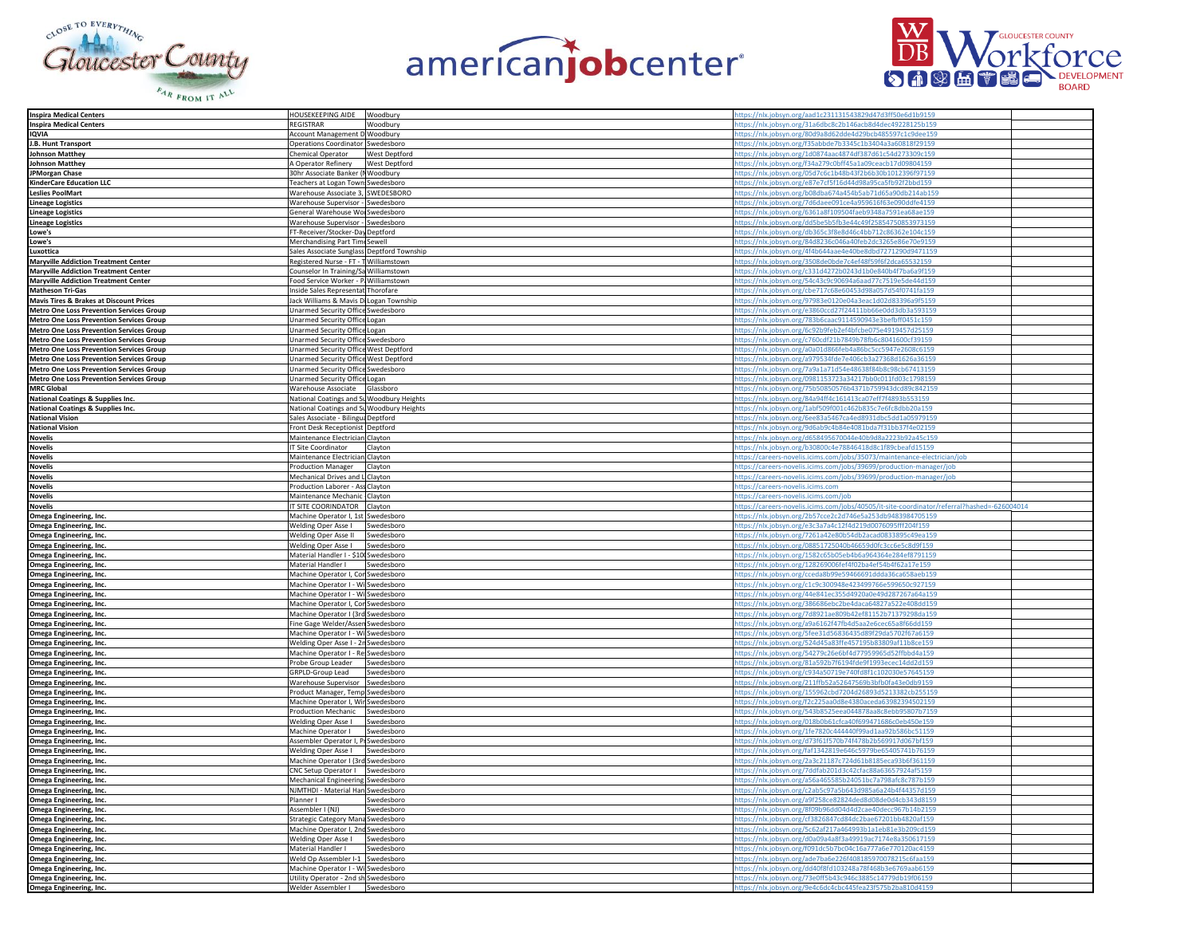





| <b>Inspira Medical Centers</b>                     | <b>HOUSEKEEPING AIDE</b><br>Woodbury                                     | https://nlx.jobsyn.org/aad1c231131543829d47d3ff50e6d1b9159                                                               |  |
|----------------------------------------------------|--------------------------------------------------------------------------|--------------------------------------------------------------------------------------------------------------------------|--|
| <b>Inspira Medical Centers</b>                     | <b>REGISTRAR</b><br>Woodbury                                             | ttps://nlx.jobsyn.org/31a6dbc8c2b146acb8d4dec49228125b159                                                                |  |
|                                                    |                                                                          | https://nlx.jobsyn.org/80d9a8d62dde4d29bcb485597c1c9dee159                                                               |  |
| <b>IQVIA</b>                                       | Account Management D Woodbury                                            |                                                                                                                          |  |
| J.B. Hunt Transport                                | Operations Coordinator Swedesboro                                        | https://nlx.jobsyn.org/f35abbde7b3345c1b3404a3a60818f29159                                                               |  |
| <b>Johnson Matthey</b>                             | <b>West Deptford</b><br><b>Chemical Operator</b>                         | https://nlx.jobsyn.org/1d0874aac4874df387d61c54d273309c159                                                               |  |
| <b>Johnson Matthey</b>                             | A Operator Refinery<br>West Deptford                                     | https://nlx.jobsyn.org/f34a279c0bff45a1a09ceacb17d09804159                                                               |  |
| JPMorgan Chase                                     | 30hr Associate Banker (I Woodbury                                        | https://nlx.jobsyn.org/05d7c6c1b48b43f2b6b30b1012396f97159                                                               |  |
| <b>KinderCare Education LLC</b>                    | Teachers at Logan Town Swedesboro                                        | https://nlx.jobsyn.org/e87e7cf5f16d44d98a95ca5fb92f2bbd159                                                               |  |
|                                                    |                                                                          |                                                                                                                          |  |
| <b>Leslies PoolMart</b>                            | Warehouse Associate 3, SWEDESBORO                                        | https://nlx.jobsyn.org/b08dba674a454b5ab71d65a90db214ab159                                                               |  |
| <b>Lineage Logistics</b>                           | Warehouse Supervisor - Swedesboro                                        | https://nlx.jobsyn.org/7d6daee091ce4a959616f63e090ddfe4159                                                               |  |
| <b>Lineage Logistics</b>                           | General Warehouse Wo Swedesboro                                          | https://nlx.jobsyn.org/6361a8f109504faeb9348a7591ea68ae159                                                               |  |
| <b>Lineage Logistics</b>                           | Warehouse Supervisor - Swedesboro                                        | https://nlx.jobsyn.org/dd5be5b5fb3e44c49f25854750853973159                                                               |  |
|                                                    |                                                                          |                                                                                                                          |  |
| Lowe's                                             | FT-Receiver/Stocker-Day Deptford                                         | https://nlx.jobsyn.org/db365c3f8e8d46c4bb712c86362e104c159                                                               |  |
| Lowe's                                             | Merchandising Part Timi Sewell                                           | https://nlx.jobsyn.org/84d8236c046a40feb2dc3265e86e70e9159                                                               |  |
| Luxottica                                          | Sales Associate Sunglass Deptford Township                               | nttps://nlx.jobsyn.org/4f4b644aae4e40be8dbd7271290d9471159                                                               |  |
| <b>Maryville Addiction Treatment Center</b>        | Registered Nurse - FT - T Williamstown                                   | https://nlx.jobsyn.org/3508de0bde7c4ef48f59f6f2dca65532159                                                               |  |
| <b>Maryville Addiction Treatment Center</b>        | Counselor In Training/Sa Williamstown                                    | https://nlx.jobsyn.org/c331d4272b0243d1b0e840b4f7ba6a9f159                                                               |  |
|                                                    |                                                                          |                                                                                                                          |  |
| <b>Maryville Addiction Treatment Center</b>        | Food Service Worker - P Williamstown                                     | https://nlx.jobsyn.org/54c43c9c90694a6aad77c7519e5de44d159                                                               |  |
| <b>Matheson Tri-Gas</b>                            | Inside Sales Representat Thorofare                                       | https://nlx.jobsyn.org/cbe717c68e60453d98a057d54f0741fa159                                                               |  |
| <b>Mavis Tires &amp; Brakes at Discount Prices</b> | Jack Williams & Mavis D Logan Township                                   | https://nlx.jobsyn.org/97983e0120e04a3eac1d02d83396a9f5159                                                               |  |
| Metro One Loss Prevention Services Group           | Unarmed Security Office Swedesboro                                       | https://nlx.jobsyn.org/e3860ccd27f24411bb66e0dd3db3a593159                                                               |  |
| <b>Metro One Loss Prevention Services Group</b>    | Jnarmed Security Office Logan                                            | https://nlx.jobsyn.org/783b6caac9114590943e3befbff0451c159                                                               |  |
|                                                    |                                                                          |                                                                                                                          |  |
| <b>Metro One Loss Prevention Services Group</b>    | Unarmed Security Office Logan                                            | https://nlx.jobsyn.org/6c92b9feb2ef4bfcbe075e4919457d25159                                                               |  |
| Metro One Loss Prevention Services Group           | Unarmed Security Office Swedesboro                                       | https://nlx.jobsyn.org/c760cdf21b7849b78fb6c8041600cf39159                                                               |  |
| <b>Metro One Loss Prevention Services Group</b>    | Unarmed Security Office West Deptford                                    | https://nlx.jobsyn.org/a0a01d866feb4a86bc5cc5947e2608c6159                                                               |  |
| <b>Metro One Loss Prevention Services Group</b>    | Unarmed Security Office West Deptford                                    | https://nlx.jobsyn.org/a979534fde7e406cb3a27368d1626a36159                                                               |  |
| <b>Metro One Loss Prevention Services Group</b>    | Unarmed Security Office Swedesboro                                       | https://nlx.jobsyn.org/7a9a1a71d54e48638f84b8c98cb67413159                                                               |  |
|                                                    |                                                                          |                                                                                                                          |  |
| <b>Metro One Loss Prevention Services Group</b>    | Unarmed Security Office Logan                                            | https://nlx.jobsyn.org/0981153723a34217bb0c011fd03c1798159                                                               |  |
| <b>MRC Global</b>                                  | Warehouse Associate Glassboro                                            | nttps://nlx.jobsyn.org/75b50850576b4371b759943dcd89c842159                                                               |  |
| National Coatings & Supplies Inc.                  | National Coatings and St Woodbury Heights                                | https://nlx.jobsyn.org/84a94ff4c161413ca07eff7f4893b553159                                                               |  |
| National Coatings & Supplies Inc.                  | National Coatings and St Woodbury Heights                                | https://nlx.jobsyn.org/1abf509f001c462b835c7e6fc8dbb20a159                                                               |  |
| <b>National Vision</b>                             | Sales Associate - Bilingua Deptford                                      | https://nlx.jobsyn.org/6ee83a5467ca4ed8931dbc5dd1a05979159                                                               |  |
|                                                    |                                                                          |                                                                                                                          |  |
| <b>National Vision</b>                             | Front Desk Receptionist Deptford                                         | https://nlx.jobsyn.org/9d6ab9c4b84e4081bda7f31bb37f4e02159                                                               |  |
| <b>Novelis</b>                                     | Maintenance Electrician Clayton                                          | https://nlx.jobsyn.org/d658495670044e40b9d8a2223b92a45c159                                                               |  |
| <b>Novelis</b>                                     | <b>IT Site Coordinator</b><br>Clayton                                    | https://nlx.jobsyn.org/b30800c4e78846418d8c1f89cbeafd15159                                                               |  |
| <b>Novelis</b>                                     | Maintenance Electrician Clayton                                          | https://careers-novelis.icims.com/jobs/35073/maintenance-electrician/job                                                 |  |
| <b>Novelis</b>                                     | Production Manager    Clayton                                            |                                                                                                                          |  |
|                                                    |                                                                          | https://careers-novelis.icims.com/jobs/39699/production-manager/job                                                      |  |
| <b>Novelis</b>                                     | Mechanical Drives and L Clayton                                          | https://careers-novelis.icims.com/iobs/39699/production-manager/iob                                                      |  |
| <b>Novelis</b>                                     | Production Laborer - Ass Clayton                                         | https://careers-novelis.icims.com                                                                                        |  |
| <b>Novelis</b>                                     | Maintenance Mechanic Clayton                                             | https://careers-novelis.icims.com/job                                                                                    |  |
|                                                    |                                                                          |                                                                                                                          |  |
|                                                    |                                                                          |                                                                                                                          |  |
| <b>Novelis</b>                                     | IT SITE COORINDATOR Clayton                                              | https://careers-novelis.icims.com/jobs/40505/it-site-coordinator/referral?hashed=-626004014                              |  |
| Omega Engineering, Inc.                            | Machine Operator I, 1st Swedesboro                                       | https://nlx.jobsyn.org/2b57cce2c2d746e5a253db9483984705159                                                               |  |
| Omega Engineering, Inc.                            | Welding Oper Asse I<br>Swedesboro                                        | https://nlx.jobsyn.org/e3c3a7a4c12f4d219d0076095fff204f159                                                               |  |
| Omega Engineering, Inc.                            | Welding Oper Asse II<br>Swedesboro                                       | https://nlx.jobsyn.org/7261a42e80b54db2acad0833895c49ea159                                                               |  |
|                                                    | Swedesboro                                                               |                                                                                                                          |  |
| Omega Engineering, Inc.                            | Welding Oper Asse I                                                      | https://nlx.jobsyn.org/08851725040b46659d0fc3cc6e5c8d9f159                                                               |  |
| Omega Engineering, Inc.                            | Material Handler I - \$10 Swedesboro                                     | https://nlx.jobsyn.org/1582c65b05eb4b6a964364e284ef8791159                                                               |  |
| Omega Engineering, Inc.                            | Material Handler I<br>Swedesboro                                         | https://nlx.jobsyn.org/128269006fef4f02ba4ef54b4f62a17e159                                                               |  |
| Omega Engineering, Inc.                            | Machine Operator I, Cor Swedesboro                                       | https://nlx.jobsyn.org/cceda8b99e59466691ddda36ca658aeb159                                                               |  |
| Omega Engineering, Inc.                            | Machine Operator I - Wi Swedesboro                                       | https://nlx.jobsyn.org/c1c9c300948e423499766e599650c927159                                                               |  |
| Omega Engineering, Inc.                            | Machine Operator I - Wi Swedesboro                                       | https://nlx.jobsyn.org/44e841ec355d4920a0e49d287267a64a159                                                               |  |
|                                                    |                                                                          |                                                                                                                          |  |
| Omega Engineering, Inc.                            | Machine Operator I, Cor Swedesboro                                       | https://nlx.jobsyn.org/386686ebc2be4daca64827a522e408dd159                                                               |  |
| Omega Engineering, Inc.                            | Machine Operator I (3rd Swedesboro                                       | https://nlx.jobsyn.org/7d8921ae809b42ef81152b71379298da159                                                               |  |
| Omega Engineering, Inc.                            | Fine Gage Welder/Assen Swedesboro                                        | https://nlx.jobsyn.org/a9a6162f47fb4d5aa2e6cec65a8f66dd159                                                               |  |
| Omega Engineering, Inc.                            | Machine Operator I - Wi Swedesboro                                       | https://nlx.jobsyn.org/5fee31d56836435d89f29da5702f67a6159                                                               |  |
| Omega Engineering, Inc.                            | Welding Oper Asse I - 2r Swedesboro                                      | https://nlx.jobsyn.org/524d45a83ffe457195b83809af11b8ce159                                                               |  |
|                                                    |                                                                          |                                                                                                                          |  |
| Omega Engineering, Inc.                            | Machine Operator I - Re Swedesboro                                       | https://nlx.jobsyn.org/54279c26e6bf4d77959965d52ffbbd4a159                                                               |  |
| Omega Engineering, Inc.                            | Probe Group Leader<br>Swedesboro                                         | https://nlx.jobsyn.org/81a592b7f6194fde9f1993ecec14dd2d159                                                               |  |
| Omega Engineering, Inc.                            | GRPLD-Group Lead<br>Swedesboro                                           | https://nlx.jobsyn.org/c934a50719e740fd8f1c102030e57645159                                                               |  |
| Omega Engineering, Inc.                            | Warehouse Supervisor Swedesboro                                          | https://nlx.jobsyn.org/211ffb52a52647569b3bfb0fa43e0db9159                                                               |  |
| Omega Engineering, Inc.                            | Product Manager, Temp Swedesboro                                         | https://nlx.jobsyn.org/155962cbd7204d26893d5213382cb255159                                                               |  |
|                                                    |                                                                          |                                                                                                                          |  |
| Omega Engineering, Inc.                            | Machine Operator I, Wir Swedesboro<br><b>Production Mechanic</b>         | https://nlx.jobsyn.org/f2c225aa0d8e4380aceda63982394502159                                                               |  |
| Omega Engineering, Inc.                            | Swedesboro                                                               | https://nlx.jobsyn.org/543b8525eea044878aa8c8ebb95807b7159                                                               |  |
| Omega Engineering, Inc.                            | Welding Oper Asse I<br>Swedesboro                                        | nttps://nlx.jobsyn.org/018b0b61cfca40f699471686c0eb450e159                                                               |  |
| Omega Engineering, Inc.                            | Machine Operator I<br>Swedesboro                                         | https://nlx.jobsyn.org/1fe7820c444440f99ad1aa92b586bc51159                                                               |  |
| Omega Engineering, Inc.                            | Assembler Operator I, Pi Swedesboro                                      | https://nlx.jobsyn.org/d73f61f570b74f478b2b569917d067bf159                                                               |  |
|                                                    | Welding Oper Asse I<br>Swedesboro                                        |                                                                                                                          |  |
| Omega Engineering, Inc.                            | Machine Operator I (3rd Swedesboro                                       | https://nlx.jobsyn.org/faf1342819e646c5979be65405741b76159                                                               |  |
| Omega Engineering, Inc.                            |                                                                          | https://nlx.jobsyn.org/2a3c21187c724d61b8185eca93b6f361159                                                               |  |
| Omega Engineering, Inc.                            | CNC Setup Operator I Swedesboro                                          | https://nlx.jobsyn.org/7ddfab201d3c42cfac88a63657924af5159                                                               |  |
| Omega Engineering, Inc.                            | Mechanical Engineering Swedesboro                                        | https://nlx.jobsyn.org/a56a465585b24051bc7a798afc8c787b159                                                               |  |
| Omega Engineering, Inc.                            | NJMTHDI - Material Han Swedesboro                                        | https://nlx.jobsyn.org/c2ab5c97a5b643d985a6a24b4f44357d159                                                               |  |
| Omega Engineering, Inc.                            | Planner I<br>Swedesboro                                                  | https://nlx.jobsyn.org/a9f258ce82824ded8d08de0d4cb343d8159                                                               |  |
|                                                    | Assembler I (NJ)<br>Swedesboro                                           |                                                                                                                          |  |
| Omega Engineering, Inc.                            |                                                                          | https://nlx.jobsyn.org/8f09b96dd04d4d2cae40decc967b14b2159                                                               |  |
| Omega Engineering, Inc.                            | Strategic Category Mana Swedesboro                                       | https://nlx.jobsyn.org/cf3826847cd84dc2bae67201bb4820af159                                                               |  |
| Omega Engineering, Inc.                            | Machine Operator I, 2nd Swedesboro                                       | https://nlx.jobsyn.org/5c62af217a464993b1a1eb81e3b209cd159                                                               |  |
| Omega Engineering, Inc.                            | Welding Oper Asse I<br>Swedesboro                                        | https://nlx.jobsyn.org/d0a09a4a8f3a49919ac7174e8a350617159                                                               |  |
| Omega Engineering, Inc.                            | Material Handler I<br>Swedesboro                                         | https://nlx.jobsyn.org/f091dc5b7bc04c16a777a6e770120ac4159                                                               |  |
| Omega Engineering, Inc.                            | Weld Op Assembler I-1 Swedesboro                                         | https://nlx.jobsyn.org/ade7ba6e226f408185970078215c6faa159                                                               |  |
|                                                    |                                                                          |                                                                                                                          |  |
| Omega Engineering, Inc.                            | Machine Operator I - Wi Swedesboro                                       | https://nlx.jobsyn.org/dd40f8fd103248a78f468b3e6769aab6159                                                               |  |
| Omega Engineering, Inc.<br>Omega Engineering, Inc. | Utility Operator - 2nd sh Swedesboro<br>Welder Assembler I<br>Swedesboro | https://nlx.jobsyn.org/73e0ff5b43c946c3885c14779db19f06159<br>https://nlx.jobsyn.org/9e4c6dc4cbc445fea23f575b2ba810d4159 |  |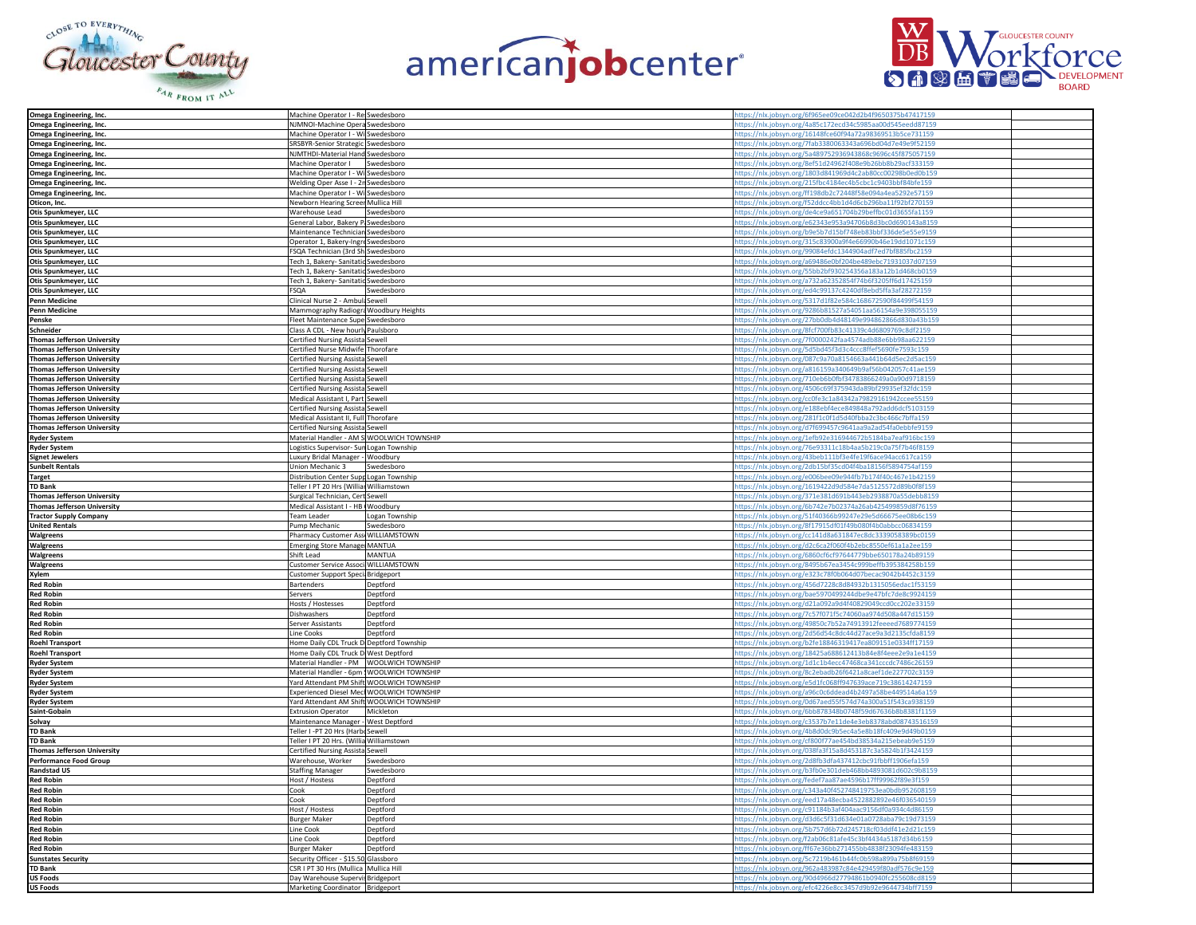





| Omega Engineering, Inc.            | Machine Operator I - Re Swedesboro        | https://nlx.jobsyn.org/6f965ee09ce042d2b4f9650375b47417159 |  |
|------------------------------------|-------------------------------------------|------------------------------------------------------------|--|
| Omega Engineering, Inc.            | NJMNOI-Machine Opera Swedesboro           | nttps://nlx.jobsyn.org/4a85c172ecd34c5985aa00d545eedd87159 |  |
|                                    |                                           |                                                            |  |
| Omega Engineering, Inc.            | Machine Operator I - Wi Swedesboro        | https://nlx.jobsyn.org/16148fce60f94a72a98369513b5ce731159 |  |
| Omega Engineering, Inc.            | SRSBYR-Senior Strategic Swedesboro        | https://nlx.jobsyn.org/7fab3380063343a696bd04d7e49e9f52159 |  |
| Omega Engineering, Inc.            | NJMTHDI-Material Hand Swedesboro          | https://nlx.jobsyn.org/5a489752936943868c9696c45f875057159 |  |
|                                    |                                           |                                                            |  |
| Omega Engineering, Inc.            | Machine Operator I Swedesboro             | https://nlx.jobsyn.org/8ef51d24962f408e9b26bb8b29acf333159 |  |
| Omega Engineering, Inc.            | Machine Operator I - Wi Swedesboro        | https://nlx.jobsyn.org/1803d841969d4c2ab80cc00298b0ed0b159 |  |
|                                    | Welding Oper Asse I - 2r Swedesboro       |                                                            |  |
| Omega Engineering, Inc.            |                                           | https://nlx.jobsyn.org/215fbc4184ec4b5cbc1c9403bbf84bfe159 |  |
| Omega Engineering, Inc.            | Machine Operator I - Wi Swedesboro        | https://nlx.jobsyn.org/ff198db2c72448f58e094a4ea5292e57159 |  |
| Oticon, Inc.                       | Newborn Hearing Screer Mullica Hill       | https://nlx.jobsyn.org/f52ddcc4bb1d4d6cb296ba11f92bf270159 |  |
|                                    |                                           |                                                            |  |
| Otis Spunkmeyer, LLC               | Warehouse Lead<br>Swedesboro              | https://nlx.jobsyn.org/de4ce9a651704b29beffbc01d3655fa1159 |  |
| Otis Spunkmeyer, LLC               | General Labor, Bakery P. Swedesboro       | https://nlx.jobsyn.org/e62343e953a94706b8d3bc0d690143a8159 |  |
|                                    |                                           | https://nlx.jobsyn.org/b9e5b7d15bf748eb83bbf336de5e55e9159 |  |
| Otis Spunkmeyer, LLC               | Maintenance Technician Swedesboro         |                                                            |  |
| Otis Spunkmeyer, LLC               | Operator 1, Bakery-Ingre Swedesboro       | nttps://nlx.jobsyn.org/315c83900a9f4e66990b46e19dd1071c159 |  |
| Otis Spunkmeyer, LLC               | SQA Technician (3rd Sh Swedesboro         | https://nlx.jobsyn.org/99084efdc1344904adf7ed7bf885fbc2159 |  |
|                                    |                                           |                                                            |  |
| Otis Spunkmeyer, LLC               | Tech 1, Bakery- Sanitatic Swedesboro      | https://nlx.jobsyn.org/a69486e0bf204be489ebc71931037d07159 |  |
| Otis Spunkmeyer, LLC               | Tech 1, Bakery- Sanitatic Swedesboro      | https://nlx.jobsyn.org/55bb2bf930254356a183a12b1d468cb0159 |  |
|                                    |                                           |                                                            |  |
| Otis Spunkmeyer, LLC               | Tech 1, Bakery- Sanitatic Swedesboro      | https://nlx.jobsyn.org/a732a62352854f74b6f3205ff6d17425159 |  |
| Otis Spunkmeyer, LLC               | FSQA<br>Swedesboro                        | https://nlx.jobsyn.org/ed4c99137c4240df8ebd5ffa3af28272159 |  |
| <b>Penn Medicine</b>               | Clinical Nurse 2 - Ambuli Sewell          | https://nlx.jobsyn.org/5317d1f82e584c168672590f84499f54159 |  |
|                                    |                                           |                                                            |  |
| Penn Medicine                      | Mammography Radiogra Woodbury Heights     | https://nlx.jobsyn.org/9286b81527a54051aa56154a9e398055159 |  |
| Penske                             | Fleet Maintenance Supe Swedesboro         | https://nlx.jobsyn.org/27bb0db4d48149e994862866d830a43b159 |  |
|                                    |                                           |                                                            |  |
| Schneider                          | Class A CDL - New hourly Paulsboro        | https://nlx.jobsyn.org/8fcf700fb83c41339c4d6809769c8df2159 |  |
| <b>Thomas Jefferson University</b> | Certified Nursing Assista Sewell          | https://nlx.jobsyn.org/7f0000242faa4574adb88e6bb98aa622159 |  |
| Thomas Jefferson University        | Certified Nurse Midwife Thorofare         | https://nlx.jobsyn.org/5d5bd45f3d3c4ccc8ffef5690fe7593c159 |  |
|                                    |                                           |                                                            |  |
| Thomas Jefferson University        | Certified Nursing Assista Sewell          | https://nlx.jobsyn.org/087c9a70a8154663a441b64d5ec2d5ac159 |  |
| <b>Thomas Jefferson University</b> | Certified Nursing Assista Sewell          | nttps://nlx.jobsyn.org/a816159a340649b9af56b042057c41ae159 |  |
|                                    |                                           |                                                            |  |
| Thomas Jefferson University        | Certified Nursing Assista Sewell          | https://nlx.jobsyn.org/710eb6b0fbf34783866249a0a90d9718159 |  |
| <b>Thomas Jefferson University</b> | Certified Nursing Assista Sewell          | nttps://nlx.jobsyn.org/4506c69f375943da89bf29935ef32fdc159 |  |
| Thomas Jefferson University        | Medical Assistant I. Part Sewell          | https://nlx.jobsyn.org/cc0fe3c1a84342a79829161942ccee55159 |  |
|                                    |                                           |                                                            |  |
| <b>Thomas Jefferson University</b> | Certified Nursing Assista Sewell          | https://nlx.jobsyn.org/e188ebf4ece849848a792add6dcf5103159 |  |
| <b>Thomas Jefferson University</b> | Medical Assistant II, Full Thorofare      | https://nlx.jobsyn.org/281f1c0f1d5d40fbba2c3bc466c7bffa159 |  |
|                                    |                                           |                                                            |  |
| Thomas Jefferson University        | Certified Nursing Assista Sewell          | https://nlx.jobsyn.org/d7f699457c9641aa9a2ad54fa0ebbfe9159 |  |
| <b>Ryder System</b>                | Material Handler - AM S WOOLWICH TOWNSHIP | https://nlx.jobsyn.org/1efb92e316944672b5184ba7eaf916bc159 |  |
| <b>Ryder System</b>                | ogistics Supervisor- Sun Logan Township   | https://nlx.jobsyn.org/76e93311c18b4aa5b219c0a75f7b46f8159 |  |
|                                    |                                           |                                                            |  |
| <b>Signet Jewelers</b>             | uxury Bridal Manager - Woodbury           | https://nlx.jobsyn.org/43beb111bf3e4fe19f6ace94acc617ca159 |  |
| <b>Sunbelt Rentals</b>             | Union Mechanic 3<br>Swedesboro            | https://nlx.jobsyn.org/2db15bf35cd04f4ba18156f5894754af159 |  |
|                                    |                                           |                                                            |  |
| <b>Target</b>                      | Distribution Center Supr Logan Township   | https://nlx.jobsyn.org/e006bee09e944fb7b174f40c467e1b42159 |  |
| <b>TD Bank</b>                     | Teller I PT 20 Hrs (Williar Williamstown  | https://nlx.jobsyn.org/1619422d9d584e7da5125572d89b0f8f159 |  |
|                                    |                                           |                                                            |  |
|                                    |                                           |                                                            |  |
| Thomas Jefferson University        | Surgical Technician, Cert Sewell          | https://nlx.jobsyn.org/371e381d691b443eb2938870a55debb8159 |  |
| Thomas Jefferson University        | Medical Assistant I - HB Woodbury         | https://nlx.jobsyn.org/6b742e7b02374a26ab425499859d8f76159 |  |
|                                    |                                           |                                                            |  |
| <b>Tractor Supply Company</b>      | Team Leader<br>Logan Township             | https://nlx.jobsyn.org/51f40366b99247e29e5d66675ee08b6c159 |  |
| <b>United Rentals</b>              | Swedesboro<br>Pump Mechanic               | https://nlx.jobsyn.org/8f17915df01f49b080f4b0abbcc06834159 |  |
|                                    |                                           |                                                            |  |
| Walgreens                          | Pharmacy Customer Ass WILLIAMSTOWN        | https://nlx.jobsyn.org/cc141d8a631847ec8dc3339058389bc0159 |  |
| Walgreens                          | Emerging Store Manage MANTUA              | https://nlx.jobsyn.org/d2c6ca2f060f4b2ebc8550ef61a1a2ee159 |  |
| Walgreens                          | Shift Lead<br><b>MANTUA</b>               | https://nlx.jobsyn.org/6860cf6cf97644779bbe650178a24b89159 |  |
|                                    |                                           |                                                            |  |
| Walgreens                          | Customer Service Associ WILLIAMSTOWN      | https://nlx.jobsyn.org/8495b67ea3454c999beffb395384258b159 |  |
| Xvlem                              | Customer Support Speci Bridgeport         | https://nlx.jobsyn.org/e323c78f0b064d07becac9042b4452c3159 |  |
| <b>Red Robin</b>                   |                                           |                                                            |  |
|                                    | Bartenders<br>Deptford                    | https://nlx.jobsyn.org/456d7228c8d84932b1315056edac1f53159 |  |
| <b>Red Robin</b>                   | Deptford<br>Servers                       | https://nlx.jobsyn.org/bae5970499244dbe9e47bfc7de8c9924159 |  |
| <b>Red Robin</b>                   | Hosts / Hostesses<br>Deptford             | https://nlx.jobsyn.org/d21a092a9d4f40829049ccd0cc202e33159 |  |
|                                    | Dishwashers<br>Deptford                   |                                                            |  |
| <b>Red Robin</b>                   |                                           | https://nlx.jobsyn.org/7c57f071f5c74060aa974d508a447d15159 |  |
| <b>Red Robin</b>                   | Server Assistants<br>Deptford             | https://nlx.jobsyn.org/49850c7b52a74913912feeeed7689774159 |  |
| <b>Red Robin</b>                   | ine Cooks<br>Deptford                     |                                                            |  |
|                                    |                                           | https://nlx.jobsyn.org/2d56d54c8dc44d27ace9a3d2135cfda8159 |  |
| <b>Roehl Transport</b>             | Home Daily CDL Truck D Deptford Township  | nttps://nlx.jobsyn.org/b2fe18846319417ea809151e0334ff17159 |  |
| <b>Roehl Transport</b>             | Home Daily CDL Truck D West Deptford      | nttps://nlx.jobsyn.org/18425a688612413b84e8f4eee2e9a1e4159 |  |
|                                    |                                           |                                                            |  |
| <b>Ryder System</b>                | Material Handler - PM WOOLWICH TOWNSHIP   | https://nlx.jobsyn.org/1d1c1b4ecc47468ca341cccdc7486c26159 |  |
| <b>Ryder System</b>                | Material Handler - 6pm WOOLWICH TOWNSHIP  | https://nlx.jobsyn.org/8c2ebadb26f6421a8caef1de227702c3159 |  |
| <b>Ryder System</b>                | Yard Attendant PM Shift WOOLWICH TOWNSHIP | https://nlx.jobsyn.org/e5d1fc068ff947639ace719c38614247159 |  |
|                                    |                                           |                                                            |  |
| <b>Ryder System</b>                | Experienced Diesel Mecl WOOLWICH TOWNSHIP | https://nlx.jobsyn.org/a96c0c6ddead4b2497a58be449514a6a159 |  |
| <b>Ryder System</b>                | Yard Attendant AM Shift WOOLWICH TOWNSHIP | https://nlx.jobsyn.org/0d67aed55f574d74a300a51f543ca938159 |  |
| Saint-Gobain                       | <b>Extrusion Operator</b><br>Mickleton    |                                                            |  |
|                                    |                                           | https://nlx.jobsyn.org/6bb878348b0748f59d67636b8b8381f1159 |  |
| Solvay                             | Maintenance Manager - West Deptford       | https://nlx.jobsyn.org/c3537b7e11de4e3eb8378abd08743516159 |  |
| <b>TD Bank</b>                     | Teller I -PT 20 Hrs (Harbi Sewell         | https://nlx.jobsyn.org/4b8d0dc9b5ec4a5e8b18fc409e9d49b0159 |  |
| <b>TD Bank</b>                     |                                           |                                                            |  |
|                                    | Teller I PT 20 Hrs. (Willia Williamstown  | https://nlx.jobsyn.org/cf800f77ae454bd38534a215ebeab9e5159 |  |
| <b>Thomas Jefferson University</b> | Certified Nursing Assista Sewell          | https://nlx.jobsyn.org/038fa3f15a8d453187c3a5824b1f3424159 |  |
| <b>Performance Food Group</b>      | Warehouse, Worker<br>Swedesboro           | https://nlx.jobsyn.org/2d8fb3dfa437412cbc91fbbff1906efa159 |  |
|                                    |                                           |                                                            |  |
| <b>Randstad US</b>                 | <b>Staffing Manager</b><br>Swedesboro     | https://nlx.jobsyn.org/b3fb0e301deb468bb4893081d602c9b8159 |  |
| <b>Red Robin</b>                   | Host / Hostess<br>Deptford                | https://nlx.jobsyn.org/fedef7aa87ae4596b17ff99962f89e3f159 |  |
|                                    |                                           |                                                            |  |
| <b>Red Robin</b>                   | Deptford<br>Cook                          | https://nlx.jobsyn.org/c343a40f452748419753ea0bdb952608159 |  |
| <b>Red Robin</b>                   | Cook<br>Deptford                          | https://nlx.jobsyn.org/eed17a48ecba4522882892e46f036540159 |  |
| <b>Red Robin</b>                   | Host / Hostess<br>Deptford                | https://nlx.jobsyn.org/c91184b3af404aac9156df0a934c4d86159 |  |
|                                    |                                           |                                                            |  |
| <b>Red Robin</b>                   | <b>Burger Maker</b><br>Deptford           | https://nlx.jobsyn.org/d3d6c5f31d634e01a0728aba79c19d73159 |  |
| <b>Red Robin</b>                   | Line Cook<br>Deptford                     | https://nlx.jobsyn.org/5b757d6b72d245718cf03ddf41e2d21c159 |  |
| <b>Red Robin</b>                   | ine Cook<br>Deptford                      |                                                            |  |
|                                    |                                           | https://nlx.jobsyn.org/f2ab06c81afe45c3bf4434a5187d34b6159 |  |
| <b>Red Robin</b>                   | <b>Burger Maker</b><br>Deptford           | https://nlx.jobsyn.org/ff67e36bb271455bb4838f23094fe483159 |  |
| <b>Sunstates Security</b>          | Security Officer - \$15.50 Glassboro      |                                                            |  |
|                                    |                                           | https://nlx.jobsyn.org/5c7219b461b44fc0b598a899a75b8f69159 |  |
| <b>TD Bank</b>                     | CSR I PT 30 Hrs (Mullica Mullica Hill     | https://nlx.jobsyn.org/962a483987c84e429459f80adf576c9e159 |  |
| <b>US Foods</b>                    | Day Warehouse Supervi: Bridgeport         | https://nlx.jobsyn.org/90d4966d27794861b0940fc255608cd8159 |  |
| <b>US Foods</b>                    | Marketing Coordinator Bridgeport          | https://nlx.jobsyn.org/efc4226e8cc3457d9b92e9644734bff7159 |  |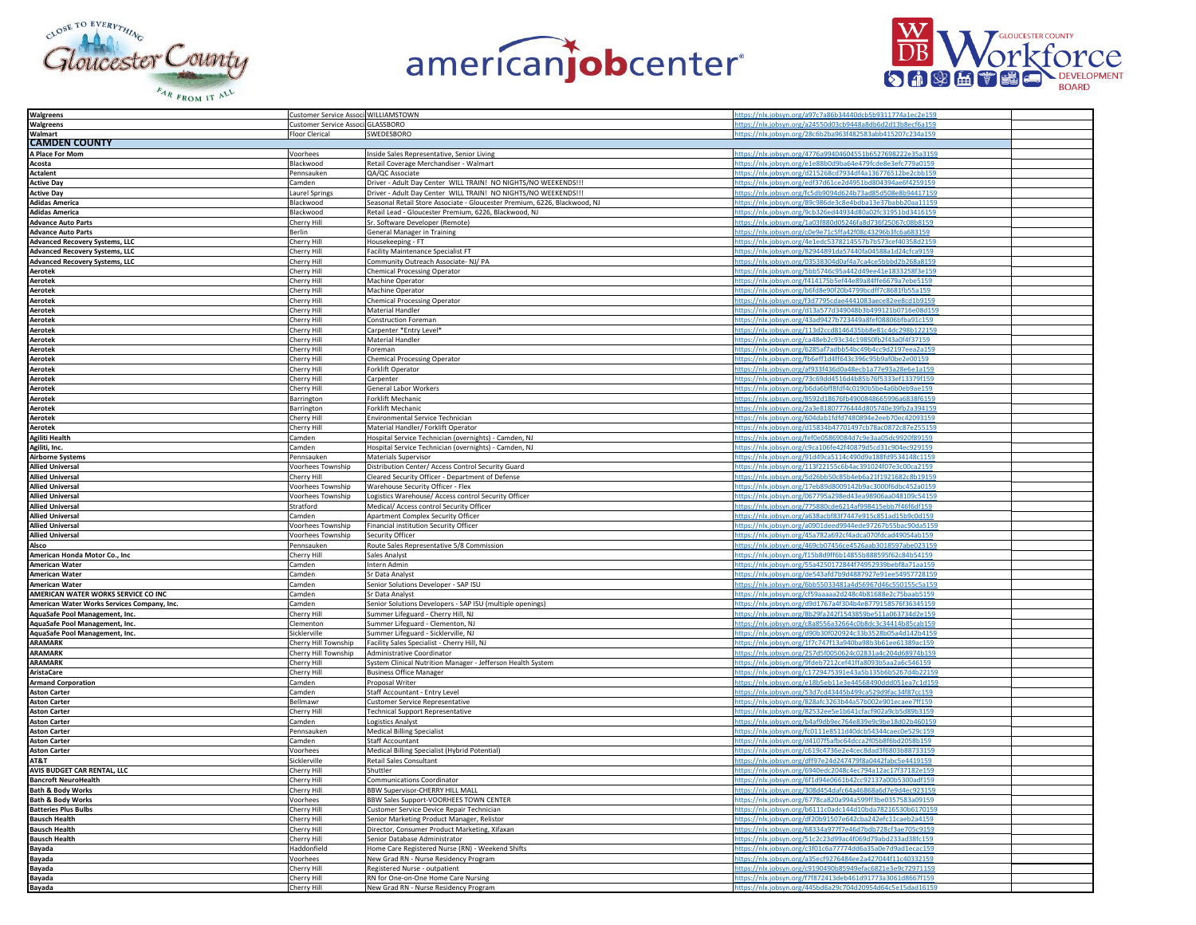





| <b>Walgreens</b>                                            | Customer Service Associ WILLIAMSTOWN         |                                                                                           | tps://nlx.jobsyn.org/a97c7a86b34440dcb5b9311774a1ec2e159                                                                 |
|-------------------------------------------------------------|----------------------------------------------|-------------------------------------------------------------------------------------------|--------------------------------------------------------------------------------------------------------------------------|
| Walgreens                                                   | Customer Service Associ GLASSBORO            |                                                                                           | nlx.jobsyn.org/a24550d03cb9448a8db6d2d13b8ecf6a159                                                                       |
| Walmart                                                     | Floor Clerical                               | SWEDESBORO                                                                                | https://nlx.jobsyn.org/28c6b2ba963f482583abb415207c234a159                                                               |
| <b>CAMDEN COUNTY</b>                                        |                                              |                                                                                           |                                                                                                                          |
| A Place For Mom                                             | Voorhees                                     | Inside Sales Representative, Senior Living                                                | https://nlx.jobsyn.org/4776a99404604551b6527698222e35a3159                                                               |
| Acosta<br><b>Actalent</b>                                   | Blackwood<br>Pennsauken                      | Retail Coverage Merchandiser - Walmart<br>QA/QC Associate                                 | https://nlx.jobsyn.org/e1e88b0d9ba64e479fcde8e3efc779a0159<br>https://nlx.jobsyn.org/d215268cd7934df4a136776512be2cbb159 |
| <b>Active Dav</b>                                           | Camden                                       | Driver - Adult Day Center WILL TRAIN! NO NIGHTS/NO WEEKENDS !!!                           | ttps://nlx.jobsyn.org/edf37d61ce2d4951bd804394ae6f4259159                                                                |
| <b>Active Dav</b>                                           | Laurel Springs                               | Driver - Adult Day Center WILL TRAIN! NO NIGHTS/NO WEEKENDS !!!                           | https://nlx.jobsyn.org/fc5db9094d624b73ad85d508e8b94417159                                                               |
| <b>Adidas America</b>                                       | Blackwood                                    | Seasonal Retail Store Associate - Gloucester Premium, 6226, Blackwood, NJ                 | ttps://nlx.jobsyn.org/89c986de3c8e4bdba13e37babb20aa11159                                                                |
| <b>Adidas America</b>                                       | Blackwood                                    | Retail Lead - Gloucester Premium, 6226, Blackwood, NJ                                     | ttps://nlx.jobsyn.org/9cb326ed44934d80a02fc31951bd3416159                                                                |
| <b>Advance Auto Parts</b>                                   | Cherry Hill                                  | Sr. Software Developer (Remote)                                                           | https://nlx.jobsyn.org/1a03f880d05246fa8d736f25067c08b8159                                                               |
| <b>Advance Auto Parts</b>                                   | Berlin                                       | General Manager in Training                                                               | https://nlx.jobsyn.org/c0e9e71c5ffa42f08c43296b3fc6a683159                                                               |
| <b>Advanced Recovery Systems, LLC</b>                       | Cherry Hill                                  | Housekeeping - FT                                                                         | https://nlx.jobsyn.org/4e1edc5378214557b7b573cef40358d2159                                                               |
| <b>Advanced Recovery Systems, LLC</b>                       | Cherry Hill                                  | <b>Facility Maintenance Specialist FT</b>                                                 | ttps://nlx.jobsyn.org/82944891da57440fa04588a1d24cfca9159                                                                |
| <b>Advanced Recovery Systems, LLC</b>                       | Cherry Hill                                  | Community Outreach Associate- NJ/ PA                                                      | ttps://nlx.jobsyn.org/03538304d0af4a7ca4ce5bbbd2b268a8159                                                                |
| Aerotek                                                     | Cherry Hill                                  | <b>Chemical Processing Operator</b>                                                       | https://nlx.jobsyn.org/5bb5746c95a442d49ee41e1833258f3e159                                                               |
| Aerotek                                                     | Cherry Hill                                  | Machine Operator                                                                          | https://nlx.jobsyn.org/f414175b5ef44e89a84ffe6679a7ebe5159                                                               |
| <b>Aerotek</b>                                              | Cherry Hill                                  | <b>Machine Operator</b>                                                                   | https://nlx.jobsyn.org/b6fd8e90f20b4799bcdff7c8681fb55a159                                                               |
| Aerotek                                                     | Cherry Hill                                  | <b>Chemical Processing Operator</b>                                                       | https://nlx.jobsyn.org/f3d7795cdae4441083aece82ee8cd1b9159                                                               |
| <b>Aerotek</b><br>Aerotek                                   | Cherry Hill                                  | Material Handler                                                                          | https://nlx.jobsyn.org/d13a577d349048b3b499121b0716e08d159<br>ttps://nlx.jobsyn.org/43ad9427b723449a8fef08806bfba91c159  |
| <b>Aerotek</b>                                              | Cherry Hill<br>Cherry Hill                   | <b>Construction Foreman</b><br>Carpenter *Entry Level*                                    | ttps://nlx.jobsyn.org/113d2ccd8146435bb8e81c4dc298b122159                                                                |
| <b>Aerotek</b>                                              | Cherry Hill                                  | Material Handler                                                                          | ttps://nlx.jobsyn.org/ca48eb2c93c34c19850fb2f43a0f4f37159                                                                |
| Aerotek                                                     | Cherry Hill                                  | Foreman                                                                                   | https://nlx.jobsyn.org/6285af7adbb54bc49b4cc9d2197eea2a159                                                               |
| Aerotek                                                     | Cherry Hill                                  | <b>Chemical Processing Operator</b>                                                       | https://nlx.jobsyn.org/fb6eff1d4ff643c396c95b9af0be2e00159                                                               |
| Aerotek                                                     | Cherry Hill                                  | Forklift Operator                                                                         | https://nlx.jobsyn.org/af933f436d0a48ecb1a77e93a28e6e1a159                                                               |
| Aerotek                                                     | Cherry Hill                                  | Carpenter                                                                                 | https://nlx.jobsyn.org/73c69dd4516d4b85b76f5333ef13379f159                                                               |
| Aerotek                                                     | Cherry Hill                                  | <b>General Labor Workers</b>                                                              | https://nlx.jobsyn.org/b6da6bff8fdf4c0190b5be4a6b0eb9ae159                                                               |
| <b>Aerotek</b>                                              | Barrington                                   | Forklift Mechanic                                                                         | ttps://nlx.jobsyn.org/8592d18676fb4900848665996a6838f6159                                                                |
| <b>Aerotek</b>                                              | Barrington                                   | Forklift Mechanic                                                                         | ttps://nlx.jobsyn.org/2a3e81807776444d805740e39fb2a394159                                                                |
| Aerotek                                                     | Cherry Hill                                  | Environmental Service Technician                                                          | https://nlx.jobsyn.org/604dab1fdfd7480894e2eeb70ec42093159                                                               |
| <b>Aerotek</b>                                              | Cherry Hill                                  | Material Handler/ Forklift Operator                                                       | https://nlx.jobsyn.org/d15834b47701497cb78ac0872c87e255159                                                               |
| <b>Agiliti Health</b>                                       | Camden                                       | Hospital Service Technician (overnights) - Camden, NJ                                     | https://nlx.jobsyn.org/fef0e05869084d7c9e3aa05dc9920f89159                                                               |
| Agiliti, Inc.                                               | Camden                                       | Hospital Service Technician (overnights) - Camden, NJ                                     | ttps://nlx.jobsyn.org/c9ca106fe42f40879d5cd31c904ec929159                                                                |
| <b>Airborne Systems</b>                                     | Pennsauken                                   | Materials Supervisor                                                                      | https://nlx.jobsyn.org/91d49ca5114c490d9a188fd9534148c1159                                                               |
| <b>Allied Universal</b>                                     | Voorhees Township                            | Distribution Center/ Access Control Security Guard                                        | ttps://nlx.jobsyn.org/113f22155c6b4ac391024f07e3c00ca2159                                                                |
| <b>Allied Universal</b><br><b>Allied Universal</b>          | Cherry Hill<br>Voorhees Township             | Cleared Security Officer - Department of Defense                                          | ps://nlx.jobsyn.org/5d26bb50c85b4eb6a21f1921682c8b19159<br>ttps://nlx.jobsyn.org/17eb89d8009142b9ac3000f6dbc452a0159     |
| <b>Allied Universal</b>                                     | Voorhees Township                            | Warehouse Security Officer - Flex<br>Logistics Warehouse/ Access control Security Officer | https://nlx.jobsyn.org/067795a298ed43ea98906aa048109c54159                                                               |
| <b>Allied Universal</b>                                     | Stratford                                    | Medical/ Access control Security Officer                                                  | ttps://nlx.jobsyn.org/775880cde6214af998415ebb7f46f6df159                                                                |
| <b>Allied Universal</b>                                     | Camden                                       | Apartment Complex Security Officer                                                        | https://nlx.jobsyn.org/a638acbf83f7447e915c851ad15b9c0d159                                                               |
| <b>Allied Universal</b>                                     | Voorhees Township                            | Financial institution Security Officer                                                    | https://nlx.jobsyn.org/a0901deed9944ede97267b55bac90da5159                                                               |
| <b>Allied Universal</b>                                     | Voorhees Township                            | Security Officer                                                                          | https://nlx.jobsyn.org/45a782a692cf4adca070fdcad49054ab159                                                               |
| Alsco                                                       | Pennsauken                                   | Route Sales Representative 5/8 Commission                                                 | ttps://nlx.jobsyn.org/469cb07456ce4526aab3018597abe023159                                                                |
| American Honda Motor Co., Inc                               | Cherry Hill                                  | Sales Analyst                                                                             | ttps://nlx.jobsyn.org/f15b8d9ff6b14855b8888595f62c84b54159                                                               |
| <b>American Water</b>                                       | Camden                                       | Intern Admin                                                                              | https://nlx.jobsyn.org/55a4250172844f74952939bebf8a71aa159                                                               |
| <b>American Water</b>                                       | Camden                                       | Sr Data Analyst                                                                           | https://nlx.jobsyn.org/de543afd7b9d4887927e91ee54957728159                                                               |
| <b>American Water</b>                                       | Camden                                       | Senior Solutions Developer - SAP ISU                                                      | https://nlx.jobsyn.org/6bb55033481a4d56967d46c550155c5a159                                                               |
| AMERICAN WATER WORKS SERVICE CO INC                         | Camden                                       | Sr Data Analyst                                                                           | https://nlx.jobsyn.org/cf59aaaaa2d248c4b81688e2c75baab5159                                                               |
| American Water Works Services Company, Inc.                 | Camden                                       | Senior Solutions Developers - SAP ISU (multiple openings)                                 | ttps://nlx.jobsyn.org/d9d1767a4f304b4e8779158576f36345159                                                                |
| AquaSafe Pool Management, Inc.                              | Cherry Hill                                  | Summer Lifeguard - Cherry Hill, NJ                                                        | ttps://nlx.jobsyn.org/8b29fa242f1543859be511a063734d2e159                                                                |
| AquaSafe Pool Management, Inc.                              | lementon                                     | Summer Lifeguard - Clementon, NJ                                                          | ttps://nlx.jobsyn.org/c8a8556a32664c0b8dc3c34414b85cab159                                                                |
| AquaSafe Pool Management, Inc.<br><b>ARAMARK</b>            | Sicklerville                                 | Summer Lifeguard - Sicklerville, NJ                                                       | ttps://nlx.jobsyn.org/d90b30f020924c33b3528b05a4d142b4159<br>https://nlx.jobsyn.org/1f7c747f13a940ba98b3b61ee61389ac159  |
| <b>ARAMARK</b>                                              | Cherry Hill Township<br>Cherry Hill Township | Facility Sales Specialist - Cherry Hill, NJ                                               | https://nlx.jobsyn.org/257d5f0050624c02831a4c204d68974b159                                                               |
| <b>ARAMARK</b>                                              | Cherry Hill                                  | Administrative Coordinator<br>System Clinical Nutrition Manager - Jefferson Health System | https://nlx.jobsyn.org/9fdeb7212cef41ffa8093b5aa2a6c546159                                                               |
| <b>AristaCare</b>                                           | Cherry Hill                                  | <b>Business Office Manager</b>                                                            | https://nlx.jobsyn.org/c1729475391e43a5b135b6b5267d4b22159                                                               |
| <b>Armand Corporation</b>                                   | Camden                                       | Proposal Writer                                                                           | ttps://nlx.jobsyn.org/e18b5eb11e3e44568490ddd051ea7c1d159                                                                |
| <b>Aston Carter</b>                                         | Camden                                       | Staff Accountant - Entry Level                                                            | ttps://nlx.jobsyn.org/53d7cd43445b499ca529d9fac34f87cc159                                                                |
| <b>Aston Carter</b>                                         | Bellmawr                                     | Customer Service Representative                                                           | https://nlx.jobsyn.org/828afc3263b44a57b002e901ecaee7ff159                                                               |
| <b>Aston Carter</b>                                         | Cherry Hill                                  | <b>Technical Support Representative</b>                                                   | https://nlx.jobsyn.org/82532ee5e1b641cfacf902a9cb5d89b3159                                                               |
| <b>Aston Carter</b>                                         | Camden                                       | <b>Logistics Analyst</b>                                                                  | ttps://nlx.jobsyn.org/b4af9db9ec764e839e9c9be18d02b460159                                                                |
| <b>Aston Carter</b>                                         | Pennsauken                                   | <b>Medical Billing Specialist</b>                                                         | https://nlx.jobsyn.org/fc0111e8511d40dcb54344caec0e529c159                                                               |
| <b>Aston Carter</b>                                         | Camden                                       | <b>Staff Accountant</b>                                                                   | https://nlx.jobsyn.org/d4107f5afbc64dcca2f05b8f6bd2058b159                                                               |
| <b>Aston Carter</b>                                         | Voorhees                                     | Medical Billing Specialist (Hybrid Potential)                                             | ttps://nlx.jobsyn.org/c619c4736e2e4cec8dad3f6803b88733159                                                                |
| AT&T                                                        | Sicklerville                                 | Retail Sales Consultant                                                                   | ttps://nlx.jobsyn.org/dff97e24d247479f8a0442fabc5e4419159                                                                |
| AVIS BUDGET CAR RENTAL, LLC                                 | Cherry Hill                                  | Shuttler                                                                                  | ttps://nlx.jobsyn.org/6940edc2048c4ec794a12ac17f37182e159                                                                |
| <b>Bancroft NeuroHealth</b><br><b>Bath &amp; Body Works</b> | Cherry Hill                                  | <b>Communications Coordinator</b>                                                         | https://nlx.jobsyn.org/6f1d94e0661b42cc92137a00b5300adf159<br>https://nlx.jobsyn.org/308d454dafc64a46868a6d7e9d4ec923159 |
| <b>Bath &amp; Body Works</b>                                | Cherry Hill<br>Voorhees                      | BBW Supervisor-CHERRY HILL MALL<br>BBW Sales Support-VOORHEES TOWN CENTER                 | https://nlx.jobsyn.org/6778ca820a994a599ff3be0357583a09159                                                               |
| <b>Batteries Plus Bulbs</b>                                 | Cherry Hill                                  | Customer Service Device Repair Technician                                                 | https://nlx.jobsyn.org/b6111c0adc144d10bda78216530b6170159                                                               |
| <b>Bausch Health</b>                                        | Cherry Hill                                  | Senior Marketing Product Manager, Relistor                                                | https://nlx.jobsyn.org/df20b91507e642cba242efc11caeb2a4159                                                               |
| <b>Bausch Health</b>                                        | Cherry Hill                                  | Director, Consumer Product Marketing, Xifaxan                                             | ttps://nlx.jobsyn.org/68334a977f7e46d7bdb728cf3ae705c9159                                                                |
| <b>Bausch Health</b>                                        | Cherry Hill                                  | Senior Database Administrator                                                             | ttps://nlx.jobsyn.org/51c2c23d99ac4f069d79abd233ad38fc159                                                                |
| Bayada                                                      | Haddonfield                                  | Home Care Registered Nurse (RN) - Weekend Shifts                                          | https://nlx.jobsyn.org/c3f01c6a77774dd6a35a0e7d9ad1ecac159                                                               |
| <b>Bayada</b>                                               | Voorhees                                     | New Grad RN - Nurse Residency Program                                                     | https://nlx.jobsyn.org/a35ecf9276484ee2a427044f11c40332159                                                               |
| Bayada                                                      | Cherry Hill                                  | Registered Nurse - outpatient                                                             | https://nlx.jobsyn.org/c9190490b85949efac6821e3e9c72971159                                                               |
| Bayada                                                      | Cherry Hill                                  | RN for One-on-One Home Care Nursing                                                       | https://nlx.jobsyn.org/f7f872413deb461d91773a3061d8667f159                                                               |
| <b>Bayada</b>                                               | Cherry Hill                                  | New Grad RN - Nurse Residency Program                                                     | https://nlx.jobsyn.org/445bd6a29c704d20954d64c5e15dad16159                                                               |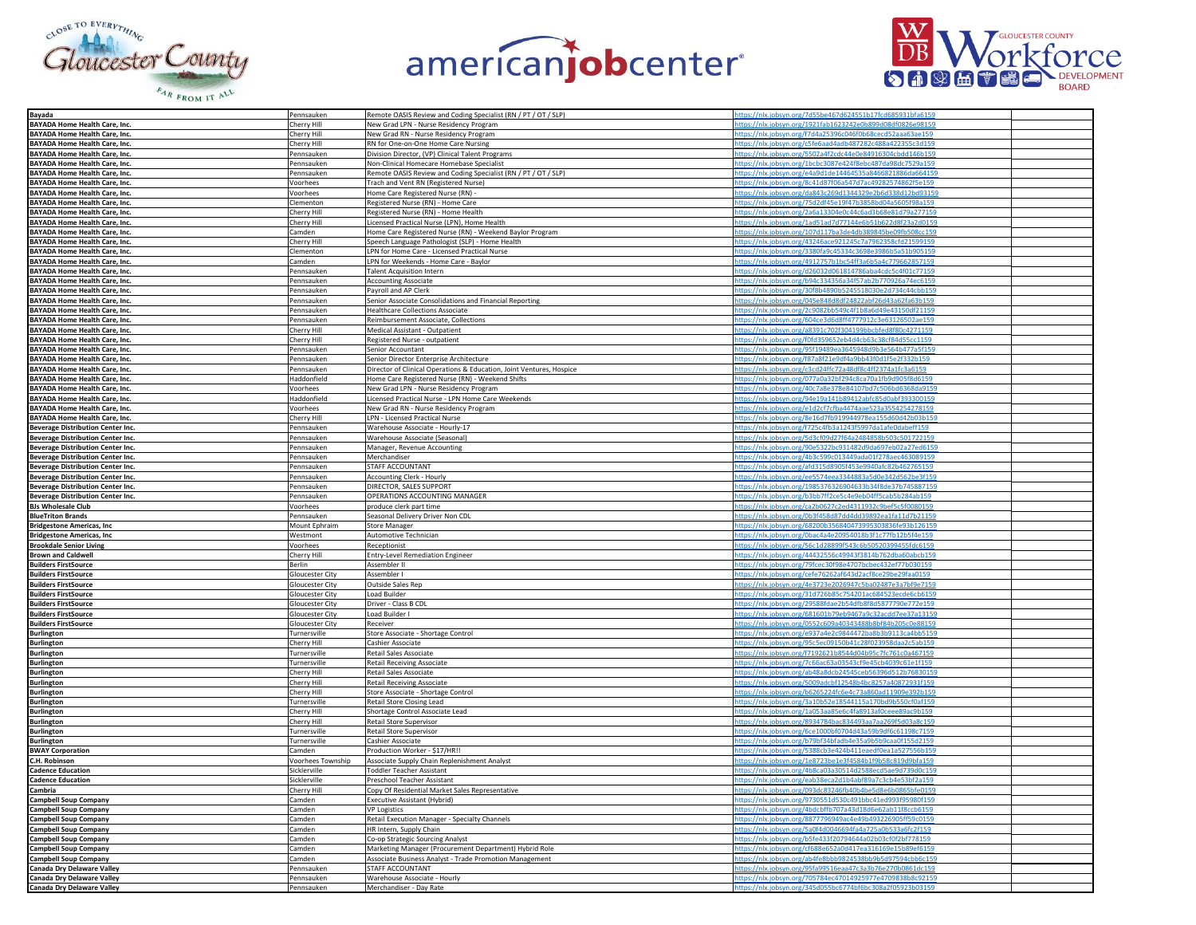





| Bayada                                                   | Pennsauken               | Remote OASIS Review and Coding Specialist (RN / PT / OT / SLP)       | nttps://nlx.iobsyn.org/7d55be467d624551b17fcd685931bfa6159                                                         |
|----------------------------------------------------------|--------------------------|----------------------------------------------------------------------|--------------------------------------------------------------------------------------------------------------------|
| <b>BAYADA Home Health Care, Inc.</b>                     | Cherry Hill              | New Grad LPN - Nurse Residency Program                               | https://nlx.jobsyn.org/1921fab1623242e0b899d08df0826e9815                                                          |
|                                                          |                          |                                                                      | https://nlx.jobsyn.org/f7d4a25396c046f0b68cecd52aaa63ae159                                                         |
| <b>BAYADA Home Health Care, Inc</b>                      | Cherry Hill              | New Grad RN - Nurse Residency Program                                |                                                                                                                    |
| <b>BAYADA Home Health Care, Inc.</b>                     | Cherry Hill              | RN for One-on-One Home Care Nursing                                  | https://nlx.jobsyn.org/c5fe6aad4adb487282c488a422355c3d159                                                         |
| BAYADA Home Health Care, Inc.                            | Pennsauken               | Division Director, (VP) Clinical Talent Programs                     | https://nlx.jobsyn.org/5502a4f2cdc44e0e84916304cbdd146b159                                                         |
| BAYADA Home Health Care, Inc.                            | Pennsauken               | Non-Clinical Homecare Homebase Specialist                            | https://nlx.jobsyn.org/1bcbc3087e424f8ebc487da98dc7529a159                                                         |
|                                                          |                          |                                                                      |                                                                                                                    |
| <b>BAYADA Home Health Care, Inc.</b>                     | Pennsauken               | Remote OASIS Review and Coding Specialist (RN / PT / OT / SLP)       | https://nlx.jobsyn.org/e4a9d1de14464535a8466821886da664159                                                         |
| <b>BAYADA Home Health Care, Inc.</b>                     | Voorhees                 | Trach and Vent RN (Registered Nurse)                                 | https://nlx.jobsyn.org/8c41d87f06a547d7ac49282574862f5e159                                                         |
| <b>BAYADA Home Health Care, Inc.</b>                     | Voorhees                 | Home Care Registered Nurse (RN) -                                    | https://nlx.jobsyn.org/da843c269d1344329e2b6d338d12bd93159                                                         |
|                                                          |                          |                                                                      |                                                                                                                    |
| BAYADA Home Health Care, Inc.                            | Clementon                | Registered Nurse (RN) - Home Care                                    | https://nlx.jobsyn.org/75d2df45e19f47b3858bd04a5605                                                                |
| BAYADA Home Health Care, Inc.                            | Cherry Hill              | Registered Nurse (RN) - Home Health                                  | https://nlx.jobsyn.org/2a6a13304e0c44c6ad3b68e81d79a277159                                                         |
| BAYADA Home Health Care, Inc.                            | Cherry Hill              | Licensed Practical Nurse (LPN), Home Health                          | https://nlx.jobsyn.org/1ad51ad7d77144e6b51b622d8f23a2d0159                                                         |
| BAYADA Home Health Care, Inc.                            | Camden                   | Home Care Registered Nurse (RN) - Weekend Baylor Program             | https://nlx.jobsyn.org/107d117ba3de4db389845be09fb508cc159                                                         |
|                                                          |                          |                                                                      |                                                                                                                    |
| BAYADA Home Health Care, Inc.                            | Cherry Hill              | Speech Language Pathologist (SLP) - Home Health                      | https://nlx.jobsyn.org/43246ace921245c7a7962358cfd21599159                                                         |
| <b>BAYADA Home Health Care, Inc.</b>                     | Clementon                | LPN for Home Care - Licensed Practical Nurse                         | https://nlx.jobsyn.org/3380fa9c45334c3698e3986b5a51b905159                                                         |
| BAYADA Home Health Care, Inc.                            | Camden                   | LPN for Weekends - Home Care - Baylor                                | https://nlx.jobsyn.org/4912757b1bc54ff3a6b5a4c779662857159                                                         |
|                                                          |                          |                                                                      | https://nlx.jobsyn.org/d26032d061814786aba4cdc5c4f01c7715                                                          |
| BAYADA Home Health Care, Inc.                            | Pennsauker               | <b>Talent Acquisition Intern</b>                                     |                                                                                                                    |
| BAYADA Home Health Care, Inc.                            | Pennsauken               | <b>Accounting Associate</b>                                          | https://nlx.jobsyn.org/b94c334356a34f57ab2b770926a74ec6159                                                         |
| <b>BAYADA Home Health Care, Inc.</b>                     | Pennsauken               | Payroll and AP Clerk                                                 | https://nlx.jobsyn.org/30f8b4890b5245518030e2d734c44cbb159                                                         |
| BAYADA Home Health Care, Inc.                            | Pennsauken               | Senior Associate Consolidations and Financial Reporting              |                                                                                                                    |
|                                                          |                          |                                                                      | https://nlx.jobsyn.org/045e848d8df24822abf26d43a62fa63b159                                                         |
| BAYADA Home Health Care, Inc.                            | Pennsauken               | <b>Healthcare Collections Associate</b>                              | https://nlx.jobsyn.org/2c9082bb549c4f1b8a6d49e43150df21159                                                         |
| <b>BAYADA Home Health Care, Inc.</b>                     | Pennsauken               | Reimbursement Associate, Collections                                 | https://nlx.jobsyn.org/604ce3d6d8ff4777912c3e63126502ae159                                                         |
| BAYADA Home Health Care, Inc.                            |                          | Medical Assistant - Outpatient                                       | https://nlx.jobsyn.org/a8391c702f304199bbcbfed8f80c4271159                                                         |
|                                                          | Cherry Hill              |                                                                      |                                                                                                                    |
| BAYADA Home Health Care, Inc.                            | Cherry Hill              | Registered Nurse - outpatient                                        | https://nlx.jobsyn.org/f0fd359652eb4d4cb63c38cf84d55cc1159                                                         |
| BAYADA Home Health Care, Inc.                            | Pennsauker               | Senior Accountant                                                    | https://nlx.jobsyn.org/95f19489ea3645948d9b3e564b477a5f159                                                         |
| <b>BAYADA Home Health Care, Inc.</b>                     | Pennsauken               | Senior Director Enterprise Architecture                              | https://nlx.jobsyn.org/f87a8f21e9df4a9bb43f0d1f5e2f332b159                                                         |
|                                                          |                          |                                                                      |                                                                                                                    |
| <b>BAYADA Home Health Care, Inc.</b>                     | Pennsauken               | Director of Clinical Operations & Education, Joint Ventures, Hospice | https://nlx.jobsyn.org/c3cd24ffc72a48df8c4ff2374a1fc3a6159                                                         |
| BAYADA Home Health Care, Inc.                            | Haddonfield              | Home Care Registered Nurse (RN) - Weekend Shifts                     | https://nlx.jobsyn.org/077a0a32bf294c8ca70a1fb9d905f8d6159                                                         |
| BAYADA Home Health Care, Inc.                            | Voorhees                 |                                                                      | https://nlx.jobsyn.org/40c7a8e378e84107bd7c506bd6368da9159                                                         |
|                                                          |                          | New Grad LPN - Nurse Residency Program                               |                                                                                                                    |
| <b>BAYADA Home Health Care, Inc.</b>                     | Haddonfield              | Licensed Practical Nurse - LPN Home Care Weekends                    | https://nlx.jobsyn.org/94e19a141b89412abfc85d0abf393300159                                                         |
| BAYADA Home Health Care, Inc.                            | Voorhees                 | New Grad RN - Nurse Residency Program                                | https://nlx.jobsyn.org/e1d2cf7cfba4474aae523a3554254278159                                                         |
| BAYADA Home Health Care, Inc.                            | Cherry Hill              | LPN - Licensed Practical Nurse                                       | https://nlx.jobsyn.org/8e16d7fb919944978ea155d60d42b03b159                                                         |
|                                                          |                          |                                                                      |                                                                                                                    |
| <b>Beverage Distribution Center Inc.</b>                 | Pennsauken               | Warehouse Associate - Hourly-17                                      | https://nlx.jobsyn.org/f725c4fb3a1243f5997da1afe0dabeff159                                                         |
| <b>Beverage Distribution Center Inc.</b>                 | Pennsauken               | Warehouse Associate (Seasonal)                                       | https://nlx.jobsyn.org/5d3cf09d27f64a2484858b503c501722159                                                         |
| <b>Beverage Distribution Center Inc.</b>                 | Pennsauken               | Manager, Revenue Accounting                                          | https://nlx.jobsyn.org/90e5322bc931482d9da697eb02a27ed6159                                                         |
|                                                          |                          |                                                                      |                                                                                                                    |
| <b>Beverage Distribution Center Inc.</b>                 | Pennsauken               | Merchandiser                                                         | https://nlx.jobsyn.org/4b3c599c013449ada01f278aec463089159                                                         |
| <b>Beverage Distribution Center Inc.</b>                 | Pennsauken               | STAFF ACCOUNTANT                                                     | https://nlx.jobsyn.org/afd315d8905f453e9940afc82b462765159                                                         |
|                                                          | Pennsauker               | <b>Accounting Clerk - Hourly</b>                                     | https://nlx.jobsyn.org/ee5574eea3344883a5d0e342d562be3f159                                                         |
| <b>Beverage Distribution Center Inc.</b>                 |                          |                                                                      |                                                                                                                    |
| <b>Beverage Distribution Center Inc.</b>                 | Pennsauken               | DIRECTOR, SALES SUPPORT                                              | https://nlx.jobsyn.org/1985376326904633b34f8de37b74588715                                                          |
| <b>Beverage Distribution Center Inc.</b>                 | Pennsauker               | OPERATIONS ACCOUNTING MANAGER                                        | https://nlx.jobsyn.org/b3bb7ff2ce5c4e9eb04ff5cab5b284ab159                                                         |
| <b>BJs Wholesale Club</b>                                | Voorhees                 | produce clerk part time                                              | https://nlx.jobsyn.org/ca2b0627c2ed4311932c9bef5c5f0080159                                                         |
|                                                          |                          |                                                                      |                                                                                                                    |
| <b>BlueTriton Brands</b>                                 | Pennsauken               | Seasonal Delivery Driver Non CDL                                     | https://nlx.jobsyn.org/0b3f458d87dd4dd39892ea1fa11d7b21159                                                         |
| <b>Bridgestone Americas, Inc</b>                         | Mount Ephraim            | <b>Store Manager</b>                                                 | https://nlx.jobsyn.org/68200b356840473995303836fe93b126159                                                         |
| <b>Bridgestone Americas, Inc.</b>                        | Westmont                 | Automotive Technician                                                | https://nlx.jobsyn.org/0bac4a4e20954018b3f1c77fb12b5f4e159                                                         |
|                                                          |                          |                                                                      |                                                                                                                    |
| <b>Brookdale Senior Living</b>                           | Voorhees                 | Receptionist                                                         | https://nlx.jobsyn.org/56c1d28899f543c6b50520399455fdc6159                                                         |
|                                                          |                          |                                                                      | https://nlx.jobsyn.org/44432556c49943f3814b762dba60abcb159                                                         |
|                                                          | Cherry Hill              | <b>Entry-Level Remediation Engineer</b>                              |                                                                                                                    |
| <b>Brown and Caldwell</b>                                |                          | Assembler II                                                         |                                                                                                                    |
| <b>Builders FirstSource</b>                              | <b>Berlin</b>            |                                                                      | https://nlx.jobsyn.org/79fcec30f98e4707bcbec432ef77b030159                                                         |
| <b>Builders FirstSource</b>                              | Gloucester City          | Assembler I                                                          | https://nlx.jobsyn.org/cefe76262af643d2acf8ce29be29faa0159                                                         |
|                                                          |                          | <b>Outside Sales Rep</b>                                             |                                                                                                                    |
| <b>Builders FirstSource</b>                              | Gloucester City          |                                                                      | https://nlx.jobsyn.org/4e3723e2026947c5ba02487e3a7bf9e7159                                                         |
| <b>Builders FirstSource</b>                              | Gloucester City          | Load Builder                                                         | https://nlx.jobsyn.org/31d726b85c754201ac684523ecde6cb6159                                                         |
| <b>Builders FirstSource</b>                              | Gloucester City          | Driver - Class B CDL                                                 | https://nlx.jobsyn.org/29588fdae2b54dfb8f8d5877790e772e159                                                         |
| <b>Builders FirstSource</b>                              | Gloucester City          | Load Builder I                                                       | https://nlx.jobsyn.org/681601b79eb9467a9c32acdd7ee37a13159                                                         |
|                                                          |                          |                                                                      |                                                                                                                    |
| <b>Builders FirstSource</b>                              | Gloucester City          | Receiver                                                             | https://nlx.jobsyn.org/0552c609a40343488b8bf84b205c0e88159                                                         |
| <b>Burlington</b>                                        | Turnersville             | Store Associate - Shortage Control                                   | https://nlx.jobsyn.org/e937a4e2c9844472ba8b3b9113ca4bb5159                                                         |
| <b>Burlington</b>                                        | Cherry Hill              | Cashier Associate                                                    | https://nlx.jobsyn.org/95c5ec09150b41c28f023958daa2c5ab159                                                         |
| <b>Burlington</b>                                        | Turnersville             | Retail Sales Associate                                               | https://nlx.jobsyn.org/f7192621b8544d04b95c7fc761c0a467159                                                         |
|                                                          |                          |                                                                      |                                                                                                                    |
| <b>Burlington</b>                                        | Turnersville             | <b>Retail Receiving Associate</b>                                    | https://nlx.jobsyn.org/7c66ac63a03543cf9e45cb4039c61e1f159                                                         |
| <b>Burlington</b>                                        | Cherry Hill              | Retail Sales Associate                                               | https://nlx.jobsyn.org/ab48a8dcb24545ceb56396d512b76830159                                                         |
| <b>Burlington</b>                                        | Cherry Hill              | <b>Retail Receiving Associate</b>                                    | https://nlx.jobsyn.org/5009adcbf12548b4bc8257a40872931f159                                                         |
|                                                          |                          |                                                                      |                                                                                                                    |
| <b>Burlington</b>                                        | Cherry Hill              | Store Associate - Shortage Control                                   | https://nlx.jobsyn.org/b6265224fc6e4c73a860ad11909e392b159                                                         |
| <b>Burlington</b>                                        | Turnersville             | Retail Store Closing Lead                                            | https://nlx.jobsyn.org/3a10b52e18544115a170bd9b550cf0af159                                                         |
| <b>Burlington</b>                                        | Cherry Hill              | Shortage Control Associate Lead                                      | https://nlx.jobsyn.org/1a053aa85e6c4fa8913af0ceee89ac9b159                                                         |
|                                                          |                          |                                                                      |                                                                                                                    |
| <b>Burlington</b>                                        | Cherry Hill              | Retail Store Supervisor                                              | https://nlx.jobsyn.org/8934784bac834493aa7aa269f5d03a8c159                                                         |
| <b>Burlington</b>                                        | Turnersville             | Retail Store Supervisor                                              | https://nlx.jobsyn.org/6ce1000bf0704d43a59b9df6c61198c7159                                                         |
| <b>Burlington</b>                                        | Turnersville             | Cashier Associate                                                    | https://nlx.jobsyn.org/b79bf34bfadb4e35a9b5b9caa0f155d2159                                                         |
| <b>BWAY Corporation</b>                                  | Camden                   | Production Worker - \$17/HR!!                                        |                                                                                                                    |
|                                                          |                          |                                                                      | https://nlx.jobsyn.org/5388cb3e424b411eaedf0ea1a527556b159                                                         |
| C.H. Robinson                                            | Voorhees Township        | Associate Supply Chain Replenishment Analyst                         | https://nlx.jobsyn.org/1e8723be1e3f4584b1f9b58c819d9bfa159                                                         |
| <b>Cadence Education</b>                                 | Sicklerville             | <b>Toddler Teacher Assistant</b>                                     | https://nlx.jobsyn.org/4b8ca03a30514d2588ecd5ae9d739d0c159                                                         |
| <b>Cadence Education</b>                                 | Sicklerville             | Preschool Teacher Assistant                                          | https://nlx.jobsyn.org/eab38eca2d1b4abf89a7c3cb4e53bf2a159                                                         |
|                                                          |                          |                                                                      |                                                                                                                    |
| Cambria                                                  | Cherry Hill              | Copy Of Residential Market Sales Representative                      | https://nlx.jobsyn.org/093dc83246fb40b4be5d8e6b0865bfe0159                                                         |
|                                                          | Camden                   | Executive Assistant (Hybrid)                                         | https://nlx.jobsyn.org/9730551d530c491bbc41ed993f95980f159                                                         |
| <b>Campbell Soup Company</b>                             | Camden                   | <b>VP Logistics</b>                                                  | https://nlx.jobsyn.org/4bdcbffb707a43d18d6e62ab11f8ccb6159                                                         |
| <b>Campbell Soup Company</b>                             | Camden                   |                                                                      |                                                                                                                    |
| <b>Campbell Soup Company</b>                             |                          | Retail Execution Manager - Specialty Channels                        | https://nlx.jobsyn.org/8877796949ac4e49b493226905ff59c0159                                                         |
| <b>Campbell Soup Company</b>                             | Camden                   | HR Intern, Supply Chain                                              | https://nlx.jobsyn.org/5a0f4d0046694fa4a725a0b533a6fc2f159                                                         |
|                                                          | Camden                   | Co-op Strategic Sourcing Analyst                                     | https://nlx.jobsyn.org/b5fe433f20794644a02b03cf0f2bf778159                                                         |
|                                                          |                          |                                                                      |                                                                                                                    |
| <b>Campbell Soup Company</b><br>Campbell Soup Company    | Camden                   | Marketing Manager (Procurement Department) Hybrid Role               | https://nlx.jobsyn.org/cf688e652a0d417ea316169e15b89ef6159                                                         |
| <b>Campbell Soup Company</b>                             | Camden                   | Associate Business Analyst - Trade Promotion Management              | https://nlx.jobsyn.org/ab4fe8bbb9824538bb9b5d97594cbb6c159                                                         |
|                                                          | Pennsauken               | <b>STAFF ACCOUNTANT</b>                                              | https://nlx.jobsyn.org/95fa99516eaa47c3a3b76e270b0861dc159                                                         |
| Canada Dry Delaware Valley                               |                          |                                                                      |                                                                                                                    |
| Canada Dry Delaware Valley<br>Canada Dry Delaware Valley | Pennsauken<br>Pennsauker | Warehouse Associate - Hourly<br>Merchandiser - Day Rate              | https://nlx.jobsyn.org/705784ec47014925977e4709838b8c92159<br>https://nlx.jobsyn.org/345d055bc6774bf6bc308a2f05923 |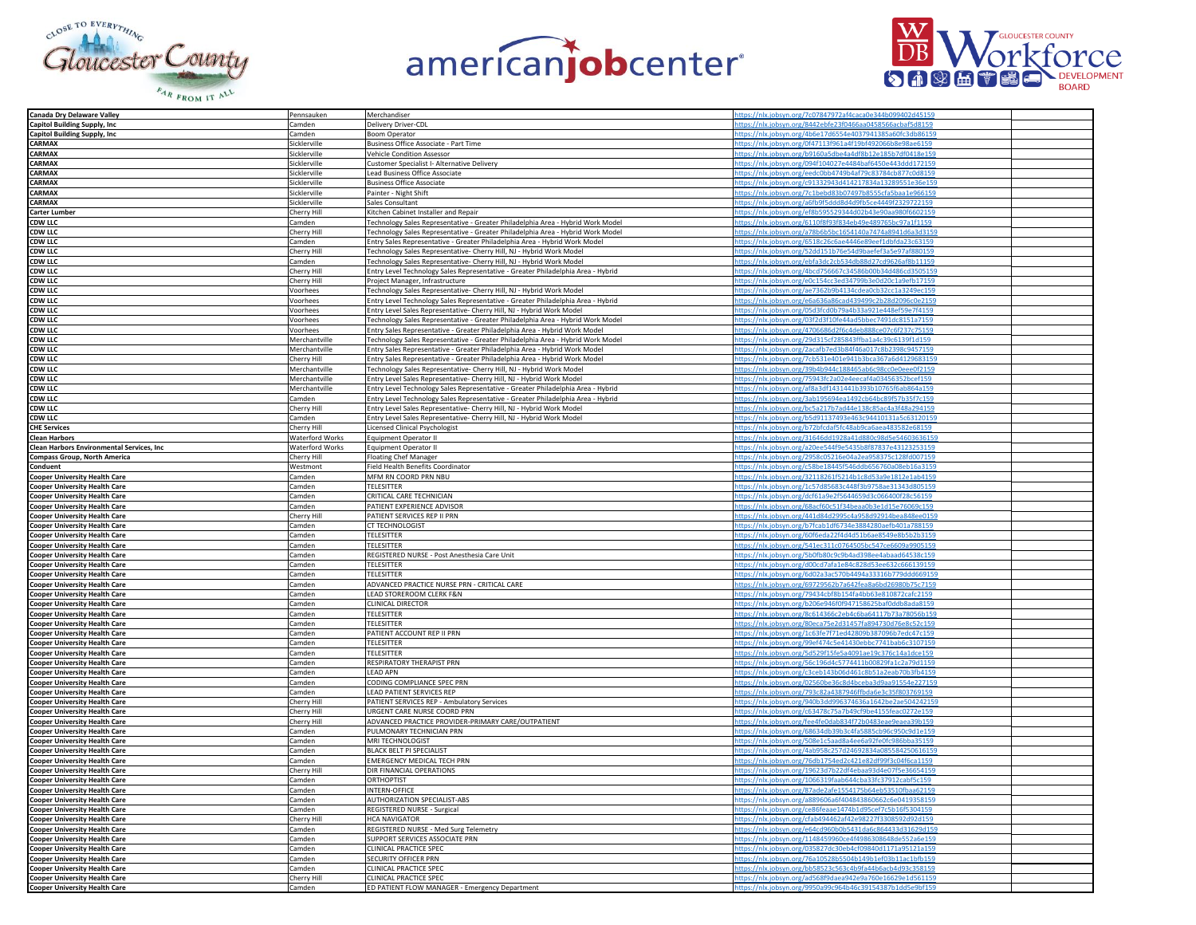





| Canada Dry Delaware Valley                 | Pennsauken             | Merchandiser                                                                     | https://nlx.jobsyn.org/7c07847972af4caca0e344b099402d45159                                                               |
|--------------------------------------------|------------------------|----------------------------------------------------------------------------------|--------------------------------------------------------------------------------------------------------------------------|
| Capitol Building Supply, Inc.              | Camden                 | Delivery Driver-CDL                                                              | https://nlx.jobsyn.org/8442ebfe23f0466aa0458566acbaf5d8159                                                               |
| <b>Capitol Building Supply, Inc.</b>       | Camden                 | <b>Boom Operator</b>                                                             | https://nlx.jobsyn.org/4b6e17d6554e4037941385a60fc3db86159                                                               |
| CARMAX                                     | Sicklerville           | Business Office Associate - Part Time                                            | https://nlx.jobsyn.org/0f47113f961a4f19bf492066b8e98ae6159                                                               |
|                                            | Sicklerville           |                                                                                  | https://nlx.jobsyn.org/b9160a5dbe4a4df8b12e185b7df0418e159                                                               |
| CARMAX                                     |                        | Vehicle Condition Assessor                                                       |                                                                                                                          |
| CARMAX                                     | Sicklerville           | Customer Specialist I- Alternative Delivery                                      | https://nlx.jobsyn.org/094f104027e4484baf6450e443ddd172159                                                               |
| <b>CARMAX</b>                              | Sicklerville           | Lead Business Office Associate                                                   | https://nlx.jobsyn.org/eedc0bb4749b4af79c83784cb877c0d8159                                                               |
| CARMAX                                     | Sicklerville           | <b>Business Office Associate</b>                                                 | https://nlx.jobsyn.org/c91332943d414217834a13289551e36e159                                                               |
| CARMAX                                     | Sicklerville           | Painter - Night Shift                                                            | https://nlx.jobsyn.org/7c1bebd83b07497b8555cfa5baa1e966159                                                               |
| CARMAX                                     | Sicklerville           | Sales Consultant                                                                 | https://nlx.jobsyn.org/a6fb9f5ddd8d4d9fb5ce4449f2329722159                                                               |
| <b>Carter Lumber</b>                       | Cherry Hill            | Kitchen Cabinet Installer and Repair                                             | https://nlx.jobsyn.org/ef8b595529344d02b43e90aa980f6602159                                                               |
|                                            | Camden                 | Technology Sales Representative - Greater Philadelphia Area - Hybrid Work Model  | https://nlx.jobsyn.org/6110f8f93f834eb49e489765bc97a1f1159                                                               |
| <b>CDW LLC</b><br>CDW LLC                  | Cherry Hil             | Technology Sales Representative - Greater Philadelphia Area - Hybrid Work Model  | https://nlx.jobsyn.org/a78b6b5bc1654140a7474a8941d6a3d3159                                                               |
| <b>CDW LLC</b>                             |                        |                                                                                  | https://nlx.jobsyn.org/6518c26c6ae4446e89eef1dbfda23c63159                                                               |
|                                            | Camden                 | Entry Sales Representative - Greater Philadelphia Area - Hybrid Work Model       |                                                                                                                          |
| <b>CDW LLC</b>                             | Cherry Hill            | Technology Sales Representative- Cherry Hill, NJ - Hybrid Work Model             | https://nlx.jobsyn.org/52dd151b76e54d9baefef3a5e97af880159                                                               |
| <b>CDW LLC</b>                             | Camden                 | Technology Sales Representative- Cherry Hill, NJ - Hybrid Work Model             | https://nlx.jobsyn.org/ebfa3dc2cb534db88d27cd9626af8b11159                                                               |
| <b>CDW LLC</b>                             | Cherry Hill            | Entry Level Technology Sales Representative - Greater Philadelphia Area - Hybrid | https://nlx.jobsyn.org/4bcd756667c34586b00b34d486cd3505159                                                               |
| <b>CDW LLC</b>                             | Cherry Hill            | Project Manager, Infrastructure                                                  | https://nlx.jobsyn.org/e0c154cc3ed34799b3e0d20c1a9efb17159                                                               |
| <b>CDW LLC</b>                             | Voorhees               | Technology Sales Representative- Cherry Hill, NJ - Hybrid Work Model             | https://nlx.jobsyn.org/ae7362b9b4134cdea0cb32cc1a3249ec159                                                               |
| <b>CDW LLC</b>                             | Voorhees               | Entry Level Technology Sales Representative - Greater Philadelphia Area - Hybrid | https://nlx.jobsyn.org/e6a636a86cad439499c2b28d2096c0e2159                                                               |
| <b>CDW LLC</b>                             | Voorhees               | Entry Level Sales Representative- Cherry Hill, NJ - Hybrid Work Model            | https://nlx.jobsyn.org/05d3fcd0b79a4b33a921e448ef59e7f4159                                                               |
| <b>CDW LLC</b>                             | Voorhees               | Technology Sales Representative - Greater Philadelphia Area - Hybrid Work Model  | https://nlx.jobsyn.org/03f2d3f10fe44ad5bbec7491dc8151a7159                                                               |
|                                            | Voorhees               |                                                                                  | https://nlx.jobsyn.org/4706686d2f6c4deb888ce07c6f237c75159                                                               |
| <b>CDW LLC</b>                             |                        | Entry Sales Representative - Greater Philadelphia Area - Hybrid Work Model       |                                                                                                                          |
| <b>CDW LLC</b>                             | Merchantville          | Technology Sales Representative - Greater Philadelphia Area - Hybrid Work Model  | https://nlx.jobsyn.org/29d315cf285843ffba1a4c39c6139f1d159                                                               |
| <b>CDW LLC</b>                             | Merchantville          | Entry Sales Representative - Greater Philadelphia Area - Hybrid Work Model       | https://nlx.jobsyn.org/2acafb7ed3b84f46a017c8b2398c9457159                                                               |
| <b>CDW LLC</b><br>CDW LLC                  | Cherry Hill            | Entry Sales Representative - Greater Philadelphia Area - Hybrid Work Model       | https://nlx.jobsyn.org/7cb531e401e941b3bca367a6d4129683159                                                               |
|                                            | Merchantville          | Technology Sales Representative- Cherry Hill, NJ - Hybrid Work Model             | https://nlx.jobsyn.org/39b4b944c188465ab6c98cc0e0eee0f2159                                                               |
| <b>CDW LLC</b>                             | Merchantville          | Entry Level Sales Representative- Cherry Hill, NJ - Hybrid Work Model            | https://nlx.jobsyn.org/75943fc2a02e4eecaf4a03456352bcef159                                                               |
| <b>CDW LLC</b>                             | Merchantville          | Entry Level Technology Sales Representative - Greater Philadelphia Area - Hybrid | https://nlx.jobsyn.org/af8a3df1431441b393b10765f6ab864a159                                                               |
| <b>CDW LLC</b>                             | Camden                 | Entry Level Technology Sales Representative - Greater Philadelphia Area - Hybrid | https://nlx.jobsyn.org/3ab195694ea1492cb64bc89f57b35f7c159                                                               |
| <b>CDW LLC</b>                             | Cherry Hill            | Entry Level Sales Representative- Cherry Hill, NJ - Hybrid Work Model            | https://nlx.jobsyn.org/bc5a217b7ad44e138c85ac4a3f48a294159                                                               |
|                                            |                        |                                                                                  |                                                                                                                          |
| <b>CDW LLC</b>                             | Camden                 | Entry Level Sales Representative- Cherry Hill, NJ - Hybrid Work Model            | https://nlx.jobsyn.org/b5d91137493e463c94410131a5c63120159                                                               |
| <b>CHE Services</b>                        | Cherry Hil             | Licensed Clinical Psychologist                                                   | https://nlx.jobsyn.org/b72bfcdaf5fc48ab9ca6aea483582e68159                                                               |
| <b>Clean Harbors</b>                       | <b>Waterford Works</b> | Equipment Operator II                                                            | https://nlx.jobsyn.org/31646dd1928a41d880c98d5e54603636159                                                               |
| Clean Harbors Environmental Services, Inc. | <b>Waterford Works</b> | Equipment Operator II                                                            | https://nlx.jobsyn.org/a20ee544f9e5435b8f87837e43123253159                                                               |
| <b>Compass Group, North America</b>        | Cherry Hill            | <b>Floating Chef Manager</b>                                                     | https://nlx.jobsyn.org/2958c05216e04a2ea958375c128fd007159                                                               |
| Conduent                                   | Westmont               | Field Health Benefits Coordinator                                                | https://nlx.jobsyn.org/c58be18445f546ddb656760a08eb16a3159                                                               |
| <b>Cooper University Health Care</b>       | Camden                 | MFM RN COORD PRN NBU                                                             | https://nlx.jobsyn.org/32118261f5214b1c8d53a9e1812e1ab4159                                                               |
| <b>Cooper University Health Care</b>       | Camden                 | <b>TELESITTER</b>                                                                | https://nlx.jobsyn.org/1c57d85683c448f3b9758ae31343d805159                                                               |
|                                            | Camden                 | CRITICAL CARE TECHNICIAN                                                         | https://nlx.jobsyn.org/dcf61a9e2f5644659d3c066400f28                                                                     |
| <b>Cooper University Health Care</b>       | Camden                 | PATIENT EXPERIENCE ADVISOR                                                       | https://nlx.jobsyn.org/68acf60c51f34beaa0b3e1d15e76069c159                                                               |
| <b>Cooper University Health Care</b>       |                        |                                                                                  |                                                                                                                          |
| <b>Cooper University Health Care</b>       | Cherry Hill            | PATIENT SERVICES REP II PRN                                                      | https://nlx.jobsyn.org/441d84d2995c4a958d92914bea848ee0159                                                               |
| <b>Cooper University Health Care</b>       | Camden                 | CT TECHNOLOGIST                                                                  | https://nlx.jobsyn.org/b7fcab1df6734e3884280aefb401a788159                                                               |
| <b>Cooper University Health Care</b>       | Camden                 | TELESITTER                                                                       | https://nlx.jobsyn.org/60f6eda22f4d4d51b6ae8549e8b5b2b3159                                                               |
| <b>Cooper University Health Care</b>       | Camden                 | <b>TELESITTER</b>                                                                | https://nlx.jobsyn.org/541ec311c0764505bc547ce6609a9905159                                                               |
| <b>Cooper University Health Care</b>       | Camden                 | REGISTERED NURSE - Post Anesthesia Care Unit                                     | https://nlx.jobsyn.org/5b0fb80c9c9b4ad398ee4abaad64538c159                                                               |
| <b>Cooper University Health Care</b>       | amden                  | <b>TELESITTER</b>                                                                | https://nlx.jobsyn.org/d00cd7afa1e84c828d53ee632c666139159                                                               |
| <b>Cooper University Health Care</b>       | Camder                 | <b>TELESITTER</b>                                                                | https://nlx.jobsyn.org/6d02a3ac570b4494a33316b779ddd669159                                                               |
| <b>Cooper University Health Care</b>       | Camder                 | ADVANCED PRACTICE NURSE PRN - CRITICAL CARE                                      | https://nlx.jobsyn.org/69729562b7a642fea8a6bd26980b75c7159                                                               |
|                                            | Camden                 | LEAD STOREROOM CLERK F&N                                                         | https://nlx.jobsyn.org/79434cbf8b154fa4bb63e810872cafc2159                                                               |
| <b>Cooper University Health Care</b>       |                        |                                                                                  |                                                                                                                          |
| <b>Cooper University Health Care</b>       | Camden                 | CLINICAL DIRECTOR                                                                | https://nlx.jobsyn.org/b206e946f0f947158625baf0ddb8ada8159                                                               |
| <b>Cooper University Health Care</b>       | Camden                 | TELESITTER                                                                       | https://nlx.jobsyn.org/8c614366c2eb4c6ba64117b73a78056b159                                                               |
| <b>Cooper University Health Care</b>       | Camden                 | <b>TELESITTER</b>                                                                | https://nlx.jobsyn.org/80eca75e2d31457fa894730d76e8c52c159                                                               |
| <b>Cooper University Health Care</b>       | Camden                 | PATIENT ACCOUNT REP II PRN                                                       | https://nlx.jobsyn.org/1c63fe7f71ed42809b387096b7e                                                                       |
| <b>Cooper University Health Care</b>       | Camden                 | <b>TELESITTER</b>                                                                | https://nlx.jobsyn.org/99ef474c5e41430ebbc7741bab6c3107159                                                               |
| <b>Cooper University Health Care</b>       | Camden                 | <b>TELESITTER</b>                                                                | https://nlx.jobsyn.org/5d529f15fe5a4091ae19c376c14a1dce159                                                               |
| <b>Cooper University Health Care</b>       | Camden                 | RESPIRATORY THERAPIST PRN                                                        | https://nlx.jobsyn.org/56c196d4c5774411b00829fa1c2a79d1159                                                               |
| <b>Cooper University Health Care</b>       | Camden                 | <b>LEAD APN</b>                                                                  | https://nlx.jobsyn.org/c3ceb143b06d461c8b51a2eab70b3fb4159                                                               |
|                                            | Camden                 | CODING COMPLIANCE SPEC PRN                                                       | https://nlx.jobsyn.org/02560be36c8d4bceba3d9aa91554e227159                                                               |
| <b>Cooper University Health Care</b>       | Camden                 | LEAD PATIENT SERVICES REP                                                        |                                                                                                                          |
| <b>Cooper University Health Care</b>       | Cherry Hil             |                                                                                  | https://nlx.jobsyn.org/793c82a4387946ffbda6e3c35f803769159<br>https://nlx.jobsyn.org/940b3dd996374636a1642be2ae504242159 |
| <b>Cooper University Health Care</b>       |                        | PATIENT SERVICES REP - Ambulatory Services                                       |                                                                                                                          |
| <b>Cooper University Health Care</b>       | Cherry Hill            | URGENT CARE NURSE COORD PRN                                                      | https://nlx.jobsyn.org/c63478c75a7b49cf9be4155feac0272e159                                                               |
| <b>Cooper University Health Care</b>       | Cherry Hil             | ADVANCED PRACTICE PROVIDER-PRIMARY CARE/OUTPATIENT                               | https://nlx.jobsyn.org/fee4fe0dab834f72b0483eae9eaea39b159                                                               |
| <b>Cooper University Health Care</b>       | Camden                 | PULMONARY TECHNICIAN PRN                                                         | https://nlx.jobsyn.org/68634db39b3c4fa5885cb96c950c9d1e159                                                               |
| <b>Cooper University Health Care</b>       | Camden                 | MRI TECHNOLOGIST                                                                 | https://nlx.jobsyn.org/508e1c5aad8a4ee6a92fe0fc986bba35159                                                               |
| <b>Cooper University Health Care</b>       | Camden                 | BLACK BELT PI SPECIALIST                                                         | https://nlx.jobsyn.org/4ab958c257d24692834a085584250616159                                                               |
| <b>Cooper University Health Care</b>       | Camden                 | <b>EMERGENCY MEDICAL TECH PRN</b>                                                | https://nlx.jobsyn.org/76db1754ed2c421e82df99f3c04f6ca1159                                                               |
| <b>Cooper University Health Care</b>       | Cherry Hil             | DIR FINANCIAL OPERATIONS                                                         | https://nlx.jobsyn.org/19623d7b22df4ebaa93d4e07f5                                                                        |
| <b>Cooper University Health Care</b>       | Camden                 | ORTHOPTIST                                                                       | https://nlx.jobsyn.org/1066319faab644cba33fc37912cabf5c159                                                               |
|                                            | Camden                 | <b>INTERN-OFFICE</b>                                                             | https://nlx.jobsyn.org/87ade2afe1554175b64eb53510fbaa62159                                                               |
| <b>Cooper University Health Care</b>       |                        |                                                                                  |                                                                                                                          |
| <b>Cooper University Health Care</b>       | Camden                 | AUTHORIZATION SPECIALIST-ABS                                                     | https://nlx.jobsyn.org/a889606a6f404843860662c6e0419358159                                                               |
| <b>Cooper University Health Care</b>       | Camden                 | REGISTERED NURSE - Surgical                                                      | https://nlx.jobsyn.org/ce86feaae1474b1d95cef7c5b16f5304159                                                               |
| <b>Cooper University Health Care</b>       | Cherry Hill            | <b>HCA NAVIGATOR</b>                                                             | https://nlx.jobsyn.org/cfab494462af42e98227f3308592d92d159                                                               |
| <b>Cooper University Health Care</b>       | Camden                 | REGISTERED NURSE - Med Surg Telemetry                                            | https://nlx.jobsyn.org/e64cd960b0b5431da6c864433d31629d159                                                               |
| <b>Cooper University Health Care</b>       | Camden                 | SUPPORT SERVICES ASSOCIATE PRN                                                   | https://nlx.jobsyn.org/1148459960ce4f4986308648de552a6e159                                                               |
| <b>Cooper University Health Care</b>       | Camder                 | CLINICAL PRACTICE SPEC                                                           | https://nlx.jobsyn.org/035827dc30eb4cf09840d1171a95121a159                                                               |
| <b>Cooper University Health Care</b>       | Camden                 | SECURITY OFFICER PRN                                                             | https://nlx.jobsyn.org/76a10528b5504b149b1ef03b11ac1bfb159                                                               |
| <b>Cooper University Health Care</b>       | Camden                 | CLINICAL PRACTICE SPEC                                                           | https://nlx.jobsyn.org/bb58523c563c4b9fa44b6acb4d93c358159                                                               |
|                                            | Cherry Hill            | CLINICAL PRACTICE SPEC                                                           | https://nlx.jobsyn.org/ad568f9daea942e9a760e16629e1d561159                                                               |
| <b>Cooper University Health Care</b>       |                        |                                                                                  |                                                                                                                          |
| <b>Cooper University Health Care</b>       | Camder                 | ED PATIENT FLOW MANAGER - Emergency Department                                   | tps://nlx.jobsyn.org/9950a99c964b46c39154387b1                                                                           |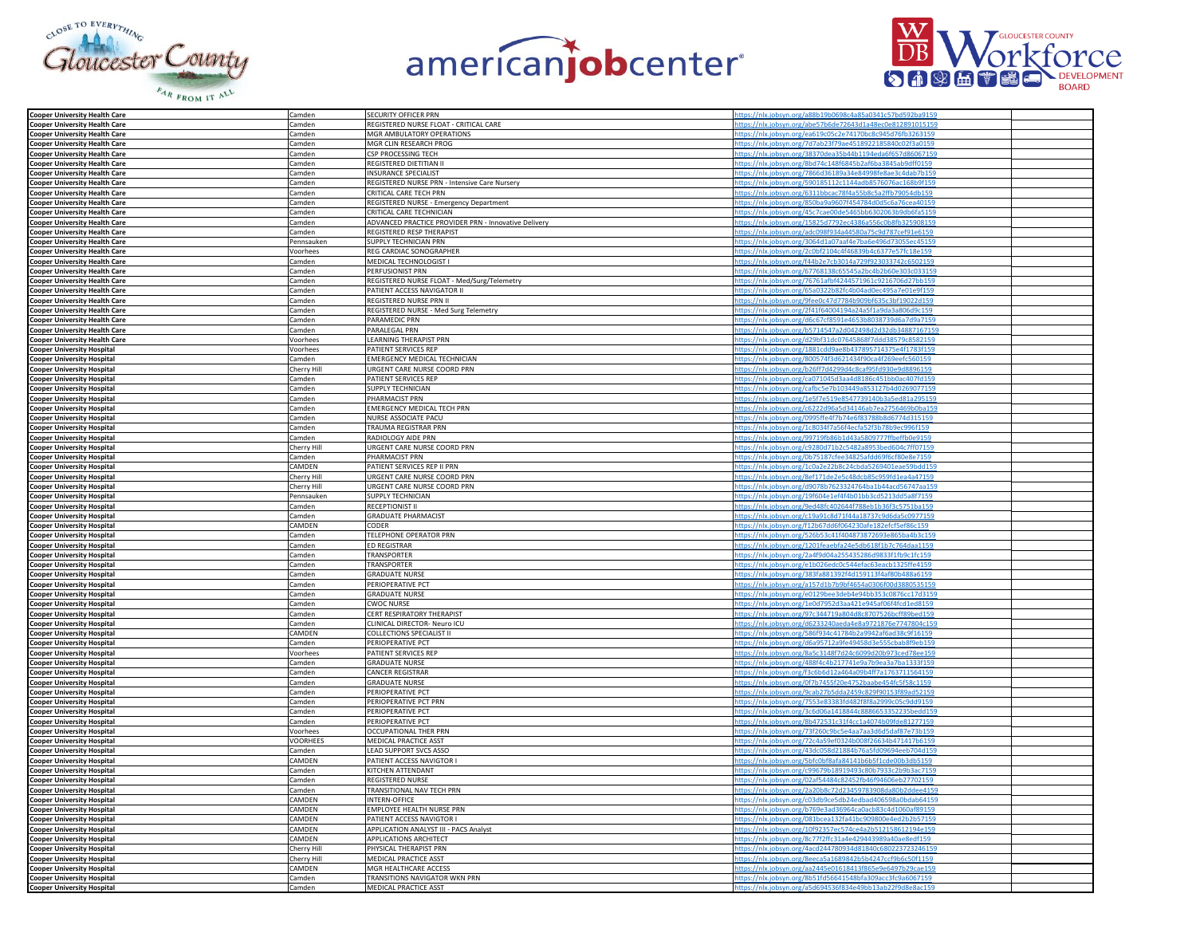





| <b>Cooper University Health Care</b>                                | Camden      | SECURITY OFFICER PRN                                 | tps://nlx.jobsyn.org/a88b19b0698c4a85a0341c57bd592ba915    |  |
|---------------------------------------------------------------------|-------------|------------------------------------------------------|------------------------------------------------------------|--|
|                                                                     | Camden      | REGISTERED NURSE FLOAT - CRITICAL CARE               | bsyn.org/abe57b6de72643d1a48ec0e8128910                    |  |
| <b>Cooper University Health Care</b>                                |             |                                                      |                                                            |  |
| <b>Cooper University Health Care</b>                                | Camden      | MGR AMBULATORY OPERATIONS                            | ttps://nlx.jobsyn.org/ea619c05c2e74170bc8c945d76fb3263159  |  |
| <b>Cooper University Health Care</b>                                | Camden      | MGR CLIN RESEARCH PROG                               | https://nlx.jobsyn.org/7d7ab23f79ae4518922185840c02f3a0159 |  |
| <b>Cooper University Health Care</b>                                | Camden      | CSP PROCESSING TECH                                  | https://nlx.jobsyn.org/38370dea35b44b1194eda6f657d86067159 |  |
| <b>Cooper University Health Care</b>                                | Camden      | REGISTERED DIETITIAN II                              | https://nlx.jobsyn.org/8bd74c148f6845b2af6ba3845ab9dff0159 |  |
|                                                                     |             |                                                      |                                                            |  |
| <b>Cooper University Health Care</b>                                | Camden      | <b>INSURANCE SPECIALIST</b>                          | https://nlx.jobsyn.org/7866d36189a34e84998fe8ae3c4dab7b159 |  |
| <b>Cooper University Health Care</b>                                | Camden      | REGISTERED NURSE PRN - Intensive Care Nursery        | https://nlx.jobsyn.org/590185112c1144adb8576076ac168b9f159 |  |
| <b>Cooper University Health Care</b>                                | Camden      | CRITICAL CARE TECH PRN                               | https://nlx.jobsyn.org/6311bbcac78f4a55b8c5a2ffb79054db159 |  |
| <b>Cooper University Health Care</b>                                | Camden      | REGISTERED NURSE - Emergency Department              | ://nlx.jobsyn.org/850ba9a9607f454784d0d5c6a76cea4015       |  |
|                                                                     |             | CRITICAL CARE TECHNICIAN                             | https://nlx.jobsyn.org/45c7cae00de5465bb6302063b9db6fa5159 |  |
| <b>Cooper University Health Care</b>                                | Camden      |                                                      |                                                            |  |
| <b>Cooper University Health Care</b>                                | Camden      | ADVANCED PRACTICE PROVIDER PRN - Innovative Delivery | https://nlx.jobsyn.org/15825d7792ec4386a556c0b8fb325908159 |  |
| <b>Cooper University Health Care</b>                                | Camden      | REGISTERED RESP THERAPIST                            | https://nlx.jobsyn.org/adc098f934a44580a75c9d787cef91e6159 |  |
| <b>Cooper University Health Care</b>                                | Pennsauken  | SUPPLY TECHNICIAN PRN                                | ttps://nlx.jobsyn.org/3064d1a07aaf4e7ba6e496d73055ec45159  |  |
|                                                                     | Voorhees    | REG CARDIAC SONOGRAPHER                              | ttps://nlx.jobsyn.org/2c0bf2104c4f46839b4c6377e57fc18e159  |  |
| <b>Cooper University Health Care</b>                                |             |                                                      |                                                            |  |
| <b>Cooper University Health Care</b>                                | Camden      | MEDICAL TECHNOLOGIST I                               | ttps://nlx.jobsyn.org/f44b2e7cb3014a729f923033742c6502159  |  |
| <b>Cooper University Health Care</b>                                | Camden      | PERFUSIONIST PRN                                     | //nlx.jobsyn.org/67768138c65545a2bc4b2b60e303c03315        |  |
| <b>Cooper University Health Care</b>                                | Camden      | REGISTERED NURSE FLOAT - Med/Surg/Telemetry          | https://nlx.jobsyn.org/76761afbf4244571961c9216706d27bb159 |  |
| <b>Cooper University Health Care</b>                                | Camden      | PATIENT ACCESS NAVIGATOR II                          | https://nlx.jobsyn.org/65a0322b82fc4b04ad0ec495a7e01e9f159 |  |
|                                                                     | Camden      | REGISTERED NURSE PRN II                              | https://nlx.jobsyn.org/9fee0c47d7784b909bf635c3bf19022d159 |  |
| <b>Cooper University Health Care</b>                                |             |                                                      |                                                            |  |
| <b>Cooper University Health Care</b>                                | Camden      | REGISTERED NURSE - Med Surg Telemetry                | https://nlx.jobsyn.org/2f41f64004194a24a5f1a9da3a806d9c159 |  |
| <b>Cooper University Health Care</b>                                | Camden      | PARAMEDIC PRN                                        | ttps://nlx.jobsyn.org/d6c67cf8591e4653b8038739d6a7d9a7159  |  |
| <b>Cooper University Health Care</b>                                | Camden      | PARALEGAL PRN                                        | https://nlx.jobsyn.org/b5714547a2d042498d2d32db34887167159 |  |
|                                                                     | Voorhees    | LEARNING THERAPIST PRN                               | https://nlx.jobsyn.org/d29bf31dc07645868f7ddd38579c8582159 |  |
| <b>Cooper University Health Care<br/>Cooper University Hospital</b> |             |                                                      | https://nlx.jobsyn.org/1881cdd9ae8b437895714375e4f1783f159 |  |
|                                                                     | Voorhee:    | PATIENT SERVICES REP                                 |                                                            |  |
| <b>Cooper University Hospital</b>                                   | Camden      | EMERGENCY MEDICAL TECHNICIAN                         | https://nlx.jobsyn.org/800574f3d621434f90ca4f269eefc560159 |  |
| <b>Cooper University Hospital</b>                                   | Cherry Hill | URGENT CARE NURSE COORD PRN                          | https://nlx.jobsyn.org/b26ff7d4299d4c8caf95fd930e9d8896159 |  |
| <b>Cooper University Hospital</b>                                   | Camden      | PATIENT SERVICES REP                                 | https://nlx.jobsyn.org/ca071045d3aa4d8186c451bb0ac407fd159 |  |
|                                                                     | Camden      | SUPPLY TECHNICIAN                                    | ttps://nlx.jobsyn.org/cafbc5e7b103449a853127b4d0269077159  |  |
| <b>Cooper University Hospital</b>                                   |             |                                                      |                                                            |  |
| <b>Cooper University Hospital</b>                                   | Camden      | PHARMACIST PRN                                       | tps://nlx.jobsyn.org/1e5f7e519e8547739140b3a5ed81a295159   |  |
| <b>Cooper University Hospital</b>                                   | Camden      | <b>EMERGENCY MEDICAL TECH PRN</b>                    | tps://nlx.jobsyn.org/c6222d96a5d34146ab7ea2756469          |  |
| <b>Cooper University Hospital</b>                                   | Camden      | NURSE ASSOCIATE PACU                                 | https://nlx.jobsyn.org/0995ffe4f7b74e6f83788b8d6774d315159 |  |
| <b>Cooper University Hospital</b>                                   | Camden      | TRAUMA REGISTRAR PRN                                 | ttps://nlx.jobsyn.org/1c8034f7a56f4ecfa52f3b78b9ec996f159  |  |
|                                                                     |             |                                                      |                                                            |  |
| <b>Cooper University Hospital</b>                                   | Camden      | RADIOLOGY AIDE PRN                                   | https://nlx.jobsyn.org/99719fb86b1d43a5809777ffbeffb0e9159 |  |
| <b>Cooper University Hospital</b><br>Cooper University Hospital     | Cherry Hill | URGENT CARE NURSE COORD PRN                          | https://nlx.jobsyn.org/c9280d71b2c5482a8953bed604c7ff07159 |  |
|                                                                     | Camden      | PHARMACIST PRN                                       | https://nlx.jobsyn.org/0b75187cfee34825afdd69f6cf80e8e7159 |  |
| <b>Cooper University Hospital</b>                                   | CAMDEN      | PATIENT SERVICES REP II PRN                          | ttps://nlx.jobsyn.org/1c0a2e22b8c24cbda5269401eae59bdd159  |  |
|                                                                     |             |                                                      | //nlx.jobsyn.org/8ef171de2e5c48dcb85c959fd1ea4a47159       |  |
| <b>Cooper University Hospital</b>                                   | Cherry Hill | URGENT CARE NURSE COORD PRN                          |                                                            |  |
| <b>Cooper University Hospital</b>                                   | Cherry Hil  | URGENT CARE NURSE COORD PRN                          | https://nlx.jobsyn.org/d9078b7623324764ba1b44acd56747aa15  |  |
| <b>Cooper University Hospital</b>                                   | Pennsauker  | SUPPLY TECHNICIAN                                    | https://nlx.jobsyn.org/19f604e1ef4f4b01bb3cd5213dd5a8f7159 |  |
| <b>Cooper University Hospital</b>                                   | Camden      | RECEPTIONIST II                                      | https://nlx.jobsyn.org/9ed48fc402644f788eb1b36f3c5751ba159 |  |
|                                                                     |             | <b>GRADUATE PHARMACIST</b>                           | https://nlx.jobsyn.org/c19a91c8d71f44a18737c9d6da5c0977159 |  |
| <b>Cooper University Hospital</b>                                   | Camden      |                                                      |                                                            |  |
| <b>Cooper University Hospital</b>                                   | CAMDEN      | CODER                                                | https://nlx.jobsyn.org/f12b67dd6f064230afe182efcf5ef86c159 |  |
| <b>Cooper University Hospital</b>                                   | Camden      | TELEPHONE OPERATOR PRN                               | ttps://nlx.jobsyn.org/526b53c41f404873872693e865ba4b3c159  |  |
| <b>Cooper University Hospital</b>                                   | Camden      | <b>ED REGISTRAR</b>                                  | ttps://nlx.jobsyn.org/1201feaebfa24e5db618f1b7c764daa1159  |  |
|                                                                     | Camden      | TRANSPORTER                                          | ttps://nlx.jobsyn.org/2a4f9d04a255435286d9833f1fb9c1fc159  |  |
| <b>Cooper University Hospital</b>                                   |             |                                                      |                                                            |  |
| <b>Cooper University Hospital</b>                                   | Camden      | <b>TRANSPORTER</b>                                   | https://nlx.jobsyn.org/e1b026edc0c544efac63eacb1325ffe4159 |  |
| <b>Cooper University Hospital</b>                                   | Camden      | <b>GRADUATE NURSE</b>                                | https://nlx.jobsyn.org/383fa881392f4d159113f4af80b488a6159 |  |
| <b>Cooper University Hospital</b>                                   | Camden      | PERIOPERATIVE PCT                                    | https://nlx.jobsyn.org/a157d1b7b9bf4654a0306f00d3880535159 |  |
| <b>Cooper University Hospital</b>                                   | Camden      | <b>GRADUATE NURSE</b>                                | https://nlx.jobsyn.org/e0129bee3deb4e94bb353c0876cc17d3159 |  |
|                                                                     |             |                                                      |                                                            |  |
| <b>Cooper University Hospital</b>                                   | Camden      | <b>CWOC NURSE</b>                                    | ttps://nlx.jobsyn.org/1e0d7952d3aa421e945af06f4fcd1ed8159  |  |
| <b>Cooper University Hospital</b>                                   | Camden      | CERT RESPIRATORY THERAPIST                           | https://nlx.jobsyn.org/97c344719a804d8c8707526bcff89bed159 |  |
| <b>Cooper University Hospital</b><br>Cooper University Hospital     | Camden      | CLINICAL DIRECTOR- Neuro ICU                         | https://nlx.jobsyn.org/d6233240aeda4e8a9721876e7747804c159 |  |
|                                                                     | CAMDEN      | <b>COLLECTIONS SPECIALIST II</b>                     | https://nlx.jobsyn.org/586f934c41784b2a9942af6ad38c9f16159 |  |
| Cooper University Hospital                                          | Camden      | PERIOPERATIVE PCT                                    | https://nlx.jobsyn.org/d6a95712a9fe49458d3e555cbab8f9eb159 |  |
|                                                                     |             |                                                      |                                                            |  |
| <b>Cooper University Hospital</b>                                   | Voorhees    | PATIENT SERVICES REP                                 | https://nlx.jobsyn.org/8a5c3148f7d24c6099d20b973ced78ee159 |  |
| <b>Cooper University Hospital</b>                                   | Camden      | <b>GRADUATE NURSE</b>                                | https://nlx.jobsyn.org/488f4c4b217741e9a7b9ea3a7ba1333f159 |  |
| <b>Cooper University Hospital</b>                                   | Camden      | CANCER REGISTRAR                                     | tps://nlx.jobsyn.org/f3c6b6d12a464a09b4ff7a1763711564159   |  |
| <b>Cooper University Hospital</b>                                   | Camden      | <b>GRADUATE NURSE</b>                                | ttps://nlx.jobsyn.org/0f7b7455f20e4752baabe454fc5f58c1159  |  |
|                                                                     | Camden      | PERIOPERATIVE PCT                                    | ttps://nlx.jobsyn.org/9cab27b5dda2459c829f90153f89ad52159  |  |
| <b>Cooper University Hospital</b>                                   |             |                                                      | https://nlx.jobsyn.org/7553e83383fd482f8f8a2999c05c9dd9159 |  |
|                                                                     | Camden      | PERIOPERATIVE PCT PRN                                |                                                            |  |
| <b>Cooper University Hospital</b><br>Cooper University Hospital     | Camden      | PERIOPERATIVE PCT                                    | ttps://nlx.jobsyn.org/3c6d06a1418844c8886653352235bedd159  |  |
| <b>Cooper University Hospital</b>                                   | Camden      | PERIOPERATIVE PCT                                    | https://nlx.jobsyn.org/8b472531c31f4cc1a4074b09fde81277159 |  |
| <b>Cooper University Hospital</b>                                   | Voorhees    | OCCUPATIONAL THER PRN                                | https://nlx.jobsyn.org/73f260c9bc5e4aa7aa3d6d5daf87e73b159 |  |
|                                                                     | VOORHEES    | MEDICAL PRACTICE ASST                                | ttps://nlx.jobsyn.org/72c4a59ef0324b008f26634b471417b6159  |  |
| <b>Cooper University Hospital</b>                                   |             |                                                      |                                                            |  |
| <b>Cooper University Hospital</b>                                   | Camden      | LEAD SUPPORT SVCS ASSO                               | nttps://nlx.jobsyn.org/43dc058d21884b76a5fd09694eeb704d159 |  |
| <b>Cooper University Hospital</b>                                   | CAMDEN      | PATIENT ACCESS NAVIGTOR I                            | ttps://nlx.jobsyn.org/5bfc0bf8afa84141b6b5f1cde00b3db5159  |  |
| <b>Cooper University Hospital</b>                                   | Camden      | KITCHEN ATTENDANT                                    | https://nlx.jobsyn.org/c99679b18919493c80b7933c2b9b3ac7159 |  |
| <b>Cooper University Hospital</b>                                   | Camden      | REGISTERED NURSE                                     | https://nlx.jobsyn.org/02af54484c82452fb46f94606eb27702159 |  |
|                                                                     | Camden      |                                                      | https://nlx.jobsyn.org/2a20b8c72d23459783908da80b2ddee4159 |  |
| <b>Cooper University Hospital</b>                                   |             | TRANSITIONAL NAV TECH PRN                            |                                                            |  |
| <b>Cooper University Hospital</b>                                   | CAMDEN      | <b>INTERN-OFFICE</b>                                 | https://nlx.jobsyn.org/c03db9ce5db24edbad406598a0bdab64159 |  |
| <b>Cooper University Hospital</b>                                   | CAMDEN      | <b>EMPLOYEE HEALTH NURSE PRN</b>                     | https://nlx.jobsyn.org/b769e3ad36964ca0acb83c4d1060af89159 |  |
| <b>Cooper University Hospital</b>                                   | CAMDEN      | PATIENT ACCESS NAVIGTOR I                            | ttps://nlx.jobsyn.org/081bcea132fa41bc909800e4ed2b2b57159  |  |
|                                                                     |             |                                                      |                                                            |  |
| <b>Cooper University Hospital</b>                                   | CAMDEN      | APPLICATION ANALYST III - PACS Analyst               | ttps://nlx.jobsyn.org/10f92357ec574ce4a2b512158612194e159  |  |
| <b>Cooper University Hospital</b>                                   | CAMDEN      | APPLICATIONS ARCHITECT                               | ttps://nlx.jobsyn.org/8c77f2ffc31a4e429443989a40ae8edf15   |  |
| <b>Cooper University Hospital</b>                                   | Cherry Hill | PHYSICAL THERAPIST PRN                               | https://nlx.jobsyn.org/4acd244780934d81840c680223723246159 |  |
| <b>Cooper University Hospital</b>                                   | Cherry Hill | MEDICAL PRACTICE ASST                                | ttps://nlx.jobsyn.org/8eeca5a1689842b5b4247ccf9b6c50f1159  |  |
|                                                                     | CAMDEN      | MGR HEALTHCARE ACCESS                                | https://nlx.jobsyn.org/aa2445e01618413f865e9e6497b29cae159 |  |
| <b>Cooper University Hospital</b><br>Cooper University Hospital     |             |                                                      |                                                            |  |
|                                                                     | Camden      | TRANSITIONS NAVIGATOR WKN PRN                        | https://nlx.jobsyn.org/8b51fd56641548bfa309acc3fc9a6067159 |  |
| <b>Cooper University Hospital</b>                                   | Camder      | MEDICAL PRACTICE ASST                                | ps://nlx.jobsyn.org/a5d694536f834e49bb13ab22f9d            |  |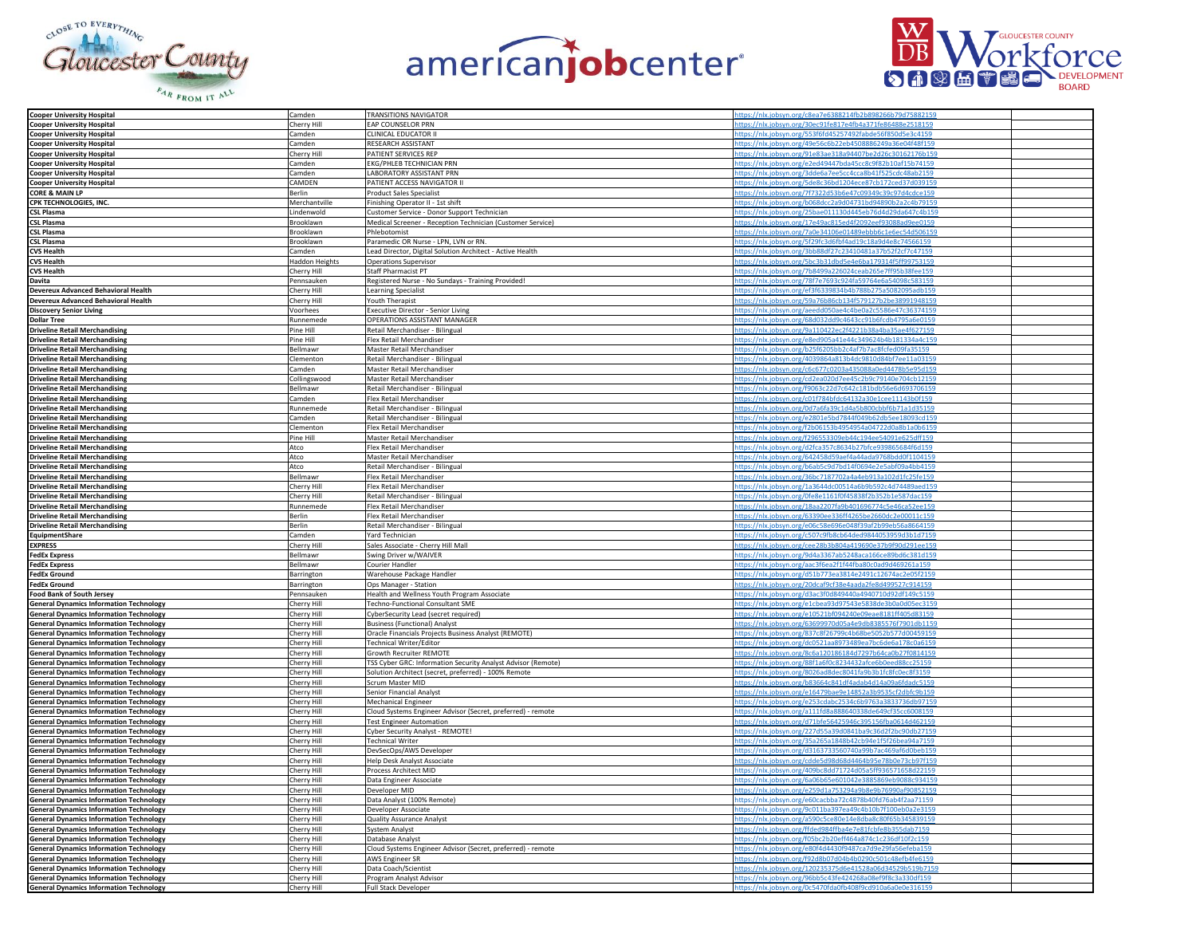





| <b>Cooper University Hospital</b>              | Camden                | <b>TRANSITIONS NAVIGATOR</b>                                 | ittps://nlx.jobsyn.org/c8ea7e6388214fb2b898266b79d75881                                                                 |  |
|------------------------------------------------|-----------------------|--------------------------------------------------------------|-------------------------------------------------------------------------------------------------------------------------|--|
| <b>Cooper University Hospital</b>              | Cherry Hil            | <b>EAP COUNSELOR PRN</b>                                     | https://nlx.jobsyn.org/30ec91fe817e4fb4a371fe86488e2518159                                                              |  |
| <b>Cooper University Hospital</b>              | Camden                | CLINICAL EDUCATOR II                                         | https://nlx.jobsyn.org/553f6fd45257492fabde56f850d5e3c4159                                                              |  |
| <b>Cooper University Hospital</b>              | Camden                | RESEARCH ASSISTANT                                           | https://nlx.jobsyn.org/49e56c6b22eb4508886249a36e04f48f159                                                              |  |
|                                                |                       | PATIENT SERVICES REP                                         | https://nlx.jobsyn.org/91e83ae318a94407be2d26c30162176b159                                                              |  |
| <b>Cooper University Hospital</b>              | Cherry Hill<br>Camden | <b>EKG/PHLEB TECHNICIAN PRN</b>                              |                                                                                                                         |  |
| <b>Cooper University Hospital</b>              |                       |                                                              | https://nlx.jobsyn.org/e2ed49447bda45cc8c9f82b10af15b74159                                                              |  |
| <b>Cooper University Hospital</b>              | Camden                | ABORATORY ASSISTANT PRN                                      | https://nlx.jobsyn.org/3dde6a7ee5cc4cca8b41f525cdc48ab2159                                                              |  |
| <b>Cooper University Hospital</b>              | CAMDEN                | PATIENT ACCESS NAVIGATOR II                                  | https://nlx.jobsyn.org/5de8c36bd1204ece87cb172ced37d039159                                                              |  |
| <b>CORE &amp; MAIN LP</b>                      | <b>Berlin</b>         | <b>Product Sales Specialist</b>                              | https://nlx.jobsyn.org/7f7322d53b6e47c09349c39c97d4cdce159                                                              |  |
| CPK TECHNOLOGIES, INC.                         | Merchantville         | Finishing Operator II - 1st shift                            | https://nlx.jobsyn.org/b068dcc2a9d04731bd94890b2a2c4b79159                                                              |  |
| <b>CSL Plasma</b>                              | Lindenwold            | Customer Service - Donor Support Technician                  | https://nlx.jobsyn.org/25bae011130d445eb76d4d29da647c4b159                                                              |  |
| <b>CSL Plasma</b>                              | Brooklawn             | Medical Screener - Reception Technician (Customer Service)   | https://nlx.jobsyn.org/17e49ac815ed4f2092eef93088ad9ee0159                                                              |  |
| <b>CSL Plasma</b>                              | Brooklawn             | hlebotomist                                                  | ttps://nlx.jobsyn.org/7a0e34106e01489ebbb6c1e6ec54d506159                                                               |  |
| <b>CSL Plasma</b>                              | Brooklawn             |                                                              |                                                                                                                         |  |
|                                                |                       | Paramedic OR Nurse - LPN, LVN or RN.                         | ttps://nlx.jobsyn.org/5f29fc3d6fbf4ad19c18a9d4e8c74566159                                                               |  |
| <b>CVS Health</b>                              | Camden                | ead Director, Digital Solution Architect - Active Health     | ttps://nlx.jobsyn.org/3bb88df27c23410481a37b52f2cf7c47159<br>https://nlx.jobsyn.org/5bc3b31dbd5e4e6ba179314f5ff99753159 |  |
| <b>CVS Health</b>                              | <b>Haddon Heights</b> | Operations Supervisor                                        |                                                                                                                         |  |
| <b>CVS Health</b>                              | Cherry Hill           | Staff Pharmacist PT                                          | https://nlx.jobsyn.org/7b8499a226024ceab265e7ff95b38fee159                                                              |  |
| Davita                                         | Pennsauker            | Registered Nurse - No Sundays - Training Provided!           | https://nlx.jobsyn.org/78f7e7693c924fa59764e6a54098c583159                                                              |  |
| Devereux Advanced Behavioral Health            | Cherry Hill           | Learning Specialist                                          | https://nlx.jobsyn.org/ef3f6339834b4b788b275a5082095adb159                                                              |  |
| Devereux Advanced Behavioral Health            | Cherry Hill           | <b>Youth Therapist</b>                                       | ttps://nlx.jobsyn.org/59a76b86cb134f579127b2be38991948159                                                               |  |
| <b>Discovery Senior Living</b>                 | Voorhees              | Executive Director - Senior Living                           | https://nlx.jobsyn.org/aeedd050ae4c4be0a2c5586e47c36374159                                                              |  |
| <b>Dollar Tree</b>                             | Runnemede             | OPERATIONS ASSISTANT MANAGER                                 | ittps://nlx.jobsyn.org/68d032dd9c4643cc91b6fcdb4795a6                                                                   |  |
|                                                | Pine Hill             | Retail Merchandiser - Bilingual                              | https://nlx.jobsyn.org/9a110422ec2f4221b38a4ba35ae4f627159                                                              |  |
| <b>Driveline Retail Merchandising</b>          |                       |                                                              |                                                                                                                         |  |
| <b>Driveline Retail Merchandising</b>          | Pine Hill             | Flex Retail Merchandiser                                     | https://nlx.jobsyn.org/e8ed905a41e44c349624b4b181334a4c159                                                              |  |
| <b>Driveline Retail Merchandising</b>          | Bellmawı              | Master Retail Merchandiser                                   | https://nlx.jobsyn.org/b25f6205bb2c4af7b7ac8fcfed09fa35159                                                              |  |
| <b>Driveline Retail Merchandising</b>          | Clementon             | Retail Merchandiser - Bilingual                              | https://nlx.jobsyn.org/4039864a813b4dc9810d84bf7ee11a03159                                                              |  |
| <b>Driveline Retail Merchandising</b>          | Camden                | Master Retail Merchandiser                                   | 0595d159/https://nlx.jobsyn.org/c6c677c0203a435088a0ed4478b5e95d                                                        |  |
| <b>Driveline Retail Merchandising</b>          | Collingswood          | Master Retail Merchandiser                                   | ttps://nlx.jobsyn.org/cd2ea020d7ee45c2b9c79140e704cb12159                                                               |  |
| <b>Driveline Retail Merchandising</b>          | Bellmawı              | Retail Merchandiser - Bilingual                              | tps://nlx.jobsyn.org/f9063c22d7c642c181bdb56e6d693706159                                                                |  |
| <b>Driveline Retail Merchandising</b>          | Camden                | lex Retail Merchandiser                                      | https://nlx.jobsyn.org/c01f784bfdc64132a30e1cee11143b0f159                                                              |  |
| <b>Driveline Retail Merchandising</b>          | Runnemed              | Retail Merchandiser - Bilingual                              | https://nlx.jobsyn.org/0d7a6fa39c1d4a5b800cbbf6b71a1d35159                                                              |  |
| <b>Driveline Retail Merchandising</b>          | Camden                | Retail Merchandiser - Bilingual                              | https://nlx.jobsyn.org/e2801e5bd7844f049b62db5ee18093cd159                                                              |  |
|                                                |                       |                                                              | https://nlx.jobsyn.org/f2b06153b4954954a04722d0a8b1a0b6159                                                              |  |
| <b>Driveline Retail Merchandising</b>          | Clementon             | Flex Retail Merchandiser                                     |                                                                                                                         |  |
| <b>Driveline Retail Merchandising</b>          | Pine Hill             | Master Retail Merchandiser                                   | https://nlx.jobsyn.org/f296553309eb44c194ee54091e625dff159                                                              |  |
| <b>Driveline Retail Merchandising</b>          | Atco                  | Flex Retail Merchandiser                                     | https://nlx.jobsyn.org/d2fca357c8634b27bfce939865684f6d159                                                              |  |
| <b>Driveline Retail Merchandising</b>          | Atco                  | Master Retail Merchandiser                                   | ttps://nlx.jobsyn.org/642458d59aef4a44ada9768bdd0f1104159                                                               |  |
| <b>Driveline Retail Merchandising</b>          | Atco                  | Retail Merchandiser - Bilingual                              | https://nlx.jobsyn.org/b6ab5c9d7bd14f0694e2e5abf09a4bb4159                                                              |  |
| <b>Driveline Retail Merchandising</b>          | Bellmaw               | Flex Retail Merchandise                                      | syn.org/36bc7187702a4a4eb913a102d1fc25fe1                                                                               |  |
| <b>Driveline Retail Merchandising</b>          | Cherry Hill           | Flex Retail Merchandiser                                     | https://nlx.jobsyn.org/1a3644dc00514a6b9b592c4d74489aed159                                                              |  |
| <b>Driveline Retail Merchandising</b>          | Cherry Hill           | Retail Merchandiser - Bilingual                              | https://nlx.jobsyn.org/0fe8e1161f0f45838f2b352b1e587dac159                                                              |  |
| <b>Driveline Retail Merchandising</b>          | Runnemede             | Flex Retail Merchandiser                                     | https://nlx.jobsyn.org/18aa2207fa9b401696774c5e46ca52ee159                                                              |  |
|                                                |                       |                                                              |                                                                                                                         |  |
| <b>Driveline Retail Merchandising</b>          | Berlin                | Flex Retail Merchandiser                                     | https://nlx.jobsyn.org/63390ee336ff4265be2660dc2e00011c159                                                              |  |
| <b>Driveline Retail Merchandising</b>          | <b>Berlin</b>         | Retail Merchandiser - Bilingual                              | ttps://nlx.jobsyn.org/e06c58e696e048f39af2b99eb56a8664159                                                               |  |
| <b>EquipmentShare</b>                          | Camden                | ard Technician                                               | ttps://nlx.jobsyn.org/c507c9fb8cb64ded984405395!                                                                        |  |
| <b>EXPRESS</b>                                 | Cherry Hil            | Sales Associate - Cherry Hill Mall                           | ittps://nlx.jobsyn.org/cee28b3b804a419690e37b9f90d291                                                                   |  |
| <b>FedEx Express</b>                           | Bellmaw               | Swing Driver w/WAIVER                                        | https://nlx.jobsyn.org/9d4a3367ab5248aca166ce89bd6c381d159                                                              |  |
| <b>FedEx Express</b>                           | Bellmawr              | Courier Handler                                              | https://nlx.jobsyn.org/aac3f6ea2f1f44fba80c0ad9d469261a159                                                              |  |
| <b>FedEx Ground</b>                            | Barrington            | Warehouse Package Handler                                    | https://nlx.jobsyn.org/d51b773ea3814e2491c12674ac2e05f2159                                                              |  |
| <b>FedEx Ground</b>                            | Barrington            | Ops Manager - Station                                        | https://nlx.jobsyn.org/20dcaf9cf38e4aada2fe8d499527c914159                                                              |  |
| <b>Food Bank of South Jersey</b>               | Pennsauker            | Health and Wellness Youth Program Associate                  | ttps://nlx.jobsyn.org/d3ac3f0d849440a4940710d92df149c5159                                                               |  |
| <b>General Dynamics Information Technology</b> | Cherry Hill           | Fechno-Functional Consultant SME                             | https://nlx.jobsyn.org/e1cbea93d97543e5838de3b0a0d05ec3159                                                              |  |
|                                                |                       |                                                              |                                                                                                                         |  |
| <b>General Dynamics Information Technology</b> | Cherry Hill           | CyberSecurity Lead (secret required)                         | ttps://nlx.jobsyn.org/e10521bf094240e09eae8181ff405d83159                                                               |  |
| <b>General Dynamics Information Technology</b> | Cherry Hill           | <b>Business (Functional) Analyst</b>                         | https://nlx.jobsyn.org/63699970d05a4e9db8385576f79                                                                      |  |
| <b>General Dynamics Information Technology</b> | Cherry Hill           | Oracle Financials Projects Business Analyst (REMOTE)         | https://nlx.jobsyn.org/837c8f26799c4b68be5052b577d00459159                                                              |  |
| <b>General Dynamics Information Technology</b> | Cherry Hill           | <b>Technical Writer/Editor</b>                               | https://nlx.jobsyn.org/dc0521aa8973489ea7bc6de6a178c0a6159                                                              |  |
| <b>General Dynamics Information Technology</b> | Cherry Hill           | Growth Recruiter REMOTE                                      | https://nlx.jobsyn.org/8c6a120186184d7297b64ca0b27f0814159                                                              |  |
| <b>General Dynamics Information Technology</b> | Cherry Hill           | TSS Cyber GRC: Information Security Analyst Advisor (Remote) | https://nlx.jobsyn.org/88f1a6f0c8234432afce6b0eed88cc25159                                                              |  |
| <b>General Dynamics Information Technology</b> | Cherry Hill           | Solution Architect (secret, preferred) - 100% Remote         | ttps://nlx.jobsyn.org/8026ad8dec8041fa9b3b1fc8fc0ec8f3159                                                               |  |
| <b>General Dynamics Information Technology</b> | Cherry Hill           | Scrum Master MID                                             | ttps://nlx.jobsyn.org/b83664c841df4adab4d14a09a6fdadc5159                                                               |  |
| <b>General Dynamics Information Technology</b> | Cherry Hill           | Senior Financial Analyst                                     | https://nlx.jobsyn.org/e16479bae9e14852a3b9535cf2dbfc9b159                                                              |  |
|                                                | Cherry Hill           |                                                              | https://nlx.jobsyn.org/e253cdabc2534c6b9763a3833736db97159                                                              |  |
| <b>General Dynamics Information Technology</b> |                       | <b>Mechanical Engineer</b>                                   | https://nlx.jobsyn.org/a111fd8a888640338de649cf35cc6008159                                                              |  |
| <b>General Dynamics Information Technology</b> | Cherry Hill           | Cloud Systems Engineer Advisor (Secret, preferred) - remote  |                                                                                                                         |  |
| <b>General Dynamics Information Technology</b> | Cherry Hill           | <b>Test Engineer Automation</b>                              | https://nlx.jobsyn.org/d71bfe56425946c395156fba0614d462159                                                              |  |
| <b>General Dynamics Information Technology</b> | Cherry Hill           | Cyber Security Analyst - REMOTE!                             | https://nlx.jobsyn.org/227d55a39d0841ba9c36d2f2bc90db27159                                                              |  |
| <b>General Dynamics Information Technology</b> | Cherry Hill           | <b>Technical Writer</b>                                      | ttps://nlx.jobsyn.org/35a265a1848b42cb94e1f5f26bea94a7159                                                               |  |
| <b>General Dynamics Information Technology</b> | Cherry Hill           | DevSecOps/AWS Developer                                      | https://nlx.jobsyn.org/d3163733560740a99b7ac469af6d0beb159                                                              |  |
| <b>General Dynamics Information Technology</b> | Cherry Hill           | Help Desk Analyst Associate                                  | ttps://nlx.jobsyn.org/cdde5d98d68d4464b95e78b0e73cb97f159                                                               |  |
| <b>General Dynamics Information Technology</b> | Cherry Hill           | Process Architect MID                                        | https://nlx.jobsyn.org/409bc8dd71724d05a5ff936571658d22159                                                              |  |
| <b>General Dynamics Information Technology</b> | Cherry Hill           | Data Engineer Associate                                      | https://nlx.jobsyn.org/6a06b65e601042e3885869eb9088c934159                                                              |  |
| <b>General Dynamics Information Technology</b> | Cherry Hill           | Developer MID                                                | https://nlx.jobsyn.org/e259d1a753294a9b8e9b76990af90852159                                                              |  |
| <b>General Dynamics Information Technology</b> |                       |                                                              | https://nlx.jobsyn.org/e60cacbba72c4878b40fd76ab4f2aa71159                                                              |  |
|                                                | Cherry Hill           | Data Analyst (100% Remote)                                   |                                                                                                                         |  |
| <b>General Dynamics Information Technology</b> | Cherry Hill           | Developer Associate                                          | ttps://nlx.jobsyn.org/9c011ba397ea49c4b10b7f100eb0a2e3159                                                               |  |
| <b>General Dynamics Information Technology</b> | Cherry Hill           | <b>Quality Assurance Analyst</b>                             | ttps://nlx.jobsyn.org/a590c5ce80e14e8dba8c80f65b345839159                                                               |  |
| <b>General Dynamics Information Technology</b> | Cherry Hill           | System Analyst                                               | ttps://nlx.jobsyn.org/ffded984ffba4e7e81fcbfe8b355dab7159                                                               |  |
| <b>General Dynamics Information Technology</b> | Cherry Hill           | Database Analys                                              | https://nlx.jobsyn.org/f05bc2b20eff464a874c1c236df10f2c159                                                              |  |
| <b>General Dynamics Information Technology</b> | Cherry Hill           | Cloud Systems Engineer Advisor (Secret, preferred) - remote  | https://nlx.jobsyn.org/e80f4d4430f9487ca7d9e29fa56efeba159                                                              |  |
| <b>General Dynamics Information Technology</b> | Cherry Hill           | AWS Engineer SR                                              | https://nlx.jobsyn.org/f92d8b07d04b4b0290c501c48efb4fe6159                                                              |  |
| <b>General Dynamics Information Technology</b> | Cherry Hill           | Data Coach/Scientist                                         | https://nlx.jobsyn.org/120235375d6e41528a06d34529b519b7159                                                              |  |
| <b>General Dynamics Information Technology</b> | Cherry Hill           | Program Analyst Advisor                                      | https://nlx.jobsyn.org/96bb5c43fe424268a08ef9f8c3a330df159                                                              |  |
| <b>General Dynamics Information Technology</b> | Cherry Hil            | Full Stack Developer                                         | ps://nlx.jobsyn.org/0c5470fda0fb408f9cd910a6a0e                                                                         |  |
|                                                |                       |                                                              |                                                                                                                         |  |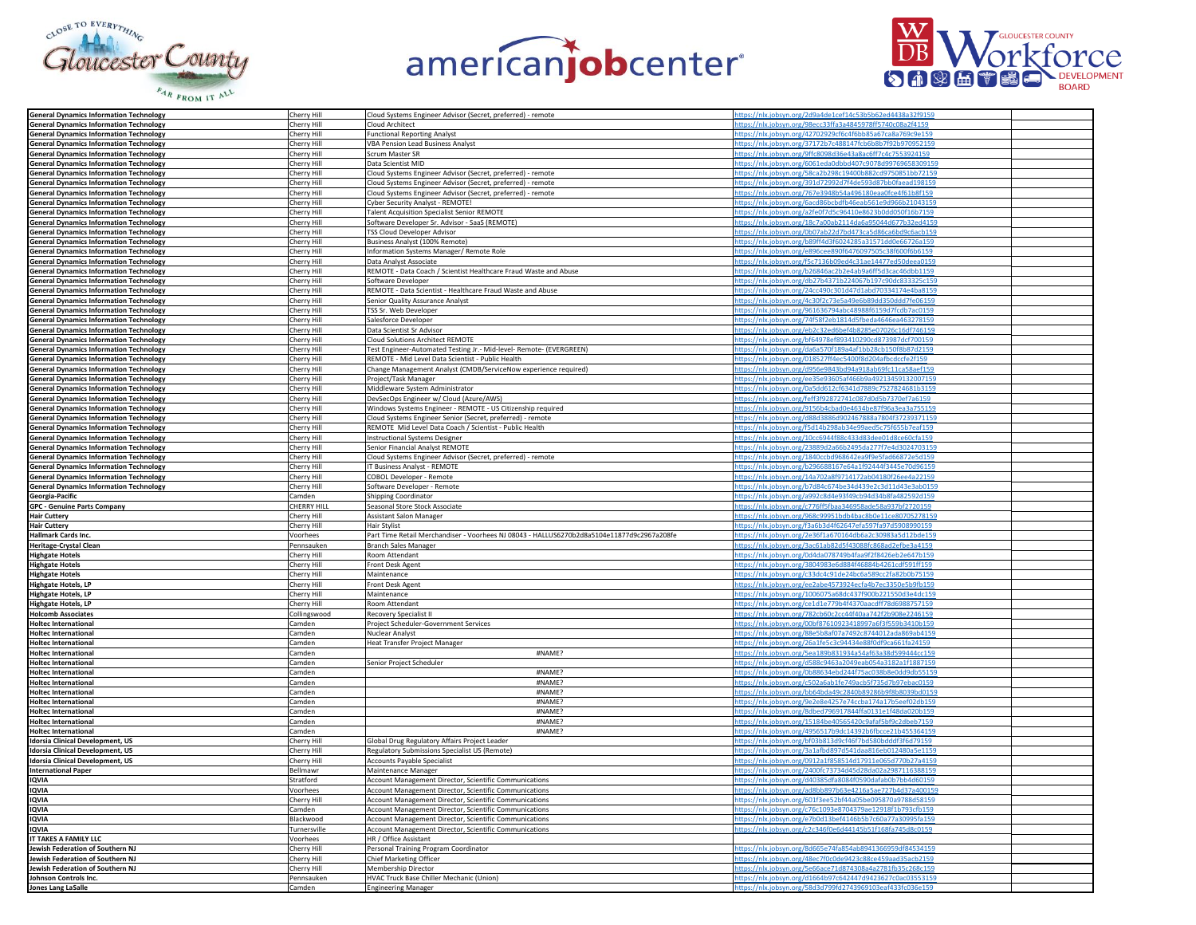





| <b>General Dynamics Information Technology</b>                                                   | Cherry Hill        | Cloud Systems Engineer Advisor (Secret, preferred) - remote                               | https://nlx.jobsyn.org/2d9a4de1cef14c53b5b62ed4438a32f9159 |
|--------------------------------------------------------------------------------------------------|--------------------|-------------------------------------------------------------------------------------------|------------------------------------------------------------|
| <b>General Dynamics Information Technology</b>                                                   | Cherry Hill        | <b>Cloud Architect</b>                                                                    | ttps://nlx.jobsyn.org/98ecc33ffa3a4845978ff5740c08a2f4159  |
|                                                                                                  |                    |                                                                                           |                                                            |
| <b>General Dynamics Information Technology</b>                                                   | Cherry Hill        | unctional Reporting Analyst                                                               | https://nlx.jobsyn.org/42702929cf6c4f6bb85a67ca8a769c9e15  |
| <b>General Dynamics Information Technology</b>                                                   | Cherry Hill        | <b>VBA Pension Lead Business Analyst</b>                                                  | https://nlx.jobsyn.org/37172b7c488147fcb6b8b7f92b970952159 |
| <b>General Dynamics Information Technology</b>                                                   | Cherry Hill        | Scrum Master SR                                                                           | https://nlx.jobsyn.org/9ffc8098d36e43a8ac6ff7c4c7553924159 |
| <b>General Dynamics Information Technology</b>                                                   | Cherry Hill        | Data Scientist MID                                                                        | https://nlx.jobsyn.org/6061eda0dbbd407c9078d99769658309159 |
|                                                                                                  |                    |                                                                                           |                                                            |
| <b>General Dynamics Information Technology</b>                                                   | Cherry Hill        | Cloud Systems Engineer Advisor (Secret, preferred) - remote                               | https://nlx.jobsyn.org/58ca2b298c19400b882cd9750851bb72159 |
| <b>General Dynamics Information Technology</b>                                                   | Cherry Hill        | Cloud Systems Engineer Advisor (Secret, preferred) - remote                               | ttps://nlx.jobsyn.org/391d72992d7f4de593d87bb0faead198159  |
| <b>General Dynamics Information Technology</b>                                                   | Cherry Hill        | Cloud Systems Engineer Advisor (Secret, preferred) - remote                               | nttps://nlx.jobsyn.org/767e3948b54a496180eaa0fce4f61b8f159 |
|                                                                                                  |                    |                                                                                           |                                                            |
|                                                                                                  | Cherry Hill        | Cyber Security Analyst - REMOTE!                                                          | https://nlx.jobsyn.org/6acd86bcbdfb46eab561e9d966b21043159 |
| <b>General Dynamics Information Technology<br/>General Dynamics Information Technology</b>       | Cherry Hill        | <b>Talent Acquisition Specialist Senior REMOTE</b>                                        | nttps://nlx.jobsyn.org/a2fe0f7d5c96410e8623b0dd050f16b7159 |
| <b>General Dynamics Information Technology</b>                                                   | Cherry Hill        | Software Developer Sr. Advisor - SaaS (REMOTE)                                            | https://nlx.jobsyn.org/18c7a00ab2114da6a95044d677b32ed4159 |
| <b>General Dynamics Information Technology</b>                                                   | Cherry Hill        | TSS Cloud Developer Advisor                                                               | https://nlx.jobsyn.org/0b07ab22d7bd473ca5d86ca6bd9c6acb159 |
| <b>General Dynamics Information Technology</b>                                                   | Cherry Hill        | Business Analyst (100% Remote)                                                            | https://nlx.jobsyn.org/b89ff4d3f6024285a31571dd0e66726a159 |
|                                                                                                  |                    |                                                                                           |                                                            |
| <b>General Dynamics Information Technology</b>                                                   | Cherry Hil         | nformation Systems Manager/ Remote Role                                                   | ttps://nlx.jobsyn.org/e896cee890f6476097505c38f600f6b6159  |
| <b>General Dynamics Information Technology</b>                                                   | Cherry Hill        | Data Analyst Associate                                                                    | ttps://nlx.jobsyn.org/f5c7136b09ed4c31ae14477ed50dee       |
| <b>General Dynamics Information Technology</b><br><b>General Dynamics Information Technology</b> | Cherry Hill        | REMOTE - Data Coach / Scientist Healthcare Fraud Waste and Abuse                          | ://nlx.jobsyn.org/b26846ac2b2e4ab9a6ff5d3cac46dbb1159      |
|                                                                                                  | Cherry Hill        | Software Developer                                                                        | https://nlx.jobsyn.org/db27b4371b224067b197c90dc833325c159 |
|                                                                                                  |                    |                                                                                           |                                                            |
| <b>General Dynamics Information Technology</b>                                                   | Cherry Hill        | REMOTE - Data Scientist - Healthcare Fraud Waste and Abuse                                | https://nlx.jobsyn.org/24cc490c301d47d1abd70334174e4ba8159 |
| <b>General Dynamics Information Technology</b>                                                   | Cherry Hill        | Senior Quality Assurance Analyst                                                          | https://nlx.jobsyn.org/4c30f2c73e5a49e6b89dd350ddd7fe06159 |
| <b>General Dynamics Information Technology</b>                                                   | Cherry Hill        | TSS Sr. Web Developer                                                                     | https://nlx.jobsyn.org/961636794abc48988f6159d7fcdb7ac0159 |
| <b>General Dynamics Information Technology</b>                                                   | Cherry Hill        | Salesforce Developer                                                                      | ttps://nlx.jobsyn.org/74f58f2eb1814d5fbeda4646ea463278159  |
|                                                                                                  |                    |                                                                                           | https://nlx.jobsyn.org/eb2c32ed6bef4b8285e07026c16df746159 |
| <b>General Dynamics Information Technology</b>                                                   | Cherry Hill        | Data Scientist Sr Advisor                                                                 |                                                            |
| <b>General Dynamics Information Technology</b><br>General Dynamics Information Technology        | Cherry Hill        | <b>Cloud Solutions Architect REMOTE</b>                                                   | https://nlx.jobsyn.org/bf64978ef893410290cd873987dcf700159 |
|                                                                                                  | Cherry Hill        | Test Engineer-Automated Testing Jr.- Mid-level- Remote- (EVERGREEN)                       | https://nlx.jobsyn.org/da6a570f189a4af1bb28cb150f8b87d2159 |
| <b>General Dynamics Information Technology</b>                                                   | Cherry Hill        | REMOTE - Mid Level Data Scientist - Public Health                                         | https://nlx.jobsyn.org/018527ff4ec5400f8d204afbcdccfe2f159 |
| <b>General Dynamics Information Technology</b>                                                   | Cherry Hill        | Change Management Analyst (CMDB/ServiceNow experience required)                           | https://nlx.jobsyn.org/d956e9843bd94a918ab69fc11ca58aef159 |
|                                                                                                  |                    |                                                                                           |                                                            |
| <b>General Dynamics Information Technology</b>                                                   | Cherry Hill        | Project/Task Manager                                                                      | https://nlx.jobsyn.org/ee35e93605af466b9a49213459132007159 |
| <b>General Dynamics Information Technology</b>                                                   | Cherry Hill        | Middleware System Administrator                                                           | ttps://nlx.jobsyn.org/0a5dd612cf6341d7889c7527824681b3159  |
| <b>General Dynamics Information Technology</b>                                                   | Cherry Hill        | evSecOps Engineer w/ Cloud (Azure/AWS)                                                    | ttps://nlx.jobsyn.org/feff3f92872741c087d0d5b7370ef7a615   |
|                                                                                                  | Cherry Hill        | Windows Systems Engineer - REMOTE - US Citizenship required                               | //nlx.jobsyn.org/9156b4cbad0e4634be87f96a3ea3a755159       |
| <b>General Dynamics Information Technology<br/>General Dynamics Information Technology</b>       |                    |                                                                                           |                                                            |
|                                                                                                  | Cherry Hill        | Cloud Systems Engineer Senior (Secret, preferred) - remote                                | https://nlx.jobsyn.org/d88d3886d902467888a7804f37239371159 |
| <b>General Dynamics Information Technology</b>                                                   | Cherry Hill        | REMOTE Mid Level Data Coach / Scientist - Public Health                                   | https://nlx.jobsyn.org/f5d14b298ab34e99aed5c75f655b7eaf159 |
| <b>General Dynamics Information Technology</b>                                                   | Cherry Hill        | <b>Instructional Systems Designer</b>                                                     | https://nlx.jobsyn.org/10cc6944f88c433d83dee01d8ce60cfa159 |
| <b>General Dynamics Information Technology</b>                                                   | Cherry Hill        | Senior Financial Analyst REMOTE                                                           | https://nlx.jobsyn.org/23889d2a66b2495da277f7e4d3024703159 |
|                                                                                                  |                    |                                                                                           | ttps://nlx.jobsyn.org/1840ccbd968642ea9f9e5fad66872e5d159  |
| <b>General Dynamics Information Technology</b>                                                   | Cherry Hill        | Cloud Systems Engineer Advisor (Secret, preferred) - remote                               |                                                            |
| <b>General Dynamics Information Technology</b>                                                   | Cherry Hill        | F Business Analyst - REMOTE                                                               | ttps://nlx.jobsyn.org/b296688167e64a1f92444f3445e70d96159  |
| <b>General Dynamics Information Technology</b>                                                   | Cherry Hill        | COBOL Developer - Remote                                                                  | obsyn.org/14a702a8f9714172ab04180f26                       |
| <b>General Dynamics Information Technology</b>                                                   | Cherry Hill        | Software Developer - Remote                                                               | https://nlx.jobsyn.org/b7d84c674be34d439e2c3d11d43e3ab015  |
|                                                                                                  | Camden             | <b>Shipping Coordinator</b>                                                               | nttps://nlx.jobsyn.org/a992c8d4e93f49cb94d34b8fa482592d159 |
| Georgia-Pacific                                                                                  |                    |                                                                                           |                                                            |
| <b>GPC - Genuine Parts Company</b>                                                               | <b>CHERRY HILL</b> | Seasonal Store Stock Associate                                                            | https://nlx.jobsyn.org/c776ff5fbaa346958ade58a937bf2720159 |
| <b>Hair Cuttery</b>                                                                              | Cherry Hill        | Assistant Salon Manager                                                                   | https://nlx.jobsyn.org/968c99951bdb4bac8b0e11ce80705278159 |
| <b>Hair Cuttery</b>                                                                              | Cherry Hill        | Hair Stylist                                                                              | ttps://nlx.jobsyn.org/f3a6b3d4f62647efa597fa97d5908990159  |
| Hallmark Cards Inc.                                                                              | Voorhees           | art Time Retail Merchandiser - Voorhees NJ 08043 - HALLUS6270b2d8a5104e11877d9c2967a208fe | tps://nlx.jobsyn.org/2e36f1a670164db6a2c30983a5d12bde15    |
|                                                                                                  |                    |                                                                                           |                                                            |
| <b>Heritage-Crystal Clean</b>                                                                    | Pennsauker         | <b>Branch Sales Manager</b>                                                               | ttps://nlx.jobsyn.org/3ac61ab82d5f43088fc86                |
| <b>Highgate Hotels</b>                                                                           | Cherry Hill        | Room Attendant                                                                            | https://nlx.jobsyn.org/0d4da078749b4faa9f2f8426eb2e647b159 |
| <b>Highgate Hotels</b>                                                                           | Cherry Hill        | Front Desk Agent                                                                          | https://nlx.jobsyn.org/3804983e6d884f46884b4261cdf591ff159 |
| <b>Highgate Hotels</b>                                                                           | Cherry Hill        | Maintenance                                                                               | https://nlx.jobsyn.org/c33dc4c91de24bc6a589cc2fa82b0b75159 |
|                                                                                                  | Cherry Hill        | Front Desk Agent                                                                          |                                                            |
| <b>Highgate Hotels, LP</b>                                                                       |                    |                                                                                           | https://nlx.jobsyn.org/ee2abe4573924ecfa4b7ec3350e5b9fb159 |
| <b>Highgate Hotels, LP</b>                                                                       | Cherry Hill        | Maintenance                                                                               | ttps://nlx.jobsyn.org/1006075a68dc437f900b221550d3e4dc159  |
| <b>Highgate Hotels, LP</b>                                                                       | Cherry Hill        | Room Attendant                                                                            | ttps://nlx.jobsyn.org/ce1d1e779b4f4370aacdff78d6           |
| <b>Holcomb Associates</b>                                                                        | Collingswood       | Recovery Specialist II                                                                    | https://nlx.jobsyn.org/782cb60c2cc44f40aa742f2b908         |
| <b>Holtec International</b>                                                                      | Camden             | Project Scheduler-Government Services                                                     | https://nlx.jobsyn.org/00bf87610923418997a6f3f559b3410b159 |
|                                                                                                  |                    |                                                                                           |                                                            |
| <b>Holtec International</b>                                                                      | Camden             | Nuclear Analyst                                                                           | https://nlx.jobsyn.org/88e5b8af07a7492c8744012ada869ab4159 |
| <b>Holtec International</b>                                                                      | Camden             | Heat Transfer Project Manager                                                             | https://nlx.jobsyn.org/26a1fe5c3c94434e88f0df9ca661fa24159 |
| <b>Holtec International</b>                                                                      | Camden             | #NAME?                                                                                    | https://nlx.jobsyn.org/5ea189b831934a54af63a38d599444cc159 |
| <b>Holtec International</b>                                                                      | Camden             | Senior Project Scheduler                                                                  | ttps://nlx.jobsyn.org/d588c9463a2049eab054a3182a1f1887159  |
| <b>Holtec International</b>                                                                      | Camden             | #NAME?                                                                                    | ttps://nlx.jobsyn.org/0b88634ebd244f75ac038b8e0dd9db       |
|                                                                                                  |                    |                                                                                           |                                                            |
| <b>Holtec International</b>                                                                      | Camden             | #NAME?                                                                                    | https://nlx.jobsyn.org/c502a6ab1fe749acb5f735d7b97ebac0159 |
| <b>Holtec International</b>                                                                      | Camden             | #NAMF?                                                                                    | https://nlx.jobsyn.org/bb64bda49c2840b89286b9f8b           |
| <b>Holtec International</b>                                                                      | Camden             | #NAME?                                                                                    | https://nlx.jobsyn.org/9e2e8e4257e74ccba174a17b5eef02db159 |
| <b>Holtec International</b>                                                                      | Camden             | #NAME?                                                                                    | https://nlx.jobsyn.org/8dbed796917844ffa0131e1f48da020b159 |
|                                                                                                  |                    |                                                                                           |                                                            |
| <b>Holtec International</b>                                                                      | Camden             | #NAME?                                                                                    | https://nlx.jobsyn.org/15184be40565420c9afaf5bf9c2dbeb7159 |
| <b>Holtec International</b>                                                                      | Camden             | #NAME?                                                                                    | https://nlx.jobsyn.org/4956517b9dc14392b6fbcce21b455364159 |
| <b>Idorsia Clinical Development, US</b>                                                          | Cherry Hill        | Global Drug Regulatory Affairs Project Leader                                             | https://nlx.jobsyn.org/bf03b813d9cf46f7bd580bdddf3f6d79159 |
| <b>Idorsia Clinical Development, US</b>                                                          | Cherry Hill        | Regulatory Submissions Specialist US (Remote)                                             | https://nlx.jobsyn.org/3a1afbd897d541daa816eb012480a5e115  |
| <b>Idorsia Clinical Development, US</b>                                                          | Cherry Hill        | <b>Accounts Payable Specialist</b>                                                        | https://nlx.jobsyn.org/0912a1f858514d17911e065d770b27a415  |
|                                                                                                  |                    |                                                                                           |                                                            |
| <b>International Paper</b>                                                                       | Bellmawr           | Maintenance Manager                                                                       | https://nlx.jobsyn.org/2400fc73734d45d28da02a2987116388159 |
| <b>IQVIA</b>                                                                                     | Stratford          | Account Management Director, Scientific Communications                                    | https://nlx.jobsyn.org/d40385dfa8084f0590dafab0b7bb4d60159 |
| <b>IQVIA</b>                                                                                     | Voorhees           | Account Management Director, Scientific Communications                                    | https://nlx.jobsyn.org/ad8bb897b63e4216a5ae727b4d37a400159 |
| <b>IQVIA</b>                                                                                     | Cherry Hill        | Account Management Director, Scientific Communications                                    | ttps://nlx.jobsyn.org/601f3ee52bf44a05be095870a9788d58159  |
|                                                                                                  |                    |                                                                                           |                                                            |
| <b>IQVIA</b>                                                                                     | Camden             | Account Management Director, Scientific Communications                                    | ttps://nlx.jobsyn.org/c76c1093e8704379ae12918f1b793cfb159  |
| <b>IQVIA</b>                                                                                     | Blackwood          | Account Management Director, Scientific Communications                                    | https://nlx.jobsyn.org/e7b0d13bef4146b5b7c60a77a30995fa159 |
| <b>IQVIA</b>                                                                                     | Turnersville       | Account Management Director, Scientific Communications                                    | ttps://nlx.jobsyn.org/c2c346f0e6d44145b51f168fa745d8c0159  |
| IT TAKES A FAMILY LLC                                                                            | Voorhees           | HR / Office Assistant                                                                     |                                                            |
| Jewish Federation of Southern NJ                                                                 |                    |                                                                                           | https://nlx.jobsyn.org/8d665e74fa854ab8941366959df84534159 |
|                                                                                                  | Cherry Hill        | Personal Training Program Coordinator                                                     |                                                            |
| Jewish Federation of Southern NJ                                                                 | Cherry Hill        | Chief Marketing Officer                                                                   | https://nlx.jobsyn.org/48ec7f0c0de9423c88ce459aad35acb2159 |
| Jewish Federation of Southern NJ                                                                 | Cherry Hil         | Membership Director                                                                       | https://nlx.jobsyn.org/5e66ace71d874308a4a2781fb35c268c159 |
| Johnson Controls Inc.                                                                            | Pennsauker         | IVAC Truck Base Chiller Mechanic (Union)                                                  | nttps://nlx.jobsyn.org/d1664b97c642447d9423627c0ac03553159 |
| <b>Jones Lang LaSalle</b>                                                                        | Camden             | <b>Engineering Manager</b>                                                                | https://nlx.jobsyn.org/58d3d799fd2743969103eaf433fc036e159 |
|                                                                                                  |                    |                                                                                           |                                                            |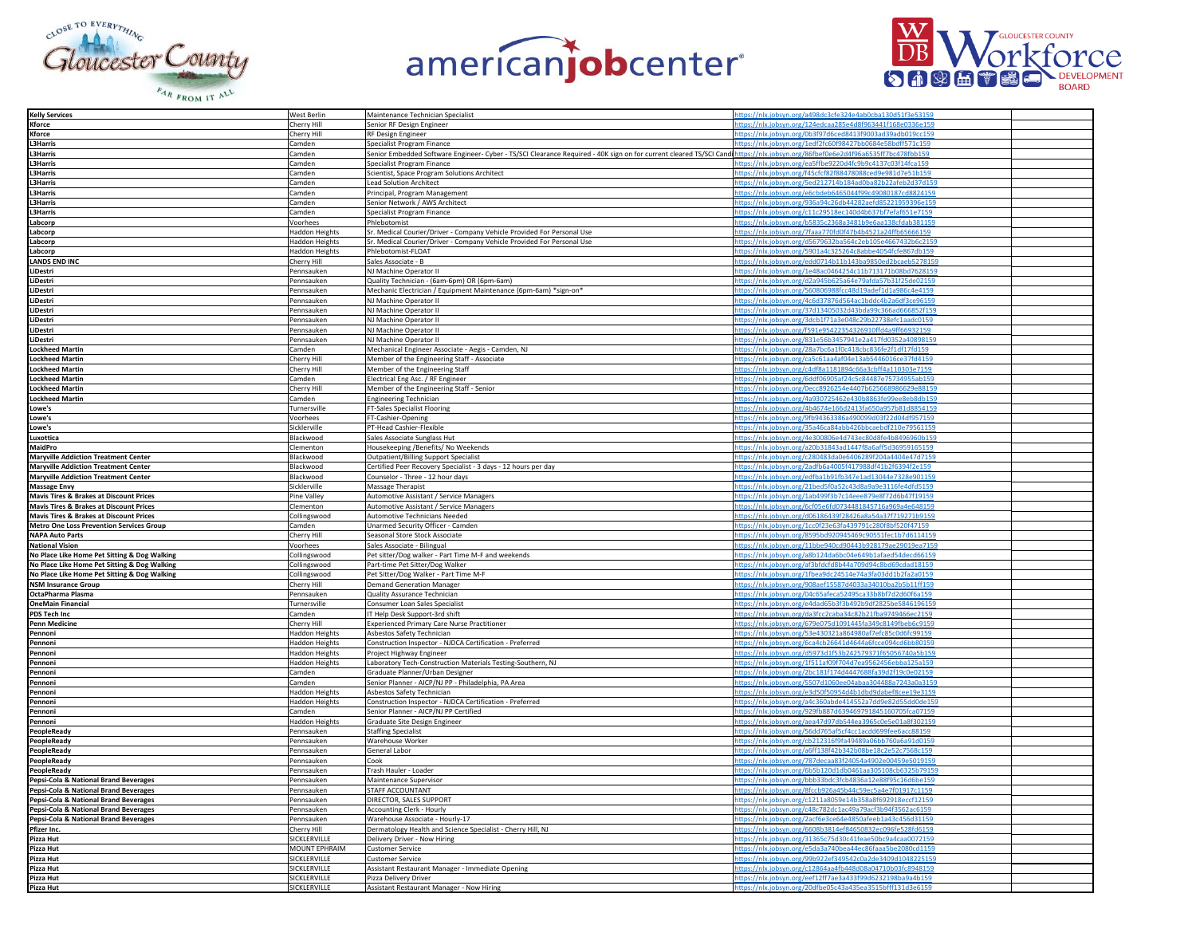





| <b>Kelly Services</b>                              | West Berlin                     | Maintenance Technician Specialist                                                                                                                                             | https://nlx.jobsyn.org/a498dc3cfe324e4ab0cba130d51f3e53159                                                               |  |
|----------------------------------------------------|---------------------------------|-------------------------------------------------------------------------------------------------------------------------------------------------------------------------------|--------------------------------------------------------------------------------------------------------------------------|--|
| <b>(force</b>                                      | Cherry Hill                     | Senior RF Design Engineer                                                                                                                                                     | https://nlx.jobsyn.org/124edcaa285e4d8f963441f168e0336e15                                                                |  |
|                                                    |                                 |                                                                                                                                                                               |                                                                                                                          |  |
| Kforce                                             | Cherry Hill                     | RF Design Engineer                                                                                                                                                            | https://nlx.jobsyn.org/0b3f97d6ced8413f9003ad39adb019cc159                                                               |  |
| <b>L3Harris</b>                                    | Camden                          | Specialist Program Finance                                                                                                                                                    | https://nlx.jobsyn.org/1edf2fc60f98427bb0684e58bdff571c159                                                               |  |
| 3Harris                                            | Camden                          | Senior Embedded Software Engineer- Cyber - TS/SCI Clearance Required - 40K sign on for current cleared TS/SCI Cand https://nlx.jobsyn.org/86fbef0e6e2d4f96a6535ff7bc478fbb159 |                                                                                                                          |  |
| <b>3Harris</b>                                     | Camden                          | Specialist Program Finance                                                                                                                                                    | https://nlx.jobsyn.org/ea5ffbe9220d4fc9b9c4137c03f14fca159                                                               |  |
| <b>L3Harris</b>                                    | Camden                          | Scientist, Space Program Solutions Architect                                                                                                                                  | https://nlx.jobsyn.org/f45cfcf82f88478088ced9e981d7e51b159                                                               |  |
| 3Harris                                            | Camden                          | <b>Lead Solution Architect</b>                                                                                                                                                | https://nlx.jobsyn.org/5ed212714b184ad0ba82b22afeb2d37d159                                                               |  |
|                                                    |                                 |                                                                                                                                                                               |                                                                                                                          |  |
| 3Harris                                            | Camden                          | Principal, Program Management                                                                                                                                                 | https://nlx.jobsyn.org/e6cbdeb6465044f99c49080187cd8824159                                                               |  |
| .3Harris                                           | Camden                          | Senior Network / AWS Architect                                                                                                                                                | https://nlx.jobsyn.org/936a94c26db44282aefd85221959396e159                                                               |  |
| <b>L3Harris</b>                                    | Camden                          | Specialist Program Finance                                                                                                                                                    | https://nlx.jobsyn.org/c11c29518ec140d4b637bf7efaf651e7159                                                               |  |
| Labcorp                                            | Voorhees                        | Phlebotomist                                                                                                                                                                  | https://nlx.jobsyn.org/b5835c2368a3481b9e6aa138cfdab381159                                                               |  |
| Labcorp                                            | <b>Haddon Heights</b>           | Sr. Medical Courier/Driver - Company Vehicle Provided For Personal Use                                                                                                        | https://nlx.jobsyn.org/7faaa770fd0f47b4b4521a24ffb65666159                                                               |  |
| Labcorp                                            | <b>Haddon Heights</b>           | Sr. Medical Courier/Driver - Company Vehicle Provided For Personal Use                                                                                                        | https://nlx.jobsyn.org/d5679632ba564c2eb105e4667432b6c2159                                                               |  |
|                                                    |                                 |                                                                                                                                                                               | https://nlx.jobsyn.org/5901a4c325264c8abbe4054fcfe867db159                                                               |  |
| Labcorp                                            | Haddon Heights                  | Phlebotomist-FLOAT                                                                                                                                                            |                                                                                                                          |  |
| <b>ANDS END INC</b>                                | Cherry Hill                     | Sales Associate - B                                                                                                                                                           | https://nlx.jobsyn.org/edd0714b11b143ba9850ed2bcaeb5278159                                                               |  |
| .iDestri                                           | Pennsauken                      | NJ Machine Operator II                                                                                                                                                        | https://nlx.jobsyn.org/1e48ac0464254c11b713171b08bd762815                                                                |  |
| LiDestri                                           | Pennsauken                      | Quality Technician - (6am-6pm) OR (6pm-6am)                                                                                                                                   | https://nlx.jobsyn.org/d2a945b625a64e79afda57b31f25de02159                                                               |  |
| LiDestri                                           | Pennsauker                      | Mechanic Electrician / Equipment Maintenance (6pm-6am) *sign-on*                                                                                                              | https://nlx.jobsyn.org/560806988fcc48d19adef1d1a986c4e4159                                                               |  |
| .iDestri                                           | Pennsauken                      | NJ Machine Operator II                                                                                                                                                        | https://nlx.jobsyn.org/4c6d37876d564ac1bddc4b2a6df3ce96159                                                               |  |
| LiDestri                                           |                                 |                                                                                                                                                                               |                                                                                                                          |  |
|                                                    | Pennsauker                      | NJ Machine Operator II                                                                                                                                                        | https://nlx.jobsyn.org/37d13405032d43bda99c366ad666852f159                                                               |  |
| LiDestri                                           | Pennsauker                      | NJ Machine Operator II                                                                                                                                                        | https://nlx.jobsyn.org/3dcb1f71a3e048c29b22738efc1aadc0159                                                               |  |
| .iDestri                                           | Pennsauken                      | NJ Machine Operator II                                                                                                                                                        | https://nlx.jobsyn.org/f591e95422354326910ffd4a9ff66932159                                                               |  |
| .iDestri                                           | Pennsauken                      | NJ Machine Operator II                                                                                                                                                        | https://nlx.jobsyn.org/831e56b3457941e2a417fd0352a40898159                                                               |  |
| ockheed Martin                                     | Camder                          | Mechanical Engineer Associate - Aegis - Camden, NJ                                                                                                                            | https://nlx.jobsyn.org/28a7bc6a1f0c418cbc836fe2f1df17fd159                                                               |  |
| ockheed Martin                                     | Cherry Hill                     | Member of the Engineering Staff - Associate                                                                                                                                   | https://nlx.jobsyn.org/ca5c61aa4af04e13ab5446016ce37fd4159                                                               |  |
| Lockheed Martin                                    | Cherry Hill                     | Member of the Engineering Staff                                                                                                                                               | https://nlx.jobsyn.org/c4df8a1181894c66a3cbff4a110303e7159                                                               |  |
|                                                    |                                 |                                                                                                                                                                               |                                                                                                                          |  |
| Lockheed Martin                                    | Camden                          | Electrical Eng Asc. / RF Engineer                                                                                                                                             | https://nlx.jobsyn.org/6ddf06905af24c5c84487e75734955ab159                                                               |  |
| Lockheed Martin                                    | Cherry Hill                     | Member of the Engineering Staff - Senior                                                                                                                                      | https://nlx.jobsyn.org/0ecc8926254e4407b625668986629e88159                                                               |  |
| ockheed Martin                                     | Camden                          | <b>Engineering Technician</b>                                                                                                                                                 | https://nlx.jobsyn.org/4a930725462e430b8863fe99ee8eb8db159                                                               |  |
| .owe's                                             | Turnersville                    | FT-Sales Specialist Flooring                                                                                                                                                  | https://nlx.jobsyn.org/4b4674e166d2413fa650a957b81d8854159                                                               |  |
| .owe's                                             | Voorhees                        | FT-Cashier-Opening                                                                                                                                                            | https://nlx.jobsyn.org/9fb94363386a490099d03f22d04df9                                                                    |  |
| Lowe's                                             | Sicklerville                    | PT-Head Cashier-Flexible                                                                                                                                                      | https://nlx.jobsyn.org/35a46ca84abb426bbcaebdf210e79561159                                                               |  |
| Luxottica                                          | Blackwood                       | Sales Associate Sunglass Hut                                                                                                                                                  | https://nlx.jobsyn.org/4e300806e4d743ec80d8fe4b8496960b159                                                               |  |
| MaidPro                                            | Clementon                       | Housekeeping /Benefits/ No Weekends                                                                                                                                           | https://nlx.jobsyn.org/a20b31843ad1447f8a6aff5d36959165159                                                               |  |
| <b>Maryville Addiction Treatment Center</b>        | Blackwood                       | Outpatient/Billing Support Specialist                                                                                                                                         | https://nlx.jobsyn.org/c280483da0e6406289f204a4404e47d7159                                                               |  |
| <b>Maryville Addiction Treatment Center</b>        | Blackwood                       | Certified Peer Recovery Specialist - 3 days - 12 hours per day                                                                                                                | https://nlx.jobsyn.org/2adfb6a4005f417988df41b2f6394f2e159                                                               |  |
|                                                    |                                 |                                                                                                                                                                               | lx.jobsyn.org/edfba1b91fb347e1ad13044e732                                                                                |  |
| <b>Maryville Addiction Treatment Center</b>        | Blackwood                       | Counselor - Three - 12 hour days                                                                                                                                              |                                                                                                                          |  |
| <b>Massage Envy</b>                                | Sicklerville                    | Massage Therapist                                                                                                                                                             | https://nlx.jobsyn.org/21bed5f0a52c43d8a9a9e3116fe4dfd51                                                                 |  |
| <b>Mavis Tires &amp; Brakes at Discount Prices</b> | Pine Valley                     | Automotive Assistant / Service Managers                                                                                                                                       | https://nlx.jobsyn.org/1ab499f3b7c14eee879e8f72d6b47f19159                                                               |  |
| <b>Mavis Tires &amp; Brakes at Discount Prices</b> | Clementon                       | Automotive Assistant / Service Managers                                                                                                                                       | https://nlx.jobsyn.org/6cf05e6fd0734481845716a969a4e648159                                                               |  |
| <b>Mavis Tires &amp; Brakes at Discount Prices</b> | Collingswood                    | Automotive Technicians Needed                                                                                                                                                 | https://nlx.jobsyn.org/d06186439f28426a8a54a37f719271b9159                                                               |  |
| <b>Metro One Loss Prevention Services Group</b>    | Camden                          | Unarmed Security Officer - Camden                                                                                                                                             | https://nlx.jobsyn.org/1cc0f23e63fa439791c280f8bf520f47159                                                               |  |
| <b>NAPA Auto Parts</b>                             | Cherry Hill                     | Seasonal Store Stock Associate                                                                                                                                                | https://nlx.jobsyn.org/8595bd920945469c90551fec1b7d6114159                                                               |  |
| <b>National Vision</b>                             | Voorhees                        | Sales Associate - Bilingual                                                                                                                                                   | https://nlx.jobsyn.org/11bbe940cd90443b928179ae29019ea7159                                                               |  |
| No Place Like Home Pet Sitting & Dog Walking       | Collingswood                    | Pet sitter/Dog walker - Part Time M-F and weekends                                                                                                                            | https://nlx.jobsyn.org/a8b124da6bc04e649b1afaed54decd66159                                                               |  |
| No Place Like Home Pet Sitting & Dog Walking       | Collingswood                    | Part-time Pet Sitter/Dog Walker                                                                                                                                               | https://nlx.jobsyn.org/af3bfdcfd8b44a709d94c8bd69cdad18159                                                               |  |
| No Place Like Home Pet Sitting & Dog Walking       | Collingswood                    | Pet Sitter/Dog Walker - Part Time M-F                                                                                                                                         | https://nlx.jobsyn.org/1fbea9dc24514e74a3fa03dd1b2fa2a0159                                                               |  |
| <b>NSM Insurance Group</b>                         | Cherry Hill                     | <b>Demand Generation Manager</b>                                                                                                                                              | https://nlx.jobsyn.org/908aef15587d4033a34010ba2b5b11ff159                                                               |  |
|                                                    |                                 |                                                                                                                                                                               |                                                                                                                          |  |
| OctaPharma Plasma                                  | Pennsauken                      | Quality Assurance Technician                                                                                                                                                  | https://nlx.jobsyn.org/04c65afeca52495ca33b8bf7d2d60f6a159                                                               |  |
| <b>OneMain Financial</b>                           | Turnersville                    | Consumer Loan Sales Specialist                                                                                                                                                | https://nlx.jobsyn.org/e4dad65b3f3b492b9df2825be5846196159                                                               |  |
| PDS Tech Inc                                       | Camden                          | IT Help Desk Support-3rd shift                                                                                                                                                | https://nlx.jobsyn.org/da3fcc2caba34c82b21fba9749466ec2159                                                               |  |
| Penn Medicine                                      | Cherry Hill                     | Experienced Primary Care Nurse Practitioner                                                                                                                                   |                                                                                                                          |  |
| Pennoni                                            |                                 |                                                                                                                                                                               | https://nlx.jobsyn.org/679e075d1091445fa349c8149fbeb6c9159                                                               |  |
|                                                    | <b>Haddon Heights</b>           | Asbestos Safety Technician                                                                                                                                                    | https://nlx.jobsyn.org/53e430321a864980af7efc85c0d6fc99159                                                               |  |
| Pennoni                                            | <b>Haddon Heights</b>           | Construction Inspector - NJDCA Certification - Preferred                                                                                                                      | https://nlx.jobsyn.org/6ca4cb26641d4644a6fcce094cd6bb80159                                                               |  |
| Pennoni                                            |                                 | Project Highway Engineer                                                                                                                                                      | https://nlx.jobsyn.org/d5973d1f53b242579371f65056740a5b159                                                               |  |
| Pennoni                                            | <b>Haddon Heights</b>           |                                                                                                                                                                               |                                                                                                                          |  |
| Pennoni                                            | <b>Haddon Heights</b><br>Camden | Laboratory Tech-Construction Materials Testing-Southern, NJ                                                                                                                   | https://nlx.jobsyn.org/1f511af09f704d7ea9562456ebba125a159                                                               |  |
|                                                    |                                 | Graduate Planner/Urban Designer                                                                                                                                               | https://nlx.jobsyn.org/2bc181f174d4447688fa39d2f19c0e02159                                                               |  |
| Pennoni                                            | Camden                          | Senior Planner - AICP/NJ PP - Philadelphia, PA Area                                                                                                                           | https://nlx.jobsyn.org/5507d1060ee04abaa304488a7243a0a3159                                                               |  |
| Pennoni                                            | <b>Haddon Heights</b>           | Asbestos Safety Technician                                                                                                                                                    | https://nlx.jobsyn.org/e3d50f50954d4b1dbd9dabef8cee19e3159                                                               |  |
| Pennoni                                            | <b>Haddon Heights</b>           | Construction Inspector - NJDCA Certification - Preferred                                                                                                                      | https://nlx.jobsyn.org/a4c360abde414552a7dd9e82d55dd0de159                                                               |  |
| Pennoni                                            | Camden                          | Senior Planner - AICP/NJ PP Certified                                                                                                                                         | https://nlx.jobsyn.org/929fb887d639469791845160705fca07159                                                               |  |
| Pennoni                                            | Haddon Heights                  | Graduate Site Design Engineer                                                                                                                                                 | https://nlx.jobsyn.org/aea47d97db544ea3965c0e5e01a8f302159                                                               |  |
| PeopleReady                                        | Pennsauken                      | <b>Staffing Specialist</b>                                                                                                                                                    | https://nlx.jobsyn.org/56dd765af5cf4cc1acdd699fee6acc88159                                                               |  |
| PeopleReady                                        | Pennsauker                      | Warehouse Worker                                                                                                                                                              | https://nlx.jobsyn.org/cb212316f9fa49489a06bb760a6a91d0159                                                               |  |
| PeopleReady                                        | Pennsauken                      | General Labor                                                                                                                                                                 | https://nlx.jobsyn.org/a6ff138f42b342b08be18c2e52c7568c159                                                               |  |
| PeopleReady                                        | Pennsauken                      | Cook                                                                                                                                                                          | https://nlx.jobsyn.org/787decaa83f24054a4902e00459e5019159                                                               |  |
|                                                    | Pennsauker                      |                                                                                                                                                                               |                                                                                                                          |  |
| PeopleReady                                        | Pennsauker                      | Trash Hauler - Loader<br>Maintenance Superviso                                                                                                                                | https://nlx.jobsyn.org/6b5b120d1db0461aa305108cb6325b79159<br>https://nlx.jobsyn.org/bbb33bdc3fcb4836a12e88f95c16d6be159 |  |
| Pepsi-Cola & National Brand Beverages              |                                 |                                                                                                                                                                               |                                                                                                                          |  |
| Pepsi-Cola & National Brand Beverages              | Pennsauker                      | STAFF ACCOUNTANT                                                                                                                                                              | https://nlx.jobsyn.org/8fccb926a45b44c59ec5a4e7f01917c1159                                                               |  |
| Pepsi-Cola & National Brand Beverages              | Pennsauken                      | DIRECTOR, SALES SUPPORT                                                                                                                                                       | https://nlx.jobsyn.org/c1211a8059e14b358a8f692918eccf12159                                                               |  |
| Pepsi-Cola & National Brand Beverages              | Pennsauken                      | Accounting Clerk - Hourly                                                                                                                                                     | https://nlx.jobsyn.org/c48c782dc1ac49a79acf3b94f3562ac6159                                                               |  |
| Pepsi-Cola & National Brand Beverages              | Pennsauker                      | Warehouse Associate - Hourly-17                                                                                                                                               | https://nlx.jobsyn.org/2acf6e3ce64e4850afeeb1a43c456d31159                                                               |  |
| Pfizer Inc.                                        | Cherry Hill                     | Dermatology Health and Science Specialist - Cherry Hill, NJ                                                                                                                   | https://nlx.jobsyn.org/6608b3814ef84650832ec096fe528fd6159                                                               |  |
| Pizza Hut                                          | SICKLERVILLI                    | Delivery Driver - Now Hiring                                                                                                                                                  | https://nlx.jobsyn.org/31365c75d30c41feae50bc9a4caa0072159                                                               |  |
| Pizza Hut                                          | MOUNT EPHRAIM                   | <b>Customer Service</b>                                                                                                                                                       | https://nlx.jobsyn.org/e5da3a740bea44ec86faaa5be2080cd1159                                                               |  |
| Pizza Hut                                          | SICKLERVILLE                    | <b>Customer Service</b>                                                                                                                                                       | https://nlx.jobsyn.org/99b922ef349542c0a2de3409d1048225159                                                               |  |
| Pizza Hut                                          | SICKLERVILLI                    | Assistant Restaurant Manager - Immediate Opening                                                                                                                              | https://nlx.jobsyn.org/c12864aa4fb448d08a04710b03fc8948159                                                               |  |
| Pizza Hut<br>Pizza Hut                             | SICKLERVILLI<br>SICKLERVILLI    | Pizza Delivery Driver<br>Assistant Restaurant Manager - Now Hiring                                                                                                            | https://nlx.jobsyn.org/eef12ff7ae3a433f99d6232198ba9a4b159<br>https://nlx.jobsyn.org/20dfbe05c43a435ea3515bfff131d3e6159 |  |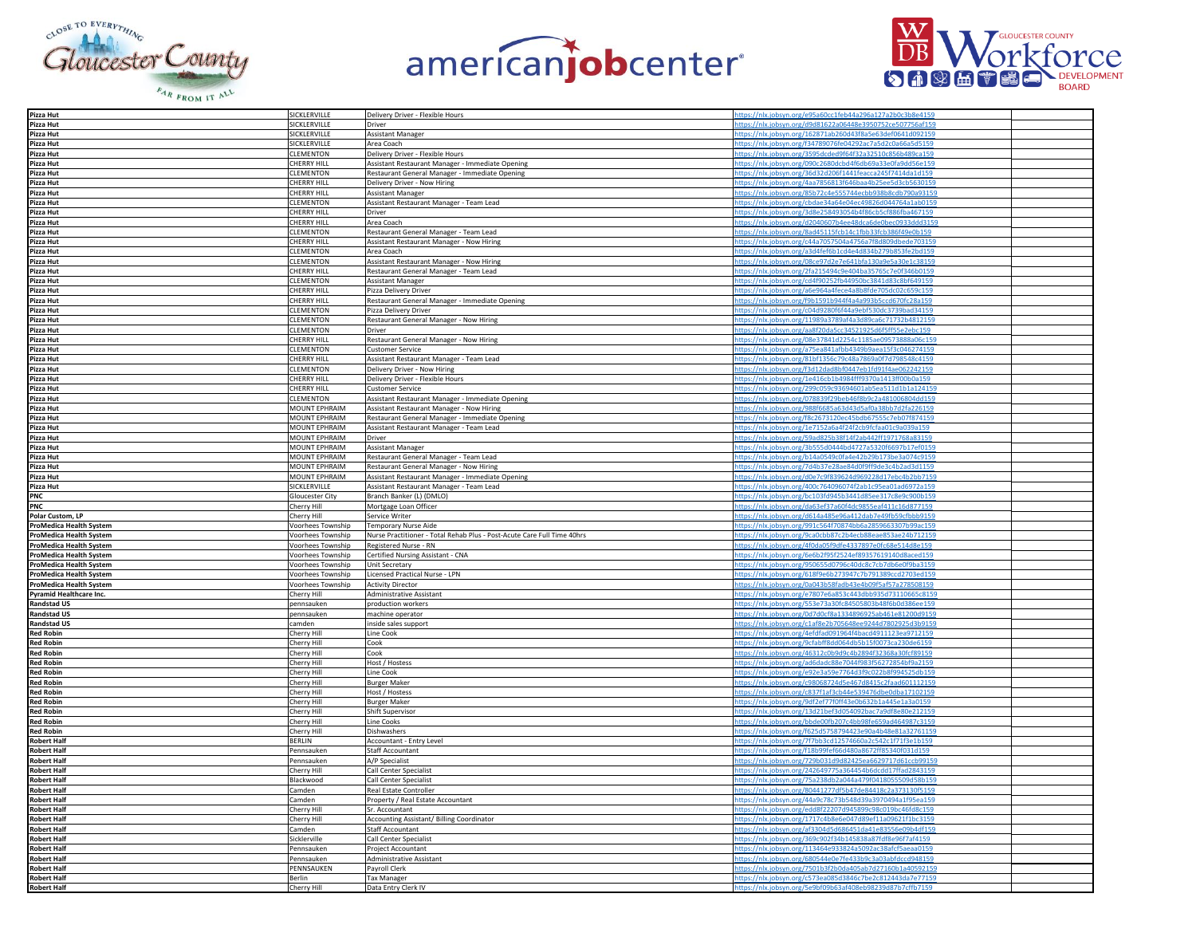





| Pizza Hut                           | SICKLERVILLE       | Delivery Driver - Flexible Hours                                        | https://nlx.jobsyn.org/e95a60cc1feb44a296a127a2b0c3b8e4159 |  |
|-------------------------------------|--------------------|-------------------------------------------------------------------------|------------------------------------------------------------|--|
| Pizza Hut                           | SICKLERVILLE       | Driver                                                                  | tps://nlx.jobsyn.org/d9d81622a06448e3950752ce507756af159   |  |
|                                     |                    |                                                                         |                                                            |  |
| Pizza Hut                           | SICKLERVILLE       | <b>Assistant Manager</b>                                                | https://nlx.jobsyn.org/162871ab260d43f8a5e63def0641d092159 |  |
| Pizza Hut                           | SICKLERVILLE       | Area Coach                                                              | https://nlx.jobsyn.org/f34789076fe04292ac7a5d2c0a66a5d5159 |  |
| Pizza Hut                           | CLEMENTON          | Delivery Driver - Flexible Hours                                        | https://nlx.jobsyn.org/3595dcded9f64f32a32510c856b489ca159 |  |
| Pizza Hut                           | <b>CHERRY HILL</b> | Assistant Restaurant Manager - Immediate Opening                        | https://nlx.jobsyn.org/090c2680dcbd4f6db69a33e0fa9dd56e159 |  |
| Pizza Hut                           | CLEMENTON          | Restaurant General Manager - Immediate Opening                          | https://nlx.jobsyn.org/36d32d206f1441feacca245f7414da1d159 |  |
| Pizza Hut                           | CHERRY HILL        |                                                                         |                                                            |  |
|                                     |                    | Delivery Driver - Now Hiring                                            | https://nlx.jobsyn.org/4aa7856813f646baa4b25ee5d3cb5630159 |  |
| Pizza Hut                           | CHERRY HILL        | <b>Assistant Manager</b>                                                | https://nlx.jobsyn.org/85b72c4e555744ecbb938b8cdb790a93159 |  |
| Pizza Hut                           | <b>CLEMENTON</b>   | Assistant Restaurant Manager - Team Lead                                | https://nlx.jobsyn.org/cbdae34a64e04ec49826d044764a1ab0159 |  |
| Pizza Hut                           | <b>CHERRY HILL</b> | Driver                                                                  | https://nlx.jobsyn.org/3d8e258493054b4f86cb5cf886fba467159 |  |
| Pizza Hut                           | <b>CHERRY HILL</b> | Area Coach                                                              | https://nlx.jobsyn.org/d2040607b4ee48dca6de0bec0933ddd3159 |  |
|                                     | CLEMENTON          |                                                                         |                                                            |  |
| Pizza Hut                           |                    | Restaurant General Manager - Team Lead                                  | https://nlx.jobsyn.org/8ad45115fcb14c1fbb33fcb386f49e0b159 |  |
| Pizza Hut                           | <b>CHERRY HILL</b> | Assistant Restaurant Manager - Now Hiring                               | https://nlx.jobsyn.org/c44a7057504a4756a7f8d809dbede703159 |  |
| Pizza Hut                           | <b>CLEMENTON</b>   | Area Coach                                                              | https://nlx.jobsyn.org/a3d4fef6b1cd4e4d834b279b853fe2bd159 |  |
| Pizza Hut                           | CLEMENTON          | Assistant Restaurant Manager - Now Hiring                               | ttps://nlx.jobsyn.org/08ce97d2e7e641bfa130a9e5a30e1c38159  |  |
| Pizza Hut                           | <b>CHERRY HILL</b> | Restaurant General Manager - Team Lead                                  | https://nlx.jobsyn.org/2fa215494c9e404ba35765c7e0f346b0159 |  |
| Pizza Hut                           | <b>CLEMENTON</b>   |                                                                         | https://nlx.jobsyn.org/cd4f90252fb44950bc3841d83c8bf649159 |  |
|                                     |                    | <b>Assistant Manager</b>                                                |                                                            |  |
| Pizza Hut<br>Pizza Hut              | <b>CHERRY HILL</b> | Pizza Delivery Driver                                                   | https://nlx.jobsyn.org/a6e964a4fece4a8b8fde705dc02c659c159 |  |
|                                     | <b>CHERRY HILL</b> | Restaurant General Manager - Immediate Opening                          | https://nlx.jobsyn.org/f9b1591b944f4a4a993b5ccd670fc28a159 |  |
| Pizza Hut                           | CLEMENTON          | Pizza Delivery Driver                                                   | https://nlx.jobsyn.org/c04d9280f6f44a9ebf530dc3739bad34159 |  |
| Pizza Hut                           | <b>CLEMENTON</b>   | Restaurant General Manager - Now Hiring                                 | https://nlx.jobsyn.org/11989a3789af4a3d89ca6c71732b4812159 |  |
| Pizza Hut                           | CLEMENTON          | Driver                                                                  | https://nlx.jobsyn.org/aa8f20da5cc34521925d6f5ff55e2ebc159 |  |
|                                     |                    |                                                                         |                                                            |  |
| Pizza Hut                           | <b>CHERRY HILL</b> | Restaurant General Manager - Now Hiring                                 | https://nlx.jobsyn.org/08e37841d2254c1185ae09573888a06c159 |  |
| Pizza Hut                           | CLEMENTON          | <b>Customer Service</b>                                                 | https://nlx.jobsyn.org/a75ea841afbb4349b9aea15f3c046274159 |  |
|                                     | <b>CHERRY HILL</b> | Assistant Restaurant Manager - Team Lead                                | https://nlx.jobsyn.org/81bf1356c79c48a7869a0f7d798548c4159 |  |
| Pizza Hut<br>Pizza Hut              | CLEMENTON          | Delivery Driver - Now Hiring                                            | https://nlx.jobsyn.org/f3d12dad8bf0447eb1fd91f4ae062242159 |  |
| Pizza Hut                           | <b>CHERRY HILL</b> | Delivery Driver - Flexible Hours                                        | https://nlx.jobsyn.org/1e416cb1b4984fff9370a1413ff00b0a159 |  |
|                                     | CHERRY HILL        |                                                                         |                                                            |  |
| Pizza Hut                           |                    | <b>Customer Service</b>                                                 | https://nlx.jobsyn.org/299c059c93694601ab5ea511d1b1a124159 |  |
| Pizza Hut                           | CLEMENTON          | Assistant Restaurant Manager - Immediate Opening                        | https://nlx.jobsyn.org/078839f29beb46f8b9c2a481006804dd159 |  |
| Pizza Hut                           | MOUNT EPHRAIM      | Assistant Restaurant Manager - Now Hiring                               | https://nlx.jobsyn.org/988f6685a63d43d5af0a38bb7d2fa226159 |  |
| Pizza Hut                           | MOUNT EPHRAIM      | Restaurant General Manager - Immediate Opening                          | https://nlx.jobsyn.org/f8c2673120ec45bdb67555c7eb07f874159 |  |
|                                     | MOUNT EPHRAIM      | Assistant Restaurant Manager - Team Lead                                | https://nlx.jobsyn.org/1e7152a6a4f24f2cb9fcfaa01c9a039a159 |  |
| Pizza Hut<br>Pizza Hut              |                    |                                                                         |                                                            |  |
|                                     | MOUNT EPHRAIM      | Driver                                                                  | https://nlx.jobsyn.org/59ad825b38f14f2ab442ff1971768a83159 |  |
| Pizza Hut                           | MOUNT EPHRAIM      | <b>Assistant Manager</b>                                                | https://nlx.jobsyn.org/3b555d0444bd4727a5320f6697b17ef0159 |  |
| Pizza Hut                           | MOUNT EPHRAIM      | Restaurant General Manager - Team Lead                                  | https://nlx.jobsyn.org/b14a0549c0fa4e42b29b173be3a074c9159 |  |
| Pizza Hut                           | MOUNT EPHRAIM      | Restaurant General Manager - Now Hiring                                 | https://nlx.jobsyn.org/7d4b37e28ae84d0f9ff9de3c4b2ad3d1159 |  |
| Pizza Hut                           | MOUNT EPHRAIM      | Assistant Restaurant Manager - Immediate Opening                        | https://nlx.jobsyn.org/d0e7c9f839624d969228d17ebc4b2bb7159 |  |
|                                     |                    |                                                                         |                                                            |  |
| Pizza Hut                           | SICKLERVILLE       | Assistant Restaurant Manager - Team Lead                                | https://nlx.jobsyn.org/400c764096074f2ab1c95ea01ad6972a159 |  |
| PNC<br>PNC                          | Gloucester City    | Branch Banker (L) (DMLO)                                                | https://nlx.jobsyn.org/bc103fd945b3441d85ee317c8e9c900b159 |  |
|                                     | Cherry Hill        | Mortgage Loan Officer                                                   | https://nlx.jobsyn.org/da63ef37a60f4dc9855eaf411c16d877159 |  |
| Polar Custom, LP                    | Cherry Hill        | Service Writer                                                          | https://nlx.jobsyn.org/d614a485e96a412dab7e49fb59cfbbb9159 |  |
| ProMedica Health System             | Voorhees Township  |                                                                         | https://nlx.jobsyn.org/991c564f70874bb6a2859663307b99ac159 |  |
|                                     |                    | Temporary Nurse Aide                                                    |                                                            |  |
| ProMedica Health System             | Voorhees Township  | Nurse Practitioner - Total Rehab Plus - Post-Acute Care Full Time 40hrs | https://nlx.jobsyn.org/9ca0cbb87c2b4ecb88eae853ae24b712159 |  |
| ProMedica Health System             | Voorhees Township  | Registered Nurse - RN                                                   | https://nlx.jobsyn.org/4f0da05f9dfe4337897e0fc68e514d8e159 |  |
| <b>ProMedica Health System</b>      | Voorhees Township  | Certified Nursing Assistant - CNA                                       | https://nlx.jobsyn.org/6e6b2f95f2524ef89357619140d8aced159 |  |
| ProMedica Health System             | Voorhees Township  | <b>Unit Secretary</b>                                                   | https://nlx.jobsyn.org/950655d0796c40dc8c7cb7db6e0f9ba3159 |  |
| <b>ProMedica Health System</b>      | Voorhees Township  | Licensed Practical Nurse - LPN                                          | https://nlx.jobsyn.org/618f9e6b273947c7b791389ccd2703ed159 |  |
|                                     |                    |                                                                         |                                                            |  |
| ProMedica Health System             | Voorhees Township  | <b>Activity Director</b>                                                | https://nlx.jobsyn.org/0a043b58fadb43e4b09f5af57a278508159 |  |
| Pyramid Healthcare Inc.             | Cherry Hill        | Administrative Assistant                                                | https://nlx.jobsyn.org/e7807e6a853c443dbb935d73110665c8159 |  |
| <b>Randstad US</b>                  | pennsauken         | production workers                                                      | https://nlx.jobsyn.org/553e73a30fc84505803b48f6b0d386ee159 |  |
| <b>Randstad US</b>                  | pennsauken         | machine operator                                                        | https://nlx.jobsyn.org/0d7d0cf8a1334896925ab461e81200d9159 |  |
| <b>Randstad US</b>                  | camden             | inside sales support                                                    | https://nlx.jobsyn.org/c1af8e2b705648ee9244d7802925d3b9159 |  |
|                                     | Cherry Hill        | Line Cook                                                               | https://nlx.jobsyn.org/4efdfad091964f4bacd4911123ea9712159 |  |
| <b>Red Robin<br/>Red Robin</b>      |                    |                                                                         |                                                            |  |
|                                     | Cherry Hill        | Cook                                                                    | https://nlx.jobsyn.org/9cfabff8dd064db5b15f0073ca230de6159 |  |
| <b>Red Robin</b>                    | Cherry Hill        | Cook                                                                    | https://nlx.jobsyn.org/46312c0b9d9c4b2894f32368a30fcf89159 |  |
| <b>Red Robin</b>                    | Cherry Hill        | Host / Hostess                                                          | https://nlx.jobsyn.org/ad6dadc88e7044f983f56272854bf9a2159 |  |
| <b>Red Robin</b>                    | Cherry Hill        | Line Cook                                                               | nttps://nlx.jobsyn.org/e92e3a59e7764d3f9c022b8f994525db159 |  |
| <b>Red Robin</b>                    | Cherry Hill        | <b>Burger Maker</b>                                                     | https://nlx.jobsyn.org/c98068724d5e467d8415c2faad601112159 |  |
| <b>Red Robin</b>                    |                    | Host / Hostess                                                          | https://nlx.jobsyn.org/c837f1af3cb44e539476dbe0dba17102159 |  |
|                                     | Cherry Hill        |                                                                         |                                                            |  |
| Red Robin<br>Red Robin<br>Red Robin | Cherry Hill        | <b>Burger Maker</b>                                                     | https://nlx.jobsyn.org/9df2ef77f0ff43e0b632b1a445e1a3a0159 |  |
|                                     | Cherry Hill        | Shift Supervisor                                                        | https://nlx.jobsyn.org/13d21bef3d054092bac7a9df8e80e212159 |  |
|                                     | Cherry Hill        | Line Cooks                                                              | https://nlx.jobsyn.org/bbde00fb207c4bb98fe659ad464987c3159 |  |
| <b>Red Robin</b>                    | Cherry Hill        | Dishwashers                                                             | https://nlx.jobsyn.org/f625d5758794423e90a4b48e81a32761159 |  |
| <b>Robert Half</b>                  | <b>BERLIN</b>      | Accountant - Entry Level                                                | https://nlx.jobsyn.org/7f7bb3cd12574660a2c542c1f71f3e1b159 |  |
|                                     |                    |                                                                         |                                                            |  |
| <b>Robert Half</b>                  | Pennsauken         | <b>Staff Accountant</b>                                                 | https://nlx.jobsyn.org/f18b99fef66d480a8672ff85340f031d159 |  |
| <b>Robert Half</b>                  | Pennsauker         | A/P Specialist                                                          | https://nlx.jobsyn.org/729b031d9d82425ea6629717d61ccb99159 |  |
| <b>Robert Half</b>                  | Cherry Hill        | Call Center Specialist                                                  | https://nlx.jobsyn.org/242649775a364454b6dcdd17ffad2843159 |  |
| <b>Robert Half</b>                  | Blackwood          | Call Center Specialist                                                  | https://nlx.jobsyn.org/75a238db2a044a479f0418055509d58b159 |  |
| <b>Robert Half</b>                  | Camden             | Real Estate Controller                                                  | https://nlx.jobsyn.org/80441277df5b47de84418c2a373130f5159 |  |
| <b>Robert Half</b>                  | Camden             |                                                                         | https://nlx.jobsyn.org/44a9c78c73b548d39a3970494a1f95ea159 |  |
|                                     |                    | Property / Real Estate Accountant                                       |                                                            |  |
| <b>Robert Half</b>                  | Cherry Hill        | Sr. Accountant                                                          | https://nlx.jobsyn.org/edd8f22207d945899c98c019bc46fd8c159 |  |
| <b>Robert Half</b>                  | Cherry Hill        | Accounting Assistant/ Billing Coordinator                               | https://nlx.jobsyn.org/1717c4b8e6e047d89ef11a09621f1bc3159 |  |
| <b>Robert Half</b>                  | Camden             | <b>Staff Accountant</b>                                                 | https://nlx.jobsyn.org/af3304d5d686451da41e83556e09b4df159 |  |
| <b>Robert Half</b>                  | Sicklerville       | Call Center Specialist                                                  | https://nlx.jobsyn.org/369c902f34b145838a87fdf8e96f7af4159 |  |
| <b>Robert Half</b>                  | Pennsauken         | <b>Project Accountant</b>                                               | https://nlx.jobsyn.org/113464e933824a5092ac38afcf5aeaa0159 |  |
|                                     |                    |                                                                         |                                                            |  |
| <b>Robert Half</b>                  | Pennsauken         | Administrative Assistant                                                | https://nlx.jobsyn.org/680544e0e7fe433b9c3a03abfdccd948159 |  |
| <b>Robert Half</b>                  | PENNSAUKEN         | Payroll Clerk                                                           | https://nlx.jobsyn.org/7501b3f2b0da405ab7d27160b1a40592159 |  |
| <b>Robert Half</b>                  | <b>Berlin</b>      | <b>Tax Manager</b>                                                      | https://nlx.jobsyn.org/c573ea085d3846c7be2c812443da7e77159 |  |
| <b>Robert Half</b>                  | Cherry Hill        | Data Entry Clerk IV                                                     | https://nlx.jobsyn.org/5e9bf09b63af408eb98239d87b7cffb7159 |  |
|                                     |                    |                                                                         |                                                            |  |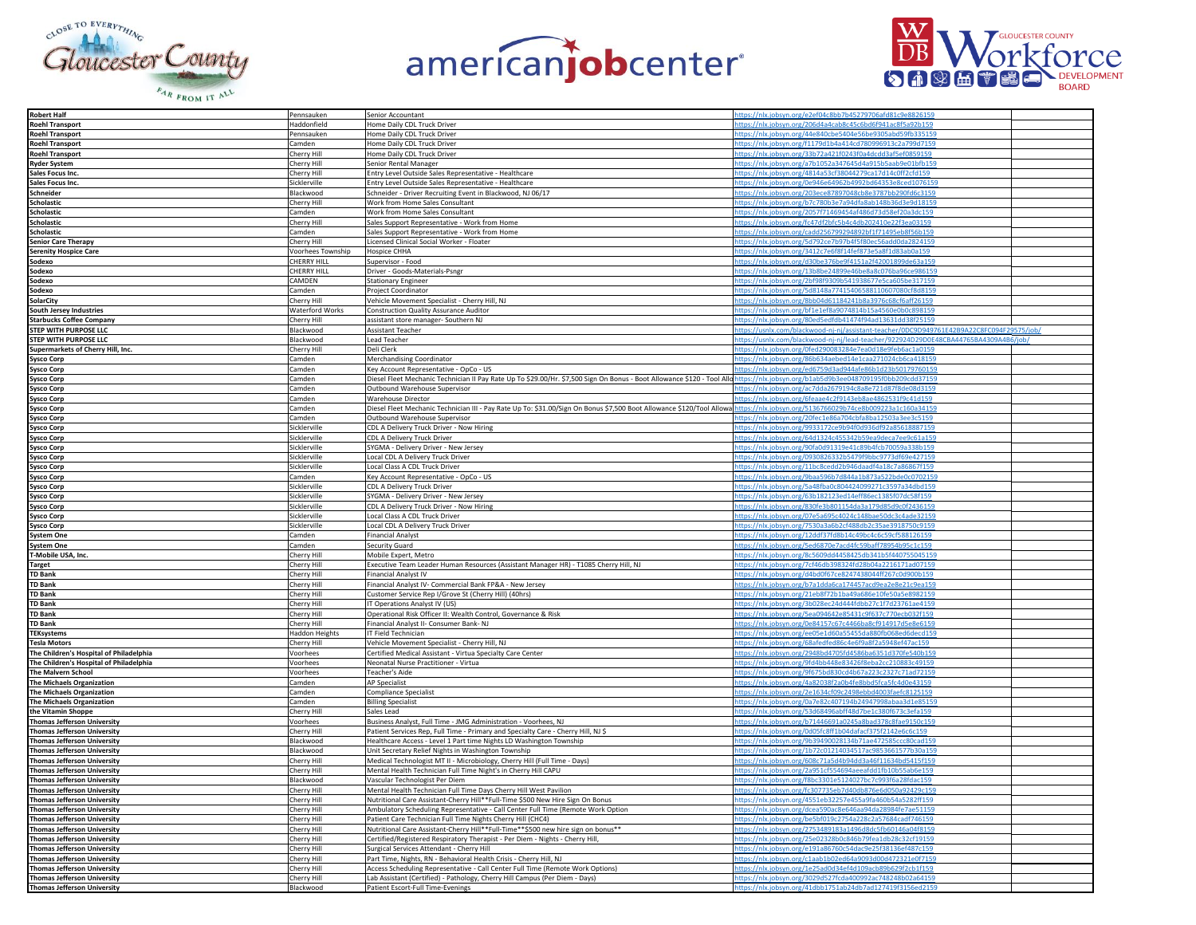







| <b>Robert Half</b>                      | Pennsauken        | Senior Accountant                                                                                                                                                                 | ttps://nlx.jobsyn.org/e2ef04c8bb7b45279706afd81c9e8826159                               |  |
|-----------------------------------------|-------------------|-----------------------------------------------------------------------------------------------------------------------------------------------------------------------------------|-----------------------------------------------------------------------------------------|--|
| <b>Roehl Transport</b>                  | Haddonfield       | Home Daily CDL Truck Driver                                                                                                                                                       | tps://nlx.jobsyn.org/206d4a4cab8c45c6bd6f941ac8f5a92b159                                |  |
| <b>Roehl Transport</b>                  | Pennsauken        | Home Daily CDL Truck Driver                                                                                                                                                       | tps://nlx.jobsyn.org/44e840cbe5404e56be9305abd59fb33515                                 |  |
| <b>Roehl Transport</b>                  | Camden            | Home Daily CDL Truck Driver                                                                                                                                                       | ttps://nlx.jobsyn.org/f1179d1b4a414cd780996913c2a799d7159                               |  |
| <b>Roehl Transport</b>                  | Cherry Hill       | Home Daily CDL Truck Driver                                                                                                                                                       | ttps://nlx.jobsyn.org/33b72a421f0243f0a4dcdd3af5ef0859159                               |  |
| Ryder System                            | Cherry Hill       | Senior Rental Manager                                                                                                                                                             | ttps://nlx.jobsyn.org/a7b1052a347645d4a915b5aab9e01bfb159                               |  |
| Sales Focus Inc.                        | Cherry Hill       | Entry Level Outside Sales Representative - Healthcare                                                                                                                             | ttps://nlx.jobsyn.org/4814a53cf38044279ca17d14c0ff2cfd159                               |  |
| Sales Focus Inc.                        | Sicklerville      | Entry Level Outside Sales Representative - Healthcare                                                                                                                             | tps://nlx.jobsyn.org/0e946e64962b4992bd64353e8ced1076159                                |  |
| Schneider                               | Blackwood         | Schneider - Driver Recruiting Event in Blackwood, NJ 06/17                                                                                                                        | ttps://nlx.jobsyn.org/203ece87897048cb8e3787bb290fd6c3159                               |  |
| <b>Scholastic</b>                       | Cherry Hill       | Work from Home Sales Consultant                                                                                                                                                   | tps://nlx.jobsyn.org/b7c780b3e7a94dfa8ab148b36d3e9d18159                                |  |
| Scholastic                              | Camden            | Work from Home Sales Consultant                                                                                                                                                   | ttps://nlx.jobsyn.org/2057f71469454af486d73d58ef20a3dc159                               |  |
| <b>Scholastic</b>                       | Cherry Hill       | Sales Support Representative - Work from Home                                                                                                                                     | ttps://nlx.jobsyn.org/fc47df2bfc5b4c4db202410e22f3ea03159                               |  |
| <b>Scholastic</b>                       | Camden            | Sales Support Representative - Work from Home                                                                                                                                     | https://nlx.jobsyn.org/cadd256799294892bf1f71495eb8f56b159                              |  |
| <b>Senior Care Therapy</b>              | Cherry Hill       | Licensed Clinical Social Worker - Floater                                                                                                                                         | ttps://nlx.jobsyn.org/5d792ce7b97b4f5f80ec56add0da2824159                               |  |
| <b>Serenity Hospice Care</b>            | Voorhees Township | <b>Hospice CHHA</b>                                                                                                                                                               | ttps://nlx.jobsyn.org/3412c7e6f8f14fef873e5a8f1d83ab0a159                               |  |
| Sodexo                                  | CHERRY HILL       | Supervisor - Food                                                                                                                                                                 | ttps://nlx.jobsyn.org/d30be376be9f4151a2f42001899de63a159                               |  |
| Sodexo                                  | CHERRY HILI       | Driver - Goods-Materials-Psngr                                                                                                                                                    | ttps://nlx.jobsyn.org/13b8be24899e46be8a8c076ba96ce986159                               |  |
| Sodexo                                  | CAMDEN            | <b>Stationary Engineer</b>                                                                                                                                                        | ttps://nlx.jobsyn.org/2bf98f9309b541938677e5ca605be317159                               |  |
| Sodexo                                  | Camden            | Project Coordinator                                                                                                                                                               | ttps://nlx.jobsyn.org/5d8148a77415406588110607080cf8d8159                               |  |
| <b>SolarCity</b>                        | Cherry Hill       | Vehicle Movement Specialist - Cherry Hill, NJ                                                                                                                                     | ttps://nlx.jobsyn.org/8bb04d61184241b8a3976c68cf6aff26159                               |  |
| South Jersey Industries                 | Waterford Works   | <b>Construction Quality Assurance Auditor</b>                                                                                                                                     | ttps://nlx.jobsyn.org/bf1e1ef8a9074814b15a4560e0b0c898159                               |  |
| <b>Starbucks Coffee Company</b>         | Cherry Hill       | assistant store manager- Southern NJ                                                                                                                                              | ttps://nlx.jobsyn.org/80ed5edfdb41474f94ad13631dd38f25159                               |  |
| <b>STEP WITH PURPOSE LLC</b>            | Blackwood         | <b>Assistant Teacher</b>                                                                                                                                                          | tps://usnlx.com/blackwood-nj-nj/assistant-teacher/0DC9D949761E42B9A22C8FC094F29575/job/ |  |
| STEP WITH PURPOSE LLC                   | Blackwood         | <b>Lead Teacher</b>                                                                                                                                                               | tps://usnlx.com/blackwood-nj-nj/lead-teacher/922924D29D0E48CBA44765BA4309A4B6/job       |  |
| Supermarkets of Cherry Hill, Inc.       | Cherry Hill       | Deli Clerk                                                                                                                                                                        | tps://nlx.jobsyn.org/0fed290083284e7ea0d18e9feb6ac1a0159                                |  |
| Sysco Corp                              | Camden            | <b>Merchandising Coordinator</b>                                                                                                                                                  | ttps://nlx.jobsyn.org/86b634aebed14e1caa271024cb6ca418159                               |  |
| Sysco Corp                              | Camden            | Key Account Representative - OpCo - US                                                                                                                                            | ttps://nlx.jobsyn.org/ed6759d3ad944afe86b1d23b50179760159                               |  |
| Sysco Corp                              | Camden            | Diesel Fleet Mechanic Technician II Pay Rate Up To \$29.00/Hr. \$7,500 Sign On Bonus - Boot Allowance \$120 - Tool Allchttps://nlx.jobsyn.org/b1ab5d9b3ee048709195f0bb209cdd37159 |                                                                                         |  |
| Sysco Corp                              | Camden            | Outbound Warehouse Supervisor                                                                                                                                                     | ttps://nlx.jobsyn.org/ac7dda2679194c8a8e721d87f8de08d3159                               |  |
| Sysco Corp                              | Camden            | <b>Warehouse Director</b>                                                                                                                                                         | tps://nlx.jobsyn.org/6feaae4c2f9143eb8ae4862531f9c41d159                                |  |
| Sysco Corp                              | Camden            | Diesel Fleet Mechanic Technician III - Pay Rate Up To: \$31.00/Sign On Bonus \$7,500 Boot Allowance \$120/Tool Allowa                                                             | ttps://nlx.jobsyn.org/5136766029b74ce8b009223a1c160a34159                               |  |
| Sysco Corp                              | Camden            | Outbound Warehouse Supervisor                                                                                                                                                     | tps://nlx.jobsyn.org/20fec1e86a704cbfa8ba12503a3ee3c5159                                |  |
| Sysco Corp                              | Sicklerville      | CDL A Delivery Truck Driver - Now Hiring                                                                                                                                          | ttps://nlx.jobsyn.org/9933172ce9b94f0d936df92a85618887159                               |  |
| Sysco Corp                              | Sicklerville      | CDL A Delivery Truck Driver                                                                                                                                                       | ttps://nlx.jobsyn.org/64d1324c455342b59ea9deca7ee9c61a159                               |  |
| <b>Sysco Corp</b>                       | Sicklerville      | SYGMA - Delivery Driver - New Jersey                                                                                                                                              | ttps://nlx.jobsyn.org/90fa0d91319e41c89b4fcb70059a338b159                               |  |
| Sysco Corp                              | Sicklerville      | Local CDL A Delivery Truck Driver                                                                                                                                                 | ttps://nlx.jobsyn.org/0930826332b5479f9bbc9773df69e427159                               |  |
| Sysco Corp                              | Sicklerville      | Local Class A CDL Truck Driver                                                                                                                                                    | tps://nlx.jobsyn.org/11bc8cedd2b946daadf4a18c7a86867f159                                |  |
| <b>Sysco Corp</b>                       | Camden            | Key Account Representative - OpCo - US                                                                                                                                            | tps://nlx.jobsyn.org/9baa596b7d844a1b873a522bde0c0702159                                |  |
| <b>Sysco Corp</b>                       | Sicklerville      | CDL A Delivery Truck Driver                                                                                                                                                       | tps://nlx.jobsyn.org/5a48fba0c804424099271c3597a34dbd159                                |  |
| Sysco Corp                              | Sicklerville      | SYGMA - Delivery Driver - New Jersey                                                                                                                                              | ttps://nlx.jobsyn.org/63b182123ed14eff86ec1385f07dc58f159                               |  |
| Sysco Corp                              | Sicklerville      | CDL A Delivery Truck Driver - Now Hiring                                                                                                                                          | ttps://nlx.jobsyn.org/830fe3b801154da3a179d85d9c0f2436159                               |  |
| Sysco Corp                              | Sicklerville      | Local Class A CDL Truck Driver                                                                                                                                                    | ttps://nlx.jobsyn.org/07e5a695c4024c148bae50dc3c4ade32159                               |  |
| Sysco Corp                              | Sicklerville      | Local CDL A Delivery Truck Driver                                                                                                                                                 | ttps://nlx.jobsyn.org/7530a3a6b2cf488db2c35ae3918750c9159                               |  |
| <b>System One</b>                       | Camden            | <b>Financial Analyst</b>                                                                                                                                                          | ttps://nlx.jobsyn.org/12ddf37fd8b14c49bc4c6c59cf588126159                               |  |
| <b>System One</b>                       | Camden            | Security Guard                                                                                                                                                                    | ttps://nlx.jobsyn.org/5ed6870e7acd4fc59baff78954b95c1c159                               |  |
| T-Mobile USA, Inc.                      | Cherry Hill       | Mobile Expert, Metro                                                                                                                                                              | ttps://nlx.jobsyn.org/8c5609dd4458425db341b5f440755045159                               |  |
| Target                                  | Cherry Hill       | Executive Team Leader Human Resources (Assistant Manager HR) - T1085 Cherry Hill, NJ                                                                                              | ttps://nlx.jobsyn.org/7cf46db398324fd28b04a2216171ad07159                               |  |
| <b>TD Bank</b>                          | Cherry Hill       | <b>Financial Analyst IV</b>                                                                                                                                                       | ttps://nlx.jobsyn.org/d4bd0f67ce8247438044ff267c0d900b159                               |  |
| <b>TD Bank</b>                          | Cherry Hill       | Financial Analyst IV- Commercial Bank FP&A - New Jersey                                                                                                                           | ttps://nlx.jobsyn.org/b7a1dda6ca174457acd9ea2e8e21c9ea159                               |  |
| <b>TD Bank</b>                          | Cherry Hill       | Customer Service Rep I/Grove St (Cherry Hill) (40hrs)                                                                                                                             | https://nlx.jobsyn.org/21eb8f72b1ba49a686e10fe50a5e8982159                              |  |
| <b>TD Bank</b>                          | Cherry Hill       | IT Operations Analyst IV (US)                                                                                                                                                     | ttps://nlx.jobsyn.org/3b028ec24d444fdbb27c1f7d23761ae4159                               |  |
| <b>TD Bank</b>                          | Cherry Hill       | Operational Risk Officer II: Wealth Control, Governance & Risk                                                                                                                    | tps://nlx.jobsyn.org/5ea094642e85431c9f637c770ecb032f159                                |  |
| <b>TD Bank</b>                          | Cherry Hill       | Financial Analyst II- Consumer Bank-NJ                                                                                                                                            | tps://nlx.jobsyn.org/0e84157c67c4466ba8cf914917d5e8e6159                                |  |
| <b>TEKsystems</b>                       | Haddon Heights    | <b>IT Field Technician</b>                                                                                                                                                        | tps://nlx.jobsyn.org/ee05e1d60a55455da880fb068ed6decd159                                |  |
| <b>Tesla Motors</b>                     | Cherry Hill       | Vehicle Movement Specialist - Cherry Hill, NJ                                                                                                                                     | ttps://nlx.jobsyn.org/68afedfed86c4e6f9a8f2a5948ef47ac159                               |  |
| The Children's Hospital of Philadelphia | Voorhees          | Certified Medical Assistant - Virtua Specialty Care Center                                                                                                                        | ttps://nlx.jobsyn.org/2948bd4705fd4586ba6351d370fe540b159                               |  |
| The Children's Hospital of Philadelphia | Voorhees          | Neonatal Nurse Practitioner - Virtua                                                                                                                                              | ttps://nlx.jobsyn.org/9fd4bb448e83426f8eba2cc210883c49159                               |  |
| The Malvern School                      | Voorhees          | Teacher's Aide                                                                                                                                                                    | ttps://nlx.jobsyn.org/9f675bd830cd4b67a223c2327c71ad72159                               |  |
| The Michaels Organization               | Camden            | AP Specialist                                                                                                                                                                     | ttps://nlx.jobsyn.org/4a82038f2a0b4fe8bbd5fca5fc4d0e43159                               |  |
| <b>The Michaels Organization</b>        | Camden            | Compliance Specialist                                                                                                                                                             | tps://nlx.jobsyn.org/2e1634cf09c2498ebbd4003faefc8125159                                |  |
| The Michaels Organization               | Camden            | <b>Billing Specialist</b>                                                                                                                                                         | ttps://nlx.jobsyn.org/0a7e82c407194b24947998abaa3d1e85159                               |  |
| the Vitamin Shoppe                      | Cherry Hill       | Sales Lead                                                                                                                                                                        | ttps://nlx.jobsyn.org/53d68496abff48d7be1c380f673c3efa159                               |  |
| <b>Thomas Jefferson University</b>      | Voorhees          | Business Analyst, Full Time - JMG Administration - Voorhees, NJ                                                                                                                   | ttps://nlx.jobsyn.org/b71446691a0245a8bad378c8fae9150c159                               |  |
| <b>Thomas Jefferson University</b>      | Cherry Hill       | Patient Services Rep, Full Time - Primary and Specialty Care - Cherry Hill, NJ \$                                                                                                 | ttps://nlx.jobsyn.org/0d05fc8ff1b04dafacf375f2142e6c6c159                               |  |
| Thomas Jefferson University             | Blackwood         | Healthcare Access - Level 1 Part time Nights LD Washington Township                                                                                                               | ttps://nlx.jobsyn.org/9b39490028134b71ae472585ccc80cad159                               |  |
| <b>Thomas Jefferson University</b>      | Blackwood         | Unit Secretary Relief Nights in Washington Township                                                                                                                               | ttps://nlx.jobsyn.org/1b72c01214034517ac9853661577b30a159                               |  |
| <b>Thomas Jefferson University</b>      | Cherry Hill       | Medical Technologist MT II - Microbiology, Cherry Hill (Full Time - Days)                                                                                                         | tps://nlx.jobsyn.org/608c71a5d4b94dd3a46f11634bd5415f159                                |  |
| <b>Thomas Jefferson University</b>      | Cherry Hill       | Mental Health Technician Full Time Night's in Cherry Hill CAPU                                                                                                                    | ttps://nlx.jobsyn.org/2a951cf554694aeeafdd1fb10b55ab6e159                               |  |
| <b>Thomas Jefferson University</b>      | Blackwood         | Vascular Technologist Per Diem                                                                                                                                                    | ttps://nlx.jobsyn.org/f8bc3301e5124027bc7c993f6a28fdac159                               |  |
| <b>Thomas Jefferson University</b>      | Cherry Hill       | Mental Health Technician Full Time Days Cherry Hill West Pavilion                                                                                                                 | ttps://nlx.jobsyn.org/fc307735eb7d40db876e6d050a92429c159                               |  |
| <b>Thomas Jefferson University</b>      | Cherry Hill       | Nutritional Care Assistant-Cherry Hill**Full-Time \$500 New Hire Sign On Bonus                                                                                                    | ttps://nlx.jobsyn.org/4551eb32257e455a9fa460b54a5282ff159                               |  |
| <b>Thomas Jefferson University</b>      | Cherry Hill       | Ambulatory Scheduling Representative - Call Center Full Time (Remote Work Option                                                                                                  | https://nlx.jobsyn.org/dcea590ac8e646aa94da28984fe7ae51159                              |  |
| <b>Thomas Jefferson University</b>      | Cherry Hill       | Patient Care Technician Full Time Nights Cherry Hill (CHC4)                                                                                                                       | ttps://nlx.jobsyn.org/be5bf019c2754a228c2a57684cadf746159                               |  |
| <b>Thomas Jefferson University</b>      | Cherry Hill       | Nutritional Care Assistant-Cherry Hill**Full-Time**\$500 new hire sign on bonus**                                                                                                 | ttps://nlx.jobsyn.org/2753489183a1496d8dc5fb60146a04f8159                               |  |
| <b>Thomas Jefferson University</b>      | Cherry Hill       | Certified/Registered Respiratory Therapist - Per Diem - Nights - Cherry Hill,                                                                                                     | ttps://nlx.jobsyn.org/25e02328b0c846b79fea1db28c32cf19159                               |  |
| <b>Thomas Jefferson University</b>      | Cherry Hill       | Surgical Services Attendant - Cherry Hill                                                                                                                                         | ttps://nlx.jobsyn.org/e191a86760c54dac9e25f38136ef487c159                               |  |
| <b>Thomas Jefferson University</b>      | Cherry Hill       | Part Time, Nights, RN - Behavioral Health Crisis - Cherry Hill, NJ                                                                                                                | nlx.jobsyn.org/c1aab1b02ed64a9093d00d472321e0f71                                        |  |
| <b>Thomas Jefferson University</b>      | Cherry Hill       | Access Scheduling Representative - Call Center Full Time (Remote Work Options)                                                                                                    | ttps://nlx.jobsyn.org/1e25ad0d34ef4d109acb89b629f2cb1f159                               |  |
| <b>Thomas Jefferson University</b>      | Cherry Hill       | Lab Assistant (Certified) - Pathology, Cherry Hill Campus (Per Diem - Days)                                                                                                       | ttps://nlx.jobsyn.org/3029d527fcda400992ac748248b02a64159                               |  |
| <b>Thomas Jefferson University</b>      | Blackwood         | Patient Escort-Full Time-Evenings                                                                                                                                                 | https://nlx.jobsyn.org/41dbb1751ab24db7ad127419f3156ed2159                              |  |
|                                         |                   |                                                                                                                                                                                   |                                                                                         |  |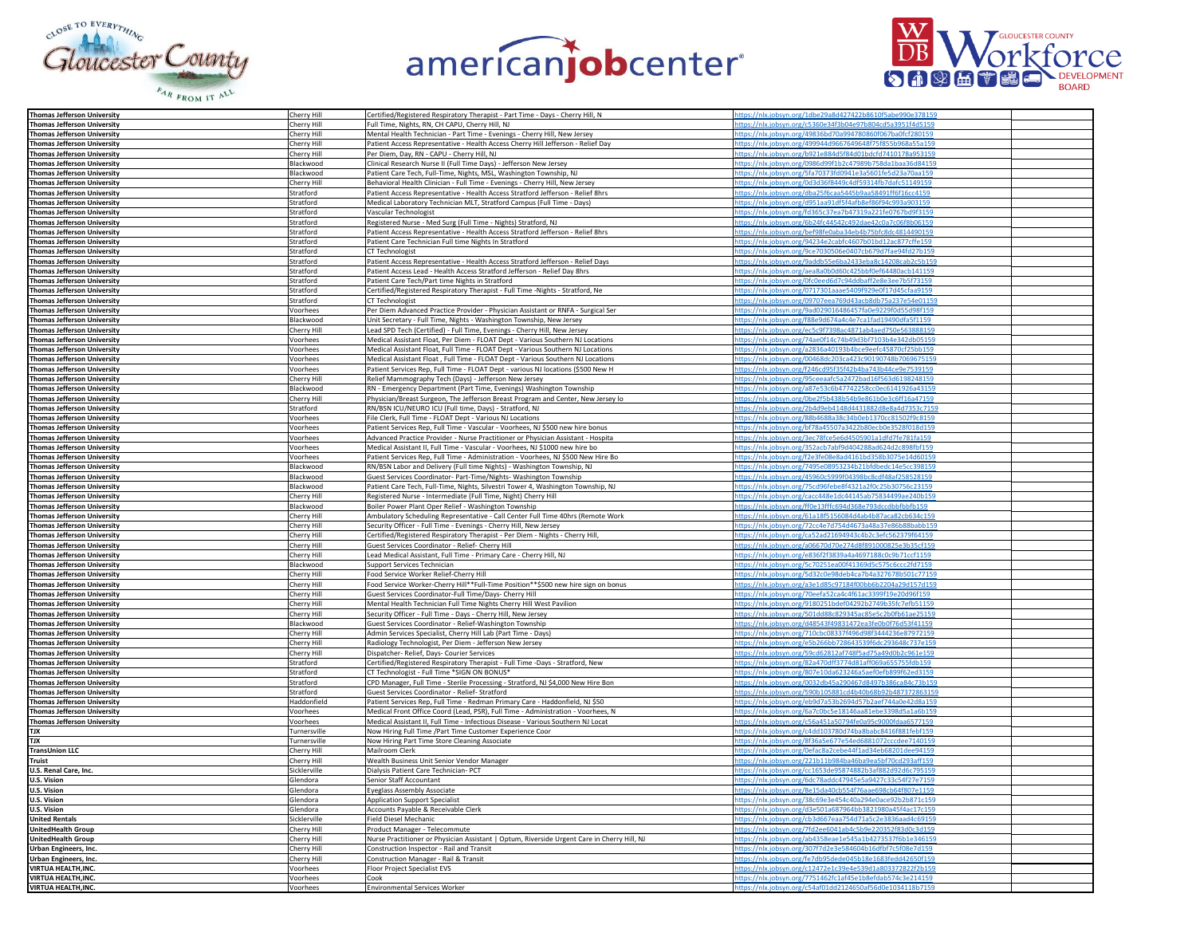





| Thomas Jefferson University<br>Cherry Hill<br>https://nlx.jobsyn.org/1dbe29a8d427422b8610f5abe990e378159<br>Certified/Registered Respiratory Therapist - Part Time - Days - Cherry Hill, N<br>https://nlx.jobsyn.org/c5360e34f3b04e97b804cd5a3951f4d5159<br><b>Thomas Jefferson University</b><br>Cherry Hill<br>Full Time, Nights, RN, CH CAPU, Cherry Hill, NJ<br>Mental Health Technician - Part Time - Evenings - Cherry Hill, New Jersey<br>ttps://nlx.jobsyn.org/49836bd70a994780860f067ba0fcf280159<br><b>Thomas Jefferson University</b><br>Cherry Hill<br><b>Thomas Jefferson University</b><br>Cherry Hill<br>Patient Access Representative - Health Access Cherry Hill Jefferson - Relief Day<br>ttps://nlx.jobsyn.org/499944d9667649648f75f855b968a55a159<br><b>Thomas Jefferson University</b><br>Cherry Hill<br>Per Diem, Day, RN - CAPU - Cherry Hill, NJ<br>https://nlx.jobsyn.org/b921e884d5f84d01bdcfd7410178a953159<br>Clinical Research Nurse II (Full Time Days) - Jefferson New Jersey<br>https://nlx.jobsyn.org/0986d99f1b2c47989b758da1baa36d84159<br><b>Thomas Jefferson University</b><br>Blackwood<br>Patient Care Tech, Full-Time, Nights, MSL, Washington Township, NJ<br>https://nlx.jobsyn.org/5fa70373fd0941e3a5601fe5d23a70aa159<br><b>Thomas Jefferson University</b><br>Blackwood<br>Behavioral Health Clinician - Full Time - Evenings - Cherry Hill, New Jersey<br>https://nlx.jobsyn.org/0d3d36f8449c4df59314fb7dafc51149159<br><b>Thomas Jefferson University</b><br>Cherry Hill<br>https://nlx.jobsyn.org/dba25f6caa5445b9aa58491ff6f16cc4159<br><b>Thomas Jefferson University</b><br>Stratford<br>Patient Access Representative - Health Access Stratford Jefferson - Relief 8hrs<br>Stratford<br>Medical Laboratory Technician MLT, Stratford Campus (Full Time - Days)<br>https://nlx.jobsyn.org/d951aa91df5f4afb8ef86f94c993a903159<br><b>Thomas Jefferson University</b><br><b>Thomas Jefferson University</b><br>Stratford<br>Vascular Technologist<br>ttps://nlx.jobsyn.org/fd365c37ea7b47319a221fe0767bd9f3159<br>Stratford<br>Registered Nurse - Med Surg (Full Time - Nights) Stratford, NJ<br>ttps://nlx.jobsyn.org/6b24fc44542c492dae42c0a7c06f8b06159<br><b>Thomas Jefferson University</b><br>https://nlx.jobsyn.org/bef98fe0aba34eb4b75bfc8dc4814490159<br>Patient Access Representative - Health Access Stratford Jefferson - Relief 8hrs<br><b>Thomas Jefferson University</b><br>Stratford<br>Stratford<br>Patient Care Technician Full time Nights In Stratford<br>https://nlx.jobsyn.org/94234e2cabfc4607b01bd12ac877cffe159<br><b>Thomas Jefferson University</b><br>https://nlx.jobsyn.org/9ce7030506e0407cb679d7fae94fd27b159<br><b>Thomas Jefferson University</b><br>Stratford<br>CT Technologist<br>Patient Access Representative - Health Access Stratford Jefferson - Relief Days<br>https://nlx.jobsyn.org/9addb55e6ba2433eba8c14208cab2c5b159<br><b>Thomas Jefferson University</b><br>Stratford<br>Patient Access Lead - Health Access Stratford Jefferson - Relief Day 8hrs<br>https://nlx.jobsyn.org/aea8a0b0d60c425bbf0ef64480acb141159<br>Stratford<br><b>Thomas Jefferson University</b><br><b>Thomas Jefferson University</b><br>Stratford<br>Patient Care Tech/Part time Nights in Stratford<br>https://nlx.jobsyn.org/0fc0eed6d7c94ddbaff2e8e3ee7b5f73159<br>Stratford<br>Certified/Registered Respiratory Therapist - Full Time -Nights - Stratford, Ne<br>nttps://nlx.jobsyn.org/0717301aaae5409f929e0f17d45cfaa9159<br><b>Thomas Jefferson University</b><br>https://nlx.jobsyn.org/09707eea769d43acb8db75a237e54e01159<br><b>Thomas Jefferson University</b><br>Stratford<br><b>CT Technologist</b><br>Per Diem Advanced Practice Provider - Physician Assistant or RNFA - Surgical Ser<br>https://nlx.jobsyn.org/9ad029016486457fa0e9229f0d55d98f159<br><b>Thomas Jefferson University</b><br>Voorhees<br>Unit Secretary - Full Time, Nights - Washington Township, New Jersey<br>https://nlx.jobsyn.org/f88e9d674a4c4e7ca1fad19490dfa5f1159<br><b>Thomas Jefferson University</b><br>Blackwood<br><b>Thomas Jefferson University</b><br>Cherry Hill<br>Lead SPD Tech (Certified) - Full Time, Evenings - Cherry Hill, New Jersey<br>https://nlx.jobsyn.org/ec5c9f7398ac4871ab4aed750e563888159<br>Medical Assistant Float, Per Diem - FLOAT Dept - Various Southern NJ Locations<br>ttps://nlx.jobsyn.org/74ae0f14c74b49d3bf7103b4e342db05159<br>Thomas Jefferson Universitv<br>Voorhees<br><b>Thomas Jefferson University</b><br>Medical Assistant Float, Full Time - FLOAT Dept - Various Southern NJ Locations<br>https://nlx.jobsyn.org/a2836a40193b4bce9eefc45870cf25bb159<br>Voorhees<br><b>Thomas Jefferson University</b><br>Medical Assistant Float, Full Time - FLOAT Dept - Various Southern NJ Locations<br>https://nlx.jobsyn.org/00468dc203ca423c90190748b7069675159<br>Voorhees<br>https://nlx.jobsyn.org/f246cd95f35f42b4ba743b44ce9e7539159<br>Patient Services Rep, Full Time - FLOAT Dept - various NJ locations (\$500 New H<br><b>Thomas Jefferson University</b><br>Voorhees<br>Relief Mammography Tech (Days) - Jefferson New Jersey<br>https://nlx.jobsyn.org/95ceeaafc5a2472bad16f563d6198248159<br><b>Thomas Jefferson University</b><br>Cherry Hill<br>RN - Emergency Department (Part Time, Evenings) Washington Township<br>https://nlx.jobsyn.org/a87e53c6b47742258cc0ec6141926a43159<br><b>Thomas Jefferson University</b><br>Blackwood<br>https://nlx.jobsyn.org/0be2f5b438b54b9e861b0e3c6ff16a47159<br><b>Thomas Jefferson University</b><br>Cherry Hill<br>Physician/Breast Surgeon, The Jefferson Breast Program and Center, New Jersey lo<br>ttps://nlx.jobsyn.org/2b4d9eb4148d4431882d8e8a4d7353c7159<br>Stratford<br>RN/BSN ICU/NEURO ICU (Full time, Days) - Stratford, NJ<br><b>Thomas Jefferson University</b><br>File Clerk, Full Time - FLOAT Dept - Various NJ Locations<br>ttps://nlx.jobsyn.org/88b4688a38c34b0eb1370cc81502f9c8159<br><b>Thomas Jefferson University</b><br>Voorhees<br><b>Thomas Jefferson University</b><br>Patient Services Rep, Full Time - Vascular - Voorhees, NJ \$500 new hire bonus<br>nttps://nlx.jobsyn.org/bf78a45507a3422b80ecb0e3528f018d159<br>Voorhees<br>https://nlx.jobsyn.org/3ec78fce5e6d4505901a1dfd7fe781fa159<br><b>Thomas Jefferson University</b><br>Advanced Practice Provider - Nurse Practitioner or Physician Assistant - Hospita<br>Voorhees<br>https://nlx.jobsyn.org/352acb7abf9d404288ad624d2c898fbf159<br>Voorhees<br>Medical Assistant II, Full Time - Vascular - Voorhees, NJ \$1000 new hire bo<br><b>Thomas Jefferson University</b><br>Patient Services Rep, Full Time - Administration - Voorhees, NJ \$500 New Hire Bo<br>https://nlx.jobsyn.org/f2e3fe08e8ad4161bd358b3075e14d60159<br><b>Thomas Jefferson University</b><br>Voorhees<br>https://nlx.jobsyn.org/7495e08953234b21bfdbedc14e5cc398159<br><b>Thomas Jefferson University</b><br>Blackwood<br>RN/BSN Labor and Delivery (Full time Nights) - Washington Township, NJ<br>ttps://nlx.jobsyn.org/45960c5999f04398bc8cdf48af258528159<br>Blackwood<br>Guest Services Coordinator- Part-Time/Nights- Washington Township<br><b>Thomas Jefferson University</b><br><b>Thomas Jefferson University</b><br>Blackwood<br>Patient Care Tech, Full-Time, Nights, Silvestri Tower 4, Washington Township, NJ<br>https://nlx.jobsyn.org/75cd96febe8f4321a2f0c25b30756c23159<br>Cherry Hill<br>Registered Nurse - Intermediate (Full Time, Night) Cherry Hill<br>ttps://nlx.jobsyn.org/cacc448e1dc44145ab75834499ae240b159<br><b>Thomas Jefferson University</b><br>https://nlx.jobsyn.org/ff0e13fffc694d368e793dccdbbfbbfb159<br>Boiler Power Plant Oper Relief - Washington Township<br><b>Thomas Jefferson University</b><br>Blackwood<br>Ambulatory Scheduling Representative - Call Center Full Time 40hrs (Remote Work<br>https://nlx.jobsyn.org/61a18f5156084d4ab4b87aca82cb634c159<br><b>Thomas Jefferson University</b><br>Cherry Hill<br>https://nlx.jobsyn.org/72cc4e7d754d4673a48a37e86b88babb159<br><b>Thomas Jefferson University</b><br>Cherry Hill<br>Security Officer - Full Time - Evenings - Cherry Hill, New Jersey<br>https://nlx.jobsyn.org/ca52ad21694943c4b2c3efc562379f64159<br><b>Thomas Jefferson University</b><br>Cherry Hill<br>Certified/Registered Respiratory Therapist - Per Diem - Nights - Cherry Hill,<br>https://nlx.jobsyn.org/a06670d70e274d8f891000825e3b35cf159<br>Guest Services Coordinator - Relief- Cherry Hill<br><b>Thomas Jefferson University</b><br>Cherry Hill<br><b>Thomas Jefferson University</b><br>Cherry Hill<br>ead Medical Assistant, Full Time - Primary Care - Cherry Hill, NJ<br>ttps://nlx.jobsyn.org/e836f2f3839a4a4697188c0c9b71ccf1159<br>Blackwood<br>nttps://nlx.jobsyn.org/5c70251ea00f41369d5c575c6ccc2fd7159<br><b>Thomas Jefferson University</b><br>upport Services Technician<br>https://nlx.jobsyn.org/5d32c0e98deb4ca7b4a327678b501c77159<br>Food Service Worker Relief-Cherry Hill<br><b>Thomas Jefferson University</b><br>Cherry Hill<br>Food Service Worker-Cherry Hill**Full-Time Position**\$500 new hire sign on bonus<br>https://nlx.jobsyn.org/a3e1d85c97184f00bb6b2204a29d157d159<br><b>Thomas Jefferson University</b><br>Cherry Hill<br>Guest Services Coordinator-Full Time/Days- Cherry Hill<br>https://nlx.jobsyn.org/70eefa52ca4c4f61ac3399f19e20d96f159<br><b>Thomas Jefferson University</b><br>Cherry Hill<br><b>Thomas Jefferson University</b><br>Cherry Hill<br>Mental Health Technician Full Time Nights Cherry Hill West Pavilion<br>nttps://nlx.jobsyn.org/9180251bdef04292b2749b35fc7efb51159<br>Cherry Hill<br>Security Officer - Full Time - Days - Cherry Hill, New Jersey<br>https://nlx.jobsyn.org/501dd88c829345ac85e5c2b0fb61ae25159<br><b>Thomas Jefferson University</b><br><b>Thomas Jefferson University</b><br>Blackwood<br>Guest Services Coordinator - Relief-Washington Township<br>https://nlx.jobsyn.org/d48543f49831472ea3fe0b0f76d53f41159<br><b>Thomas Jefferson University</b><br>Cherry Hill<br>Admin Services Specialist, Cherry Hill Lab (Part Time - Days<br>https://nlx.jobsyn.org/710cbc08337f496d98f3444236e87972159<br>https://nlx.jobsyn.org/e5b266bb728643539f6dc293648c737e159<br><b>Thomas Jefferson University</b><br>Cherry Hill<br>Radiology Technologist, Per Diem - Jefferson New Jersey<br>Dispatcher- Relief, Days- Courier Services<br>https://nlx.jobsyn.org/59cd62812af748f5ad75a49d0b2c961e159<br><b>Thomas Jefferson University</b><br>Cherry Hill<br>Certified/Registered Respiratory Therapist - Full Time -Days - Stratford, New<br>https://nlx.jobsyn.org/82a470dff3774d81aff069a655755fdb159<br><b>Thomas Jefferson University</b><br>Stratford<br>CT Technologist - Full Time *SIGN ON BONUS*<br><b>Thomas Jefferson University</b><br>Stratford<br>https://nlx.jobsyn.org/807e10da623246a5aef0efb899f62ed3159<br>Stratford<br>CPD Manager, Full Time - Sterile Processing - Stratford, NJ \$4,000 New Hire Bon<br>ttps://nlx.jobsyn.org/0032db45a290467d8497b386ca84c73b159<br><b>Thomas Jefferson University</b><br>Stratford<br>Guest Services Coordinator - Relief- Stratford<br>ttps://nlx.jobsyn.org/590b105881cd4b40b68b92b487372863159<br><b>Thomas Jefferson University</b><br><b>Thomas Jefferson University</b><br>Haddonfield<br>Patient Services Rep, Full Time - Redman Primary Care - Haddonfield, NJ \$50<br>https://nlx.jobsyn.org/eb9d7a53b2694d57b2aef744a0e42d8a159<br>Medical Front Office Coord (Lead, PSR), Full Time - Administration - Voorhees, N<br>https://nlx.jobsyn.org/6a7c0bc5e18146aa81ebe3398d5a1a6b159<br><b>Thomas Jefferson University</b><br>Voorhees<br>https://nlx.jobsyn.org/c56a451a50794fe0a95c9000fdaa6577159<br><b>Thomas Jefferson University</b><br>Medical Assistant II, Full Time - Infectious Disease - Various Southern NJ Locat<br>Voorhees<br>https://nlx.jobsyn.org/c4dd103780d74ba8babc8416f881febf159<br><b>XLT</b><br>Turnersville<br>Now Hiring Full Time /Part Time Customer Experience Coor<br><b>TIX</b><br>Turnersville<br>Now Hiring Part Time Store Cleaning Associate<br>https://nlx.jobsyn.org/8f36a5e677e54ed6881072cccdee7140159<br>https://nlx.jobsyn.org/0efac8a2cebe44f1ad34eb68201dee94159<br><b>TransUnion LLC</b><br>Mailroom Clerk<br>Cherry Hill<br>Cherry Hill<br>Wealth Business Unit Senior Vendor Manager<br>ttps://nlx.jobsyn.org/221b11b984ba46ba9ea5bf70cd293aff159<br><b>Truist</b><br>U.S. Renal Care, Inc.<br>Sicklerville<br>Dialysis Patient Care Technician- PCT<br>https://nlx.jobsyn.org/cc1653de95874882b3af882d92d6c795159<br>https://nlx.jobsyn.org/6dc78addc47945e5a9427c33c54f27e7159<br><b>U.S. Vision</b><br>Glendora<br>Senior Staff Accountant<br>https://nlx.jobsyn.org/8e15da40cb554f76aae698cb64f807e1159<br><b>U.S. Vision</b><br>Glendora<br><b>Eyeglass Assembly Associate</b><br>https://nlx.jobsyn.org/38c69e3e454c40a294e0ace92b2b871c159<br><b>U.S. Vision</b><br>Glendora<br><b>Application Support Specialist</b><br>nttps://nlx.jobsyn.org/d3e501a687964bb3821980a45f4ac17c159<br><b>U.S. Vision</b><br>Glendora<br>Accounts Payable & Receivable Clerk<br><b>United Rentals</b><br>Sicklerville<br><b>Field Diesel Mechanic</b><br>ttps://nlx.jobsyn.org/cb3d667eaa754d71a5c2e3836aad4c69159<br><b>UnitedHealth Group</b><br>ttps://nlx.jobsyn.org/7fd2ee6041ab4c5b9e220352f83d0c3d159<br>Cherry Hill<br>Product Manager - Telecommute<br><b>UnitedHealth Group</b><br>Cherry Hill<br>Nurse Practitioner or Physician Assistant   Optum, Riverside Urgent Care in Cherry Hill, NJ<br>jobsyn.org/ab4358eae1e545a1b4273537f6b1e346159<br>https://nlx.jobsyn.org/307f7d2e3e584604b16dfbf7c5f08e7d159<br><b>Urban Engineers, Inc.</b><br>Cherry Hill<br>Construction Inspector - Rail and Transit<br>Construction Manager - Rail & Transit<br>https://nlx.jobsyn.org/fe7db95dede045b18e1683fedd42650f159<br>Cherry Hill<br><b>Urban Engineers, Inc</b><br>https://nlx.jobsyn.org/c12472e1c39e4e539d1a803372822f2b159<br><b>VIRTUA HEALTH.INC</b><br>Voorhees<br>Floor Project Specialist EVS<br><b>VIRTUA HEALTH.INC</b><br>https://nlx.jobsyn.org/7751462fc1af45e1b8efdab574c3e214159<br>Voorhees<br>Cook<br><b>VIRTUA HEALTH, INC.</b><br><b>Environmental Services Worker</b><br>tps://nlx.jobsyn.org/c54af01dd2124650af56d0e1034118b71<br>Voorhees |  |  |
|-----------------------------------------------------------------------------------------------------------------------------------------------------------------------------------------------------------------------------------------------------------------------------------------------------------------------------------------------------------------------------------------------------------------------------------------------------------------------------------------------------------------------------------------------------------------------------------------------------------------------------------------------------------------------------------------------------------------------------------------------------------------------------------------------------------------------------------------------------------------------------------------------------------------------------------------------------------------------------------------------------------------------------------------------------------------------------------------------------------------------------------------------------------------------------------------------------------------------------------------------------------------------------------------------------------------------------------------------------------------------------------------------------------------------------------------------------------------------------------------------------------------------------------------------------------------------------------------------------------------------------------------------------------------------------------------------------------------------------------------------------------------------------------------------------------------------------------------------------------------------------------------------------------------------------------------------------------------------------------------------------------------------------------------------------------------------------------------------------------------------------------------------------------------------------------------------------------------------------------------------------------------------------------------------------------------------------------------------------------------------------------------------------------------------------------------------------------------------------------------------------------------------------------------------------------------------------------------------------------------------------------------------------------------------------------------------------------------------------------------------------------------------------------------------------------------------------------------------------------------------------------------------------------------------------------------------------------------------------------------------------------------------------------------------------------------------------------------------------------------------------------------------------------------------------------------------------------------------------------------------------------------------------------------------------------------------------------------------------------------------------------------------------------------------------------------------------------------------------------------------------------------------------------------------------------------------------------------------------------------------------------------------------------------------------------------------------------------------------------------------------------------------------------------------------------------------------------------------------------------------------------------------------------------------------------------------------------------------------------------------------------------------------------------------------------------------------------------------------------------------------------------------------------------------------------------------------------------------------------------------------------------------------------------------------------------------------------------------------------------------------------------------------------------------------------------------------------------------------------------------------------------------------------------------------------------------------------------------------------------------------------------------------------------------------------------------------------------------------------------------------------------------------------------------------------------------------------------------------------------------------------------------------------------------------------------------------------------------------------------------------------------------------------------------------------------------------------------------------------------------------------------------------------------------------------------------------------------------------------------------------------------------------------------------------------------------------------------------------------------------------------------------------------------------------------------------------------------------------------------------------------------------------------------------------------------------------------------------------------------------------------------------------------------------------------------------------------------------------------------------------------------------------------------------------------------------------------------------------------------------------------------------------------------------------------------------------------------------------------------------------------------------------------------------------------------------------------------------------------------------------------------------------------------------------------------------------------------------------------------------------------------------------------------------------------------------------------------------------------------------------------------------------------------------------------------------------------------------------------------------------------------------------------------------------------------------------------------------------------------------------------------------------------------------------------------------------------------------------------------------------------------------------------------------------------------------------------------------------------------------------------------------------------------------------------------------------------------------------------------------------------------------------------------------------------------------------------------------------------------------------------------------------------------------------------------------------------------------------------------------------------------------------------------------------------------------------------------------------------------------------------------------------------------------------------------------------------------------------------------------------------------------------------------------------------------------------------------------------------------------------------------------------------------------------------------------------------------------------------------------------------------------------------------------------------------------------------------------------------------------------------------------------------------------------------------------------------------------------------------------------------------------------------------------------------------------------------------------------------------------------------------------------------------------------------------------------------------------------------------------------------------------------------------------------------------------------------------------------------------------------------------------------------------------------------------------------------------------------------------------------------------------------------------------------------------------------------------------------------------------------------------------------------------------------------------------------------------------------------------------------------------------------------------------------------------------------------------------------------------------------------------------------------------------------------------------------------------------------------------------------------------------------------------------------------------------------------------------------------------------------------------------------------------------------------------------------------------------------------------------------------------------------------------------------------------------------------------------------------------------------------------------------------------------------------------------------------------------------------------------------------------------------------------------------------------------------------------------------------------------------------------------------------------------------------------------------------------------------------------------------------------------------------------------------------------------------------------------------------------------------------------------------------------------------------------------------------------------------------------------------------------------------------------------------------------------------------------------------------------------------------------------------------------------------------------------------------------------------------------------------------------------------------------------------------------------------------------------------------------------------------------------------------------------------------------------------------------------------------------------------------------------------------------------------------------------------------------------------------------------------------------------------------------------------------------------------------------------------------------------------------------------------------------------------------------------------------------------------------------------------------------------------------------------------------------------------------------------------------------------------------------------------------------------------------------------------------------------------------------------------------------------------------------------------------------------------------------------------------------------------------------------------------------------------------------------------------------------------------------------------------------------------------------------------------------------------------------------------------------------------------------------------------------------------------------------------------------------------------------------------------------------------------------------------------------------------------------------------------------------------------------------------------------------------------------------------------------------------------------------------------------------------------------------------------------------------------------------------------------------------------------------------------------------------------------------------------------------------------------------------------------------------------------------------------------------------------------------------------------------------------------------------------------------------------------------------------------------------------------------------------------------------------------------------------------------------------------------------------------------------------------------------------------------------------------------------------------------------------------------------------------------------------------------------------------------------------------------------------------------------------------------------------------------------------------------------------------------------------------------------------------------------------------------------------------------------------------------------------------------------------------------------------------------------------------------------------------------------------------------------------------------------------------------------------------------------------------------------------------------------------------------------------------------------------------------------------------------------------------------------------------------------------------------------------------------------------------------------------------------------------------------------------------------------------------------------------------------------------------------------------------------------------------------------------------------------------------------------------------------------------------------------------------------------------------------------------------------------------------------------------------------------------------------------------------------------------------------------------------------------------------------------------------------------------------------------------------------------------------------------------------------------------------------------------------------------------------------------------------------------------------------------------------------------------------------------------------------------------------------------|--|--|
|                                                                                                                                                                                                                                                                                                                                                                                                                                                                                                                                                                                                                                                                                                                                                                                                                                                                                                                                                                                                                                                                                                                                                                                                                                                                                                                                                                                                                                                                                                                                                                                                                                                                                                                                                                                                                                                                                                                                                                                                                                                                                                                                                                                                                                                                                                                                                                                                                                                                                                                                                                                                                                                                                                                                                                                                                                                                                                                                                                                                                                                                                                                                                                                                                                                                                                                                                                                                                                                                                                                                                                                                                                                                                                                                                                                                                                                                                                                                                                                                                                                                                                                                                                                                                                                                                                                                                                                                                                                                                                                                                                                                                                                                                                                                                                                                                                                                                                                                                                                                                                                                                                                                                                                                                                                                                                                                                                                                                                                                                                                                                                                                                                                                                                                                                                                                                                                                                                                                                                                                                                                                                                                                                                                                                                                                                                                                                                                                                                                                                                                                                                                                                                                                                                                                                                                                                                                                                                                                                                                                                                                                                                                                                                                                                                                                                                                                                                                                                                                                                                                                                                                                                                                                                                                                                                                                                                                                                                                                                                                                                                                                                                                                                                                                                                                                                                                                                                                                                                                                                                                                                                                                                                                                                                                                                                                                                                                                                                                                                                                                                                                                                                                                                                                                                                                                                                                                                                                                                                                                                                                                                                                                                                                                                                                                                                                                                                                                                                                                                                                                                                                                                                                                                                                                                                                                                                                                                                                                                                                                                                                                                                                                                                                                                                                                                                                                                                                                                                                                                                                                                                                                                                                                                                                                                                                                                                                                                                                                                                                                                                                                                                                                                                                                                                                                                                                                                                                                                                                                                                                                                                                                                                                                                                                                                                                                                                                                                                                                                                                                                                                                                                                                                                                                                                                                                                                                                                                                                                                                                                                                                                                                                                                                                                                                                                                                                                                                                                                                                                                                                                                                                                                                                                                                                                                                                                                                                                                                                                                                                                                                                                                                                                                                                                                                                                                                                                                                                                             |  |  |
|                                                                                                                                                                                                                                                                                                                                                                                                                                                                                                                                                                                                                                                                                                                                                                                                                                                                                                                                                                                                                                                                                                                                                                                                                                                                                                                                                                                                                                                                                                                                                                                                                                                                                                                                                                                                                                                                                                                                                                                                                                                                                                                                                                                                                                                                                                                                                                                                                                                                                                                                                                                                                                                                                                                                                                                                                                                                                                                                                                                                                                                                                                                                                                                                                                                                                                                                                                                                                                                                                                                                                                                                                                                                                                                                                                                                                                                                                                                                                                                                                                                                                                                                                                                                                                                                                                                                                                                                                                                                                                                                                                                                                                                                                                                                                                                                                                                                                                                                                                                                                                                                                                                                                                                                                                                                                                                                                                                                                                                                                                                                                                                                                                                                                                                                                                                                                                                                                                                                                                                                                                                                                                                                                                                                                                                                                                                                                                                                                                                                                                                                                                                                                                                                                                                                                                                                                                                                                                                                                                                                                                                                                                                                                                                                                                                                                                                                                                                                                                                                                                                                                                                                                                                                                                                                                                                                                                                                                                                                                                                                                                                                                                                                                                                                                                                                                                                                                                                                                                                                                                                                                                                                                                                                                                                                                                                                                                                                                                                                                                                                                                                                                                                                                                                                                                                                                                                                                                                                                                                                                                                                                                                                                                                                                                                                                                                                                                                                                                                                                                                                                                                                                                                                                                                                                                                                                                                                                                                                                                                                                                                                                                                                                                                                                                                                                                                                                                                                                                                                                                                                                                                                                                                                                                                                                                                                                                                                                                                                                                                                                                                                                                                                                                                                                                                                                                                                                                                                                                                                                                                                                                                                                                                                                                                                                                                                                                                                                                                                                                                                                                                                                                                                                                                                                                                                                                                                                                                                                                                                                                                                                                                                                                                                                                                                                                                                                                                                                                                                                                                                                                                                                                                                                                                                                                                                                                                                                                                                                                                                                                                                                                                                                                                                                                                                                                                                                                                                                                             |  |  |
|                                                                                                                                                                                                                                                                                                                                                                                                                                                                                                                                                                                                                                                                                                                                                                                                                                                                                                                                                                                                                                                                                                                                                                                                                                                                                                                                                                                                                                                                                                                                                                                                                                                                                                                                                                                                                                                                                                                                                                                                                                                                                                                                                                                                                                                                                                                                                                                                                                                                                                                                                                                                                                                                                                                                                                                                                                                                                                                                                                                                                                                                                                                                                                                                                                                                                                                                                                                                                                                                                                                                                                                                                                                                                                                                                                                                                                                                                                                                                                                                                                                                                                                                                                                                                                                                                                                                                                                                                                                                                                                                                                                                                                                                                                                                                                                                                                                                                                                                                                                                                                                                                                                                                                                                                                                                                                                                                                                                                                                                                                                                                                                                                                                                                                                                                                                                                                                                                                                                                                                                                                                                                                                                                                                                                                                                                                                                                                                                                                                                                                                                                                                                                                                                                                                                                                                                                                                                                                                                                                                                                                                                                                                                                                                                                                                                                                                                                                                                                                                                                                                                                                                                                                                                                                                                                                                                                                                                                                                                                                                                                                                                                                                                                                                                                                                                                                                                                                                                                                                                                                                                                                                                                                                                                                                                                                                                                                                                                                                                                                                                                                                                                                                                                                                                                                                                                                                                                                                                                                                                                                                                                                                                                                                                                                                                                                                                                                                                                                                                                                                                                                                                                                                                                                                                                                                                                                                                                                                                                                                                                                                                                                                                                                                                                                                                                                                                                                                                                                                                                                                                                                                                                                                                                                                                                                                                                                                                                                                                                                                                                                                                                                                                                                                                                                                                                                                                                                                                                                                                                                                                                                                                                                                                                                                                                                                                                                                                                                                                                                                                                                                                                                                                                                                                                                                                                                                                                                                                                                                                                                                                                                                                                                                                                                                                                                                                                                                                                                                                                                                                                                                                                                                                                                                                                                                                                                                                                                                                                                                                                                                                                                                                                                                                                                                                                                                                                                                                                                             |  |  |
|                                                                                                                                                                                                                                                                                                                                                                                                                                                                                                                                                                                                                                                                                                                                                                                                                                                                                                                                                                                                                                                                                                                                                                                                                                                                                                                                                                                                                                                                                                                                                                                                                                                                                                                                                                                                                                                                                                                                                                                                                                                                                                                                                                                                                                                                                                                                                                                                                                                                                                                                                                                                                                                                                                                                                                                                                                                                                                                                                                                                                                                                                                                                                                                                                                                                                                                                                                                                                                                                                                                                                                                                                                                                                                                                                                                                                                                                                                                                                                                                                                                                                                                                                                                                                                                                                                                                                                                                                                                                                                                                                                                                                                                                                                                                                                                                                                                                                                                                                                                                                                                                                                                                                                                                                                                                                                                                                                                                                                                                                                                                                                                                                                                                                                                                                                                                                                                                                                                                                                                                                                                                                                                                                                                                                                                                                                                                                                                                                                                                                                                                                                                                                                                                                                                                                                                                                                                                                                                                                                                                                                                                                                                                                                                                                                                                                                                                                                                                                                                                                                                                                                                                                                                                                                                                                                                                                                                                                                                                                                                                                                                                                                                                                                                                                                                                                                                                                                                                                                                                                                                                                                                                                                                                                                                                                                                                                                                                                                                                                                                                                                                                                                                                                                                                                                                                                                                                                                                                                                                                                                                                                                                                                                                                                                                                                                                                                                                                                                                                                                                                                                                                                                                                                                                                                                                                                                                                                                                                                                                                                                                                                                                                                                                                                                                                                                                                                                                                                                                                                                                                                                                                                                                                                                                                                                                                                                                                                                                                                                                                                                                                                                                                                                                                                                                                                                                                                                                                                                                                                                                                                                                                                                                                                                                                                                                                                                                                                                                                                                                                                                                                                                                                                                                                                                                                                                                                                                                                                                                                                                                                                                                                                                                                                                                                                                                                                                                                                                                                                                                                                                                                                                                                                                                                                                                                                                                                                                                                                                                                                                                                                                                                                                                                                                                                                                                                                                                                                                             |  |  |
|                                                                                                                                                                                                                                                                                                                                                                                                                                                                                                                                                                                                                                                                                                                                                                                                                                                                                                                                                                                                                                                                                                                                                                                                                                                                                                                                                                                                                                                                                                                                                                                                                                                                                                                                                                                                                                                                                                                                                                                                                                                                                                                                                                                                                                                                                                                                                                                                                                                                                                                                                                                                                                                                                                                                                                                                                                                                                                                                                                                                                                                                                                                                                                                                                                                                                                                                                                                                                                                                                                                                                                                                                                                                                                                                                                                                                                                                                                                                                                                                                                                                                                                                                                                                                                                                                                                                                                                                                                                                                                                                                                                                                                                                                                                                                                                                                                                                                                                                                                                                                                                                                                                                                                                                                                                                                                                                                                                                                                                                                                                                                                                                                                                                                                                                                                                                                                                                                                                                                                                                                                                                                                                                                                                                                                                                                                                                                                                                                                                                                                                                                                                                                                                                                                                                                                                                                                                                                                                                                                                                                                                                                                                                                                                                                                                                                                                                                                                                                                                                                                                                                                                                                                                                                                                                                                                                                                                                                                                                                                                                                                                                                                                                                                                                                                                                                                                                                                                                                                                                                                                                                                                                                                                                                                                                                                                                                                                                                                                                                                                                                                                                                                                                                                                                                                                                                                                                                                                                                                                                                                                                                                                                                                                                                                                                                                                                                                                                                                                                                                                                                                                                                                                                                                                                                                                                                                                                                                                                                                                                                                                                                                                                                                                                                                                                                                                                                                                                                                                                                                                                                                                                                                                                                                                                                                                                                                                                                                                                                                                                                                                                                                                                                                                                                                                                                                                                                                                                                                                                                                                                                                                                                                                                                                                                                                                                                                                                                                                                                                                                                                                                                                                                                                                                                                                                                                                                                                                                                                                                                                                                                                                                                                                                                                                                                                                                                                                                                                                                                                                                                                                                                                                                                                                                                                                                                                                                                                                                                                                                                                                                                                                                                                                                                                                                                                                                                                                                                                             |  |  |
|                                                                                                                                                                                                                                                                                                                                                                                                                                                                                                                                                                                                                                                                                                                                                                                                                                                                                                                                                                                                                                                                                                                                                                                                                                                                                                                                                                                                                                                                                                                                                                                                                                                                                                                                                                                                                                                                                                                                                                                                                                                                                                                                                                                                                                                                                                                                                                                                                                                                                                                                                                                                                                                                                                                                                                                                                                                                                                                                                                                                                                                                                                                                                                                                                                                                                                                                                                                                                                                                                                                                                                                                                                                                                                                                                                                                                                                                                                                                                                                                                                                                                                                                                                                                                                                                                                                                                                                                                                                                                                                                                                                                                                                                                                                                                                                                                                                                                                                                                                                                                                                                                                                                                                                                                                                                                                                                                                                                                                                                                                                                                                                                                                                                                                                                                                                                                                                                                                                                                                                                                                                                                                                                                                                                                                                                                                                                                                                                                                                                                                                                                                                                                                                                                                                                                                                                                                                                                                                                                                                                                                                                                                                                                                                                                                                                                                                                                                                                                                                                                                                                                                                                                                                                                                                                                                                                                                                                                                                                                                                                                                                                                                                                                                                                                                                                                                                                                                                                                                                                                                                                                                                                                                                                                                                                                                                                                                                                                                                                                                                                                                                                                                                                                                                                                                                                                                                                                                                                                                                                                                                                                                                                                                                                                                                                                                                                                                                                                                                                                                                                                                                                                                                                                                                                                                                                                                                                                                                                                                                                                                                                                                                                                                                                                                                                                                                                                                                                                                                                                                                                                                                                                                                                                                                                                                                                                                                                                                                                                                                                                                                                                                                                                                                                                                                                                                                                                                                                                                                                                                                                                                                                                                                                                                                                                                                                                                                                                                                                                                                                                                                                                                                                                                                                                                                                                                                                                                                                                                                                                                                                                                                                                                                                                                                                                                                                                                                                                                                                                                                                                                                                                                                                                                                                                                                                                                                                                                                                                                                                                                                                                                                                                                                                                                                                                                                                                                                                                                             |  |  |
|                                                                                                                                                                                                                                                                                                                                                                                                                                                                                                                                                                                                                                                                                                                                                                                                                                                                                                                                                                                                                                                                                                                                                                                                                                                                                                                                                                                                                                                                                                                                                                                                                                                                                                                                                                                                                                                                                                                                                                                                                                                                                                                                                                                                                                                                                                                                                                                                                                                                                                                                                                                                                                                                                                                                                                                                                                                                                                                                                                                                                                                                                                                                                                                                                                                                                                                                                                                                                                                                                                                                                                                                                                                                                                                                                                                                                                                                                                                                                                                                                                                                                                                                                                                                                                                                                                                                                                                                                                                                                                                                                                                                                                                                                                                                                                                                                                                                                                                                                                                                                                                                                                                                                                                                                                                                                                                                                                                                                                                                                                                                                                                                                                                                                                                                                                                                                                                                                                                                                                                                                                                                                                                                                                                                                                                                                                                                                                                                                                                                                                                                                                                                                                                                                                                                                                                                                                                                                                                                                                                                                                                                                                                                                                                                                                                                                                                                                                                                                                                                                                                                                                                                                                                                                                                                                                                                                                                                                                                                                                                                                                                                                                                                                                                                                                                                                                                                                                                                                                                                                                                                                                                                                                                                                                                                                                                                                                                                                                                                                                                                                                                                                                                                                                                                                                                                                                                                                                                                                                                                                                                                                                                                                                                                                                                                                                                                                                                                                                                                                                                                                                                                                                                                                                                                                                                                                                                                                                                                                                                                                                                                                                                                                                                                                                                                                                                                                                                                                                                                                                                                                                                                                                                                                                                                                                                                                                                                                                                                                                                                                                                                                                                                                                                                                                                                                                                                                                                                                                                                                                                                                                                                                                                                                                                                                                                                                                                                                                                                                                                                                                                                                                                                                                                                                                                                                                                                                                                                                                                                                                                                                                                                                                                                                                                                                                                                                                                                                                                                                                                                                                                                                                                                                                                                                                                                                                                                                                                                                                                                                                                                                                                                                                                                                                                                                                                                                                                                                                             |  |  |
|                                                                                                                                                                                                                                                                                                                                                                                                                                                                                                                                                                                                                                                                                                                                                                                                                                                                                                                                                                                                                                                                                                                                                                                                                                                                                                                                                                                                                                                                                                                                                                                                                                                                                                                                                                                                                                                                                                                                                                                                                                                                                                                                                                                                                                                                                                                                                                                                                                                                                                                                                                                                                                                                                                                                                                                                                                                                                                                                                                                                                                                                                                                                                                                                                                                                                                                                                                                                                                                                                                                                                                                                                                                                                                                                                                                                                                                                                                                                                                                                                                                                                                                                                                                                                                                                                                                                                                                                                                                                                                                                                                                                                                                                                                                                                                                                                                                                                                                                                                                                                                                                                                                                                                                                                                                                                                                                                                                                                                                                                                                                                                                                                                                                                                                                                                                                                                                                                                                                                                                                                                                                                                                                                                                                                                                                                                                                                                                                                                                                                                                                                                                                                                                                                                                                                                                                                                                                                                                                                                                                                                                                                                                                                                                                                                                                                                                                                                                                                                                                                                                                                                                                                                                                                                                                                                                                                                                                                                                                                                                                                                                                                                                                                                                                                                                                                                                                                                                                                                                                                                                                                                                                                                                                                                                                                                                                                                                                                                                                                                                                                                                                                                                                                                                                                                                                                                                                                                                                                                                                                                                                                                                                                                                                                                                                                                                                                                                                                                                                                                                                                                                                                                                                                                                                                                                                                                                                                                                                                                                                                                                                                                                                                                                                                                                                                                                                                                                                                                                                                                                                                                                                                                                                                                                                                                                                                                                                                                                                                                                                                                                                                                                                                                                                                                                                                                                                                                                                                                                                                                                                                                                                                                                                                                                                                                                                                                                                                                                                                                                                                                                                                                                                                                                                                                                                                                                                                                                                                                                                                                                                                                                                                                                                                                                                                                                                                                                                                                                                                                                                                                                                                                                                                                                                                                                                                                                                                                                                                                                                                                                                                                                                                                                                                                                                                                                                                                                                                                             |  |  |
|                                                                                                                                                                                                                                                                                                                                                                                                                                                                                                                                                                                                                                                                                                                                                                                                                                                                                                                                                                                                                                                                                                                                                                                                                                                                                                                                                                                                                                                                                                                                                                                                                                                                                                                                                                                                                                                                                                                                                                                                                                                                                                                                                                                                                                                                                                                                                                                                                                                                                                                                                                                                                                                                                                                                                                                                                                                                                                                                                                                                                                                                                                                                                                                                                                                                                                                                                                                                                                                                                                                                                                                                                                                                                                                                                                                                                                                                                                                                                                                                                                                                                                                                                                                                                                                                                                                                                                                                                                                                                                                                                                                                                                                                                                                                                                                                                                                                                                                                                                                                                                                                                                                                                                                                                                                                                                                                                                                                                                                                                                                                                                                                                                                                                                                                                                                                                                                                                                                                                                                                                                                                                                                                                                                                                                                                                                                                                                                                                                                                                                                                                                                                                                                                                                                                                                                                                                                                                                                                                                                                                                                                                                                                                                                                                                                                                                                                                                                                                                                                                                                                                                                                                                                                                                                                                                                                                                                                                                                                                                                                                                                                                                                                                                                                                                                                                                                                                                                                                                                                                                                                                                                                                                                                                                                                                                                                                                                                                                                                                                                                                                                                                                                                                                                                                                                                                                                                                                                                                                                                                                                                                                                                                                                                                                                                                                                                                                                                                                                                                                                                                                                                                                                                                                                                                                                                                                                                                                                                                                                                                                                                                                                                                                                                                                                                                                                                                                                                                                                                                                                                                                                                                                                                                                                                                                                                                                                                                                                                                                                                                                                                                                                                                                                                                                                                                                                                                                                                                                                                                                                                                                                                                                                                                                                                                                                                                                                                                                                                                                                                                                                                                                                                                                                                                                                                                                                                                                                                                                                                                                                                                                                                                                                                                                                                                                                                                                                                                                                                                                                                                                                                                                                                                                                                                                                                                                                                                                                                                                                                                                                                                                                                                                                                                                                                                                                                                                                                                                             |  |  |
|                                                                                                                                                                                                                                                                                                                                                                                                                                                                                                                                                                                                                                                                                                                                                                                                                                                                                                                                                                                                                                                                                                                                                                                                                                                                                                                                                                                                                                                                                                                                                                                                                                                                                                                                                                                                                                                                                                                                                                                                                                                                                                                                                                                                                                                                                                                                                                                                                                                                                                                                                                                                                                                                                                                                                                                                                                                                                                                                                                                                                                                                                                                                                                                                                                                                                                                                                                                                                                                                                                                                                                                                                                                                                                                                                                                                                                                                                                                                                                                                                                                                                                                                                                                                                                                                                                                                                                                                                                                                                                                                                                                                                                                                                                                                                                                                                                                                                                                                                                                                                                                                                                                                                                                                                                                                                                                                                                                                                                                                                                                                                                                                                                                                                                                                                                                                                                                                                                                                                                                                                                                                                                                                                                                                                                                                                                                                                                                                                                                                                                                                                                                                                                                                                                                                                                                                                                                                                                                                                                                                                                                                                                                                                                                                                                                                                                                                                                                                                                                                                                                                                                                                                                                                                                                                                                                                                                                                                                                                                                                                                                                                                                                                                                                                                                                                                                                                                                                                                                                                                                                                                                                                                                                                                                                                                                                                                                                                                                                                                                                                                                                                                                                                                                                                                                                                                                                                                                                                                                                                                                                                                                                                                                                                                                                                                                                                                                                                                                                                                                                                                                                                                                                                                                                                                                                                                                                                                                                                                                                                                                                                                                                                                                                                                                                                                                                                                                                                                                                                                                                                                                                                                                                                                                                                                                                                                                                                                                                                                                                                                                                                                                                                                                                                                                                                                                                                                                                                                                                                                                                                                                                                                                                                                                                                                                                                                                                                                                                                                                                                                                                                                                                                                                                                                                                                                                                                                                                                                                                                                                                                                                                                                                                                                                                                                                                                                                                                                                                                                                                                                                                                                                                                                                                                                                                                                                                                                                                                                                                                                                                                                                                                                                                                                                                                                                                                                                                                                                             |  |  |
|                                                                                                                                                                                                                                                                                                                                                                                                                                                                                                                                                                                                                                                                                                                                                                                                                                                                                                                                                                                                                                                                                                                                                                                                                                                                                                                                                                                                                                                                                                                                                                                                                                                                                                                                                                                                                                                                                                                                                                                                                                                                                                                                                                                                                                                                                                                                                                                                                                                                                                                                                                                                                                                                                                                                                                                                                                                                                                                                                                                                                                                                                                                                                                                                                                                                                                                                                                                                                                                                                                                                                                                                                                                                                                                                                                                                                                                                                                                                                                                                                                                                                                                                                                                                                                                                                                                                                                                                                                                                                                                                                                                                                                                                                                                                                                                                                                                                                                                                                                                                                                                                                                                                                                                                                                                                                                                                                                                                                                                                                                                                                                                                                                                                                                                                                                                                                                                                                                                                                                                                                                                                                                                                                                                                                                                                                                                                                                                                                                                                                                                                                                                                                                                                                                                                                                                                                                                                                                                                                                                                                                                                                                                                                                                                                                                                                                                                                                                                                                                                                                                                                                                                                                                                                                                                                                                                                                                                                                                                                                                                                                                                                                                                                                                                                                                                                                                                                                                                                                                                                                                                                                                                                                                                                                                                                                                                                                                                                                                                                                                                                                                                                                                                                                                                                                                                                                                                                                                                                                                                                                                                                                                                                                                                                                                                                                                                                                                                                                                                                                                                                                                                                                                                                                                                                                                                                                                                                                                                                                                                                                                                                                                                                                                                                                                                                                                                                                                                                                                                                                                                                                                                                                                                                                                                                                                                                                                                                                                                                                                                                                                                                                                                                                                                                                                                                                                                                                                                                                                                                                                                                                                                                                                                                                                                                                                                                                                                                                                                                                                                                                                                                                                                                                                                                                                                                                                                                                                                                                                                                                                                                                                                                                                                                                                                                                                                                                                                                                                                                                                                                                                                                                                                                                                                                                                                                                                                                                                                                                                                                                                                                                                                                                                                                                                                                                                                                                                                                                             |  |  |
|                                                                                                                                                                                                                                                                                                                                                                                                                                                                                                                                                                                                                                                                                                                                                                                                                                                                                                                                                                                                                                                                                                                                                                                                                                                                                                                                                                                                                                                                                                                                                                                                                                                                                                                                                                                                                                                                                                                                                                                                                                                                                                                                                                                                                                                                                                                                                                                                                                                                                                                                                                                                                                                                                                                                                                                                                                                                                                                                                                                                                                                                                                                                                                                                                                                                                                                                                                                                                                                                                                                                                                                                                                                                                                                                                                                                                                                                                                                                                                                                                                                                                                                                                                                                                                                                                                                                                                                                                                                                                                                                                                                                                                                                                                                                                                                                                                                                                                                                                                                                                                                                                                                                                                                                                                                                                                                                                                                                                                                                                                                                                                                                                                                                                                                                                                                                                                                                                                                                                                                                                                                                                                                                                                                                                                                                                                                                                                                                                                                                                                                                                                                                                                                                                                                                                                                                                                                                                                                                                                                                                                                                                                                                                                                                                                                                                                                                                                                                                                                                                                                                                                                                                                                                                                                                                                                                                                                                                                                                                                                                                                                                                                                                                                                                                                                                                                                                                                                                                                                                                                                                                                                                                                                                                                                                                                                                                                                                                                                                                                                                                                                                                                                                                                                                                                                                                                                                                                                                                                                                                                                                                                                                                                                                                                                                                                                                                                                                                                                                                                                                                                                                                                                                                                                                                                                                                                                                                                                                                                                                                                                                                                                                                                                                                                                                                                                                                                                                                                                                                                                                                                                                                                                                                                                                                                                                                                                                                                                                                                                                                                                                                                                                                                                                                                                                                                                                                                                                                                                                                                                                                                                                                                                                                                                                                                                                                                                                                                                                                                                                                                                                                                                                                                                                                                                                                                                                                                                                                                                                                                                                                                                                                                                                                                                                                                                                                                                                                                                                                                                                                                                                                                                                                                                                                                                                                                                                                                                                                                                                                                                                                                                                                                                                                                                                                                                                                                                                                                             |  |  |
|                                                                                                                                                                                                                                                                                                                                                                                                                                                                                                                                                                                                                                                                                                                                                                                                                                                                                                                                                                                                                                                                                                                                                                                                                                                                                                                                                                                                                                                                                                                                                                                                                                                                                                                                                                                                                                                                                                                                                                                                                                                                                                                                                                                                                                                                                                                                                                                                                                                                                                                                                                                                                                                                                                                                                                                                                                                                                                                                                                                                                                                                                                                                                                                                                                                                                                                                                                                                                                                                                                                                                                                                                                                                                                                                                                                                                                                                                                                                                                                                                                                                                                                                                                                                                                                                                                                                                                                                                                                                                                                                                                                                                                                                                                                                                                                                                                                                                                                                                                                                                                                                                                                                                                                                                                                                                                                                                                                                                                                                                                                                                                                                                                                                                                                                                                                                                                                                                                                                                                                                                                                                                                                                                                                                                                                                                                                                                                                                                                                                                                                                                                                                                                                                                                                                                                                                                                                                                                                                                                                                                                                                                                                                                                                                                                                                                                                                                                                                                                                                                                                                                                                                                                                                                                                                                                                                                                                                                                                                                                                                                                                                                                                                                                                                                                                                                                                                                                                                                                                                                                                                                                                                                                                                                                                                                                                                                                                                                                                                                                                                                                                                                                                                                                                                                                                                                                                                                                                                                                                                                                                                                                                                                                                                                                                                                                                                                                                                                                                                                                                                                                                                                                                                                                                                                                                                                                                                                                                                                                                                                                                                                                                                                                                                                                                                                                                                                                                                                                                                                                                                                                                                                                                                                                                                                                                                                                                                                                                                                                                                                                                                                                                                                                                                                                                                                                                                                                                                                                                                                                                                                                                                                                                                                                                                                                                                                                                                                                                                                                                                                                                                                                                                                                                                                                                                                                                                                                                                                                                                                                                                                                                                                                                                                                                                                                                                                                                                                                                                                                                                                                                                                                                                                                                                                                                                                                                                                                                                                                                                                                                                                                                                                                                                                                                                                                                                                                                                                                             |  |  |
|                                                                                                                                                                                                                                                                                                                                                                                                                                                                                                                                                                                                                                                                                                                                                                                                                                                                                                                                                                                                                                                                                                                                                                                                                                                                                                                                                                                                                                                                                                                                                                                                                                                                                                                                                                                                                                                                                                                                                                                                                                                                                                                                                                                                                                                                                                                                                                                                                                                                                                                                                                                                                                                                                                                                                                                                                                                                                                                                                                                                                                                                                                                                                                                                                                                                                                                                                                                                                                                                                                                                                                                                                                                                                                                                                                                                                                                                                                                                                                                                                                                                                                                                                                                                                                                                                                                                                                                                                                                                                                                                                                                                                                                                                                                                                                                                                                                                                                                                                                                                                                                                                                                                                                                                                                                                                                                                                                                                                                                                                                                                                                                                                                                                                                                                                                                                                                                                                                                                                                                                                                                                                                                                                                                                                                                                                                                                                                                                                                                                                                                                                                                                                                                                                                                                                                                                                                                                                                                                                                                                                                                                                                                                                                                                                                                                                                                                                                                                                                                                                                                                                                                                                                                                                                                                                                                                                                                                                                                                                                                                                                                                                                                                                                                                                                                                                                                                                                                                                                                                                                                                                                                                                                                                                                                                                                                                                                                                                                                                                                                                                                                                                                                                                                                                                                                                                                                                                                                                                                                                                                                                                                                                                                                                                                                                                                                                                                                                                                                                                                                                                                                                                                                                                                                                                                                                                                                                                                                                                                                                                                                                                                                                                                                                                                                                                                                                                                                                                                                                                                                                                                                                                                                                                                                                                                                                                                                                                                                                                                                                                                                                                                                                                                                                                                                                                                                                                                                                                                                                                                                                                                                                                                                                                                                                                                                                                                                                                                                                                                                                                                                                                                                                                                                                                                                                                                                                                                                                                                                                                                                                                                                                                                                                                                                                                                                                                                                                                                                                                                                                                                                                                                                                                                                                                                                                                                                                                                                                                                                                                                                                                                                                                                                                                                                                                                                                                                                                                                             |  |  |
|                                                                                                                                                                                                                                                                                                                                                                                                                                                                                                                                                                                                                                                                                                                                                                                                                                                                                                                                                                                                                                                                                                                                                                                                                                                                                                                                                                                                                                                                                                                                                                                                                                                                                                                                                                                                                                                                                                                                                                                                                                                                                                                                                                                                                                                                                                                                                                                                                                                                                                                                                                                                                                                                                                                                                                                                                                                                                                                                                                                                                                                                                                                                                                                                                                                                                                                                                                                                                                                                                                                                                                                                                                                                                                                                                                                                                                                                                                                                                                                                                                                                                                                                                                                                                                                                                                                                                                                                                                                                                                                                                                                                                                                                                                                                                                                                                                                                                                                                                                                                                                                                                                                                                                                                                                                                                                                                                                                                                                                                                                                                                                                                                                                                                                                                                                                                                                                                                                                                                                                                                                                                                                                                                                                                                                                                                                                                                                                                                                                                                                                                                                                                                                                                                                                                                                                                                                                                                                                                                                                                                                                                                                                                                                                                                                                                                                                                                                                                                                                                                                                                                                                                                                                                                                                                                                                                                                                                                                                                                                                                                                                                                                                                                                                                                                                                                                                                                                                                                                                                                                                                                                                                                                                                                                                                                                                                                                                                                                                                                                                                                                                                                                                                                                                                                                                                                                                                                                                                                                                                                                                                                                                                                                                                                                                                                                                                                                                                                                                                                                                                                                                                                                                                                                                                                                                                                                                                                                                                                                                                                                                                                                                                                                                                                                                                                                                                                                                                                                                                                                                                                                                                                                                                                                                                                                                                                                                                                                                                                                                                                                                                                                                                                                                                                                                                                                                                                                                                                                                                                                                                                                                                                                                                                                                                                                                                                                                                                                                                                                                                                                                                                                                                                                                                                                                                                                                                                                                                                                                                                                                                                                                                                                                                                                                                                                                                                                                                                                                                                                                                                                                                                                                                                                                                                                                                                                                                                                                                                                                                                                                                                                                                                                                                                                                                                                                                                                                                                                             |  |  |
|                                                                                                                                                                                                                                                                                                                                                                                                                                                                                                                                                                                                                                                                                                                                                                                                                                                                                                                                                                                                                                                                                                                                                                                                                                                                                                                                                                                                                                                                                                                                                                                                                                                                                                                                                                                                                                                                                                                                                                                                                                                                                                                                                                                                                                                                                                                                                                                                                                                                                                                                                                                                                                                                                                                                                                                                                                                                                                                                                                                                                                                                                                                                                                                                                                                                                                                                                                                                                                                                                                                                                                                                                                                                                                                                                                                                                                                                                                                                                                                                                                                                                                                                                                                                                                                                                                                                                                                                                                                                                                                                                                                                                                                                                                                                                                                                                                                                                                                                                                                                                                                                                                                                                                                                                                                                                                                                                                                                                                                                                                                                                                                                                                                                                                                                                                                                                                                                                                                                                                                                                                                                                                                                                                                                                                                                                                                                                                                                                                                                                                                                                                                                                                                                                                                                                                                                                                                                                                                                                                                                                                                                                                                                                                                                                                                                                                                                                                                                                                                                                                                                                                                                                                                                                                                                                                                                                                                                                                                                                                                                                                                                                                                                                                                                                                                                                                                                                                                                                                                                                                                                                                                                                                                                                                                                                                                                                                                                                                                                                                                                                                                                                                                                                                                                                                                                                                                                                                                                                                                                                                                                                                                                                                                                                                                                                                                                                                                                                                                                                                                                                                                                                                                                                                                                                                                                                                                                                                                                                                                                                                                                                                                                                                                                                                                                                                                                                                                                                                                                                                                                                                                                                                                                                                                                                                                                                                                                                                                                                                                                                                                                                                                                                                                                                                                                                                                                                                                                                                                                                                                                                                                                                                                                                                                                                                                                                                                                                                                                                                                                                                                                                                                                                                                                                                                                                                                                                                                                                                                                                                                                                                                                                                                                                                                                                                                                                                                                                                                                                                                                                                                                                                                                                                                                                                                                                                                                                                                                                                                                                                                                                                                                                                                                                                                                                                                                                                                                                                             |  |  |
|                                                                                                                                                                                                                                                                                                                                                                                                                                                                                                                                                                                                                                                                                                                                                                                                                                                                                                                                                                                                                                                                                                                                                                                                                                                                                                                                                                                                                                                                                                                                                                                                                                                                                                                                                                                                                                                                                                                                                                                                                                                                                                                                                                                                                                                                                                                                                                                                                                                                                                                                                                                                                                                                                                                                                                                                                                                                                                                                                                                                                                                                                                                                                                                                                                                                                                                                                                                                                                                                                                                                                                                                                                                                                                                                                                                                                                                                                                                                                                                                                                                                                                                                                                                                                                                                                                                                                                                                                                                                                                                                                                                                                                                                                                                                                                                                                                                                                                                                                                                                                                                                                                                                                                                                                                                                                                                                                                                                                                                                                                                                                                                                                                                                                                                                                                                                                                                                                                                                                                                                                                                                                                                                                                                                                                                                                                                                                                                                                                                                                                                                                                                                                                                                                                                                                                                                                                                                                                                                                                                                                                                                                                                                                                                                                                                                                                                                                                                                                                                                                                                                                                                                                                                                                                                                                                                                                                                                                                                                                                                                                                                                                                                                                                                                                                                                                                                                                                                                                                                                                                                                                                                                                                                                                                                                                                                                                                                                                                                                                                                                                                                                                                                                                                                                                                                                                                                                                                                                                                                                                                                                                                                                                                                                                                                                                                                                                                                                                                                                                                                                                                                                                                                                                                                                                                                                                                                                                                                                                                                                                                                                                                                                                                                                                                                                                                                                                                                                                                                                                                                                                                                                                                                                                                                                                                                                                                                                                                                                                                                                                                                                                                                                                                                                                                                                                                                                                                                                                                                                                                                                                                                                                                                                                                                                                                                                                                                                                                                                                                                                                                                                                                                                                                                                                                                                                                                                                                                                                                                                                                                                                                                                                                                                                                                                                                                                                                                                                                                                                                                                                                                                                                                                                                                                                                                                                                                                                                                                                                                                                                                                                                                                                                                                                                                                                                                                                                                                                                             |  |  |
|                                                                                                                                                                                                                                                                                                                                                                                                                                                                                                                                                                                                                                                                                                                                                                                                                                                                                                                                                                                                                                                                                                                                                                                                                                                                                                                                                                                                                                                                                                                                                                                                                                                                                                                                                                                                                                                                                                                                                                                                                                                                                                                                                                                                                                                                                                                                                                                                                                                                                                                                                                                                                                                                                                                                                                                                                                                                                                                                                                                                                                                                                                                                                                                                                                                                                                                                                                                                                                                                                                                                                                                                                                                                                                                                                                                                                                                                                                                                                                                                                                                                                                                                                                                                                                                                                                                                                                                                                                                                                                                                                                                                                                                                                                                                                                                                                                                                                                                                                                                                                                                                                                                                                                                                                                                                                                                                                                                                                                                                                                                                                                                                                                                                                                                                                                                                                                                                                                                                                                                                                                                                                                                                                                                                                                                                                                                                                                                                                                                                                                                                                                                                                                                                                                                                                                                                                                                                                                                                                                                                                                                                                                                                                                                                                                                                                                                                                                                                                                                                                                                                                                                                                                                                                                                                                                                                                                                                                                                                                                                                                                                                                                                                                                                                                                                                                                                                                                                                                                                                                                                                                                                                                                                                                                                                                                                                                                                                                                                                                                                                                                                                                                                                                                                                                                                                                                                                                                                                                                                                                                                                                                                                                                                                                                                                                                                                                                                                                                                                                                                                                                                                                                                                                                                                                                                                                                                                                                                                                                                                                                                                                                                                                                                                                                                                                                                                                                                                                                                                                                                                                                                                                                                                                                                                                                                                                                                                                                                                                                                                                                                                                                                                                                                                                                                                                                                                                                                                                                                                                                                                                                                                                                                                                                                                                                                                                                                                                                                                                                                                                                                                                                                                                                                                                                                                                                                                                                                                                                                                                                                                                                                                                                                                                                                                                                                                                                                                                                                                                                                                                                                                                                                                                                                                                                                                                                                                                                                                                                                                                                                                                                                                                                                                                                                                                                                                                                                                                                             |  |  |
|                                                                                                                                                                                                                                                                                                                                                                                                                                                                                                                                                                                                                                                                                                                                                                                                                                                                                                                                                                                                                                                                                                                                                                                                                                                                                                                                                                                                                                                                                                                                                                                                                                                                                                                                                                                                                                                                                                                                                                                                                                                                                                                                                                                                                                                                                                                                                                                                                                                                                                                                                                                                                                                                                                                                                                                                                                                                                                                                                                                                                                                                                                                                                                                                                                                                                                                                                                                                                                                                                                                                                                                                                                                                                                                                                                                                                                                                                                                                                                                                                                                                                                                                                                                                                                                                                                                                                                                                                                                                                                                                                                                                                                                                                                                                                                                                                                                                                                                                                                                                                                                                                                                                                                                                                                                                                                                                                                                                                                                                                                                                                                                                                                                                                                                                                                                                                                                                                                                                                                                                                                                                                                                                                                                                                                                                                                                                                                                                                                                                                                                                                                                                                                                                                                                                                                                                                                                                                                                                                                                                                                                                                                                                                                                                                                                                                                                                                                                                                                                                                                                                                                                                                                                                                                                                                                                                                                                                                                                                                                                                                                                                                                                                                                                                                                                                                                                                                                                                                                                                                                                                                                                                                                                                                                                                                                                                                                                                                                                                                                                                                                                                                                                                                                                                                                                                                                                                                                                                                                                                                                                                                                                                                                                                                                                                                                                                                                                                                                                                                                                                                                                                                                                                                                                                                                                                                                                                                                                                                                                                                                                                                                                                                                                                                                                                                                                                                                                                                                                                                                                                                                                                                                                                                                                                                                                                                                                                                                                                                                                                                                                                                                                                                                                                                                                                                                                                                                                                                                                                                                                                                                                                                                                                                                                                                                                                                                                                                                                                                                                                                                                                                                                                                                                                                                                                                                                                                                                                                                                                                                                                                                                                                                                                                                                                                                                                                                                                                                                                                                                                                                                                                                                                                                                                                                                                                                                                                                                                                                                                                                                                                                                                                                                                                                                                                                                                                                                                                                             |  |  |
|                                                                                                                                                                                                                                                                                                                                                                                                                                                                                                                                                                                                                                                                                                                                                                                                                                                                                                                                                                                                                                                                                                                                                                                                                                                                                                                                                                                                                                                                                                                                                                                                                                                                                                                                                                                                                                                                                                                                                                                                                                                                                                                                                                                                                                                                                                                                                                                                                                                                                                                                                                                                                                                                                                                                                                                                                                                                                                                                                                                                                                                                                                                                                                                                                                                                                                                                                                                                                                                                                                                                                                                                                                                                                                                                                                                                                                                                                                                                                                                                                                                                                                                                                                                                                                                                                                                                                                                                                                                                                                                                                                                                                                                                                                                                                                                                                                                                                                                                                                                                                                                                                                                                                                                                                                                                                                                                                                                                                                                                                                                                                                                                                                                                                                                                                                                                                                                                                                                                                                                                                                                                                                                                                                                                                                                                                                                                                                                                                                                                                                                                                                                                                                                                                                                                                                                                                                                                                                                                                                                                                                                                                                                                                                                                                                                                                                                                                                                                                                                                                                                                                                                                                                                                                                                                                                                                                                                                                                                                                                                                                                                                                                                                                                                                                                                                                                                                                                                                                                                                                                                                                                                                                                                                                                                                                                                                                                                                                                                                                                                                                                                                                                                                                                                                                                                                                                                                                                                                                                                                                                                                                                                                                                                                                                                                                                                                                                                                                                                                                                                                                                                                                                                                                                                                                                                                                                                                                                                                                                                                                                                                                                                                                                                                                                                                                                                                                                                                                                                                                                                                                                                                                                                                                                                                                                                                                                                                                                                                                                                                                                                                                                                                                                                                                                                                                                                                                                                                                                                                                                                                                                                                                                                                                                                                                                                                                                                                                                                                                                                                                                                                                                                                                                                                                                                                                                                                                                                                                                                                                                                                                                                                                                                                                                                                                                                                                                                                                                                                                                                                                                                                                                                                                                                                                                                                                                                                                                                                                                                                                                                                                                                                                                                                                                                                                                                                                                                                                                             |  |  |
|                                                                                                                                                                                                                                                                                                                                                                                                                                                                                                                                                                                                                                                                                                                                                                                                                                                                                                                                                                                                                                                                                                                                                                                                                                                                                                                                                                                                                                                                                                                                                                                                                                                                                                                                                                                                                                                                                                                                                                                                                                                                                                                                                                                                                                                                                                                                                                                                                                                                                                                                                                                                                                                                                                                                                                                                                                                                                                                                                                                                                                                                                                                                                                                                                                                                                                                                                                                                                                                                                                                                                                                                                                                                                                                                                                                                                                                                                                                                                                                                                                                                                                                                                                                                                                                                                                                                                                                                                                                                                                                                                                                                                                                                                                                                                                                                                                                                                                                                                                                                                                                                                                                                                                                                                                                                                                                                                                                                                                                                                                                                                                                                                                                                                                                                                                                                                                                                                                                                                                                                                                                                                                                                                                                                                                                                                                                                                                                                                                                                                                                                                                                                                                                                                                                                                                                                                                                                                                                                                                                                                                                                                                                                                                                                                                                                                                                                                                                                                                                                                                                                                                                                                                                                                                                                                                                                                                                                                                                                                                                                                                                                                                                                                                                                                                                                                                                                                                                                                                                                                                                                                                                                                                                                                                                                                                                                                                                                                                                                                                                                                                                                                                                                                                                                                                                                                                                                                                                                                                                                                                                                                                                                                                                                                                                                                                                                                                                                                                                                                                                                                                                                                                                                                                                                                                                                                                                                                                                                                                                                                                                                                                                                                                                                                                                                                                                                                                                                                                                                                                                                                                                                                                                                                                                                                                                                                                                                                                                                                                                                                                                                                                                                                                                                                                                                                                                                                                                                                                                                                                                                                                                                                                                                                                                                                                                                                                                                                                                                                                                                                                                                                                                                                                                                                                                                                                                                                                                                                                                                                                                                                                                                                                                                                                                                                                                                                                                                                                                                                                                                                                                                                                                                                                                                                                                                                                                                                                                                                                                                                                                                                                                                                                                                                                                                                                                                                                                                                                             |  |  |
|                                                                                                                                                                                                                                                                                                                                                                                                                                                                                                                                                                                                                                                                                                                                                                                                                                                                                                                                                                                                                                                                                                                                                                                                                                                                                                                                                                                                                                                                                                                                                                                                                                                                                                                                                                                                                                                                                                                                                                                                                                                                                                                                                                                                                                                                                                                                                                                                                                                                                                                                                                                                                                                                                                                                                                                                                                                                                                                                                                                                                                                                                                                                                                                                                                                                                                                                                                                                                                                                                                                                                                                                                                                                                                                                                                                                                                                                                                                                                                                                                                                                                                                                                                                                                                                                                                                                                                                                                                                                                                                                                                                                                                                                                                                                                                                                                                                                                                                                                                                                                                                                                                                                                                                                                                                                                                                                                                                                                                                                                                                                                                                                                                                                                                                                                                                                                                                                                                                                                                                                                                                                                                                                                                                                                                                                                                                                                                                                                                                                                                                                                                                                                                                                                                                                                                                                                                                                                                                                                                                                                                                                                                                                                                                                                                                                                                                                                                                                                                                                                                                                                                                                                                                                                                                                                                                                                                                                                                                                                                                                                                                                                                                                                                                                                                                                                                                                                                                                                                                                                                                                                                                                                                                                                                                                                                                                                                                                                                                                                                                                                                                                                                                                                                                                                                                                                                                                                                                                                                                                                                                                                                                                                                                                                                                                                                                                                                                                                                                                                                                                                                                                                                                                                                                                                                                                                                                                                                                                                                                                                                                                                                                                                                                                                                                                                                                                                                                                                                                                                                                                                                                                                                                                                                                                                                                                                                                                                                                                                                                                                                                                                                                                                                                                                                                                                                                                                                                                                                                                                                                                                                                                                                                                                                                                                                                                                                                                                                                                                                                                                                                                                                                                                                                                                                                                                                                                                                                                                                                                                                                                                                                                                                                                                                                                                                                                                                                                                                                                                                                                                                                                                                                                                                                                                                                                                                                                                                                                                                                                                                                                                                                                                                                                                                                                                                                                                                                                                                             |  |  |
|                                                                                                                                                                                                                                                                                                                                                                                                                                                                                                                                                                                                                                                                                                                                                                                                                                                                                                                                                                                                                                                                                                                                                                                                                                                                                                                                                                                                                                                                                                                                                                                                                                                                                                                                                                                                                                                                                                                                                                                                                                                                                                                                                                                                                                                                                                                                                                                                                                                                                                                                                                                                                                                                                                                                                                                                                                                                                                                                                                                                                                                                                                                                                                                                                                                                                                                                                                                                                                                                                                                                                                                                                                                                                                                                                                                                                                                                                                                                                                                                                                                                                                                                                                                                                                                                                                                                                                                                                                                                                                                                                                                                                                                                                                                                                                                                                                                                                                                                                                                                                                                                                                                                                                                                                                                                                                                                                                                                                                                                                                                                                                                                                                                                                                                                                                                                                                                                                                                                                                                                                                                                                                                                                                                                                                                                                                                                                                                                                                                                                                                                                                                                                                                                                                                                                                                                                                                                                                                                                                                                                                                                                                                                                                                                                                                                                                                                                                                                                                                                                                                                                                                                                                                                                                                                                                                                                                                                                                                                                                                                                                                                                                                                                                                                                                                                                                                                                                                                                                                                                                                                                                                                                                                                                                                                                                                                                                                                                                                                                                                                                                                                                                                                                                                                                                                                                                                                                                                                                                                                                                                                                                                                                                                                                                                                                                                                                                                                                                                                                                                                                                                                                                                                                                                                                                                                                                                                                                                                                                                                                                                                                                                                                                                                                                                                                                                                                                                                                                                                                                                                                                                                                                                                                                                                                                                                                                                                                                                                                                                                                                                                                                                                                                                                                                                                                                                                                                                                                                                                                                                                                                                                                                                                                                                                                                                                                                                                                                                                                                                                                                                                                                                                                                                                                                                                                                                                                                                                                                                                                                                                                                                                                                                                                                                                                                                                                                                                                                                                                                                                                                                                                                                                                                                                                                                                                                                                                                                                                                                                                                                                                                                                                                                                                                                                                                                                                                                                                                             |  |  |
|                                                                                                                                                                                                                                                                                                                                                                                                                                                                                                                                                                                                                                                                                                                                                                                                                                                                                                                                                                                                                                                                                                                                                                                                                                                                                                                                                                                                                                                                                                                                                                                                                                                                                                                                                                                                                                                                                                                                                                                                                                                                                                                                                                                                                                                                                                                                                                                                                                                                                                                                                                                                                                                                                                                                                                                                                                                                                                                                                                                                                                                                                                                                                                                                                                                                                                                                                                                                                                                                                                                                                                                                                                                                                                                                                                                                                                                                                                                                                                                                                                                                                                                                                                                                                                                                                                                                                                                                                                                                                                                                                                                                                                                                                                                                                                                                                                                                                                                                                                                                                                                                                                                                                                                                                                                                                                                                                                                                                                                                                                                                                                                                                                                                                                                                                                                                                                                                                                                                                                                                                                                                                                                                                                                                                                                                                                                                                                                                                                                                                                                                                                                                                                                                                                                                                                                                                                                                                                                                                                                                                                                                                                                                                                                                                                                                                                                                                                                                                                                                                                                                                                                                                                                                                                                                                                                                                                                                                                                                                                                                                                                                                                                                                                                                                                                                                                                                                                                                                                                                                                                                                                                                                                                                                                                                                                                                                                                                                                                                                                                                                                                                                                                                                                                                                                                                                                                                                                                                                                                                                                                                                                                                                                                                                                                                                                                                                                                                                                                                                                                                                                                                                                                                                                                                                                                                                                                                                                                                                                                                                                                                                                                                                                                                                                                                                                                                                                                                                                                                                                                                                                                                                                                                                                                                                                                                                                                                                                                                                                                                                                                                                                                                                                                                                                                                                                                                                                                                                                                                                                                                                                                                                                                                                                                                                                                                                                                                                                                                                                                                                                                                                                                                                                                                                                                                                                                                                                                                                                                                                                                                                                                                                                                                                                                                                                                                                                                                                                                                                                                                                                                                                                                                                                                                                                                                                                                                                                                                                                                                                                                                                                                                                                                                                                                                                                                                                                                                                                             |  |  |
|                                                                                                                                                                                                                                                                                                                                                                                                                                                                                                                                                                                                                                                                                                                                                                                                                                                                                                                                                                                                                                                                                                                                                                                                                                                                                                                                                                                                                                                                                                                                                                                                                                                                                                                                                                                                                                                                                                                                                                                                                                                                                                                                                                                                                                                                                                                                                                                                                                                                                                                                                                                                                                                                                                                                                                                                                                                                                                                                                                                                                                                                                                                                                                                                                                                                                                                                                                                                                                                                                                                                                                                                                                                                                                                                                                                                                                                                                                                                                                                                                                                                                                                                                                                                                                                                                                                                                                                                                                                                                                                                                                                                                                                                                                                                                                                                                                                                                                                                                                                                                                                                                                                                                                                                                                                                                                                                                                                                                                                                                                                                                                                                                                                                                                                                                                                                                                                                                                                                                                                                                                                                                                                                                                                                                                                                                                                                                                                                                                                                                                                                                                                                                                                                                                                                                                                                                                                                                                                                                                                                                                                                                                                                                                                                                                                                                                                                                                                                                                                                                                                                                                                                                                                                                                                                                                                                                                                                                                                                                                                                                                                                                                                                                                                                                                                                                                                                                                                                                                                                                                                                                                                                                                                                                                                                                                                                                                                                                                                                                                                                                                                                                                                                                                                                                                                                                                                                                                                                                                                                                                                                                                                                                                                                                                                                                                                                                                                                                                                                                                                                                                                                                                                                                                                                                                                                                                                                                                                                                                                                                                                                                                                                                                                                                                                                                                                                                                                                                                                                                                                                                                                                                                                                                                                                                                                                                                                                                                                                                                                                                                                                                                                                                                                                                                                                                                                                                                                                                                                                                                                                                                                                                                                                                                                                                                                                                                                                                                                                                                                                                                                                                                                                                                                                                                                                                                                                                                                                                                                                                                                                                                                                                                                                                                                                                                                                                                                                                                                                                                                                                                                                                                                                                                                                                                                                                                                                                                                                                                                                                                                                                                                                                                                                                                                                                                                                                                                                                                             |  |  |
|                                                                                                                                                                                                                                                                                                                                                                                                                                                                                                                                                                                                                                                                                                                                                                                                                                                                                                                                                                                                                                                                                                                                                                                                                                                                                                                                                                                                                                                                                                                                                                                                                                                                                                                                                                                                                                                                                                                                                                                                                                                                                                                                                                                                                                                                                                                                                                                                                                                                                                                                                                                                                                                                                                                                                                                                                                                                                                                                                                                                                                                                                                                                                                                                                                                                                                                                                                                                                                                                                                                                                                                                                                                                                                                                                                                                                                                                                                                                                                                                                                                                                                                                                                                                                                                                                                                                                                                                                                                                                                                                                                                                                                                                                                                                                                                                                                                                                                                                                                                                                                                                                                                                                                                                                                                                                                                                                                                                                                                                                                                                                                                                                                                                                                                                                                                                                                                                                                                                                                                                                                                                                                                                                                                                                                                                                                                                                                                                                                                                                                                                                                                                                                                                                                                                                                                                                                                                                                                                                                                                                                                                                                                                                                                                                                                                                                                                                                                                                                                                                                                                                                                                                                                                                                                                                                                                                                                                                                                                                                                                                                                                                                                                                                                                                                                                                                                                                                                                                                                                                                                                                                                                                                                                                                                                                                                                                                                                                                                                                                                                                                                                                                                                                                                                                                                                                                                                                                                                                                                                                                                                                                                                                                                                                                                                                                                                                                                                                                                                                                                                                                                                                                                                                                                                                                                                                                                                                                                                                                                                                                                                                                                                                                                                                                                                                                                                                                                                                                                                                                                                                                                                                                                                                                                                                                                                                                                                                                                                                                                                                                                                                                                                                                                                                                                                                                                                                                                                                                                                                                                                                                                                                                                                                                                                                                                                                                                                                                                                                                                                                                                                                                                                                                                                                                                                                                                                                                                                                                                                                                                                                                                                                                                                                                                                                                                                                                                                                                                                                                                                                                                                                                                                                                                                                                                                                                                                                                                                                                                                                                                                                                                                                                                                                                                                                                                                                                                                                                             |  |  |
|                                                                                                                                                                                                                                                                                                                                                                                                                                                                                                                                                                                                                                                                                                                                                                                                                                                                                                                                                                                                                                                                                                                                                                                                                                                                                                                                                                                                                                                                                                                                                                                                                                                                                                                                                                                                                                                                                                                                                                                                                                                                                                                                                                                                                                                                                                                                                                                                                                                                                                                                                                                                                                                                                                                                                                                                                                                                                                                                                                                                                                                                                                                                                                                                                                                                                                                                                                                                                                                                                                                                                                                                                                                                                                                                                                                                                                                                                                                                                                                                                                                                                                                                                                                                                                                                                                                                                                                                                                                                                                                                                                                                                                                                                                                                                                                                                                                                                                                                                                                                                                                                                                                                                                                                                                                                                                                                                                                                                                                                                                                                                                                                                                                                                                                                                                                                                                                                                                                                                                                                                                                                                                                                                                                                                                                                                                                                                                                                                                                                                                                                                                                                                                                                                                                                                                                                                                                                                                                                                                                                                                                                                                                                                                                                                                                                                                                                                                                                                                                                                                                                                                                                                                                                                                                                                                                                                                                                                                                                                                                                                                                                                                                                                                                                                                                                                                                                                                                                                                                                                                                                                                                                                                                                                                                                                                                                                                                                                                                                                                                                                                                                                                                                                                                                                                                                                                                                                                                                                                                                                                                                                                                                                                                                                                                                                                                                                                                                                                                                                                                                                                                                                                                                                                                                                                                                                                                                                                                                                                                                                                                                                                                                                                                                                                                                                                                                                                                                                                                                                                                                                                                                                                                                                                                                                                                                                                                                                                                                                                                                                                                                                                                                                                                                                                                                                                                                                                                                                                                                                                                                                                                                                                                                                                                                                                                                                                                                                                                                                                                                                                                                                                                                                                                                                                                                                                                                                                                                                                                                                                                                                                                                                                                                                                                                                                                                                                                                                                                                                                                                                                                                                                                                                                                                                                                                                                                                                                                                                                                                                                                                                                                                                                                                                                                                                                                                                                                                                                             |  |  |
|                                                                                                                                                                                                                                                                                                                                                                                                                                                                                                                                                                                                                                                                                                                                                                                                                                                                                                                                                                                                                                                                                                                                                                                                                                                                                                                                                                                                                                                                                                                                                                                                                                                                                                                                                                                                                                                                                                                                                                                                                                                                                                                                                                                                                                                                                                                                                                                                                                                                                                                                                                                                                                                                                                                                                                                                                                                                                                                                                                                                                                                                                                                                                                                                                                                                                                                                                                                                                                                                                                                                                                                                                                                                                                                                                                                                                                                                                                                                                                                                                                                                                                                                                                                                                                                                                                                                                                                                                                                                                                                                                                                                                                                                                                                                                                                                                                                                                                                                                                                                                                                                                                                                                                                                                                                                                                                                                                                                                                                                                                                                                                                                                                                                                                                                                                                                                                                                                                                                                                                                                                                                                                                                                                                                                                                                                                                                                                                                                                                                                                                                                                                                                                                                                                                                                                                                                                                                                                                                                                                                                                                                                                                                                                                                                                                                                                                                                                                                                                                                                                                                                                                                                                                                                                                                                                                                                                                                                                                                                                                                                                                                                                                                                                                                                                                                                                                                                                                                                                                                                                                                                                                                                                                                                                                                                                                                                                                                                                                                                                                                                                                                                                                                                                                                                                                                                                                                                                                                                                                                                                                                                                                                                                                                                                                                                                                                                                                                                                                                                                                                                                                                                                                                                                                                                                                                                                                                                                                                                                                                                                                                                                                                                                                                                                                                                                                                                                                                                                                                                                                                                                                                                                                                                                                                                                                                                                                                                                                                                                                                                                                                                                                                                                                                                                                                                                                                                                                                                                                                                                                                                                                                                                                                                                                                                                                                                                                                                                                                                                                                                                                                                                                                                                                                                                                                                                                                                                                                                                                                                                                                                                                                                                                                                                                                                                                                                                                                                                                                                                                                                                                                                                                                                                                                                                                                                                                                                                                                                                                                                                                                                                                                                                                                                                                                                                                                                                                                                                             |  |  |
|                                                                                                                                                                                                                                                                                                                                                                                                                                                                                                                                                                                                                                                                                                                                                                                                                                                                                                                                                                                                                                                                                                                                                                                                                                                                                                                                                                                                                                                                                                                                                                                                                                                                                                                                                                                                                                                                                                                                                                                                                                                                                                                                                                                                                                                                                                                                                                                                                                                                                                                                                                                                                                                                                                                                                                                                                                                                                                                                                                                                                                                                                                                                                                                                                                                                                                                                                                                                                                                                                                                                                                                                                                                                                                                                                                                                                                                                                                                                                                                                                                                                                                                                                                                                                                                                                                                                                                                                                                                                                                                                                                                                                                                                                                                                                                                                                                                                                                                                                                                                                                                                                                                                                                                                                                                                                                                                                                                                                                                                                                                                                                                                                                                                                                                                                                                                                                                                                                                                                                                                                                                                                                                                                                                                                                                                                                                                                                                                                                                                                                                                                                                                                                                                                                                                                                                                                                                                                                                                                                                                                                                                                                                                                                                                                                                                                                                                                                                                                                                                                                                                                                                                                                                                                                                                                                                                                                                                                                                                                                                                                                                                                                                                                                                                                                                                                                                                                                                                                                                                                                                                                                                                                                                                                                                                                                                                                                                                                                                                                                                                                                                                                                                                                                                                                                                                                                                                                                                                                                                                                                                                                                                                                                                                                                                                                                                                                                                                                                                                                                                                                                                                                                                                                                                                                                                                                                                                                                                                                                                                                                                                                                                                                                                                                                                                                                                                                                                                                                                                                                                                                                                                                                                                                                                                                                                                                                                                                                                                                                                                                                                                                                                                                                                                                                                                                                                                                                                                                                                                                                                                                                                                                                                                                                                                                                                                                                                                                                                                                                                                                                                                                                                                                                                                                                                                                                                                                                                                                                                                                                                                                                                                                                                                                                                                                                                                                                                                                                                                                                                                                                                                                                                                                                                                                                                                                                                                                                                                                                                                                                                                                                                                                                                                                                                                                                                                                                                                                                             |  |  |
|                                                                                                                                                                                                                                                                                                                                                                                                                                                                                                                                                                                                                                                                                                                                                                                                                                                                                                                                                                                                                                                                                                                                                                                                                                                                                                                                                                                                                                                                                                                                                                                                                                                                                                                                                                                                                                                                                                                                                                                                                                                                                                                                                                                                                                                                                                                                                                                                                                                                                                                                                                                                                                                                                                                                                                                                                                                                                                                                                                                                                                                                                                                                                                                                                                                                                                                                                                                                                                                                                                                                                                                                                                                                                                                                                                                                                                                                                                                                                                                                                                                                                                                                                                                                                                                                                                                                                                                                                                                                                                                                                                                                                                                                                                                                                                                                                                                                                                                                                                                                                                                                                                                                                                                                                                                                                                                                                                                                                                                                                                                                                                                                                                                                                                                                                                                                                                                                                                                                                                                                                                                                                                                                                                                                                                                                                                                                                                                                                                                                                                                                                                                                                                                                                                                                                                                                                                                                                                                                                                                                                                                                                                                                                                                                                                                                                                                                                                                                                                                                                                                                                                                                                                                                                                                                                                                                                                                                                                                                                                                                                                                                                                                                                                                                                                                                                                                                                                                                                                                                                                                                                                                                                                                                                                                                                                                                                                                                                                                                                                                                                                                                                                                                                                                                                                                                                                                                                                                                                                                                                                                                                                                                                                                                                                                                                                                                                                                                                                                                                                                                                                                                                                                                                                                                                                                                                                                                                                                                                                                                                                                                                                                                                                                                                                                                                                                                                                                                                                                                                                                                                                                                                                                                                                                                                                                                                                                                                                                                                                                                                                                                                                                                                                                                                                                                                                                                                                                                                                                                                                                                                                                                                                                                                                                                                                                                                                                                                                                                                                                                                                                                                                                                                                                                                                                                                                                                                                                                                                                                                                                                                                                                                                                                                                                                                                                                                                                                                                                                                                                                                                                                                                                                                                                                                                                                                                                                                                                                                                                                                                                                                                                                                                                                                                                                                                                                                                                                                                             |  |  |
|                                                                                                                                                                                                                                                                                                                                                                                                                                                                                                                                                                                                                                                                                                                                                                                                                                                                                                                                                                                                                                                                                                                                                                                                                                                                                                                                                                                                                                                                                                                                                                                                                                                                                                                                                                                                                                                                                                                                                                                                                                                                                                                                                                                                                                                                                                                                                                                                                                                                                                                                                                                                                                                                                                                                                                                                                                                                                                                                                                                                                                                                                                                                                                                                                                                                                                                                                                                                                                                                                                                                                                                                                                                                                                                                                                                                                                                                                                                                                                                                                                                                                                                                                                                                                                                                                                                                                                                                                                                                                                                                                                                                                                                                                                                                                                                                                                                                                                                                                                                                                                                                                                                                                                                                                                                                                                                                                                                                                                                                                                                                                                                                                                                                                                                                                                                                                                                                                                                                                                                                                                                                                                                                                                                                                                                                                                                                                                                                                                                                                                                                                                                                                                                                                                                                                                                                                                                                                                                                                                                                                                                                                                                                                                                                                                                                                                                                                                                                                                                                                                                                                                                                                                                                                                                                                                                                                                                                                                                                                                                                                                                                                                                                                                                                                                                                                                                                                                                                                                                                                                                                                                                                                                                                                                                                                                                                                                                                                                                                                                                                                                                                                                                                                                                                                                                                                                                                                                                                                                                                                                                                                                                                                                                                                                                                                                                                                                                                                                                                                                                                                                                                                                                                                                                                                                                                                                                                                                                                                                                                                                                                                                                                                                                                                                                                                                                                                                                                                                                                                                                                                                                                                                                                                                                                                                                                                                                                                                                                                                                                                                                                                                                                                                                                                                                                                                                                                                                                                                                                                                                                                                                                                                                                                                                                                                                                                                                                                                                                                                                                                                                                                                                                                                                                                                                                                                                                                                                                                                                                                                                                                                                                                                                                                                                                                                                                                                                                                                                                                                                                                                                                                                                                                                                                                                                                                                                                                                                                                                                                                                                                                                                                                                                                                                                                                                                                                                                                                                             |  |  |
|                                                                                                                                                                                                                                                                                                                                                                                                                                                                                                                                                                                                                                                                                                                                                                                                                                                                                                                                                                                                                                                                                                                                                                                                                                                                                                                                                                                                                                                                                                                                                                                                                                                                                                                                                                                                                                                                                                                                                                                                                                                                                                                                                                                                                                                                                                                                                                                                                                                                                                                                                                                                                                                                                                                                                                                                                                                                                                                                                                                                                                                                                                                                                                                                                                                                                                                                                                                                                                                                                                                                                                                                                                                                                                                                                                                                                                                                                                                                                                                                                                                                                                                                                                                                                                                                                                                                                                                                                                                                                                                                                                                                                                                                                                                                                                                                                                                                                                                                                                                                                                                                                                                                                                                                                                                                                                                                                                                                                                                                                                                                                                                                                                                                                                                                                                                                                                                                                                                                                                                                                                                                                                                                                                                                                                                                                                                                                                                                                                                                                                                                                                                                                                                                                                                                                                                                                                                                                                                                                                                                                                                                                                                                                                                                                                                                                                                                                                                                                                                                                                                                                                                                                                                                                                                                                                                                                                                                                                                                                                                                                                                                                                                                                                                                                                                                                                                                                                                                                                                                                                                                                                                                                                                                                                                                                                                                                                                                                                                                                                                                                                                                                                                                                                                                                                                                                                                                                                                                                                                                                                                                                                                                                                                                                                                                                                                                                                                                                                                                                                                                                                                                                                                                                                                                                                                                                                                                                                                                                                                                                                                                                                                                                                                                                                                                                                                                                                                                                                                                                                                                                                                                                                                                                                                                                                                                                                                                                                                                                                                                                                                                                                                                                                                                                                                                                                                                                                                                                                                                                                                                                                                                                                                                                                                                                                                                                                                                                                                                                                                                                                                                                                                                                                                                                                                                                                                                                                                                                                                                                                                                                                                                                                                                                                                                                                                                                                                                                                                                                                                                                                                                                                                                                                                                                                                                                                                                                                                                                                                                                                                                                                                                                                                                                                                                                                                                                                                                                                             |  |  |
|                                                                                                                                                                                                                                                                                                                                                                                                                                                                                                                                                                                                                                                                                                                                                                                                                                                                                                                                                                                                                                                                                                                                                                                                                                                                                                                                                                                                                                                                                                                                                                                                                                                                                                                                                                                                                                                                                                                                                                                                                                                                                                                                                                                                                                                                                                                                                                                                                                                                                                                                                                                                                                                                                                                                                                                                                                                                                                                                                                                                                                                                                                                                                                                                                                                                                                                                                                                                                                                                                                                                                                                                                                                                                                                                                                                                                                                                                                                                                                                                                                                                                                                                                                                                                                                                                                                                                                                                                                                                                                                                                                                                                                                                                                                                                                                                                                                                                                                                                                                                                                                                                                                                                                                                                                                                                                                                                                                                                                                                                                                                                                                                                                                                                                                                                                                                                                                                                                                                                                                                                                                                                                                                                                                                                                                                                                                                                                                                                                                                                                                                                                                                                                                                                                                                                                                                                                                                                                                                                                                                                                                                                                                                                                                                                                                                                                                                                                                                                                                                                                                                                                                                                                                                                                                                                                                                                                                                                                                                                                                                                                                                                                                                                                                                                                                                                                                                                                                                                                                                                                                                                                                                                                                                                                                                                                                                                                                                                                                                                                                                                                                                                                                                                                                                                                                                                                                                                                                                                                                                                                                                                                                                                                                                                                                                                                                                                                                                                                                                                                                                                                                                                                                                                                                                                                                                                                                                                                                                                                                                                                                                                                                                                                                                                                                                                                                                                                                                                                                                                                                                                                                                                                                                                                                                                                                                                                                                                                                                                                                                                                                                                                                                                                                                                                                                                                                                                                                                                                                                                                                                                                                                                                                                                                                                                                                                                                                                                                                                                                                                                                                                                                                                                                                                                                                                                                                                                                                                                                                                                                                                                                                                                                                                                                                                                                                                                                                                                                                                                                                                                                                                                                                                                                                                                                                                                                                                                                                                                                                                                                                                                                                                                                                                                                                                                                                                                                                                                                             |  |  |
|                                                                                                                                                                                                                                                                                                                                                                                                                                                                                                                                                                                                                                                                                                                                                                                                                                                                                                                                                                                                                                                                                                                                                                                                                                                                                                                                                                                                                                                                                                                                                                                                                                                                                                                                                                                                                                                                                                                                                                                                                                                                                                                                                                                                                                                                                                                                                                                                                                                                                                                                                                                                                                                                                                                                                                                                                                                                                                                                                                                                                                                                                                                                                                                                                                                                                                                                                                                                                                                                                                                                                                                                                                                                                                                                                                                                                                                                                                                                                                                                                                                                                                                                                                                                                                                                                                                                                                                                                                                                                                                                                                                                                                                                                                                                                                                                                                                                                                                                                                                                                                                                                                                                                                                                                                                                                                                                                                                                                                                                                                                                                                                                                                                                                                                                                                                                                                                                                                                                                                                                                                                                                                                                                                                                                                                                                                                                                                                                                                                                                                                                                                                                                                                                                                                                                                                                                                                                                                                                                                                                                                                                                                                                                                                                                                                                                                                                                                                                                                                                                                                                                                                                                                                                                                                                                                                                                                                                                                                                                                                                                                                                                                                                                                                                                                                                                                                                                                                                                                                                                                                                                                                                                                                                                                                                                                                                                                                                                                                                                                                                                                                                                                                                                                                                                                                                                                                                                                                                                                                                                                                                                                                                                                                                                                                                                                                                                                                                                                                                                                                                                                                                                                                                                                                                                                                                                                                                                                                                                                                                                                                                                                                                                                                                                                                                                                                                                                                                                                                                                                                                                                                                                                                                                                                                                                                                                                                                                                                                                                                                                                                                                                                                                                                                                                                                                                                                                                                                                                                                                                                                                                                                                                                                                                                                                                                                                                                                                                                                                                                                                                                                                                                                                                                                                                                                                                                                                                                                                                                                                                                                                                                                                                                                                                                                                                                                                                                                                                                                                                                                                                                                                                                                                                                                                                                                                                                                                                                                                                                                                                                                                                                                                                                                                                                                                                                                                                                                                                             |  |  |
|                                                                                                                                                                                                                                                                                                                                                                                                                                                                                                                                                                                                                                                                                                                                                                                                                                                                                                                                                                                                                                                                                                                                                                                                                                                                                                                                                                                                                                                                                                                                                                                                                                                                                                                                                                                                                                                                                                                                                                                                                                                                                                                                                                                                                                                                                                                                                                                                                                                                                                                                                                                                                                                                                                                                                                                                                                                                                                                                                                                                                                                                                                                                                                                                                                                                                                                                                                                                                                                                                                                                                                                                                                                                                                                                                                                                                                                                                                                                                                                                                                                                                                                                                                                                                                                                                                                                                                                                                                                                                                                                                                                                                                                                                                                                                                                                                                                                                                                                                                                                                                                                                                                                                                                                                                                                                                                                                                                                                                                                                                                                                                                                                                                                                                                                                                                                                                                                                                                                                                                                                                                                                                                                                                                                                                                                                                                                                                                                                                                                                                                                                                                                                                                                                                                                                                                                                                                                                                                                                                                                                                                                                                                                                                                                                                                                                                                                                                                                                                                                                                                                                                                                                                                                                                                                                                                                                                                                                                                                                                                                                                                                                                                                                                                                                                                                                                                                                                                                                                                                                                                                                                                                                                                                                                                                                                                                                                                                                                                                                                                                                                                                                                                                                                                                                                                                                                                                                                                                                                                                                                                                                                                                                                                                                                                                                                                                                                                                                                                                                                                                                                                                                                                                                                                                                                                                                                                                                                                                                                                                                                                                                                                                                                                                                                                                                                                                                                                                                                                                                                                                                                                                                                                                                                                                                                                                                                                                                                                                                                                                                                                                                                                                                                                                                                                                                                                                                                                                                                                                                                                                                                                                                                                                                                                                                                                                                                                                                                                                                                                                                                                                                                                                                                                                                                                                                                                                                                                                                                                                                                                                                                                                                                                                                                                                                                                                                                                                                                                                                                                                                                                                                                                                                                                                                                                                                                                                                                                                                                                                                                                                                                                                                                                                                                                                                                                                                                                                                                             |  |  |
|                                                                                                                                                                                                                                                                                                                                                                                                                                                                                                                                                                                                                                                                                                                                                                                                                                                                                                                                                                                                                                                                                                                                                                                                                                                                                                                                                                                                                                                                                                                                                                                                                                                                                                                                                                                                                                                                                                                                                                                                                                                                                                                                                                                                                                                                                                                                                                                                                                                                                                                                                                                                                                                                                                                                                                                                                                                                                                                                                                                                                                                                                                                                                                                                                                                                                                                                                                                                                                                                                                                                                                                                                                                                                                                                                                                                                                                                                                                                                                                                                                                                                                                                                                                                                                                                                                                                                                                                                                                                                                                                                                                                                                                                                                                                                                                                                                                                                                                                                                                                                                                                                                                                                                                                                                                                                                                                                                                                                                                                                                                                                                                                                                                                                                                                                                                                                                                                                                                                                                                                                                                                                                                                                                                                                                                                                                                                                                                                                                                                                                                                                                                                                                                                                                                                                                                                                                                                                                                                                                                                                                                                                                                                                                                                                                                                                                                                                                                                                                                                                                                                                                                                                                                                                                                                                                                                                                                                                                                                                                                                                                                                                                                                                                                                                                                                                                                                                                                                                                                                                                                                                                                                                                                                                                                                                                                                                                                                                                                                                                                                                                                                                                                                                                                                                                                                                                                                                                                                                                                                                                                                                                                                                                                                                                                                                                                                                                                                                                                                                                                                                                                                                                                                                                                                                                                                                                                                                                                                                                                                                                                                                                                                                                                                                                                                                                                                                                                                                                                                                                                                                                                                                                                                                                                                                                                                                                                                                                                                                                                                                                                                                                                                                                                                                                                                                                                                                                                                                                                                                                                                                                                                                                                                                                                                                                                                                                                                                                                                                                                                                                                                                                                                                                                                                                                                                                                                                                                                                                                                                                                                                                                                                                                                                                                                                                                                                                                                                                                                                                                                                                                                                                                                                                                                                                                                                                                                                                                                                                                                                                                                                                                                                                                                                                                                                                                                                                                                                                             |  |  |
|                                                                                                                                                                                                                                                                                                                                                                                                                                                                                                                                                                                                                                                                                                                                                                                                                                                                                                                                                                                                                                                                                                                                                                                                                                                                                                                                                                                                                                                                                                                                                                                                                                                                                                                                                                                                                                                                                                                                                                                                                                                                                                                                                                                                                                                                                                                                                                                                                                                                                                                                                                                                                                                                                                                                                                                                                                                                                                                                                                                                                                                                                                                                                                                                                                                                                                                                                                                                                                                                                                                                                                                                                                                                                                                                                                                                                                                                                                                                                                                                                                                                                                                                                                                                                                                                                                                                                                                                                                                                                                                                                                                                                                                                                                                                                                                                                                                                                                                                                                                                                                                                                                                                                                                                                                                                                                                                                                                                                                                                                                                                                                                                                                                                                                                                                                                                                                                                                                                                                                                                                                                                                                                                                                                                                                                                                                                                                                                                                                                                                                                                                                                                                                                                                                                                                                                                                                                                                                                                                                                                                                                                                                                                                                                                                                                                                                                                                                                                                                                                                                                                                                                                                                                                                                                                                                                                                                                                                                                                                                                                                                                                                                                                                                                                                                                                                                                                                                                                                                                                                                                                                                                                                                                                                                                                                                                                                                                                                                                                                                                                                                                                                                                                                                                                                                                                                                                                                                                                                                                                                                                                                                                                                                                                                                                                                                                                                                                                                                                                                                                                                                                                                                                                                                                                                                                                                                                                                                                                                                                                                                                                                                                                                                                                                                                                                                                                                                                                                                                                                                                                                                                                                                                                                                                                                                                                                                                                                                                                                                                                                                                                                                                                                                                                                                                                                                                                                                                                                                                                                                                                                                                                                                                                                                                                                                                                                                                                                                                                                                                                                                                                                                                                                                                                                                                                                                                                                                                                                                                                                                                                                                                                                                                                                                                                                                                                                                                                                                                                                                                                                                                                                                                                                                                                                                                                                                                                                                                                                                                                                                                                                                                                                                                                                                                                                                                                                                                                                                             |  |  |
|                                                                                                                                                                                                                                                                                                                                                                                                                                                                                                                                                                                                                                                                                                                                                                                                                                                                                                                                                                                                                                                                                                                                                                                                                                                                                                                                                                                                                                                                                                                                                                                                                                                                                                                                                                                                                                                                                                                                                                                                                                                                                                                                                                                                                                                                                                                                                                                                                                                                                                                                                                                                                                                                                                                                                                                                                                                                                                                                                                                                                                                                                                                                                                                                                                                                                                                                                                                                                                                                                                                                                                                                                                                                                                                                                                                                                                                                                                                                                                                                                                                                                                                                                                                                                                                                                                                                                                                                                                                                                                                                                                                                                                                                                                                                                                                                                                                                                                                                                                                                                                                                                                                                                                                                                                                                                                                                                                                                                                                                                                                                                                                                                                                                                                                                                                                                                                                                                                                                                                                                                                                                                                                                                                                                                                                                                                                                                                                                                                                                                                                                                                                                                                                                                                                                                                                                                                                                                                                                                                                                                                                                                                                                                                                                                                                                                                                                                                                                                                                                                                                                                                                                                                                                                                                                                                                                                                                                                                                                                                                                                                                                                                                                                                                                                                                                                                                                                                                                                                                                                                                                                                                                                                                                                                                                                                                                                                                                                                                                                                                                                                                                                                                                                                                                                                                                                                                                                                                                                                                                                                                                                                                                                                                                                                                                                                                                                                                                                                                                                                                                                                                                                                                                                                                                                                                                                                                                                                                                                                                                                                                                                                                                                                                                                                                                                                                                                                                                                                                                                                                                                                                                                                                                                                                                                                                                                                                                                                                                                                                                                                                                                                                                                                                                                                                                                                                                                                                                                                                                                                                                                                                                                                                                                                                                                                                                                                                                                                                                                                                                                                                                                                                                                                                                                                                                                                                                                                                                                                                                                                                                                                                                                                                                                                                                                                                                                                                                                                                                                                                                                                                                                                                                                                                                                                                                                                                                                                                                                                                                                                                                                                                                                                                                                                                                                                                                                                                                                                             |  |  |
|                                                                                                                                                                                                                                                                                                                                                                                                                                                                                                                                                                                                                                                                                                                                                                                                                                                                                                                                                                                                                                                                                                                                                                                                                                                                                                                                                                                                                                                                                                                                                                                                                                                                                                                                                                                                                                                                                                                                                                                                                                                                                                                                                                                                                                                                                                                                                                                                                                                                                                                                                                                                                                                                                                                                                                                                                                                                                                                                                                                                                                                                                                                                                                                                                                                                                                                                                                                                                                                                                                                                                                                                                                                                                                                                                                                                                                                                                                                                                                                                                                                                                                                                                                                                                                                                                                                                                                                                                                                                                                                                                                                                                                                                                                                                                                                                                                                                                                                                                                                                                                                                                                                                                                                                                                                                                                                                                                                                                                                                                                                                                                                                                                                                                                                                                                                                                                                                                                                                                                                                                                                                                                                                                                                                                                                                                                                                                                                                                                                                                                                                                                                                                                                                                                                                                                                                                                                                                                                                                                                                                                                                                                                                                                                                                                                                                                                                                                                                                                                                                                                                                                                                                                                                                                                                                                                                                                                                                                                                                                                                                                                                                                                                                                                                                                                                                                                                                                                                                                                                                                                                                                                                                                                                                                                                                                                                                                                                                                                                                                                                                                                                                                                                                                                                                                                                                                                                                                                                                                                                                                                                                                                                                                                                                                                                                                                                                                                                                                                                                                                                                                                                                                                                                                                                                                                                                                                                                                                                                                                                                                                                                                                                                                                                                                                                                                                                                                                                                                                                                                                                                                                                                                                                                                                                                                                                                                                                                                                                                                                                                                                                                                                                                                                                                                                                                                                                                                                                                                                                                                                                                                                                                                                                                                                                                                                                                                                                                                                                                                                                                                                                                                                                                                                                                                                                                                                                                                                                                                                                                                                                                                                                                                                                                                                                                                                                                                                                                                                                                                                                                                                                                                                                                                                                                                                                                                                                                                                                                                                                                                                                                                                                                                                                                                                                                                                                                                                                                                             |  |  |
|                                                                                                                                                                                                                                                                                                                                                                                                                                                                                                                                                                                                                                                                                                                                                                                                                                                                                                                                                                                                                                                                                                                                                                                                                                                                                                                                                                                                                                                                                                                                                                                                                                                                                                                                                                                                                                                                                                                                                                                                                                                                                                                                                                                                                                                                                                                                                                                                                                                                                                                                                                                                                                                                                                                                                                                                                                                                                                                                                                                                                                                                                                                                                                                                                                                                                                                                                                                                                                                                                                                                                                                                                                                                                                                                                                                                                                                                                                                                                                                                                                                                                                                                                                                                                                                                                                                                                                                                                                                                                                                                                                                                                                                                                                                                                                                                                                                                                                                                                                                                                                                                                                                                                                                                                                                                                                                                                                                                                                                                                                                                                                                                                                                                                                                                                                                                                                                                                                                                                                                                                                                                                                                                                                                                                                                                                                                                                                                                                                                                                                                                                                                                                                                                                                                                                                                                                                                                                                                                                                                                                                                                                                                                                                                                                                                                                                                                                                                                                                                                                                                                                                                                                                                                                                                                                                                                                                                                                                                                                                                                                                                                                                                                                                                                                                                                                                                                                                                                                                                                                                                                                                                                                                                                                                                                                                                                                                                                                                                                                                                                                                                                                                                                                                                                                                                                                                                                                                                                                                                                                                                                                                                                                                                                                                                                                                                                                                                                                                                                                                                                                                                                                                                                                                                                                                                                                                                                                                                                                                                                                                                                                                                                                                                                                                                                                                                                                                                                                                                                                                                                                                                                                                                                                                                                                                                                                                                                                                                                                                                                                                                                                                                                                                                                                                                                                                                                                                                                                                                                                                                                                                                                                                                                                                                                                                                                                                                                                                                                                                                                                                                                                                                                                                                                                                                                                                                                                                                                                                                                                                                                                                                                                                                                                                                                                                                                                                                                                                                                                                                                                                                                                                                                                                                                                                                                                                                                                                                                                                                                                                                                                                                                                                                                                                                                                                                                                                                                                                             |  |  |
|                                                                                                                                                                                                                                                                                                                                                                                                                                                                                                                                                                                                                                                                                                                                                                                                                                                                                                                                                                                                                                                                                                                                                                                                                                                                                                                                                                                                                                                                                                                                                                                                                                                                                                                                                                                                                                                                                                                                                                                                                                                                                                                                                                                                                                                                                                                                                                                                                                                                                                                                                                                                                                                                                                                                                                                                                                                                                                                                                                                                                                                                                                                                                                                                                                                                                                                                                                                                                                                                                                                                                                                                                                                                                                                                                                                                                                                                                                                                                                                                                                                                                                                                                                                                                                                                                                                                                                                                                                                                                                                                                                                                                                                                                                                                                                                                                                                                                                                                                                                                                                                                                                                                                                                                                                                                                                                                                                                                                                                                                                                                                                                                                                                                                                                                                                                                                                                                                                                                                                                                                                                                                                                                                                                                                                                                                                                                                                                                                                                                                                                                                                                                                                                                                                                                                                                                                                                                                                                                                                                                                                                                                                                                                                                                                                                                                                                                                                                                                                                                                                                                                                                                                                                                                                                                                                                                                                                                                                                                                                                                                                                                                                                                                                                                                                                                                                                                                                                                                                                                                                                                                                                                                                                                                                                                                                                                                                                                                                                                                                                                                                                                                                                                                                                                                                                                                                                                                                                                                                                                                                                                                                                                                                                                                                                                                                                                                                                                                                                                                                                                                                                                                                                                                                                                                                                                                                                                                                                                                                                                                                                                                                                                                                                                                                                                                                                                                                                                                                                                                                                                                                                                                                                                                                                                                                                                                                                                                                                                                                                                                                                                                                                                                                                                                                                                                                                                                                                                                                                                                                                                                                                                                                                                                                                                                                                                                                                                                                                                                                                                                                                                                                                                                                                                                                                                                                                                                                                                                                                                                                                                                                                                                                                                                                                                                                                                                                                                                                                                                                                                                                                                                                                                                                                                                                                                                                                                                                                                                                                                                                                                                                                                                                                                                                                                                                                                                                                                                                             |  |  |
|                                                                                                                                                                                                                                                                                                                                                                                                                                                                                                                                                                                                                                                                                                                                                                                                                                                                                                                                                                                                                                                                                                                                                                                                                                                                                                                                                                                                                                                                                                                                                                                                                                                                                                                                                                                                                                                                                                                                                                                                                                                                                                                                                                                                                                                                                                                                                                                                                                                                                                                                                                                                                                                                                                                                                                                                                                                                                                                                                                                                                                                                                                                                                                                                                                                                                                                                                                                                                                                                                                                                                                                                                                                                                                                                                                                                                                                                                                                                                                                                                                                                                                                                                                                                                                                                                                                                                                                                                                                                                                                                                                                                                                                                                                                                                                                                                                                                                                                                                                                                                                                                                                                                                                                                                                                                                                                                                                                                                                                                                                                                                                                                                                                                                                                                                                                                                                                                                                                                                                                                                                                                                                                                                                                                                                                                                                                                                                                                                                                                                                                                                                                                                                                                                                                                                                                                                                                                                                                                                                                                                                                                                                                                                                                                                                                                                                                                                                                                                                                                                                                                                                                                                                                                                                                                                                                                                                                                                                                                                                                                                                                                                                                                                                                                                                                                                                                                                                                                                                                                                                                                                                                                                                                                                                                                                                                                                                                                                                                                                                                                                                                                                                                                                                                                                                                                                                                                                                                                                                                                                                                                                                                                                                                                                                                                                                                                                                                                                                                                                                                                                                                                                                                                                                                                                                                                                                                                                                                                                                                                                                                                                                                                                                                                                                                                                                                                                                                                                                                                                                                                                                                                                                                                                                                                                                                                                                                                                                                                                                                                                                                                                                                                                                                                                                                                                                                                                                                                                                                                                                                                                                                                                                                                                                                                                                                                                                                                                                                                                                                                                                                                                                                                                                                                                                                                                                                                                                                                                                                                                                                                                                                                                                                                                                                                                                                                                                                                                                                                                                                                                                                                                                                                                                                                                                                                                                                                                                                                                                                                                                                                                                                                                                                                                                                                                                                                                                                                                                             |  |  |
|                                                                                                                                                                                                                                                                                                                                                                                                                                                                                                                                                                                                                                                                                                                                                                                                                                                                                                                                                                                                                                                                                                                                                                                                                                                                                                                                                                                                                                                                                                                                                                                                                                                                                                                                                                                                                                                                                                                                                                                                                                                                                                                                                                                                                                                                                                                                                                                                                                                                                                                                                                                                                                                                                                                                                                                                                                                                                                                                                                                                                                                                                                                                                                                                                                                                                                                                                                                                                                                                                                                                                                                                                                                                                                                                                                                                                                                                                                                                                                                                                                                                                                                                                                                                                                                                                                                                                                                                                                                                                                                                                                                                                                                                                                                                                                                                                                                                                                                                                                                                                                                                                                                                                                                                                                                                                                                                                                                                                                                                                                                                                                                                                                                                                                                                                                                                                                                                                                                                                                                                                                                                                                                                                                                                                                                                                                                                                                                                                                                                                                                                                                                                                                                                                                                                                                                                                                                                                                                                                                                                                                                                                                                                                                                                                                                                                                                                                                                                                                                                                                                                                                                                                                                                                                                                                                                                                                                                                                                                                                                                                                                                                                                                                                                                                                                                                                                                                                                                                                                                                                                                                                                                                                                                                                                                                                                                                                                                                                                                                                                                                                                                                                                                                                                                                                                                                                                                                                                                                                                                                                                                                                                                                                                                                                                                                                                                                                                                                                                                                                                                                                                                                                                                                                                                                                                                                                                                                                                                                                                                                                                                                                                                                                                                                                                                                                                                                                                                                                                                                                                                                                                                                                                                                                                                                                                                                                                                                                                                                                                                                                                                                                                                                                                                                                                                                                                                                                                                                                                                                                                                                                                                                                                                                                                                                                                                                                                                                                                                                                                                                                                                                                                                                                                                                                                                                                                                                                                                                                                                                                                                                                                                                                                                                                                                                                                                                                                                                                                                                                                                                                                                                                                                                                                                                                                                                                                                                                                                                                                                                                                                                                                                                                                                                                                                                                                                                                                                                                             |  |  |
|                                                                                                                                                                                                                                                                                                                                                                                                                                                                                                                                                                                                                                                                                                                                                                                                                                                                                                                                                                                                                                                                                                                                                                                                                                                                                                                                                                                                                                                                                                                                                                                                                                                                                                                                                                                                                                                                                                                                                                                                                                                                                                                                                                                                                                                                                                                                                                                                                                                                                                                                                                                                                                                                                                                                                                                                                                                                                                                                                                                                                                                                                                                                                                                                                                                                                                                                                                                                                                                                                                                                                                                                                                                                                                                                                                                                                                                                                                                                                                                                                                                                                                                                                                                                                                                                                                                                                                                                                                                                                                                                                                                                                                                                                                                                                                                                                                                                                                                                                                                                                                                                                                                                                                                                                                                                                                                                                                                                                                                                                                                                                                                                                                                                                                                                                                                                                                                                                                                                                                                                                                                                                                                                                                                                                                                                                                                                                                                                                                                                                                                                                                                                                                                                                                                                                                                                                                                                                                                                                                                                                                                                                                                                                                                                                                                                                                                                                                                                                                                                                                                                                                                                                                                                                                                                                                                                                                                                                                                                                                                                                                                                                                                                                                                                                                                                                                                                                                                                                                                                                                                                                                                                                                                                                                                                                                                                                                                                                                                                                                                                                                                                                                                                                                                                                                                                                                                                                                                                                                                                                                                                                                                                                                                                                                                                                                                                                                                                                                                                                                                                                                                                                                                                                                                                                                                                                                                                                                                                                                                                                                                                                                                                                                                                                                                                                                                                                                                                                                                                                                                                                                                                                                                                                                                                                                                                                                                                                                                                                                                                                                                                                                                                                                                                                                                                                                                                                                                                                                                                                                                                                                                                                                                                                                                                                                                                                                                                                                                                                                                                                                                                                                                                                                                                                                                                                                                                                                                                                                                                                                                                                                                                                                                                                                                                                                                                                                                                                                                                                                                                                                                                                                                                                                                                                                                                                                                                                                                                                                                                                                                                                                                                                                                                                                                                                                                                                                                                                                             |  |  |
|                                                                                                                                                                                                                                                                                                                                                                                                                                                                                                                                                                                                                                                                                                                                                                                                                                                                                                                                                                                                                                                                                                                                                                                                                                                                                                                                                                                                                                                                                                                                                                                                                                                                                                                                                                                                                                                                                                                                                                                                                                                                                                                                                                                                                                                                                                                                                                                                                                                                                                                                                                                                                                                                                                                                                                                                                                                                                                                                                                                                                                                                                                                                                                                                                                                                                                                                                                                                                                                                                                                                                                                                                                                                                                                                                                                                                                                                                                                                                                                                                                                                                                                                                                                                                                                                                                                                                                                                                                                                                                                                                                                                                                                                                                                                                                                                                                                                                                                                                                                                                                                                                                                                                                                                                                                                                                                                                                                                                                                                                                                                                                                                                                                                                                                                                                                                                                                                                                                                                                                                                                                                                                                                                                                                                                                                                                                                                                                                                                                                                                                                                                                                                                                                                                                                                                                                                                                                                                                                                                                                                                                                                                                                                                                                                                                                                                                                                                                                                                                                                                                                                                                                                                                                                                                                                                                                                                                                                                                                                                                                                                                                                                                                                                                                                                                                                                                                                                                                                                                                                                                                                                                                                                                                                                                                                                                                                                                                                                                                                                                                                                                                                                                                                                                                                                                                                                                                                                                                                                                                                                                                                                                                                                                                                                                                                                                                                                                                                                                                                                                                                                                                                                                                                                                                                                                                                                                                                                                                                                                                                                                                                                                                                                                                                                                                                                                                                                                                                                                                                                                                                                                                                                                                                                                                                                                                                                                                                                                                                                                                                                                                                                                                                                                                                                                                                                                                                                                                                                                                                                                                                                                                                                                                                                                                                                                                                                                                                                                                                                                                                                                                                                                                                                                                                                                                                                                                                                                                                                                                                                                                                                                                                                                                                                                                                                                                                                                                                                                                                                                                                                                                                                                                                                                                                                                                                                                                                                                                                                                                                                                                                                                                                                                                                                                                                                                                                                                                                                             |  |  |
|                                                                                                                                                                                                                                                                                                                                                                                                                                                                                                                                                                                                                                                                                                                                                                                                                                                                                                                                                                                                                                                                                                                                                                                                                                                                                                                                                                                                                                                                                                                                                                                                                                                                                                                                                                                                                                                                                                                                                                                                                                                                                                                                                                                                                                                                                                                                                                                                                                                                                                                                                                                                                                                                                                                                                                                                                                                                                                                                                                                                                                                                                                                                                                                                                                                                                                                                                                                                                                                                                                                                                                                                                                                                                                                                                                                                                                                                                                                                                                                                                                                                                                                                                                                                                                                                                                                                                                                                                                                                                                                                                                                                                                                                                                                                                                                                                                                                                                                                                                                                                                                                                                                                                                                                                                                                                                                                                                                                                                                                                                                                                                                                                                                                                                                                                                                                                                                                                                                                                                                                                                                                                                                                                                                                                                                                                                                                                                                                                                                                                                                                                                                                                                                                                                                                                                                                                                                                                                                                                                                                                                                                                                                                                                                                                                                                                                                                                                                                                                                                                                                                                                                                                                                                                                                                                                                                                                                                                                                                                                                                                                                                                                                                                                                                                                                                                                                                                                                                                                                                                                                                                                                                                                                                                                                                                                                                                                                                                                                                                                                                                                                                                                                                                                                                                                                                                                                                                                                                                                                                                                                                                                                                                                                                                                                                                                                                                                                                                                                                                                                                                                                                                                                                                                                                                                                                                                                                                                                                                                                                                                                                                                                                                                                                                                                                                                                                                                                                                                                                                                                                                                                                                                                                                                                                                                                                                                                                                                                                                                                                                                                                                                                                                                                                                                                                                                                                                                                                                                                                                                                                                                                                                                                                                                                                                                                                                                                                                                                                                                                                                                                                                                                                                                                                                                                                                                                                                                                                                                                                                                                                                                                                                                                                                                                                                                                                                                                                                                                                                                                                                                                                                                                                                                                                                                                                                                                                                                                                                                                                                                                                                                                                                                                                                                                                                                                                                                                                                                             |  |  |
|                                                                                                                                                                                                                                                                                                                                                                                                                                                                                                                                                                                                                                                                                                                                                                                                                                                                                                                                                                                                                                                                                                                                                                                                                                                                                                                                                                                                                                                                                                                                                                                                                                                                                                                                                                                                                                                                                                                                                                                                                                                                                                                                                                                                                                                                                                                                                                                                                                                                                                                                                                                                                                                                                                                                                                                                                                                                                                                                                                                                                                                                                                                                                                                                                                                                                                                                                                                                                                                                                                                                                                                                                                                                                                                                                                                                                                                                                                                                                                                                                                                                                                                                                                                                                                                                                                                                                                                                                                                                                                                                                                                                                                                                                                                                                                                                                                                                                                                                                                                                                                                                                                                                                                                                                                                                                                                                                                                                                                                                                                                                                                                                                                                                                                                                                                                                                                                                                                                                                                                                                                                                                                                                                                                                                                                                                                                                                                                                                                                                                                                                                                                                                                                                                                                                                                                                                                                                                                                                                                                                                                                                                                                                                                                                                                                                                                                                                                                                                                                                                                                                                                                                                                                                                                                                                                                                                                                                                                                                                                                                                                                                                                                                                                                                                                                                                                                                                                                                                                                                                                                                                                                                                                                                                                                                                                                                                                                                                                                                                                                                                                                                                                                                                                                                                                                                                                                                                                                                                                                                                                                                                                                                                                                                                                                                                                                                                                                                                                                                                                                                                                                                                                                                                                                                                                                                                                                                                                                                                                                                                                                                                                                                                                                                                                                                                                                                                                                                                                                                                                                                                                                                                                                                                                                                                                                                                                                                                                                                                                                                                                                                                                                                                                                                                                                                                                                                                                                                                                                                                                                                                                                                                                                                                                                                                                                                                                                                                                                                                                                                                                                                                                                                                                                                                                                                                                                                                                                                                                                                                                                                                                                                                                                                                                                                                                                                                                                                                                                                                                                                                                                                                                                                                                                                                                                                                                                                                                                                                                                                                                                                                                                                                                                                                                                                                                                                                                                                                                             |  |  |
|                                                                                                                                                                                                                                                                                                                                                                                                                                                                                                                                                                                                                                                                                                                                                                                                                                                                                                                                                                                                                                                                                                                                                                                                                                                                                                                                                                                                                                                                                                                                                                                                                                                                                                                                                                                                                                                                                                                                                                                                                                                                                                                                                                                                                                                                                                                                                                                                                                                                                                                                                                                                                                                                                                                                                                                                                                                                                                                                                                                                                                                                                                                                                                                                                                                                                                                                                                                                                                                                                                                                                                                                                                                                                                                                                                                                                                                                                                                                                                                                                                                                                                                                                                                                                                                                                                                                                                                                                                                                                                                                                                                                                                                                                                                                                                                                                                                                                                                                                                                                                                                                                                                                                                                                                                                                                                                                                                                                                                                                                                                                                                                                                                                                                                                                                                                                                                                                                                                                                                                                                                                                                                                                                                                                                                                                                                                                                                                                                                                                                                                                                                                                                                                                                                                                                                                                                                                                                                                                                                                                                                                                                                                                                                                                                                                                                                                                                                                                                                                                                                                                                                                                                                                                                                                                                                                                                                                                                                                                                                                                                                                                                                                                                                                                                                                                                                                                                                                                                                                                                                                                                                                                                                                                                                                                                                                                                                                                                                                                                                                                                                                                                                                                                                                                                                                                                                                                                                                                                                                                                                                                                                                                                                                                                                                                                                                                                                                                                                                                                                                                                                                                                                                                                                                                                                                                                                                                                                                                                                                                                                                                                                                                                                                                                                                                                                                                                                                                                                                                                                                                                                                                                                                                                                                                                                                                                                                                                                                                                                                                                                                                                                                                                                                                                                                                                                                                                                                                                                                                                                                                                                                                                                                                                                                                                                                                                                                                                                                                                                                                                                                                                                                                                                                                                                                                                                                                                                                                                                                                                                                                                                                                                                                                                                                                                                                                                                                                                                                                                                                                                                                                                                                                                                                                                                                                                                                                                                                                                                                                                                                                                                                                                                                                                                                                                                                                                                                                                                             |  |  |
|                                                                                                                                                                                                                                                                                                                                                                                                                                                                                                                                                                                                                                                                                                                                                                                                                                                                                                                                                                                                                                                                                                                                                                                                                                                                                                                                                                                                                                                                                                                                                                                                                                                                                                                                                                                                                                                                                                                                                                                                                                                                                                                                                                                                                                                                                                                                                                                                                                                                                                                                                                                                                                                                                                                                                                                                                                                                                                                                                                                                                                                                                                                                                                                                                                                                                                                                                                                                                                                                                                                                                                                                                                                                                                                                                                                                                                                                                                                                                                                                                                                                                                                                                                                                                                                                                                                                                                                                                                                                                                                                                                                                                                                                                                                                                                                                                                                                                                                                                                                                                                                                                                                                                                                                                                                                                                                                                                                                                                                                                                                                                                                                                                                                                                                                                                                                                                                                                                                                                                                                                                                                                                                                                                                                                                                                                                                                                                                                                                                                                                                                                                                                                                                                                                                                                                                                                                                                                                                                                                                                                                                                                                                                                                                                                                                                                                                                                                                                                                                                                                                                                                                                                                                                                                                                                                                                                                                                                                                                                                                                                                                                                                                                                                                                                                                                                                                                                                                                                                                                                                                                                                                                                                                                                                                                                                                                                                                                                                                                                                                                                                                                                                                                                                                                                                                                                                                                                                                                                                                                                                                                                                                                                                                                                                                                                                                                                                                                                                                                                                                                                                                                                                                                                                                                                                                                                                                                                                                                                                                                                                                                                                                                                                                                                                                                                                                                                                                                                                                                                                                                                                                                                                                                                                                                                                                                                                                                                                                                                                                                                                                                                                                                                                                                                                                                                                                                                                                                                                                                                                                                                                                                                                                                                                                                                                                                                                                                                                                                                                                                                                                                                                                                                                                                                                                                                                                                                                                                                                                                                                                                                                                                                                                                                                                                                                                                                                                                                                                                                                                                                                                                                                                                                                                                                                                                                                                                                                                                                                                                                                                                                                                                                                                                                                                                                                                                                                                                                                             |  |  |
|                                                                                                                                                                                                                                                                                                                                                                                                                                                                                                                                                                                                                                                                                                                                                                                                                                                                                                                                                                                                                                                                                                                                                                                                                                                                                                                                                                                                                                                                                                                                                                                                                                                                                                                                                                                                                                                                                                                                                                                                                                                                                                                                                                                                                                                                                                                                                                                                                                                                                                                                                                                                                                                                                                                                                                                                                                                                                                                                                                                                                                                                                                                                                                                                                                                                                                                                                                                                                                                                                                                                                                                                                                                                                                                                                                                                                                                                                                                                                                                                                                                                                                                                                                                                                                                                                                                                                                                                                                                                                                                                                                                                                                                                                                                                                                                                                                                                                                                                                                                                                                                                                                                                                                                                                                                                                                                                                                                                                                                                                                                                                                                                                                                                                                                                                                                                                                                                                                                                                                                                                                                                                                                                                                                                                                                                                                                                                                                                                                                                                                                                                                                                                                                                                                                                                                                                                                                                                                                                                                                                                                                                                                                                                                                                                                                                                                                                                                                                                                                                                                                                                                                                                                                                                                                                                                                                                                                                                                                                                                                                                                                                                                                                                                                                                                                                                                                                                                                                                                                                                                                                                                                                                                                                                                                                                                                                                                                                                                                                                                                                                                                                                                                                                                                                                                                                                                                                                                                                                                                                                                                                                                                                                                                                                                                                                                                                                                                                                                                                                                                                                                                                                                                                                                                                                                                                                                                                                                                                                                                                                                                                                                                                                                                                                                                                                                                                                                                                                                                                                                                                                                                                                                                                                                                                                                                                                                                                                                                                                                                                                                                                                                                                                                                                                                                                                                                                                                                                                                                                                                                                                                                                                                                                                                                                                                                                                                                                                                                                                                                                                                                                                                                                                                                                                                                                                                                                                                                                                                                                                                                                                                                                                                                                                                                                                                                                                                                                                                                                                                                                                                                                                                                                                                                                                                                                                                                                                                                                                                                                                                                                                                                                                                                                                                                                                                                                                                                                                                             |  |  |
|                                                                                                                                                                                                                                                                                                                                                                                                                                                                                                                                                                                                                                                                                                                                                                                                                                                                                                                                                                                                                                                                                                                                                                                                                                                                                                                                                                                                                                                                                                                                                                                                                                                                                                                                                                                                                                                                                                                                                                                                                                                                                                                                                                                                                                                                                                                                                                                                                                                                                                                                                                                                                                                                                                                                                                                                                                                                                                                                                                                                                                                                                                                                                                                                                                                                                                                                                                                                                                                                                                                                                                                                                                                                                                                                                                                                                                                                                                                                                                                                                                                                                                                                                                                                                                                                                                                                                                                                                                                                                                                                                                                                                                                                                                                                                                                                                                                                                                                                                                                                                                                                                                                                                                                                                                                                                                                                                                                                                                                                                                                                                                                                                                                                                                                                                                                                                                                                                                                                                                                                                                                                                                                                                                                                                                                                                                                                                                                                                                                                                                                                                                                                                                                                                                                                                                                                                                                                                                                                                                                                                                                                                                                                                                                                                                                                                                                                                                                                                                                                                                                                                                                                                                                                                                                                                                                                                                                                                                                                                                                                                                                                                                                                                                                                                                                                                                                                                                                                                                                                                                                                                                                                                                                                                                                                                                                                                                                                                                                                                                                                                                                                                                                                                                                                                                                                                                                                                                                                                                                                                                                                                                                                                                                                                                                                                                                                                                                                                                                                                                                                                                                                                                                                                                                                                                                                                                                                                                                                                                                                                                                                                                                                                                                                                                                                                                                                                                                                                                                                                                                                                                                                                                                                                                                                                                                                                                                                                                                                                                                                                                                                                                                                                                                                                                                                                                                                                                                                                                                                                                                                                                                                                                                                                                                                                                                                                                                                                                                                                                                                                                                                                                                                                                                                                                                                                                                                                                                                                                                                                                                                                                                                                                                                                                                                                                                                                                                                                                                                                                                                                                                                                                                                                                                                                                                                                                                                                                                                                                                                                                                                                                                                                                                                                                                                                                                                                                                                                                             |  |  |
|                                                                                                                                                                                                                                                                                                                                                                                                                                                                                                                                                                                                                                                                                                                                                                                                                                                                                                                                                                                                                                                                                                                                                                                                                                                                                                                                                                                                                                                                                                                                                                                                                                                                                                                                                                                                                                                                                                                                                                                                                                                                                                                                                                                                                                                                                                                                                                                                                                                                                                                                                                                                                                                                                                                                                                                                                                                                                                                                                                                                                                                                                                                                                                                                                                                                                                                                                                                                                                                                                                                                                                                                                                                                                                                                                                                                                                                                                                                                                                                                                                                                                                                                                                                                                                                                                                                                                                                                                                                                                                                                                                                                                                                                                                                                                                                                                                                                                                                                                                                                                                                                                                                                                                                                                                                                                                                                                                                                                                                                                                                                                                                                                                                                                                                                                                                                                                                                                                                                                                                                                                                                                                                                                                                                                                                                                                                                                                                                                                                                                                                                                                                                                                                                                                                                                                                                                                                                                                                                                                                                                                                                                                                                                                                                                                                                                                                                                                                                                                                                                                                                                                                                                                                                                                                                                                                                                                                                                                                                                                                                                                                                                                                                                                                                                                                                                                                                                                                                                                                                                                                                                                                                                                                                                                                                                                                                                                                                                                                                                                                                                                                                                                                                                                                                                                                                                                                                                                                                                                                                                                                                                                                                                                                                                                                                                                                                                                                                                                                                                                                                                                                                                                                                                                                                                                                                                                                                                                                                                                                                                                                                                                                                                                                                                                                                                                                                                                                                                                                                                                                                                                                                                                                                                                                                                                                                                                                                                                                                                                                                                                                                                                                                                                                                                                                                                                                                                                                                                                                                                                                                                                                                                                                                                                                                                                                                                                                                                                                                                                                                                                                                                                                                                                                                                                                                                                                                                                                                                                                                                                                                                                                                                                                                                                                                                                                                                                                                                                                                                                                                                                                                                                                                                                                                                                                                                                                                                                                                                                                                                                                                                                                                                                                                                                                                                                                                                                                                                                             |  |  |
|                                                                                                                                                                                                                                                                                                                                                                                                                                                                                                                                                                                                                                                                                                                                                                                                                                                                                                                                                                                                                                                                                                                                                                                                                                                                                                                                                                                                                                                                                                                                                                                                                                                                                                                                                                                                                                                                                                                                                                                                                                                                                                                                                                                                                                                                                                                                                                                                                                                                                                                                                                                                                                                                                                                                                                                                                                                                                                                                                                                                                                                                                                                                                                                                                                                                                                                                                                                                                                                                                                                                                                                                                                                                                                                                                                                                                                                                                                                                                                                                                                                                                                                                                                                                                                                                                                                                                                                                                                                                                                                                                                                                                                                                                                                                                                                                                                                                                                                                                                                                                                                                                                                                                                                                                                                                                                                                                                                                                                                                                                                                                                                                                                                                                                                                                                                                                                                                                                                                                                                                                                                                                                                                                                                                                                                                                                                                                                                                                                                                                                                                                                                                                                                                                                                                                                                                                                                                                                                                                                                                                                                                                                                                                                                                                                                                                                                                                                                                                                                                                                                                                                                                                                                                                                                                                                                                                                                                                                                                                                                                                                                                                                                                                                                                                                                                                                                                                                                                                                                                                                                                                                                                                                                                                                                                                                                                                                                                                                                                                                                                                                                                                                                                                                                                                                                                                                                                                                                                                                                                                                                                                                                                                                                                                                                                                                                                                                                                                                                                                                                                                                                                                                                                                                                                                                                                                                                                                                                                                                                                                                                                                                                                                                                                                                                                                                                                                                                                                                                                                                                                                                                                                                                                                                                                                                                                                                                                                                                                                                                                                                                                                                                                                                                                                                                                                                                                                                                                                                                                                                                                                                                                                                                                                                                                                                                                                                                                                                                                                                                                                                                                                                                                                                                                                                                                                                                                                                                                                                                                                                                                                                                                                                                                                                                                                                                                                                                                                                                                                                                                                                                                                                                                                                                                                                                                                                                                                                                                                                                                                                                                                                                                                                                                                                                                                                                                                                                                                                             |  |  |
|                                                                                                                                                                                                                                                                                                                                                                                                                                                                                                                                                                                                                                                                                                                                                                                                                                                                                                                                                                                                                                                                                                                                                                                                                                                                                                                                                                                                                                                                                                                                                                                                                                                                                                                                                                                                                                                                                                                                                                                                                                                                                                                                                                                                                                                                                                                                                                                                                                                                                                                                                                                                                                                                                                                                                                                                                                                                                                                                                                                                                                                                                                                                                                                                                                                                                                                                                                                                                                                                                                                                                                                                                                                                                                                                                                                                                                                                                                                                                                                                                                                                                                                                                                                                                                                                                                                                                                                                                                                                                                                                                                                                                                                                                                                                                                                                                                                                                                                                                                                                                                                                                                                                                                                                                                                                                                                                                                                                                                                                                                                                                                                                                                                                                                                                                                                                                                                                                                                                                                                                                                                                                                                                                                                                                                                                                                                                                                                                                                                                                                                                                                                                                                                                                                                                                                                                                                                                                                                                                                                                                                                                                                                                                                                                                                                                                                                                                                                                                                                                                                                                                                                                                                                                                                                                                                                                                                                                                                                                                                                                                                                                                                                                                                                                                                                                                                                                                                                                                                                                                                                                                                                                                                                                                                                                                                                                                                                                                                                                                                                                                                                                                                                                                                                                                                                                                                                                                                                                                                                                                                                                                                                                                                                                                                                                                                                                                                                                                                                                                                                                                                                                                                                                                                                                                                                                                                                                                                                                                                                                                                                                                                                                                                                                                                                                                                                                                                                                                                                                                                                                                                                                                                                                                                                                                                                                                                                                                                                                                                                                                                                                                                                                                                                                                                                                                                                                                                                                                                                                                                                                                                                                                                                                                                                                                                                                                                                                                                                                                                                                                                                                                                                                                                                                                                                                                                                                                                                                                                                                                                                                                                                                                                                                                                                                                                                                                                                                                                                                                                                                                                                                                                                                                                                                                                                                                                                                                                                                                                                                                                                                                                                                                                                                                                                                                                                                                                                                                                             |  |  |
|                                                                                                                                                                                                                                                                                                                                                                                                                                                                                                                                                                                                                                                                                                                                                                                                                                                                                                                                                                                                                                                                                                                                                                                                                                                                                                                                                                                                                                                                                                                                                                                                                                                                                                                                                                                                                                                                                                                                                                                                                                                                                                                                                                                                                                                                                                                                                                                                                                                                                                                                                                                                                                                                                                                                                                                                                                                                                                                                                                                                                                                                                                                                                                                                                                                                                                                                                                                                                                                                                                                                                                                                                                                                                                                                                                                                                                                                                                                                                                                                                                                                                                                                                                                                                                                                                                                                                                                                                                                                                                                                                                                                                                                                                                                                                                                                                                                                                                                                                                                                                                                                                                                                                                                                                                                                                                                                                                                                                                                                                                                                                                                                                                                                                                                                                                                                                                                                                                                                                                                                                                                                                                                                                                                                                                                                                                                                                                                                                                                                                                                                                                                                                                                                                                                                                                                                                                                                                                                                                                                                                                                                                                                                                                                                                                                                                                                                                                                                                                                                                                                                                                                                                                                                                                                                                                                                                                                                                                                                                                                                                                                                                                                                                                                                                                                                                                                                                                                                                                                                                                                                                                                                                                                                                                                                                                                                                                                                                                                                                                                                                                                                                                                                                                                                                                                                                                                                                                                                                                                                                                                                                                                                                                                                                                                                                                                                                                                                                                                                                                                                                                                                                                                                                                                                                                                                                                                                                                                                                                                                                                                                                                                                                                                                                                                                                                                                                                                                                                                                                                                                                                                                                                                                                                                                                                                                                                                                                                                                                                                                                                                                                                                                                                                                                                                                                                                                                                                                                                                                                                                                                                                                                                                                                                                                                                                                                                                                                                                                                                                                                                                                                                                                                                                                                                                                                                                                                                                                                                                                                                                                                                                                                                                                                                                                                                                                                                                                                                                                                                                                                                                                                                                                                                                                                                                                                                                                                                                                                                                                                                                                                                                                                                                                                                                                                                                                                                                                                                             |  |  |
|                                                                                                                                                                                                                                                                                                                                                                                                                                                                                                                                                                                                                                                                                                                                                                                                                                                                                                                                                                                                                                                                                                                                                                                                                                                                                                                                                                                                                                                                                                                                                                                                                                                                                                                                                                                                                                                                                                                                                                                                                                                                                                                                                                                                                                                                                                                                                                                                                                                                                                                                                                                                                                                                                                                                                                                                                                                                                                                                                                                                                                                                                                                                                                                                                                                                                                                                                                                                                                                                                                                                                                                                                                                                                                                                                                                                                                                                                                                                                                                                                                                                                                                                                                                                                                                                                                                                                                                                                                                                                                                                                                                                                                                                                                                                                                                                                                                                                                                                                                                                                                                                                                                                                                                                                                                                                                                                                                                                                                                                                                                                                                                                                                                                                                                                                                                                                                                                                                                                                                                                                                                                                                                                                                                                                                                                                                                                                                                                                                                                                                                                                                                                                                                                                                                                                                                                                                                                                                                                                                                                                                                                                                                                                                                                                                                                                                                                                                                                                                                                                                                                                                                                                                                                                                                                                                                                                                                                                                                                                                                                                                                                                                                                                                                                                                                                                                                                                                                                                                                                                                                                                                                                                                                                                                                                                                                                                                                                                                                                                                                                                                                                                                                                                                                                                                                                                                                                                                                                                                                                                                                                                                                                                                                                                                                                                                                                                                                                                                                                                                                                                                                                                                                                                                                                                                                                                                                                                                                                                                                                                                                                                                                                                                                                                                                                                                                                                                                                                                                                                                                                                                                                                                                                                                                                                                                                                                                                                                                                                                                                                                                                                                                                                                                                                                                                                                                                                                                                                                                                                                                                                                                                                                                                                                                                                                                                                                                                                                                                                                                                                                                                                                                                                                                                                                                                                                                                                                                                                                                                                                                                                                                                                                                                                                                                                                                                                                                                                                                                                                                                                                                                                                                                                                                                                                                                                                                                                                                                                                                                                                                                                                                                                                                                                                                                                                                                                                                                                                             |  |  |
|                                                                                                                                                                                                                                                                                                                                                                                                                                                                                                                                                                                                                                                                                                                                                                                                                                                                                                                                                                                                                                                                                                                                                                                                                                                                                                                                                                                                                                                                                                                                                                                                                                                                                                                                                                                                                                                                                                                                                                                                                                                                                                                                                                                                                                                                                                                                                                                                                                                                                                                                                                                                                                                                                                                                                                                                                                                                                                                                                                                                                                                                                                                                                                                                                                                                                                                                                                                                                                                                                                                                                                                                                                                                                                                                                                                                                                                                                                                                                                                                                                                                                                                                                                                                                                                                                                                                                                                                                                                                                                                                                                                                                                                                                                                                                                                                                                                                                                                                                                                                                                                                                                                                                                                                                                                                                                                                                                                                                                                                                                                                                                                                                                                                                                                                                                                                                                                                                                                                                                                                                                                                                                                                                                                                                                                                                                                                                                                                                                                                                                                                                                                                                                                                                                                                                                                                                                                                                                                                                                                                                                                                                                                                                                                                                                                                                                                                                                                                                                                                                                                                                                                                                                                                                                                                                                                                                                                                                                                                                                                                                                                                                                                                                                                                                                                                                                                                                                                                                                                                                                                                                                                                                                                                                                                                                                                                                                                                                                                                                                                                                                                                                                                                                                                                                                                                                                                                                                                                                                                                                                                                                                                                                                                                                                                                                                                                                                                                                                                                                                                                                                                                                                                                                                                                                                                                                                                                                                                                                                                                                                                                                                                                                                                                                                                                                                                                                                                                                                                                                                                                                                                                                                                                                                                                                                                                                                                                                                                                                                                                                                                                                                                                                                                                                                                                                                                                                                                                                                                                                                                                                                                                                                                                                                                                                                                                                                                                                                                                                                                                                                                                                                                                                                                                                                                                                                                                                                                                                                                                                                                                                                                                                                                                                                                                                                                                                                                                                                                                                                                                                                                                                                                                                                                                                                                                                                                                                                                                                                                                                                                                                                                                                                                                                                                                                                                                                                                                                                             |  |  |
|                                                                                                                                                                                                                                                                                                                                                                                                                                                                                                                                                                                                                                                                                                                                                                                                                                                                                                                                                                                                                                                                                                                                                                                                                                                                                                                                                                                                                                                                                                                                                                                                                                                                                                                                                                                                                                                                                                                                                                                                                                                                                                                                                                                                                                                                                                                                                                                                                                                                                                                                                                                                                                                                                                                                                                                                                                                                                                                                                                                                                                                                                                                                                                                                                                                                                                                                                                                                                                                                                                                                                                                                                                                                                                                                                                                                                                                                                                                                                                                                                                                                                                                                                                                                                                                                                                                                                                                                                                                                                                                                                                                                                                                                                                                                                                                                                                                                                                                                                                                                                                                                                                                                                                                                                                                                                                                                                                                                                                                                                                                                                                                                                                                                                                                                                                                                                                                                                                                                                                                                                                                                                                                                                                                                                                                                                                                                                                                                                                                                                                                                                                                                                                                                                                                                                                                                                                                                                                                                                                                                                                                                                                                                                                                                                                                                                                                                                                                                                                                                                                                                                                                                                                                                                                                                                                                                                                                                                                                                                                                                                                                                                                                                                                                                                                                                                                                                                                                                                                                                                                                                                                                                                                                                                                                                                                                                                                                                                                                                                                                                                                                                                                                                                                                                                                                                                                                                                                                                                                                                                                                                                                                                                                                                                                                                                                                                                                                                                                                                                                                                                                                                                                                                                                                                                                                                                                                                                                                                                                                                                                                                                                                                                                                                                                                                                                                                                                                                                                                                                                                                                                                                                                                                                                                                                                                                                                                                                                                                                                                                                                                                                                                                                                                                                                                                                                                                                                                                                                                                                                                                                                                                                                                                                                                                                                                                                                                                                                                                                                                                                                                                                                                                                                                                                                                                                                                                                                                                                                                                                                                                                                                                                                                                                                                                                                                                                                                                                                                                                                                                                                                                                                                                                                                                                                                                                                                                                                                                                                                                                                                                                                                                                                                                                                                                                                                                                                                                                                             |  |  |
|                                                                                                                                                                                                                                                                                                                                                                                                                                                                                                                                                                                                                                                                                                                                                                                                                                                                                                                                                                                                                                                                                                                                                                                                                                                                                                                                                                                                                                                                                                                                                                                                                                                                                                                                                                                                                                                                                                                                                                                                                                                                                                                                                                                                                                                                                                                                                                                                                                                                                                                                                                                                                                                                                                                                                                                                                                                                                                                                                                                                                                                                                                                                                                                                                                                                                                                                                                                                                                                                                                                                                                                                                                                                                                                                                                                                                                                                                                                                                                                                                                                                                                                                                                                                                                                                                                                                                                                                                                                                                                                                                                                                                                                                                                                                                                                                                                                                                                                                                                                                                                                                                                                                                                                                                                                                                                                                                                                                                                                                                                                                                                                                                                                                                                                                                                                                                                                                                                                                                                                                                                                                                                                                                                                                                                                                                                                                                                                                                                                                                                                                                                                                                                                                                                                                                                                                                                                                                                                                                                                                                                                                                                                                                                                                                                                                                                                                                                                                                                                                                                                                                                                                                                                                                                                                                                                                                                                                                                                                                                                                                                                                                                                                                                                                                                                                                                                                                                                                                                                                                                                                                                                                                                                                                                                                                                                                                                                                                                                                                                                                                                                                                                                                                                                                                                                                                                                                                                                                                                                                                                                                                                                                                                                                                                                                                                                                                                                                                                                                                                                                                                                                                                                                                                                                                                                                                                                                                                                                                                                                                                                                                                                                                                                                                                                                                                                                                                                                                                                                                                                                                                                                                                                                                                                                                                                                                                                                                                                                                                                                                                                                                                                                                                                                                                                                                                                                                                                                                                                                                                                                                                                                                                                                                                                                                                                                                                                                                                                                                                                                                                                                                                                                                                                                                                                                                                                                                                                                                                                                                                                                                                                                                                                                                                                                                                                                                                                                                                                                                                                                                                                                                                                                                                                                                                                                                                                                                                                                                                                                                                                                                                                                                                                                                                                                                                                                                                                                                                             |  |  |
|                                                                                                                                                                                                                                                                                                                                                                                                                                                                                                                                                                                                                                                                                                                                                                                                                                                                                                                                                                                                                                                                                                                                                                                                                                                                                                                                                                                                                                                                                                                                                                                                                                                                                                                                                                                                                                                                                                                                                                                                                                                                                                                                                                                                                                                                                                                                                                                                                                                                                                                                                                                                                                                                                                                                                                                                                                                                                                                                                                                                                                                                                                                                                                                                                                                                                                                                                                                                                                                                                                                                                                                                                                                                                                                                                                                                                                                                                                                                                                                                                                                                                                                                                                                                                                                                                                                                                                                                                                                                                                                                                                                                                                                                                                                                                                                                                                                                                                                                                                                                                                                                                                                                                                                                                                                                                                                                                                                                                                                                                                                                                                                                                                                                                                                                                                                                                                                                                                                                                                                                                                                                                                                                                                                                                                                                                                                                                                                                                                                                                                                                                                                                                                                                                                                                                                                                                                                                                                                                                                                                                                                                                                                                                                                                                                                                                                                                                                                                                                                                                                                                                                                                                                                                                                                                                                                                                                                                                                                                                                                                                                                                                                                                                                                                                                                                                                                                                                                                                                                                                                                                                                                                                                                                                                                                                                                                                                                                                                                                                                                                                                                                                                                                                                                                                                                                                                                                                                                                                                                                                                                                                                                                                                                                                                                                                                                                                                                                                                                                                                                                                                                                                                                                                                                                                                                                                                                                                                                                                                                                                                                                                                                                                                                                                                                                                                                                                                                                                                                                                                                                                                                                                                                                                                                                                                                                                                                                                                                                                                                                                                                                                                                                                                                                                                                                                                                                                                                                                                                                                                                                                                                                                                                                                                                                                                                                                                                                                                                                                                                                                                                                                                                                                                                                                                                                                                                                                                                                                                                                                                                                                                                                                                                                                                                                                                                                                                                                                                                                                                                                                                                                                                                                                                                                                                                                                                                                                                                                                                                                                                                                                                                                                                                                                                                                                                                                                                                                                                             |  |  |
|                                                                                                                                                                                                                                                                                                                                                                                                                                                                                                                                                                                                                                                                                                                                                                                                                                                                                                                                                                                                                                                                                                                                                                                                                                                                                                                                                                                                                                                                                                                                                                                                                                                                                                                                                                                                                                                                                                                                                                                                                                                                                                                                                                                                                                                                                                                                                                                                                                                                                                                                                                                                                                                                                                                                                                                                                                                                                                                                                                                                                                                                                                                                                                                                                                                                                                                                                                                                                                                                                                                                                                                                                                                                                                                                                                                                                                                                                                                                                                                                                                                                                                                                                                                                                                                                                                                                                                                                                                                                                                                                                                                                                                                                                                                                                                                                                                                                                                                                                                                                                                                                                                                                                                                                                                                                                                                                                                                                                                                                                                                                                                                                                                                                                                                                                                                                                                                                                                                                                                                                                                                                                                                                                                                                                                                                                                                                                                                                                                                                                                                                                                                                                                                                                                                                                                                                                                                                                                                                                                                                                                                                                                                                                                                                                                                                                                                                                                                                                                                                                                                                                                                                                                                                                                                                                                                                                                                                                                                                                                                                                                                                                                                                                                                                                                                                                                                                                                                                                                                                                                                                                                                                                                                                                                                                                                                                                                                                                                                                                                                                                                                                                                                                                                                                                                                                                                                                                                                                                                                                                                                                                                                                                                                                                                                                                                                                                                                                                                                                                                                                                                                                                                                                                                                                                                                                                                                                                                                                                                                                                                                                                                                                                                                                                                                                                                                                                                                                                                                                                                                                                                                                                                                                                                                                                                                                                                                                                                                                                                                                                                                                                                                                                                                                                                                                                                                                                                                                                                                                                                                                                                                                                                                                                                                                                                                                                                                                                                                                                                                                                                                                                                                                                                                                                                                                                                                                                                                                                                                                                                                                                                                                                                                                                                                                                                                                                                                                                                                                                                                                                                                                                                                                                                                                                                                                                                                                                                                                                                                                                                                                                                                                                                                                                                                                                                                                                                                                                                             |  |  |
|                                                                                                                                                                                                                                                                                                                                                                                                                                                                                                                                                                                                                                                                                                                                                                                                                                                                                                                                                                                                                                                                                                                                                                                                                                                                                                                                                                                                                                                                                                                                                                                                                                                                                                                                                                                                                                                                                                                                                                                                                                                                                                                                                                                                                                                                                                                                                                                                                                                                                                                                                                                                                                                                                                                                                                                                                                                                                                                                                                                                                                                                                                                                                                                                                                                                                                                                                                                                                                                                                                                                                                                                                                                                                                                                                                                                                                                                                                                                                                                                                                                                                                                                                                                                                                                                                                                                                                                                                                                                                                                                                                                                                                                                                                                                                                                                                                                                                                                                                                                                                                                                                                                                                                                                                                                                                                                                                                                                                                                                                                                                                                                                                                                                                                                                                                                                                                                                                                                                                                                                                                                                                                                                                                                                                                                                                                                                                                                                                                                                                                                                                                                                                                                                                                                                                                                                                                                                                                                                                                                                                                                                                                                                                                                                                                                                                                                                                                                                                                                                                                                                                                                                                                                                                                                                                                                                                                                                                                                                                                                                                                                                                                                                                                                                                                                                                                                                                                                                                                                                                                                                                                                                                                                                                                                                                                                                                                                                                                                                                                                                                                                                                                                                                                                                                                                                                                                                                                                                                                                                                                                                                                                                                                                                                                                                                                                                                                                                                                                                                                                                                                                                                                                                                                                                                                                                                                                                                                                                                                                                                                                                                                                                                                                                                                                                                                                                                                                                                                                                                                                                                                                                                                                                                                                                                                                                                                                                                                                                                                                                                                                                                                                                                                                                                                                                                                                                                                                                                                                                                                                                                                                                                                                                                                                                                                                                                                                                                                                                                                                                                                                                                                                                                                                                                                                                                                                                                                                                                                                                                                                                                                                                                                                                                                                                                                                                                                                                                                                                                                                                                                                                                                                                                                                                                                                                                                                                                                                                                                                                                                                                                                                                                                                                                                                                                                                                                                                                                                             |  |  |
|                                                                                                                                                                                                                                                                                                                                                                                                                                                                                                                                                                                                                                                                                                                                                                                                                                                                                                                                                                                                                                                                                                                                                                                                                                                                                                                                                                                                                                                                                                                                                                                                                                                                                                                                                                                                                                                                                                                                                                                                                                                                                                                                                                                                                                                                                                                                                                                                                                                                                                                                                                                                                                                                                                                                                                                                                                                                                                                                                                                                                                                                                                                                                                                                                                                                                                                                                                                                                                                                                                                                                                                                                                                                                                                                                                                                                                                                                                                                                                                                                                                                                                                                                                                                                                                                                                                                                                                                                                                                                                                                                                                                                                                                                                                                                                                                                                                                                                                                                                                                                                                                                                                                                                                                                                                                                                                                                                                                                                                                                                                                                                                                                                                                                                                                                                                                                                                                                                                                                                                                                                                                                                                                                                                                                                                                                                                                                                                                                                                                                                                                                                                                                                                                                                                                                                                                                                                                                                                                                                                                                                                                                                                                                                                                                                                                                                                                                                                                                                                                                                                                                                                                                                                                                                                                                                                                                                                                                                                                                                                                                                                                                                                                                                                                                                                                                                                                                                                                                                                                                                                                                                                                                                                                                                                                                                                                                                                                                                                                                                                                                                                                                                                                                                                                                                                                                                                                                                                                                                                                                                                                                                                                                                                                                                                                                                                                                                                                                                                                                                                                                                                                                                                                                                                                                                                                                                                                                                                                                                                                                                                                                                                                                                                                                                                                                                                                                                                                                                                                                                                                                                                                                                                                                                                                                                                                                                                                                                                                                                                                                                                                                                                                                                                                                                                                                                                                                                                                                                                                                                                                                                                                                                                                                                                                                                                                                                                                                                                                                                                                                                                                                                                                                                                                                                                                                                                                                                                                                                                                                                                                                                                                                                                                                                                                                                                                                                                                                                                                                                                                                                                                                                                                                                                                                                                                                                                                                                                                                                                                                                                                                                                                                                                                                                                                                                                                                                                                                                             |  |  |
|                                                                                                                                                                                                                                                                                                                                                                                                                                                                                                                                                                                                                                                                                                                                                                                                                                                                                                                                                                                                                                                                                                                                                                                                                                                                                                                                                                                                                                                                                                                                                                                                                                                                                                                                                                                                                                                                                                                                                                                                                                                                                                                                                                                                                                                                                                                                                                                                                                                                                                                                                                                                                                                                                                                                                                                                                                                                                                                                                                                                                                                                                                                                                                                                                                                                                                                                                                                                                                                                                                                                                                                                                                                                                                                                                                                                                                                                                                                                                                                                                                                                                                                                                                                                                                                                                                                                                                                                                                                                                                                                                                                                                                                                                                                                                                                                                                                                                                                                                                                                                                                                                                                                                                                                                                                                                                                                                                                                                                                                                                                                                                                                                                                                                                                                                                                                                                                                                                                                                                                                                                                                                                                                                                                                                                                                                                                                                                                                                                                                                                                                                                                                                                                                                                                                                                                                                                                                                                                                                                                                                                                                                                                                                                                                                                                                                                                                                                                                                                                                                                                                                                                                                                                                                                                                                                                                                                                                                                                                                                                                                                                                                                                                                                                                                                                                                                                                                                                                                                                                                                                                                                                                                                                                                                                                                                                                                                                                                                                                                                                                                                                                                                                                                                                                                                                                                                                                                                                                                                                                                                                                                                                                                                                                                                                                                                                                                                                                                                                                                                                                                                                                                                                                                                                                                                                                                                                                                                                                                                                                                                                                                                                                                                                                                                                                                                                                                                                                                                                                                                                                                                                                                                                                                                                                                                                                                                                                                                                                                                                                                                                                                                                                                                                                                                                                                                                                                                                                                                                                                                                                                                                                                                                                                                                                                                                                                                                                                                                                                                                                                                                                                                                                                                                                                                                                                                                                                                                                                                                                                                                                                                                                                                                                                                                                                                                                                                                                                                                                                                                                                                                                                                                                                                                                                                                                                                                                                                                                                                                                                                                                                                                                                                                                                                                                                                                                                                                                                                             |  |  |
|                                                                                                                                                                                                                                                                                                                                                                                                                                                                                                                                                                                                                                                                                                                                                                                                                                                                                                                                                                                                                                                                                                                                                                                                                                                                                                                                                                                                                                                                                                                                                                                                                                                                                                                                                                                                                                                                                                                                                                                                                                                                                                                                                                                                                                                                                                                                                                                                                                                                                                                                                                                                                                                                                                                                                                                                                                                                                                                                                                                                                                                                                                                                                                                                                                                                                                                                                                                                                                                                                                                                                                                                                                                                                                                                                                                                                                                                                                                                                                                                                                                                                                                                                                                                                                                                                                                                                                                                                                                                                                                                                                                                                                                                                                                                                                                                                                                                                                                                                                                                                                                                                                                                                                                                                                                                                                                                                                                                                                                                                                                                                                                                                                                                                                                                                                                                                                                                                                                                                                                                                                                                                                                                                                                                                                                                                                                                                                                                                                                                                                                                                                                                                                                                                                                                                                                                                                                                                                                                                                                                                                                                                                                                                                                                                                                                                                                                                                                                                                                                                                                                                                                                                                                                                                                                                                                                                                                                                                                                                                                                                                                                                                                                                                                                                                                                                                                                                                                                                                                                                                                                                                                                                                                                                                                                                                                                                                                                                                                                                                                                                                                                                                                                                                                                                                                                                                                                                                                                                                                                                                                                                                                                                                                                                                                                                                                                                                                                                                                                                                                                                                                                                                                                                                                                                                                                                                                                                                                                                                                                                                                                                                                                                                                                                                                                                                                                                                                                                                                                                                                                                                                                                                                                                                                                                                                                                                                                                                                                                                                                                                                                                                                                                                                                                                                                                                                                                                                                                                                                                                                                                                                                                                                                                                                                                                                                                                                                                                                                                                                                                                                                                                                                                                                                                                                                                                                                                                                                                                                                                                                                                                                                                                                                                                                                                                                                                                                                                                                                                                                                                                                                                                                                                                                                                                                                                                                                                                                                                                                                                                                                                                                                                                                                                                                                                                                                                                                                                                             |  |  |
|                                                                                                                                                                                                                                                                                                                                                                                                                                                                                                                                                                                                                                                                                                                                                                                                                                                                                                                                                                                                                                                                                                                                                                                                                                                                                                                                                                                                                                                                                                                                                                                                                                                                                                                                                                                                                                                                                                                                                                                                                                                                                                                                                                                                                                                                                                                                                                                                                                                                                                                                                                                                                                                                                                                                                                                                                                                                                                                                                                                                                                                                                                                                                                                                                                                                                                                                                                                                                                                                                                                                                                                                                                                                                                                                                                                                                                                                                                                                                                                                                                                                                                                                                                                                                                                                                                                                                                                                                                                                                                                                                                                                                                                                                                                                                                                                                                                                                                                                                                                                                                                                                                                                                                                                                                                                                                                                                                                                                                                                                                                                                                                                                                                                                                                                                                                                                                                                                                                                                                                                                                                                                                                                                                                                                                                                                                                                                                                                                                                                                                                                                                                                                                                                                                                                                                                                                                                                                                                                                                                                                                                                                                                                                                                                                                                                                                                                                                                                                                                                                                                                                                                                                                                                                                                                                                                                                                                                                                                                                                                                                                                                                                                                                                                                                                                                                                                                                                                                                                                                                                                                                                                                                                                                                                                                                                                                                                                                                                                                                                                                                                                                                                                                                                                                                                                                                                                                                                                                                                                                                                                                                                                                                                                                                                                                                                                                                                                                                                                                                                                                                                                                                                                                                                                                                                                                                                                                                                                                                                                                                                                                                                                                                                                                                                                                                                                                                                                                                                                                                                                                                                                                                                                                                                                                                                                                                                                                                                                                                                                                                                                                                                                                                                                                                                                                                                                                                                                                                                                                                                                                                                                                                                                                                                                                                                                                                                                                                                                                                                                                                                                                                                                                                                                                                                                                                                                                                                                                                                                                                                                                                                                                                                                                                                                                                                                                                                                                                                                                                                                                                                                                                                                                                                                                                                                                                                                                                                                                                                                                                                                                                                                                                                                                                                                                                                                                                                                                                                             |  |  |
|                                                                                                                                                                                                                                                                                                                                                                                                                                                                                                                                                                                                                                                                                                                                                                                                                                                                                                                                                                                                                                                                                                                                                                                                                                                                                                                                                                                                                                                                                                                                                                                                                                                                                                                                                                                                                                                                                                                                                                                                                                                                                                                                                                                                                                                                                                                                                                                                                                                                                                                                                                                                                                                                                                                                                                                                                                                                                                                                                                                                                                                                                                                                                                                                                                                                                                                                                                                                                                                                                                                                                                                                                                                                                                                                                                                                                                                                                                                                                                                                                                                                                                                                                                                                                                                                                                                                                                                                                                                                                                                                                                                                                                                                                                                                                                                                                                                                                                                                                                                                                                                                                                                                                                                                                                                                                                                                                                                                                                                                                                                                                                                                                                                                                                                                                                                                                                                                                                                                                                                                                                                                                                                                                                                                                                                                                                                                                                                                                                                                                                                                                                                                                                                                                                                                                                                                                                                                                                                                                                                                                                                                                                                                                                                                                                                                                                                                                                                                                                                                                                                                                                                                                                                                                                                                                                                                                                                                                                                                                                                                                                                                                                                                                                                                                                                                                                                                                                                                                                                                                                                                                                                                                                                                                                                                                                                                                                                                                                                                                                                                                                                                                                                                                                                                                                                                                                                                                                                                                                                                                                                                                                                                                                                                                                                                                                                                                                                                                                                                                                                                                                                                                                                                                                                                                                                                                                                                                                                                                                                                                                                                                                                                                                                                                                                                                                                                                                                                                                                                                                                                                                                                                                                                                                                                                                                                                                                                                                                                                                                                                                                                                                                                                                                                                                                                                                                                                                                                                                                                                                                                                                                                                                                                                                                                                                                                                                                                                                                                                                                                                                                                                                                                                                                                                                                                                                                                                                                                                                                                                                                                                                                                                                                                                                                                                                                                                                                                                                                                                                                                                                                                                                                                                                                                                                                                                                                                                                                                                                                                                                                                                                                                                                                                                                                                                                                                                                                                                                             |  |  |
|                                                                                                                                                                                                                                                                                                                                                                                                                                                                                                                                                                                                                                                                                                                                                                                                                                                                                                                                                                                                                                                                                                                                                                                                                                                                                                                                                                                                                                                                                                                                                                                                                                                                                                                                                                                                                                                                                                                                                                                                                                                                                                                                                                                                                                                                                                                                                                                                                                                                                                                                                                                                                                                                                                                                                                                                                                                                                                                                                                                                                                                                                                                                                                                                                                                                                                                                                                                                                                                                                                                                                                                                                                                                                                                                                                                                                                                                                                                                                                                                                                                                                                                                                                                                                                                                                                                                                                                                                                                                                                                                                                                                                                                                                                                                                                                                                                                                                                                                                                                                                                                                                                                                                                                                                                                                                                                                                                                                                                                                                                                                                                                                                                                                                                                                                                                                                                                                                                                                                                                                                                                                                                                                                                                                                                                                                                                                                                                                                                                                                                                                                                                                                                                                                                                                                                                                                                                                                                                                                                                                                                                                                                                                                                                                                                                                                                                                                                                                                                                                                                                                                                                                                                                                                                                                                                                                                                                                                                                                                                                                                                                                                                                                                                                                                                                                                                                                                                                                                                                                                                                                                                                                                                                                                                                                                                                                                                                                                                                                                                                                                                                                                                                                                                                                                                                                                                                                                                                                                                                                                                                                                                                                                                                                                                                                                                                                                                                                                                                                                                                                                                                                                                                                                                                                                                                                                                                                                                                                                                                                                                                                                                                                                                                                                                                                                                                                                                                                                                                                                                                                                                                                                                                                                                                                                                                                                                                                                                                                                                                                                                                                                                                                                                                                                                                                                                                                                                                                                                                                                                                                                                                                                                                                                                                                                                                                                                                                                                                                                                                                                                                                                                                                                                                                                                                                                                                                                                                                                                                                                                                                                                                                                                                                                                                                                                                                                                                                                                                                                                                                                                                                                                                                                                                                                                                                                                                                                                                                                                                                                                                                                                                                                                                                                                                                                                                                                                                                                                             |  |  |
|                                                                                                                                                                                                                                                                                                                                                                                                                                                                                                                                                                                                                                                                                                                                                                                                                                                                                                                                                                                                                                                                                                                                                                                                                                                                                                                                                                                                                                                                                                                                                                                                                                                                                                                                                                                                                                                                                                                                                                                                                                                                                                                                                                                                                                                                                                                                                                                                                                                                                                                                                                                                                                                                                                                                                                                                                                                                                                                                                                                                                                                                                                                                                                                                                                                                                                                                                                                                                                                                                                                                                                                                                                                                                                                                                                                                                                                                                                                                                                                                                                                                                                                                                                                                                                                                                                                                                                                                                                                                                                                                                                                                                                                                                                                                                                                                                                                                                                                                                                                                                                                                                                                                                                                                                                                                                                                                                                                                                                                                                                                                                                                                                                                                                                                                                                                                                                                                                                                                                                                                                                                                                                                                                                                                                                                                                                                                                                                                                                                                                                                                                                                                                                                                                                                                                                                                                                                                                                                                                                                                                                                                                                                                                                                                                                                                                                                                                                                                                                                                                                                                                                                                                                                                                                                                                                                                                                                                                                                                                                                                                                                                                                                                                                                                                                                                                                                                                                                                                                                                                                                                                                                                                                                                                                                                                                                                                                                                                                                                                                                                                                                                                                                                                                                                                                                                                                                                                                                                                                                                                                                                                                                                                                                                                                                                                                                                                                                                                                                                                                                                                                                                                                                                                                                                                                                                                                                                                                                                                                                                                                                                                                                                                                                                                                                                                                                                                                                                                                                                                                                                                                                                                                                                                                                                                                                                                                                                                                                                                                                                                                                                                                                                                                                                                                                                                                                                                                                                                                                                                                                                                                                                                                                                                                                                                                                                                                                                                                                                                                                                                                                                                                                                                                                                                                                                                                                                                                                                                                                                                                                                                                                                                                                                                                                                                                                                                                                                                                                                                                                                                                                                                                                                                                                                                                                                                                                                                                                                                                                                                                                                                                                                                                                                                                                                                                                                                                                                                                             |  |  |
|                                                                                                                                                                                                                                                                                                                                                                                                                                                                                                                                                                                                                                                                                                                                                                                                                                                                                                                                                                                                                                                                                                                                                                                                                                                                                                                                                                                                                                                                                                                                                                                                                                                                                                                                                                                                                                                                                                                                                                                                                                                                                                                                                                                                                                                                                                                                                                                                                                                                                                                                                                                                                                                                                                                                                                                                                                                                                                                                                                                                                                                                                                                                                                                                                                                                                                                                                                                                                                                                                                                                                                                                                                                                                                                                                                                                                                                                                                                                                                                                                                                                                                                                                                                                                                                                                                                                                                                                                                                                                                                                                                                                                                                                                                                                                                                                                                                                                                                                                                                                                                                                                                                                                                                                                                                                                                                                                                                                                                                                                                                                                                                                                                                                                                                                                                                                                                                                                                                                                                                                                                                                                                                                                                                                                                                                                                                                                                                                                                                                                                                                                                                                                                                                                                                                                                                                                                                                                                                                                                                                                                                                                                                                                                                                                                                                                                                                                                                                                                                                                                                                                                                                                                                                                                                                                                                                                                                                                                                                                                                                                                                                                                                                                                                                                                                                                                                                                                                                                                                                                                                                                                                                                                                                                                                                                                                                                                                                                                                                                                                                                                                                                                                                                                                                                                                                                                                                                                                                                                                                                                                                                                                                                                                                                                                                                                                                                                                                                                                                                                                                                                                                                                                                                                                                                                                                                                                                                                                                                                                                                                                                                                                                                                                                                                                                                                                                                                                                                                                                                                                                                                                                                                                                                                                                                                                                                                                                                                                                                                                                                                                                                                                                                                                                                                                                                                                                                                                                                                                                                                                                                                                                                                                                                                                                                                                                                                                                                                                                                                                                                                                                                                                                                                                                                                                                                                                                                                                                                                                                                                                                                                                                                                                                                                                                                                                                                                                                                                                                                                                                                                                                                                                                                                                                                                                                                                                                                                                                                                                                                                                                                                                                                                                                                                                                                                                                                                                                                                             |  |  |
|                                                                                                                                                                                                                                                                                                                                                                                                                                                                                                                                                                                                                                                                                                                                                                                                                                                                                                                                                                                                                                                                                                                                                                                                                                                                                                                                                                                                                                                                                                                                                                                                                                                                                                                                                                                                                                                                                                                                                                                                                                                                                                                                                                                                                                                                                                                                                                                                                                                                                                                                                                                                                                                                                                                                                                                                                                                                                                                                                                                                                                                                                                                                                                                                                                                                                                                                                                                                                                                                                                                                                                                                                                                                                                                                                                                                                                                                                                                                                                                                                                                                                                                                                                                                                                                                                                                                                                                                                                                                                                                                                                                                                                                                                                                                                                                                                                                                                                                                                                                                                                                                                                                                                                                                                                                                                                                                                                                                                                                                                                                                                                                                                                                                                                                                                                                                                                                                                                                                                                                                                                                                                                                                                                                                                                                                                                                                                                                                                                                                                                                                                                                                                                                                                                                                                                                                                                                                                                                                                                                                                                                                                                                                                                                                                                                                                                                                                                                                                                                                                                                                                                                                                                                                                                                                                                                                                                                                                                                                                                                                                                                                                                                                                                                                                                                                                                                                                                                                                                                                                                                                                                                                                                                                                                                                                                                                                                                                                                                                                                                                                                                                                                                                                                                                                                                                                                                                                                                                                                                                                                                                                                                                                                                                                                                                                                                                                                                                                                                                                                                                                                                                                                                                                                                                                                                                                                                                                                                                                                                                                                                                                                                                                                                                                                                                                                                                                                                                                                                                                                                                                                                                                                                                                                                                                                                                                                                                                                                                                                                                                                                                                                                                                                                                                                                                                                                                                                                                                                                                                                                                                                                                                                                                                                                                                                                                                                                                                                                                                                                                                                                                                                                                                                                                                                                                                                                                                                                                                                                                                                                                                                                                                                                                                                                                                                                                                                                                                                                                                                                                                                                                                                                                                                                                                                                                                                                                                                                                                                                                                                                                                                                                                                                                                                                                                                                                                                                                                                             |  |  |
|                                                                                                                                                                                                                                                                                                                                                                                                                                                                                                                                                                                                                                                                                                                                                                                                                                                                                                                                                                                                                                                                                                                                                                                                                                                                                                                                                                                                                                                                                                                                                                                                                                                                                                                                                                                                                                                                                                                                                                                                                                                                                                                                                                                                                                                                                                                                                                                                                                                                                                                                                                                                                                                                                                                                                                                                                                                                                                                                                                                                                                                                                                                                                                                                                                                                                                                                                                                                                                                                                                                                                                                                                                                                                                                                                                                                                                                                                                                                                                                                                                                                                                                                                                                                                                                                                                                                                                                                                                                                                                                                                                                                                                                                                                                                                                                                                                                                                                                                                                                                                                                                                                                                                                                                                                                                                                                                                                                                                                                                                                                                                                                                                                                                                                                                                                                                                                                                                                                                                                                                                                                                                                                                                                                                                                                                                                                                                                                                                                                                                                                                                                                                                                                                                                                                                                                                                                                                                                                                                                                                                                                                                                                                                                                                                                                                                                                                                                                                                                                                                                                                                                                                                                                                                                                                                                                                                                                                                                                                                                                                                                                                                                                                                                                                                                                                                                                                                                                                                                                                                                                                                                                                                                                                                                                                                                                                                                                                                                                                                                                                                                                                                                                                                                                                                                                                                                                                                                                                                                                                                                                                                                                                                                                                                                                                                                                                                                                                                                                                                                                                                                                                                                                                                                                                                                                                                                                                                                                                                                                                                                                                                                                                                                                                                                                                                                                                                                                                                                                                                                                                                                                                                                                                                                                                                                                                                                                                                                                                                                                                                                                                                                                                                                                                                                                                                                                                                                                                                                                                                                                                                                                                                                                                                                                                                                                                                                                                                                                                                                                                                                                                                                                                                                                                                                                                                                                                                                                                                                                                                                                                                                                                                                                                                                                                                                                                                                                                                                                                                                                                                                                                                                                                                                                                                                                                                                                                                                                                                                                                                                                                                                                                                                                                                                                                                                                                                                                                                                             |  |  |
|                                                                                                                                                                                                                                                                                                                                                                                                                                                                                                                                                                                                                                                                                                                                                                                                                                                                                                                                                                                                                                                                                                                                                                                                                                                                                                                                                                                                                                                                                                                                                                                                                                                                                                                                                                                                                                                                                                                                                                                                                                                                                                                                                                                                                                                                                                                                                                                                                                                                                                                                                                                                                                                                                                                                                                                                                                                                                                                                                                                                                                                                                                                                                                                                                                                                                                                                                                                                                                                                                                                                                                                                                                                                                                                                                                                                                                                                                                                                                                                                                                                                                                                                                                                                                                                                                                                                                                                                                                                                                                                                                                                                                                                                                                                                                                                                                                                                                                                                                                                                                                                                                                                                                                                                                                                                                                                                                                                                                                                                                                                                                                                                                                                                                                                                                                                                                                                                                                                                                                                                                                                                                                                                                                                                                                                                                                                                                                                                                                                                                                                                                                                                                                                                                                                                                                                                                                                                                                                                                                                                                                                                                                                                                                                                                                                                                                                                                                                                                                                                                                                                                                                                                                                                                                                                                                                                                                                                                                                                                                                                                                                                                                                                                                                                                                                                                                                                                                                                                                                                                                                                                                                                                                                                                                                                                                                                                                                                                                                                                                                                                                                                                                                                                                                                                                                                                                                                                                                                                                                                                                                                                                                                                                                                                                                                                                                                                                                                                                                                                                                                                                                                                                                                                                                                                                                                                                                                                                                                                                                                                                                                                                                                                                                                                                                                                                                                                                                                                                                                                                                                                                                                                                                                                                                                                                                                                                                                                                                                                                                                                                                                                                                                                                                                                                                                                                                                                                                                                                                                                                                                                                                                                                                                                                                                                                                                                                                                                                                                                                                                                                                                                                                                                                                                                                                                                                                                                                                                                                                                                                                                                                                                                                                                                                                                                                                                                                                                                                                                                                                                                                                                                                                                                                                                                                                                                                                                                                                                                                                                                                                                                                                                                                                                                                                                                                                                                                                                                                             |  |  |
|                                                                                                                                                                                                                                                                                                                                                                                                                                                                                                                                                                                                                                                                                                                                                                                                                                                                                                                                                                                                                                                                                                                                                                                                                                                                                                                                                                                                                                                                                                                                                                                                                                                                                                                                                                                                                                                                                                                                                                                                                                                                                                                                                                                                                                                                                                                                                                                                                                                                                                                                                                                                                                                                                                                                                                                                                                                                                                                                                                                                                                                                                                                                                                                                                                                                                                                                                                                                                                                                                                                                                                                                                                                                                                                                                                                                                                                                                                                                                                                                                                                                                                                                                                                                                                                                                                                                                                                                                                                                                                                                                                                                                                                                                                                                                                                                                                                                                                                                                                                                                                                                                                                                                                                                                                                                                                                                                                                                                                                                                                                                                                                                                                                                                                                                                                                                                                                                                                                                                                                                                                                                                                                                                                                                                                                                                                                                                                                                                                                                                                                                                                                                                                                                                                                                                                                                                                                                                                                                                                                                                                                                                                                                                                                                                                                                                                                                                                                                                                                                                                                                                                                                                                                                                                                                                                                                                                                                                                                                                                                                                                                                                                                                                                                                                                                                                                                                                                                                                                                                                                                                                                                                                                                                                                                                                                                                                                                                                                                                                                                                                                                                                                                                                                                                                                                                                                                                                                                                                                                                                                                                                                                                                                                                                                                                                                                                                                                                                                                                                                                                                                                                                                                                                                                                                                                                                                                                                                                                                                                                                                                                                                                                                                                                                                                                                                                                                                                                                                                                                                                                                                                                                                                                                                                                                                                                                                                                                                                                                                                                                                                                                                                                                                                                                                                                                                                                                                                                                                                                                                                                                                                                                                                                                                                                                                                                                                                                                                                                                                                                                                                                                                                                                                                                                                                                                                                                                                                                                                                                                                                                                                                                                                                                                                                                                                                                                                                                                                                                                                                                                                                                                                                                                                                                                                                                                                                                                                                                                                                                                                                                                                                                                                                                                                                                                                                                                                                                                                             |  |  |
|                                                                                                                                                                                                                                                                                                                                                                                                                                                                                                                                                                                                                                                                                                                                                                                                                                                                                                                                                                                                                                                                                                                                                                                                                                                                                                                                                                                                                                                                                                                                                                                                                                                                                                                                                                                                                                                                                                                                                                                                                                                                                                                                                                                                                                                                                                                                                                                                                                                                                                                                                                                                                                                                                                                                                                                                                                                                                                                                                                                                                                                                                                                                                                                                                                                                                                                                                                                                                                                                                                                                                                                                                                                                                                                                                                                                                                                                                                                                                                                                                                                                                                                                                                                                                                                                                                                                                                                                                                                                                                                                                                                                                                                                                                                                                                                                                                                                                                                                                                                                                                                                                                                                                                                                                                                                                                                                                                                                                                                                                                                                                                                                                                                                                                                                                                                                                                                                                                                                                                                                                                                                                                                                                                                                                                                                                                                                                                                                                                                                                                                                                                                                                                                                                                                                                                                                                                                                                                                                                                                                                                                                                                                                                                                                                                                                                                                                                                                                                                                                                                                                                                                                                                                                                                                                                                                                                                                                                                                                                                                                                                                                                                                                                                                                                                                                                                                                                                                                                                                                                                                                                                                                                                                                                                                                                                                                                                                                                                                                                                                                                                                                                                                                                                                                                                                                                                                                                                                                                                                                                                                                                                                                                                                                                                                                                                                                                                                                                                                                                                                                                                                                                                                                                                                                                                                                                                                                                                                                                                                                                                                                                                                                                                                                                                                                                                                                                                                                                                                                                                                                                                                                                                                                                                                                                                                                                                                                                                                                                                                                                                                                                                                                                                                                                                                                                                                                                                                                                                                                                                                                                                                                                                                                                                                                                                                                                                                                                                                                                                                                                                                                                                                                                                                                                                                                                                                                                                                                                                                                                                                                                                                                                                                                                                                                                                                                                                                                                                                                                                                                                                                                                                                                                                                                                                                                                                                                                                                                                                                                                                                                                                                                                                                                                                                                                                                                                                                                                                             |  |  |
|                                                                                                                                                                                                                                                                                                                                                                                                                                                                                                                                                                                                                                                                                                                                                                                                                                                                                                                                                                                                                                                                                                                                                                                                                                                                                                                                                                                                                                                                                                                                                                                                                                                                                                                                                                                                                                                                                                                                                                                                                                                                                                                                                                                                                                                                                                                                                                                                                                                                                                                                                                                                                                                                                                                                                                                                                                                                                                                                                                                                                                                                                                                                                                                                                                                                                                                                                                                                                                                                                                                                                                                                                                                                                                                                                                                                                                                                                                                                                                                                                                                                                                                                                                                                                                                                                                                                                                                                                                                                                                                                                                                                                                                                                                                                                                                                                                                                                                                                                                                                                                                                                                                                                                                                                                                                                                                                                                                                                                                                                                                                                                                                                                                                                                                                                                                                                                                                                                                                                                                                                                                                                                                                                                                                                                                                                                                                                                                                                                                                                                                                                                                                                                                                                                                                                                                                                                                                                                                                                                                                                                                                                                                                                                                                                                                                                                                                                                                                                                                                                                                                                                                                                                                                                                                                                                                                                                                                                                                                                                                                                                                                                                                                                                                                                                                                                                                                                                                                                                                                                                                                                                                                                                                                                                                                                                                                                                                                                                                                                                                                                                                                                                                                                                                                                                                                                                                                                                                                                                                                                                                                                                                                                                                                                                                                                                                                                                                                                                                                                                                                                                                                                                                                                                                                                                                                                                                                                                                                                                                                                                                                                                                                                                                                                                                                                                                                                                                                                                                                                                                                                                                                                                                                                                                                                                                                                                                                                                                                                                                                                                                                                                                                                                                                                                                                                                                                                                                                                                                                                                                                                                                                                                                                                                                                                                                                                                                                                                                                                                                                                                                                                                                                                                                                                                                                                                                                                                                                                                                                                                                                                                                                                                                                                                                                                                                                                                                                                                                                                                                                                                                                                                                                                                                                                                                                                                                                                                                                                                                                                                                                                                                                                                                                                                                                                                                                                                                                                                             |  |  |
|                                                                                                                                                                                                                                                                                                                                                                                                                                                                                                                                                                                                                                                                                                                                                                                                                                                                                                                                                                                                                                                                                                                                                                                                                                                                                                                                                                                                                                                                                                                                                                                                                                                                                                                                                                                                                                                                                                                                                                                                                                                                                                                                                                                                                                                                                                                                                                                                                                                                                                                                                                                                                                                                                                                                                                                                                                                                                                                                                                                                                                                                                                                                                                                                                                                                                                                                                                                                                                                                                                                                                                                                                                                                                                                                                                                                                                                                                                                                                                                                                                                                                                                                                                                                                                                                                                                                                                                                                                                                                                                                                                                                                                                                                                                                                                                                                                                                                                                                                                                                                                                                                                                                                                                                                                                                                                                                                                                                                                                                                                                                                                                                                                                                                                                                                                                                                                                                                                                                                                                                                                                                                                                                                                                                                                                                                                                                                                                                                                                                                                                                                                                                                                                                                                                                                                                                                                                                                                                                                                                                                                                                                                                                                                                                                                                                                                                                                                                                                                                                                                                                                                                                                                                                                                                                                                                                                                                                                                                                                                                                                                                                                                                                                                                                                                                                                                                                                                                                                                                                                                                                                                                                                                                                                                                                                                                                                                                                                                                                                                                                                                                                                                                                                                                                                                                                                                                                                                                                                                                                                                                                                                                                                                                                                                                                                                                                                                                                                                                                                                                                                                                                                                                                                                                                                                                                                                                                                                                                                                                                                                                                                                                                                                                                                                                                                                                                                                                                                                                                                                                                                                                                                                                                                                                                                                                                                                                                                                                                                                                                                                                                                                                                                                                                                                                                                                                                                                                                                                                                                                                                                                                                                                                                                                                                                                                                                                                                                                                                                                                                                                                                                                                                                                                                                                                                                                                                                                                                                                                                                                                                                                                                                                                                                                                                                                                                                                                                                                                                                                                                                                                                                                                                                                                                                                                                                                                                                                                                                                                                                                                                                                                                                                                                                                                                                                                                                                                                                                             |  |  |
|                                                                                                                                                                                                                                                                                                                                                                                                                                                                                                                                                                                                                                                                                                                                                                                                                                                                                                                                                                                                                                                                                                                                                                                                                                                                                                                                                                                                                                                                                                                                                                                                                                                                                                                                                                                                                                                                                                                                                                                                                                                                                                                                                                                                                                                                                                                                                                                                                                                                                                                                                                                                                                                                                                                                                                                                                                                                                                                                                                                                                                                                                                                                                                                                                                                                                                                                                                                                                                                                                                                                                                                                                                                                                                                                                                                                                                                                                                                                                                                                                                                                                                                                                                                                                                                                                                                                                                                                                                                                                                                                                                                                                                                                                                                                                                                                                                                                                                                                                                                                                                                                                                                                                                                                                                                                                                                                                                                                                                                                                                                                                                                                                                                                                                                                                                                                                                                                                                                                                                                                                                                                                                                                                                                                                                                                                                                                                                                                                                                                                                                                                                                                                                                                                                                                                                                                                                                                                                                                                                                                                                                                                                                                                                                                                                                                                                                                                                                                                                                                                                                                                                                                                                                                                                                                                                                                                                                                                                                                                                                                                                                                                                                                                                                                                                                                                                                                                                                                                                                                                                                                                                                                                                                                                                                                                                                                                                                                                                                                                                                                                                                                                                                                                                                                                                                                                                                                                                                                                                                                                                                                                                                                                                                                                                                                                                                                                                                                                                                                                                                                                                                                                                                                                                                                                                                                                                                                                                                                                                                                                                                                                                                                                                                                                                                                                                                                                                                                                                                                                                                                                                                                                                                                                                                                                                                                                                                                                                                                                                                                                                                                                                                                                                                                                                                                                                                                                                                                                                                                                                                                                                                                                                                                                                                                                                                                                                                                                                                                                                                                                                                                                                                                                                                                                                                                                                                                                                                                                                                                                                                                                                                                                                                                                                                                                                                                                                                                                                                                                                                                                                                                                                                                                                                                                                                                                                                                                                                                                                                                                                                                                                                                                                                                                                                                                                                                                                                                                                             |  |  |
|                                                                                                                                                                                                                                                                                                                                                                                                                                                                                                                                                                                                                                                                                                                                                                                                                                                                                                                                                                                                                                                                                                                                                                                                                                                                                                                                                                                                                                                                                                                                                                                                                                                                                                                                                                                                                                                                                                                                                                                                                                                                                                                                                                                                                                                                                                                                                                                                                                                                                                                                                                                                                                                                                                                                                                                                                                                                                                                                                                                                                                                                                                                                                                                                                                                                                                                                                                                                                                                                                                                                                                                                                                                                                                                                                                                                                                                                                                                                                                                                                                                                                                                                                                                                                                                                                                                                                                                                                                                                                                                                                                                                                                                                                                                                                                                                                                                                                                                                                                                                                                                                                                                                                                                                                                                                                                                                                                                                                                                                                                                                                                                                                                                                                                                                                                                                                                                                                                                                                                                                                                                                                                                                                                                                                                                                                                                                                                                                                                                                                                                                                                                                                                                                                                                                                                                                                                                                                                                                                                                                                                                                                                                                                                                                                                                                                                                                                                                                                                                                                                                                                                                                                                                                                                                                                                                                                                                                                                                                                                                                                                                                                                                                                                                                                                                                                                                                                                                                                                                                                                                                                                                                                                                                                                                                                                                                                                                                                                                                                                                                                                                                                                                                                                                                                                                                                                                                                                                                                                                                                                                                                                                                                                                                                                                                                                                                                                                                                                                                                                                                                                                                                                                                                                                                                                                                                                                                                                                                                                                                                                                                                                                                                                                                                                                                                                                                                                                                                                                                                                                                                                                                                                                                                                                                                                                                                                                                                                                                                                                                                                                                                                                                                                                                                                                                                                                                                                                                                                                                                                                                                                                                                                                                                                                                                                                                                                                                                                                                                                                                                                                                                                                                                                                                                                                                                                                                                                                                                                                                                                                                                                                                                                                                                                                                                                                                                                                                                                                                                                                                                                                                                                                                                                                                                                                                                                                                                                                                                                                                                                                                                                                                                                                                                                                                                                                                                                                                                                             |  |  |
|                                                                                                                                                                                                                                                                                                                                                                                                                                                                                                                                                                                                                                                                                                                                                                                                                                                                                                                                                                                                                                                                                                                                                                                                                                                                                                                                                                                                                                                                                                                                                                                                                                                                                                                                                                                                                                                                                                                                                                                                                                                                                                                                                                                                                                                                                                                                                                                                                                                                                                                                                                                                                                                                                                                                                                                                                                                                                                                                                                                                                                                                                                                                                                                                                                                                                                                                                                                                                                                                                                                                                                                                                                                                                                                                                                                                                                                                                                                                                                                                                                                                                                                                                                                                                                                                                                                                                                                                                                                                                                                                                                                                                                                                                                                                                                                                                                                                                                                                                                                                                                                                                                                                                                                                                                                                                                                                                                                                                                                                                                                                                                                                                                                                                                                                                                                                                                                                                                                                                                                                                                                                                                                                                                                                                                                                                                                                                                                                                                                                                                                                                                                                                                                                                                                                                                                                                                                                                                                                                                                                                                                                                                                                                                                                                                                                                                                                                                                                                                                                                                                                                                                                                                                                                                                                                                                                                                                                                                                                                                                                                                                                                                                                                                                                                                                                                                                                                                                                                                                                                                                                                                                                                                                                                                                                                                                                                                                                                                                                                                                                                                                                                                                                                                                                                                                                                                                                                                                                                                                                                                                                                                                                                                                                                                                                                                                                                                                                                                                                                                                                                                                                                                                                                                                                                                                                                                                                                                                                                                                                                                                                                                                                                                                                                                                                                                                                                                                                                                                                                                                                                                                                                                                                                                                                                                                                                                                                                                                                                                                                                                                                                                                                                                                                                                                                                                                                                                                                                                                                                                                                                                                                                                                                                                                                                                                                                                                                                                                                                                                                                                                                                                                                                                                                                                                                                                                                                                                                                                                                                                                                                                                                                                                                                                                                                                                                                                                                                                                                                                                                                                                                                                                                                                                                                                                                                                                                                                                                                                                                                                                                                                                                                                                                                                                                                                                                                                                                                                             |  |  |
|                                                                                                                                                                                                                                                                                                                                                                                                                                                                                                                                                                                                                                                                                                                                                                                                                                                                                                                                                                                                                                                                                                                                                                                                                                                                                                                                                                                                                                                                                                                                                                                                                                                                                                                                                                                                                                                                                                                                                                                                                                                                                                                                                                                                                                                                                                                                                                                                                                                                                                                                                                                                                                                                                                                                                                                                                                                                                                                                                                                                                                                                                                                                                                                                                                                                                                                                                                                                                                                                                                                                                                                                                                                                                                                                                                                                                                                                                                                                                                                                                                                                                                                                                                                                                                                                                                                                                                                                                                                                                                                                                                                                                                                                                                                                                                                                                                                                                                                                                                                                                                                                                                                                                                                                                                                                                                                                                                                                                                                                                                                                                                                                                                                                                                                                                                                                                                                                                                                                                                                                                                                                                                                                                                                                                                                                                                                                                                                                                                                                                                                                                                                                                                                                                                                                                                                                                                                                                                                                                                                                                                                                                                                                                                                                                                                                                                                                                                                                                                                                                                                                                                                                                                                                                                                                                                                                                                                                                                                                                                                                                                                                                                                                                                                                                                                                                                                                                                                                                                                                                                                                                                                                                                                                                                                                                                                                                                                                                                                                                                                                                                                                                                                                                                                                                                                                                                                                                                                                                                                                                                                                                                                                                                                                                                                                                                                                                                                                                                                                                                                                                                                                                                                                                                                                                                                                                                                                                                                                                                                                                                                                                                                                                                                                                                                                                                                                                                                                                                                                                                                                                                                                                                                                                                                                                                                                                                                                                                                                                                                                                                                                                                                                                                                                                                                                                                                                                                                                                                                                                                                                                                                                                                                                                                                                                                                                                                                                                                                                                                                                                                                                                                                                                                                                                                                                                                                                                                                                                                                                                                                                                                                                                                                                                                                                                                                                                                                                                                                                                                                                                                                                                                                                                                                                                                                                                                                                                                                                                                                                                                                                                                                                                                                                                                                                                                                                                                                                                                             |  |  |
|                                                                                                                                                                                                                                                                                                                                                                                                                                                                                                                                                                                                                                                                                                                                                                                                                                                                                                                                                                                                                                                                                                                                                                                                                                                                                                                                                                                                                                                                                                                                                                                                                                                                                                                                                                                                                                                                                                                                                                                                                                                                                                                                                                                                                                                                                                                                                                                                                                                                                                                                                                                                                                                                                                                                                                                                                                                                                                                                                                                                                                                                                                                                                                                                                                                                                                                                                                                                                                                                                                                                                                                                                                                                                                                                                                                                                                                                                                                                                                                                                                                                                                                                                                                                                                                                                                                                                                                                                                                                                                                                                                                                                                                                                                                                                                                                                                                                                                                                                                                                                                                                                                                                                                                                                                                                                                                                                                                                                                                                                                                                                                                                                                                                                                                                                                                                                                                                                                                                                                                                                                                                                                                                                                                                                                                                                                                                                                                                                                                                                                                                                                                                                                                                                                                                                                                                                                                                                                                                                                                                                                                                                                                                                                                                                                                                                                                                                                                                                                                                                                                                                                                                                                                                                                                                                                                                                                                                                                                                                                                                                                                                                                                                                                                                                                                                                                                                                                                                                                                                                                                                                                                                                                                                                                                                                                                                                                                                                                                                                                                                                                                                                                                                                                                                                                                                                                                                                                                                                                                                                                                                                                                                                                                                                                                                                                                                                                                                                                                                                                                                                                                                                                                                                                                                                                                                                                                                                                                                                                                                                                                                                                                                                                                                                                                                                                                                                                                                                                                                                                                                                                                                                                                                                                                                                                                                                                                                                                                                                                                                                                                                                                                                                                                                                                                                                                                                                                                                                                                                                                                                                                                                                                                                                                                                                                                                                                                                                                                                                                                                                                                                                                                                                                                                                                                                                                                                                                                                                                                                                                                                                                                                                                                                                                                                                                                                                                                                                                                                                                                                                                                                                                                                                                                                                                                                                                                                                                                                                                                                                                                                                                                                                                                                                                                                                                                                                                                                                                             |  |  |
|                                                                                                                                                                                                                                                                                                                                                                                                                                                                                                                                                                                                                                                                                                                                                                                                                                                                                                                                                                                                                                                                                                                                                                                                                                                                                                                                                                                                                                                                                                                                                                                                                                                                                                                                                                                                                                                                                                                                                                                                                                                                                                                                                                                                                                                                                                                                                                                                                                                                                                                                                                                                                                                                                                                                                                                                                                                                                                                                                                                                                                                                                                                                                                                                                                                                                                                                                                                                                                                                                                                                                                                                                                                                                                                                                                                                                                                                                                                                                                                                                                                                                                                                                                                                                                                                                                                                                                                                                                                                                                                                                                                                                                                                                                                                                                                                                                                                                                                                                                                                                                                                                                                                                                                                                                                                                                                                                                                                                                                                                                                                                                                                                                                                                                                                                                                                                                                                                                                                                                                                                                                                                                                                                                                                                                                                                                                                                                                                                                                                                                                                                                                                                                                                                                                                                                                                                                                                                                                                                                                                                                                                                                                                                                                                                                                                                                                                                                                                                                                                                                                                                                                                                                                                                                                                                                                                                                                                                                                                                                                                                                                                                                                                                                                                                                                                                                                                                                                                                                                                                                                                                                                                                                                                                                                                                                                                                                                                                                                                                                                                                                                                                                                                                                                                                                                                                                                                                                                                                                                                                                                                                                                                                                                                                                                                                                                                                                                                                                                                                                                                                                                                                                                                                                                                                                                                                                                                                                                                                                                                                                                                                                                                                                                                                                                                                                                                                                                                                                                                                                                                                                                                                                                                                                                                                                                                                                                                                                                                                                                                                                                                                                                                                                                                                                                                                                                                                                                                                                                                                                                                                                                                                                                                                                                                                                                                                                                                                                                                                                                                                                                                                                                                                                                                                                                                                                                                                                                                                                                                                                                                                                                                                                                                                                                                                                                                                                                                                                                                                                                                                                                                                                                                                                                                                                                                                                                                                                                                                                                                                                                                                                                                                                                                                                                                                                                                                                                                                                             |  |  |
|                                                                                                                                                                                                                                                                                                                                                                                                                                                                                                                                                                                                                                                                                                                                                                                                                                                                                                                                                                                                                                                                                                                                                                                                                                                                                                                                                                                                                                                                                                                                                                                                                                                                                                                                                                                                                                                                                                                                                                                                                                                                                                                                                                                                                                                                                                                                                                                                                                                                                                                                                                                                                                                                                                                                                                                                                                                                                                                                                                                                                                                                                                                                                                                                                                                                                                                                                                                                                                                                                                                                                                                                                                                                                                                                                                                                                                                                                                                                                                                                                                                                                                                                                                                                                                                                                                                                                                                                                                                                                                                                                                                                                                                                                                                                                                                                                                                                                                                                                                                                                                                                                                                                                                                                                                                                                                                                                                                                                                                                                                                                                                                                                                                                                                                                                                                                                                                                                                                                                                                                                                                                                                                                                                                                                                                                                                                                                                                                                                                                                                                                                                                                                                                                                                                                                                                                                                                                                                                                                                                                                                                                                                                                                                                                                                                                                                                                                                                                                                                                                                                                                                                                                                                                                                                                                                                                                                                                                                                                                                                                                                                                                                                                                                                                                                                                                                                                                                                                                                                                                                                                                                                                                                                                                                                                                                                                                                                                                                                                                                                                                                                                                                                                                                                                                                                                                                                                                                                                                                                                                                                                                                                                                                                                                                                                                                                                                                                                                                                                                                                                                                                                                                                                                                                                                                                                                                                                                                                                                                                                                                                                                                                                                                                                                                                                                                                                                                                                                                                                                                                                                                                                                                                                                                                                                                                                                                                                                                                                                                                                                                                                                                                                                                                                                                                                                                                                                                                                                                                                                                                                                                                                                                                                                                                                                                                                                                                                                                                                                                                                                                                                                                                                                                                                                                                                                                                                                                                                                                                                                                                                                                                                                                                                                                                                                                                                                                                                                                                                                                                                                                                                                                                                                                                                                                                                                                                                                                                                                                                                                                                                                                                                                                                                                                                                                                                                                                                                                                             |  |  |
|                                                                                                                                                                                                                                                                                                                                                                                                                                                                                                                                                                                                                                                                                                                                                                                                                                                                                                                                                                                                                                                                                                                                                                                                                                                                                                                                                                                                                                                                                                                                                                                                                                                                                                                                                                                                                                                                                                                                                                                                                                                                                                                                                                                                                                                                                                                                                                                                                                                                                                                                                                                                                                                                                                                                                                                                                                                                                                                                                                                                                                                                                                                                                                                                                                                                                                                                                                                                                                                                                                                                                                                                                                                                                                                                                                                                                                                                                                                                                                                                                                                                                                                                                                                                                                                                                                                                                                                                                                                                                                                                                                                                                                                                                                                                                                                                                                                                                                                                                                                                                                                                                                                                                                                                                                                                                                                                                                                                                                                                                                                                                                                                                                                                                                                                                                                                                                                                                                                                                                                                                                                                                                                                                                                                                                                                                                                                                                                                                                                                                                                                                                                                                                                                                                                                                                                                                                                                                                                                                                                                                                                                                                                                                                                                                                                                                                                                                                                                                                                                                                                                                                                                                                                                                                                                                                                                                                                                                                                                                                                                                                                                                                                                                                                                                                                                                                                                                                                                                                                                                                                                                                                                                                                                                                                                                                                                                                                                                                                                                                                                                                                                                                                                                                                                                                                                                                                                                                                                                                                                                                                                                                                                                                                                                                                                                                                                                                                                                                                                                                                                                                                                                                                                                                                                                                                                                                                                                                                                                                                                                                                                                                                                                                                                                                                                                                                                                                                                                                                                                                                                                                                                                                                                                                                                                                                                                                                                                                                                                                                                                                                                                                                                                                                                                                                                                                                                                                                                                                                                                                                                                                                                                                                                                                                                                                                                                                                                                                                                                                                                                                                                                                                                                                                                                                                                                                                                                                                                                                                                                                                                                                                                                                                                                                                                                                                                                                                                                                                                                                                                                                                                                                                                                                                                                                                                                                                                                                                                                                                                                                                                                                                                                                                                                                                                                                                                                                                                                                             |  |  |
|                                                                                                                                                                                                                                                                                                                                                                                                                                                                                                                                                                                                                                                                                                                                                                                                                                                                                                                                                                                                                                                                                                                                                                                                                                                                                                                                                                                                                                                                                                                                                                                                                                                                                                                                                                                                                                                                                                                                                                                                                                                                                                                                                                                                                                                                                                                                                                                                                                                                                                                                                                                                                                                                                                                                                                                                                                                                                                                                                                                                                                                                                                                                                                                                                                                                                                                                                                                                                                                                                                                                                                                                                                                                                                                                                                                                                                                                                                                                                                                                                                                                                                                                                                                                                                                                                                                                                                                                                                                                                                                                                                                                                                                                                                                                                                                                                                                                                                                                                                                                                                                                                                                                                                                                                                                                                                                                                                                                                                                                                                                                                                                                                                                                                                                                                                                                                                                                                                                                                                                                                                                                                                                                                                                                                                                                                                                                                                                                                                                                                                                                                                                                                                                                                                                                                                                                                                                                                                                                                                                                                                                                                                                                                                                                                                                                                                                                                                                                                                                                                                                                                                                                                                                                                                                                                                                                                                                                                                                                                                                                                                                                                                                                                                                                                                                                                                                                                                                                                                                                                                                                                                                                                                                                                                                                                                                                                                                                                                                                                                                                                                                                                                                                                                                                                                                                                                                                                                                                                                                                                                                                                                                                                                                                                                                                                                                                                                                                                                                                                                                                                                                                                                                                                                                                                                                                                                                                                                                                                                                                                                                                                                                                                                                                                                                                                                                                                                                                                                                                                                                                                                                                                                                                                                                                                                                                                                                                                                                                                                                                                                                                                                                                                                                                                                                                                                                                                                                                                                                                                                                                                                                                                                                                                                                                                                                                                                                                                                                                                                                                                                                                                                                                                                                                                                                                                                                                                                                                                                                                                                                                                                                                                                                                                                                                                                                                                                                                                                                                                                                                                                                                                                                                                                                                                                                                                                                                                                                                                                                                                                                                                                                                                                                                                                                                                                                                                                                                                                             |  |  |
|                                                                                                                                                                                                                                                                                                                                                                                                                                                                                                                                                                                                                                                                                                                                                                                                                                                                                                                                                                                                                                                                                                                                                                                                                                                                                                                                                                                                                                                                                                                                                                                                                                                                                                                                                                                                                                                                                                                                                                                                                                                                                                                                                                                                                                                                                                                                                                                                                                                                                                                                                                                                                                                                                                                                                                                                                                                                                                                                                                                                                                                                                                                                                                                                                                                                                                                                                                                                                                                                                                                                                                                                                                                                                                                                                                                                                                                                                                                                                                                                                                                                                                                                                                                                                                                                                                                                                                                                                                                                                                                                                                                                                                                                                                                                                                                                                                                                                                                                                                                                                                                                                                                                                                                                                                                                                                                                                                                                                                                                                                                                                                                                                                                                                                                                                                                                                                                                                                                                                                                                                                                                                                                                                                                                                                                                                                                                                                                                                                                                                                                                                                                                                                                                                                                                                                                                                                                                                                                                                                                                                                                                                                                                                                                                                                                                                                                                                                                                                                                                                                                                                                                                                                                                                                                                                                                                                                                                                                                                                                                                                                                                                                                                                                                                                                                                                                                                                                                                                                                                                                                                                                                                                                                                                                                                                                                                                                                                                                                                                                                                                                                                                                                                                                                                                                                                                                                                                                                                                                                                                                                                                                                                                                                                                                                                                                                                                                                                                                                                                                                                                                                                                                                                                                                                                                                                                                                                                                                                                                                                                                                                                                                                                                                                                                                                                                                                                                                                                                                                                                                                                                                                                                                                                                                                                                                                                                                                                                                                                                                                                                                                                                                                                                                                                                                                                                                                                                                                                                                                                                                                                                                                                                                                                                                                                                                                                                                                                                                                                                                                                                                                                                                                                                                                                                                                                                                                                                                                                                                                                                                                                                                                                                                                                                                                                                                                                                                                                                                                                                                                                                                                                                                                                                                                                                                                                                                                                                                                                                                                                                                                                                                                                                                                                                                                                                                                                                                                                                             |  |  |
|                                                                                                                                                                                                                                                                                                                                                                                                                                                                                                                                                                                                                                                                                                                                                                                                                                                                                                                                                                                                                                                                                                                                                                                                                                                                                                                                                                                                                                                                                                                                                                                                                                                                                                                                                                                                                                                                                                                                                                                                                                                                                                                                                                                                                                                                                                                                                                                                                                                                                                                                                                                                                                                                                                                                                                                                                                                                                                                                                                                                                                                                                                                                                                                                                                                                                                                                                                                                                                                                                                                                                                                                                                                                                                                                                                                                                                                                                                                                                                                                                                                                                                                                                                                                                                                                                                                                                                                                                                                                                                                                                                                                                                                                                                                                                                                                                                                                                                                                                                                                                                                                                                                                                                                                                                                                                                                                                                                                                                                                                                                                                                                                                                                                                                                                                                                                                                                                                                                                                                                                                                                                                                                                                                                                                                                                                                                                                                                                                                                                                                                                                                                                                                                                                                                                                                                                                                                                                                                                                                                                                                                                                                                                                                                                                                                                                                                                                                                                                                                                                                                                                                                                                                                                                                                                                                                                                                                                                                                                                                                                                                                                                                                                                                                                                                                                                                                                                                                                                                                                                                                                                                                                                                                                                                                                                                                                                                                                                                                                                                                                                                                                                                                                                                                                                                                                                                                                                                                                                                                                                                                                                                                                                                                                                                                                                                                                                                                                                                                                                                                                                                                                                                                                                                                                                                                                                                                                                                                                                                                                                                                                                                                                                                                                                                                                                                                                                                                                                                                                                                                                                                                                                                                                                                                                                                                                                                                                                                                                                                                                                                                                                                                                                                                                                                                                                                                                                                                                                                                                                                                                                                                                                                                                                                                                                                                                                                                                                                                                                                                                                                                                                                                                                                                                                                                                                                                                                                                                                                                                                                                                                                                                                                                                                                                                                                                                                                                                                                                                                                                                                                                                                                                                                                                                                                                                                                                                                                                                                                                                                                                                                                                                                                                                                                                                                                                                                                                                                                             |  |  |
|                                                                                                                                                                                                                                                                                                                                                                                                                                                                                                                                                                                                                                                                                                                                                                                                                                                                                                                                                                                                                                                                                                                                                                                                                                                                                                                                                                                                                                                                                                                                                                                                                                                                                                                                                                                                                                                                                                                                                                                                                                                                                                                                                                                                                                                                                                                                                                                                                                                                                                                                                                                                                                                                                                                                                                                                                                                                                                                                                                                                                                                                                                                                                                                                                                                                                                                                                                                                                                                                                                                                                                                                                                                                                                                                                                                                                                                                                                                                                                                                                                                                                                                                                                                                                                                                                                                                                                                                                                                                                                                                                                                                                                                                                                                                                                                                                                                                                                                                                                                                                                                                                                                                                                                                                                                                                                                                                                                                                                                                                                                                                                                                                                                                                                                                                                                                                                                                                                                                                                                                                                                                                                                                                                                                                                                                                                                                                                                                                                                                                                                                                                                                                                                                                                                                                                                                                                                                                                                                                                                                                                                                                                                                                                                                                                                                                                                                                                                                                                                                                                                                                                                                                                                                                                                                                                                                                                                                                                                                                                                                                                                                                                                                                                                                                                                                                                                                                                                                                                                                                                                                                                                                                                                                                                                                                                                                                                                                                                                                                                                                                                                                                                                                                                                                                                                                                                                                                                                                                                                                                                                                                                                                                                                                                                                                                                                                                                                                                                                                                                                                                                                                                                                                                                                                                                                                                                                                                                                                                                                                                                                                                                                                                                                                                                                                                                                                                                                                                                                                                                                                                                                                                                                                                                                                                                                                                                                                                                                                                                                                                                                                                                                                                                                                                                                                                                                                                                                                                                                                                                                                                                                                                                                                                                                                                                                                                                                                                                                                                                                                                                                                                                                                                                                                                                                                                                                                                                                                                                                                                                                                                                                                                                                                                                                                                                                                                                                                                                                                                                                                                                                                                                                                                                                                                                                                                                                                                                                                                                                                                                                                                                                                                                                                                                                                                                                                                                                                                                             |  |  |
|                                                                                                                                                                                                                                                                                                                                                                                                                                                                                                                                                                                                                                                                                                                                                                                                                                                                                                                                                                                                                                                                                                                                                                                                                                                                                                                                                                                                                                                                                                                                                                                                                                                                                                                                                                                                                                                                                                                                                                                                                                                                                                                                                                                                                                                                                                                                                                                                                                                                                                                                                                                                                                                                                                                                                                                                                                                                                                                                                                                                                                                                                                                                                                                                                                                                                                                                                                                                                                                                                                                                                                                                                                                                                                                                                                                                                                                                                                                                                                                                                                                                                                                                                                                                                                                                                                                                                                                                                                                                                                                                                                                                                                                                                                                                                                                                                                                                                                                                                                                                                                                                                                                                                                                                                                                                                                                                                                                                                                                                                                                                                                                                                                                                                                                                                                                                                                                                                                                                                                                                                                                                                                                                                                                                                                                                                                                                                                                                                                                                                                                                                                                                                                                                                                                                                                                                                                                                                                                                                                                                                                                                                                                                                                                                                                                                                                                                                                                                                                                                                                                                                                                                                                                                                                                                                                                                                                                                                                                                                                                                                                                                                                                                                                                                                                                                                                                                                                                                                                                                                                                                                                                                                                                                                                                                                                                                                                                                                                                                                                                                                                                                                                                                                                                                                                                                                                                                                                                                                                                                                                                                                                                                                                                                                                                                                                                                                                                                                                                                                                                                                                                                                                                                                                                                                                                                                                                                                                                                                                                                                                                                                                                                                                                                                                                                                                                                                                                                                                                                                                                                                                                                                                                                                                                                                                                                                                                                                                                                                                                                                                                                                                                                                                                                                                                                                                                                                                                                                                                                                                                                                                                                                                                                                                                                                                                                                                                                                                                                                                                                                                                                                                                                                                                                                                                                                                                                                                                                                                                                                                                                                                                                                                                                                                                                                                                                                                                                                                                                                                                                                                                                                                                                                                                                                                                                                                                                                                                                                                                                                                                                                                                                                                                                                                                                                                                                                                                                                                             |  |  |
|                                                                                                                                                                                                                                                                                                                                                                                                                                                                                                                                                                                                                                                                                                                                                                                                                                                                                                                                                                                                                                                                                                                                                                                                                                                                                                                                                                                                                                                                                                                                                                                                                                                                                                                                                                                                                                                                                                                                                                                                                                                                                                                                                                                                                                                                                                                                                                                                                                                                                                                                                                                                                                                                                                                                                                                                                                                                                                                                                                                                                                                                                                                                                                                                                                                                                                                                                                                                                                                                                                                                                                                                                                                                                                                                                                                                                                                                                                                                                                                                                                                                                                                                                                                                                                                                                                                                                                                                                                                                                                                                                                                                                                                                                                                                                                                                                                                                                                                                                                                                                                                                                                                                                                                                                                                                                                                                                                                                                                                                                                                                                                                                                                                                                                                                                                                                                                                                                                                                                                                                                                                                                                                                                                                                                                                                                                                                                                                                                                                                                                                                                                                                                                                                                                                                                                                                                                                                                                                                                                                                                                                                                                                                                                                                                                                                                                                                                                                                                                                                                                                                                                                                                                                                                                                                                                                                                                                                                                                                                                                                                                                                                                                                                                                                                                                                                                                                                                                                                                                                                                                                                                                                                                                                                                                                                                                                                                                                                                                                                                                                                                                                                                                                                                                                                                                                                                                                                                                                                                                                                                                                                                                                                                                                                                                                                                                                                                                                                                                                                                                                                                                                                                                                                                                                                                                                                                                                                                                                                                                                                                                                                                                                                                                                                                                                                                                                                                                                                                                                                                                                                                                                                                                                                                                                                                                                                                                                                                                                                                                                                                                                                                                                                                                                                                                                                                                                                                                                                                                                                                                                                                                                                                                                                                                                                                                                                                                                                                                                                                                                                                                                                                                                                                                                                                                                                                                                                                                                                                                                                                                                                                                                                                                                                                                                                                                                                                                                                                                                                                                                                                                                                                                                                                                                                                                                                                                                                                                                                                                                                                                                                                                                                                                                                                                                                                                                                                                                                                             |  |  |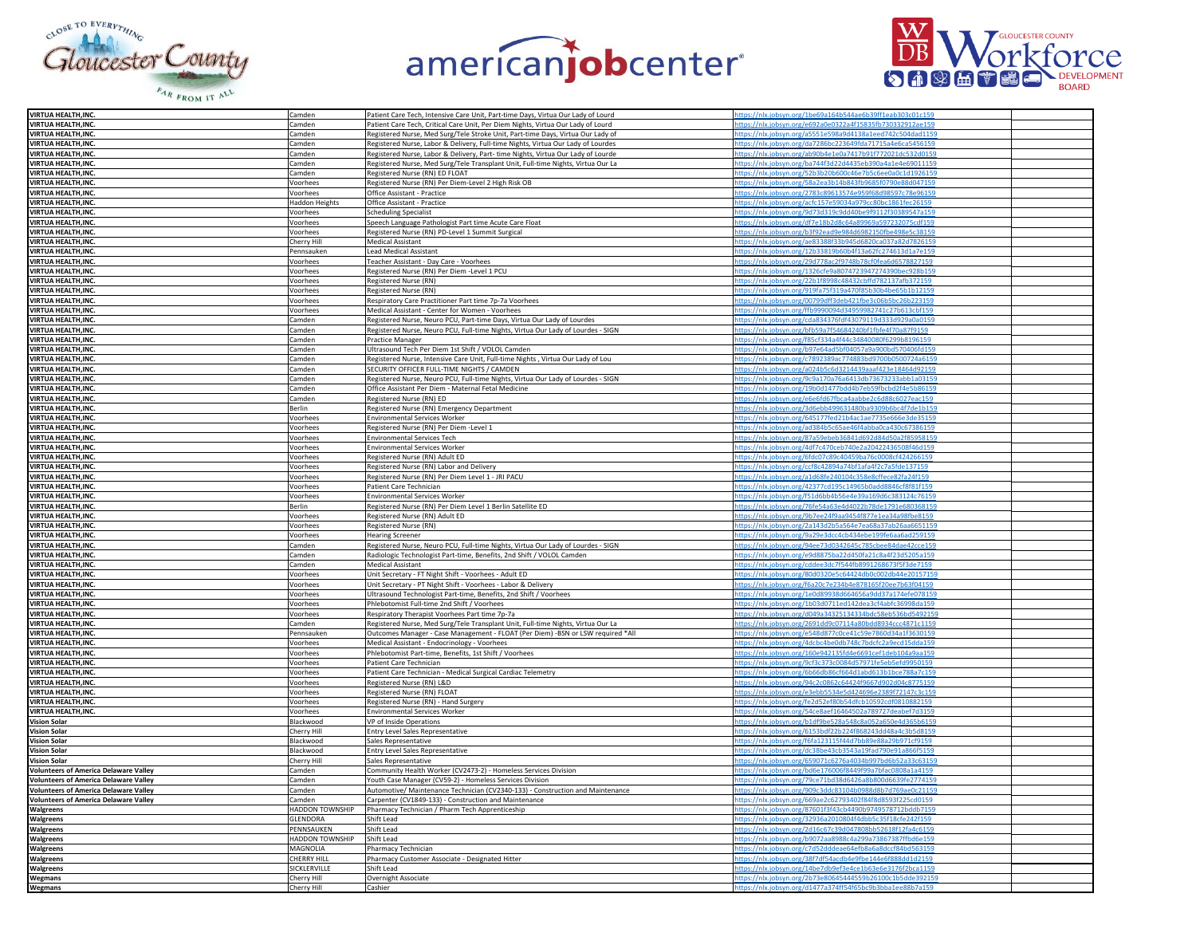





| <b>VIRTUA HEALTH, INC.</b>                   | Camden                 | Patient Care Tech, Intensive Care Unit, Part-time Days, Virtua Our Lady of Lourd | https://nlx.jobsyn.org/1be69a164b544ae6b39ff1eab303c01c159 |
|----------------------------------------------|------------------------|----------------------------------------------------------------------------------|------------------------------------------------------------|
| <b>VIRTUA HEALTH.INC.</b>                    | Camden                 | Patient Care Tech, Critical Care Unit, Per Diem Nights, Virtua Our Lady of Lourd | tps://nlx.jobsyn.org/e692a0e0322a4f15835fb730332912ae159   |
|                                              |                        |                                                                                  |                                                            |
| VIRTUA HEALTH, INC.                          | Camden                 | Registered Nurse, Med Surg/Tele Stroke Unit, Part-time Days, Virtua Our Lady of  | ttps://nlx.jobsyn.org/a5551e598a9d4138a1eed742c504dad1159  |
| VIRTUA HEALTH, INC.                          | Camden                 | Registered Nurse, Labor & Delivery, Full-time Nights, Virtua Our Lady of Lourdes | https://nlx.jobsyn.org/da7286bc223649fda71715a4e6ca5456159 |
| <b>VIRTUA HEALTH, INC.</b>                   | Camden                 | Registered Nurse, Labor & Delivery, Part- time Nights, Virtua Our Lady of Lourde | https://nlx.jobsyn.org/ab90b4e1e0a7417b91f772021dc532d015  |
| VIRTUA HEALTH, INC.                          | Camden                 | Registered Nurse, Med Surg/Tele Transplant Unit, Full-time Nights, Virtua Our La | https://nlx.jobsyn.org/ba744f3d22d4435eb390a4a1e4e69011159 |
| VIRTUA HEALTH, INC.                          | Camden                 | Registered Nurse (RN) ED FLOAT                                                   | https://nlx.jobsyn.org/52b3b20b600c46e7b5c6ee0a0c1d1926159 |
|                                              |                        |                                                                                  |                                                            |
| VIRTUA HEALTH, INC.                          | Voorhees               | Registered Nurse (RN) Per Diem-Level 2 High Risk OB                              | https://nlx.jobsyn.org/58a2ea3b14b843fb9685f0790e88d047159 |
| <b>VIRTUA HEALTH.INC.</b>                    | Voorhees               | Office Assistant - Practice                                                      | ttps://nlx.jobsyn.org/2783c89613574e959f68d98597c78e96159  |
| VIRTUA HEALTH, INC.                          | <b>Haddon Heights</b>  | Office Assistant - Practice                                                      | https://nlx.jobsyn.org/acfc157e59034a979cc80bc1861fec26159 |
|                                              |                        |                                                                                  |                                                            |
| VIRTUA HEALTH, INC.                          | Voorhees               | Scheduling Specialist                                                            | https://nlx.jobsyn.org/9d73d319c9dd40be9f9112f30389547a159 |
| <b>VIRTUA HEALTH, INC.</b>                   | Voorhees               | Speech Language Pathologist Part time Acute Care Float                           | https://nlx.jobsyn.org/df7e18b2d8c64a89969a597232075cdf159 |
| <b>VIRTUA HEALTH, INC.</b>                   | Voorhees               | Registered Nurse (RN) PD-Level 1 Summit Surgical                                 | https://nlx.jobsyn.org/b3f92ead9e984d6982150fbe498e5c38159 |
| <b>VIRTUA HEALTH, INC.</b>                   | Cherry Hill            | <b>Medical Assistant</b>                                                         | https://nlx.jobsyn.org/ae83388f33b945d6820ca037a82d7826159 |
|                                              |                        |                                                                                  |                                                            |
| VIRTUA HEALTH, INC.                          | Pennsauken             | <b>Lead Medical Assistant</b>                                                    | https://nlx.jobsyn.org/12b33819b60b4f13a62fc274613d1a7e159 |
| <b>VIRTUA HEALTH.INC</b>                     | Voorhees               | Teacher Assistant - Day Care - Voorhees                                          | ttps://nlx.jobsyn.org/29d778ac2f9748b78cf0fea6d6578827159  |
| VIRTUA HEALTH, INC.                          | Voorhees               | Registered Nurse (RN) Per Diem -Level 1 PCU                                      | ttps://nlx.jobsyn.org/1326cfe9a8074723947274390bec928b159  |
| <b>VIRTUA HEALTH.INC.</b>                    | Voorhees               |                                                                                  | https://nlx.jobsyn.org/22b1f8998c48432cbffd782137afb372159 |
|                                              |                        | Registered Nurse (RN)                                                            |                                                            |
| <b>VIRTUA HEALTH, INC.</b>                   | Voorhees               | Registered Nurse (RN)                                                            | httns://nlx.johsvn.org/919fa75f319a470f85h30h4he65h1h12159 |
| VIRTUA HEALTH, INC.                          | Voorhees               | Respiratory Care Practitioner Part time 7p-7a Voorhees                           | https://nlx.jobsyn.org/00799dff3deb421fbe3c06b5bc26b223159 |
| <b>VIRTUA HEALTH, INC.</b>                   | Voorhees               | Medical Assistant - Center for Women - Voorhees                                  | https://nlx.jobsyn.org/ffb9990094d34959982741c27b613cbf159 |
|                                              |                        |                                                                                  |                                                            |
| <b>VIRTUA HEALTH, INC.</b>                   | Camden                 | Registered Nurse, Neuro PCU, Part-time Days, Virtua Our Lady of Lourdes          | https://nlx.jobsyn.org/cda834376fdf43079119d333d929a0a0159 |
| <b>VIRTUA HEALTH.INC.</b>                    | Camden                 | Registered Nurse, Neuro PCU, Full-time Nights, Virtua Our Lady of Lourdes - SIGN | ttps://nlx.jobsyn.org/bfb59a7f54684240bf1fbfe4f70a87f9159  |
| <b>VIRTUA HEALTH.INC.</b>                    | Camden                 | Practice Manager                                                                 | ttps://nlx.jobsyn.org/f85cf334a4f44c34840080f6299b8196159  |
| <b>VIRTUA HEALTH.INC.</b>                    | Camden                 | Ultrasound Tech Per Diem 1st Shift / VOLOL Camden                                | https://nlx.jobsyn.org/b97e64ad5bf04057a9a900bd570406fd159 |
|                                              |                        |                                                                                  |                                                            |
| VIRTUA HEALTH, INC.                          | Camden                 | Registered Nurse, Intensive Care Unit, Full-time Nights , Virtua Our Lady of Lou | https://nlx.jobsyn.org/c7892389ac774883bd9700b0500724a6159 |
| <b>VIRTUA HEALTH, INC.</b>                   | Camden                 | SECURITY OFFICER FULL-TIME NIGHTS / CAMDEN                                       | https://nlx.jobsyn.org/a024b5c6d3214439aaaf423e18464d92159 |
| <b>VIRTUA HEALTH, INC.</b>                   | Camden                 | Registered Nurse, Neuro PCU, Full-time Nights, Virtua Our Lady of Lourdes - SIGN | https://nlx.jobsyn.org/9c9a170a76a6413db73673233abb1a03159 |
| VIRTUA HEALTH, INC.                          | Camden                 |                                                                                  |                                                            |
|                                              |                        | Office Assistant Per Diem - Maternal Fetal Medicine                              | https://nlx.jobsyn.org/19b0d1477bdd4b7eb59fbcbd2f4e5b86159 |
| <b>VIRTUA HEALTH.INC.</b>                    | Camden                 | Registered Nurse (RN) ED                                                         | ttps://nlx.jobsyn.org/e6e6fd67fbca4aabbe2c6d88c6027eac159  |
| <b>VIRTUA HEALTH.INC.</b>                    | Berlin                 | Registered Nurse (RN) Emergency Department                                       | ttps://nlx.jobsyn.org/3d6ebb499631480ba9309b6bc4f7de1b159  |
| <b>VIRTUA HEALTH.INC.</b>                    | Voorhees               | <b>Environmental Services Worker</b>                                             | ttps://nlx.jobsyn.org/645177fed21b4ac1ae7735e666e3de35159  |
|                                              |                        |                                                                                  | https://nlx.jobsyn.org/ad384b5c65ae46f4abba0ca430c67386159 |
| VIRTUA HEALTH, INC.                          | Voorhees               | Registered Nurse (RN) Per Diem -Level 1                                          |                                                            |
| VIRTUA HEALTH, INC.                          | Voorhees               | <b>Environmental Services Tech</b>                                               | https://nlx.jobsyn.org/87a59ebeb36841d692d84d50a2f85958159 |
| <b>VIRTUA HEALTH, INC.</b>                   | Voorhees               | <b>Environmental Services Worker</b>                                             | https://nlx.jobsyn.org/4df7c470ceb740e2a20422436508f46d159 |
| VIRTUA HEALTH, INC.                          | Voorhees               | Registered Nurse (RN) Adult ED                                                   | https://nlx.jobsyn.org/6fdc07c89c40459ba76c0008cf424266159 |
|                                              |                        |                                                                                  |                                                            |
| <b>VIRTUA HEALTH.INC.</b>                    | Voorhees               | Registered Nurse (RN) Labor and Delivery                                         | ttps://nlx.jobsyn.org/ccf8c42894a74bf1afa4f2c7a5fde137159  |
| <b>VIRTUA HEALTH.INC</b>                     | Voorhees               | Registered Nurse (RN) Per Diem Level 1 - JRI PACU                                | ttps://nlx.jobsyn.org/a1d68fe240104c358e8cffece82fa24f159  |
| VIRTUA HEALTH, INC.                          | Voorhees               | Patient Care Technician                                                          | ittps://nlx.jobsyn.org/42377cd195c14965b0add8846cf8f81f15  |
| <b>VIRTUA HEALTH, INC.</b>                   | Voorhees               | Environmental Services Worker                                                    | https://nlx.jobsyn.org/f51d6bb4b56e4e39a169d6c383124c7615  |
| <b>VIRTUA HEALTH, INC.</b>                   | Berlin                 |                                                                                  | https://nlx.jobsyn.org/76fe54a63e4d4022b78de1791e680368159 |
|                                              |                        | Registered Nurse (RN) Per Diem Level 1 Berlin Satellite ED                       |                                                            |
| <b>VIRTUA HEALTH, INC.</b>                   | Voorhees               | Registered Nurse (RN) Adult ED                                                   | https://nlx.jobsyn.org/9b7ee24f9aa9454f877e1ea34a98fbe8159 |
| VIRTUA HEALTH, INC.                          | Voorhees               | Registered Nurse (RN)                                                            | https://nlx.jobsyn.org/2a143d2b5a564e7ea68a37ab26aa6651159 |
| VIRTUA HEALTH, INC.                          | Voorhees               | <b>Hearing Screener</b>                                                          | ttps://nlx.jobsyn.org/9a29e3dcc4cb434ebe199fe6aa6ad259159  |
|                                              |                        |                                                                                  |                                                            |
| <b>VIRTUA HEALTH.INC</b>                     | Camden                 | Registered Nurse, Neuro PCU, Full-time Nights, Virtua Our Lady of Lourdes - SIGN | ttps://nlx.jobsyn.org/94ee73d0342645c785cbee84dae42cce159  |
| <b>VIRTUA HEALTH.INC.</b>                    | Camden                 | Radiologic Technologist Part-time, Benefits, 2nd Shift / VOLOL Camden            | ttps://nlx.jobsyn.org/e9d8875ba22d450fa21c8a4f23d5205a159  |
| VIRTUA HEALTH, INC.                          | Camden                 | <b>Medical Assistant</b>                                                         | https://nlx.jobsyn.org/cddee3dc7f544fb8991268673f5f3de7159 |
| <b>VIRTUA HEALTH.INC.</b>                    | Voorhees               | Unit Secretary - FT Night Shift - Voorhees - Adult ED                            | https://nlx.jobsyn.org/80d0320e5c64424db0c002db44e20157159 |
|                                              |                        |                                                                                  |                                                            |
| <b>VIRTUA HEALTH, INC.</b>                   | Voorhees               | Unit Secretary - PT Night Shift - Voorhees - Labor & Delivery                    | https://nlx.jobsyn.org/f6a20c7e234b4e878165f20ee7b63f04159 |
| VIRTUA HEALTH, INC.                          | Voorhees               | Ultrasound Technologist Part-time, Benefits, 2nd Shift / Voorhees                | https://nlx.jobsyn.org/1e0d89938d664656a9dd37a174efe078159 |
| <b>VIRTUA HEALTH.INC.</b>                    | Voorhees               | Phlebotomist Full-time 2nd Shift / Voorhees                                      | https://nlx.jobsyn.org/1b03d0711ed142dea3cf4abfc36998da159 |
| <b>VIRTUA HEALTH INC</b>                     |                        |                                                                                  |                                                            |
|                                              | Voorhees               | Respiratory Therapist Voorhees Part time 7p-7a                                   | https://nlx.jobsyn.org/d049a34325134334bdc58eb536bd5492159 |
| VIRTUA HEALTH, INC.                          | Camden                 | Registered Nurse, Med Surg/Tele Transplant Unit, Full-time Nights, Virtua Our La | ttps://nlx.jobsyn.org/2691dd9c07114a80bdd8934ccc4871c1159  |
| <b>VIRTUA HEALTH, INC.</b>                   | Pennsauker             | Outcomes Manager - Case Management - FLOAT (Per Diem) -BSN or LSW required *All  | https://nlx.jobsyn.org/e548d877c0ce41c59e7860d34a1f3630159 |
| VIRTUA HEALTH, INC.                          | Voorhees               | Medical Assistant - Endocrinology - Voorhees                                     | https://nlx.jobsyn.org/4dcbc4be0db748c7bdcfc2a9ecd15dda159 |
|                                              |                        |                                                                                  |                                                            |
| <b>VIRTUA HEALTH, INC.</b>                   | Voorhees               | Phlebotomist Part-time, Benefits, 1st Shift / Voorhees                           | https://nlx.jobsyn.org/160e942135fd4e6691cef1deb104a9aa159 |
| VIRTUA HEALTH, INC.                          | Voorhees               | Patient Care Technician                                                          | https://nlx.jobsyn.org/9cf3c373c0084d57971fe5eb5efd9950159 |
| VIRTUA HEALTH, INC.                          | Voorhees               | Patient Care Technician - Medical Surgical Cardiac Telemetry                     | https://nlx.jobsyn.org/6b66db86cf664d1abd613b1bce788a7c159 |
| <b>VIRTUA HEALTH.INC</b>                     | Voorhees               | Registered Nurse (RN) L&D                                                        | https://nlx.jobsyn.org/94c2c0862c64424f9667d902d04c8775159 |
|                                              |                        |                                                                                  |                                                            |
| VIRTUA HEALTH, INC.                          | Voorhees               | Registered Nurse (RN) FLOAT                                                      | ttps://nlx.jobsyn.org/e3ebb5534e5d424696e2389f72147c3c159  |
| VIRTUA HEALTH, INC.                          | Voorhees               | Registered Nurse (RN) - Hand Surgery                                             | https://nlx.jobsyn.org/fe2d52ef80b54dfcb10592cdf08108821   |
| <b>VIRTUA HEALTH.INC.</b>                    | Voorhees               | <b>Environmental Services Worker</b>                                             | https://nlx.jobsyn.org/54ce8aef16464502a789727deabef7d3159 |
| <b>Vision Solar</b>                          |                        | VP of Inside Operations                                                          | https://nlx.jobsyn.org/b1df9be528a548c8a052a650e4d365b6159 |
|                                              | Blackwood              |                                                                                  |                                                            |
| <b>Vision Solar</b>                          | Cherry Hill            | Entry Level Sales Representative                                                 | https://nlx.jobsyn.org/6153bdf22b224f868243dd48a4c3b5d8159 |
| <b>Vision Solar</b>                          | Blackwood              | Sales Representative                                                             | https://nlx.jobsyn.org/f6fa123115f44d7bb89e88a29b971cf9159 |
| <b>Vision Solar</b>                          | Blackwood              | <b>Entry Level Sales Representative</b>                                          | https://nlx.jobsyn.org/dc38be43cb3543a19fad790e91a866f5159 |
|                                              |                        |                                                                                  |                                                            |
| <b>Vision Solar</b>                          | Cherry Hill            | Sales Representative                                                             | https://nlx.jobsyn.org/659071c6276a4034b997bd6b52a33c63159 |
| <b>Volunteers of America Delaware Valley</b> | Camden                 | Community Health Worker (CV2473-2) - Homeless Services Division                  | https://nlx.jobsyn.org/bd6e176006f8449f99a7bfac0808a1a4159 |
| <b>Volunteers of America Delaware Valley</b> | Camden                 | Youth Case Manager (CV59-2) - Homeless Services Division                         | https://nlx.jobsyn.org/79ce71bd38d6426a8b800d6639fe2774159 |
| <b>Volunteers of America Delaware Valley</b> | Camden                 | Automotive/ Maintenance Technician (CV2340-133) - Construction and Maintenance   | https://nlx.jobsyn.org/909c3ddc83104b0988d8b7d769ae0c21159 |
|                                              |                        |                                                                                  |                                                            |
| <b>Volunteers of America Delaware Valley</b> | Camden                 | Carpenter (CV1849-133) - Construction and Maintenance                            | https://nlx.jobsyn.org/669ae2c62793402f84f8d8593f225cd0159 |
| Walgreens                                    | HADDON TOWNSHIP        | Pharmacy Technician / Pharm Tech Apprenticeship                                  | https://nlx.jobsyn.org/87601f3f43cb4490b9749578712bddb7159 |
| Walgreens                                    | <b>GI FNDORA</b>       | Shift Lead                                                                       | ttps://nlx.jobsyn.org/32936a2010804f4dbb5c35f18cfe242f159  |
| Walgreens                                    | PENNSAUKEN             | Shift Lead                                                                       | https://nlx.jobsyn.org/2d16c67c39d047808bb52618f12fa4c6159 |
|                                              |                        |                                                                                  |                                                            |
| Walgreens                                    | <b>HADDON TOWNSHIP</b> | Shift Lead                                                                       | nttps://nlx.jobsyn.org/b9072aa8988c4a299a73867387ffbd6e159 |
| Walgreens                                    | MAGNOLIA               | Pharmacy Technician                                                              | https://nlx.jobsyn.org/c7d52dddeae64efb8a6a8dccf84bd563159 |
| Walgreens                                    | <b>CHERRY HILL</b>     | Pharmacy Customer Associate - Designated Hitter                                  | https://nlx.jobsyn.org/38f7df54acdb4e9fbe144e6f888dd1d2159 |
|                                              | SICKLERVILLE           | Shift Lead                                                                       |                                                            |
| Walgreens                                    |                        |                                                                                  | https://nlx.jobsyn.org/14be7db9ef3e4ce1b63e6e3176f2bca1159 |
| Wegmans                                      | Cherry Hill            | Overnight Associate                                                              | https://nlx.jobsyn.org/2b73e80645444559b26100c1b5dde392159 |
| <b>Wegmans</b>                               | Cherry Hill            | Cashier                                                                          | tps://nlx.jobsyn.org/d1477a374ff54f65bc9b3bba1ee8          |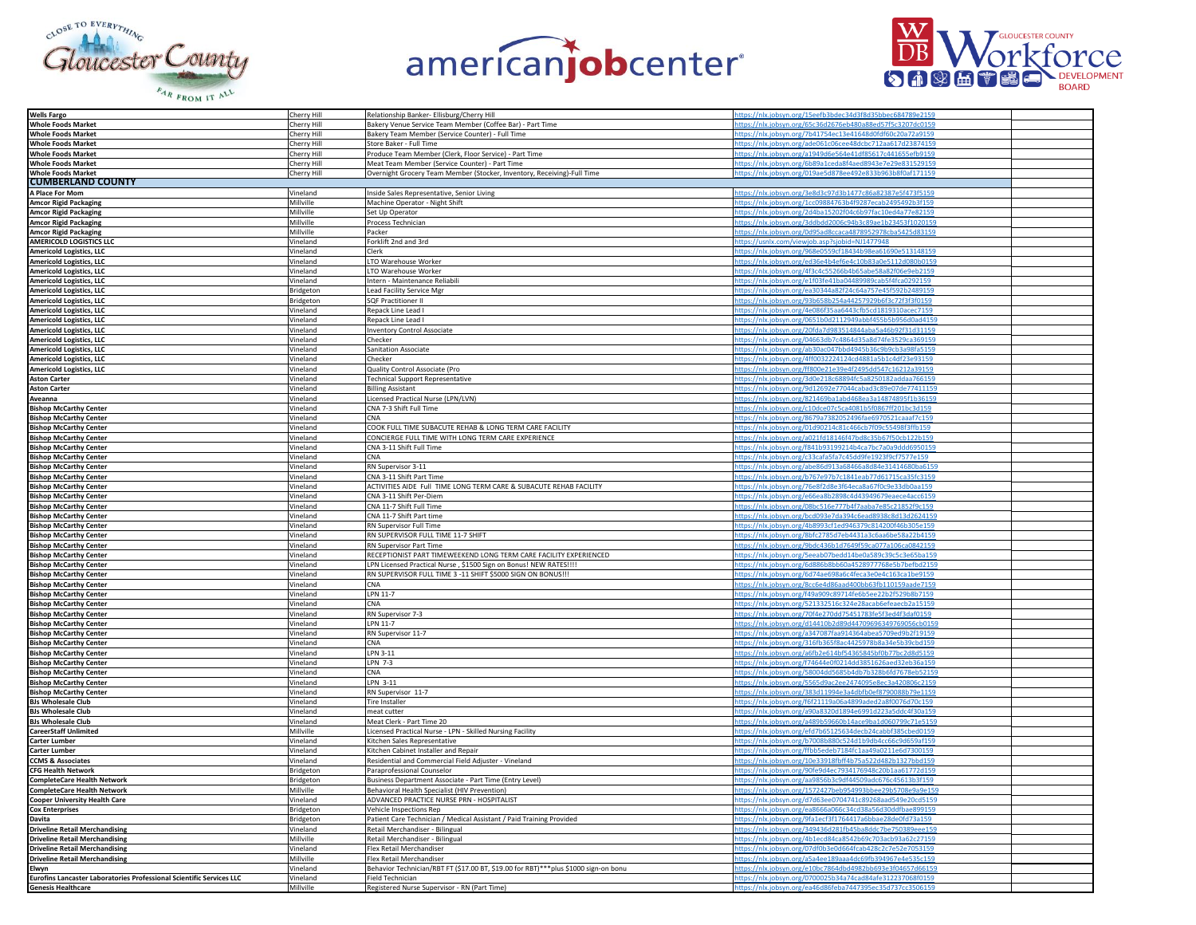





| <b>Wells Fargo</b>                                                                        | Cherry Hill | Relationship Banker- Ellisburg/Cherry Hill                                          | ttps://nlx.jobsyn.org/15eefb3bdec34d3f8d35bbec684789e215   |
|-------------------------------------------------------------------------------------------|-------------|-------------------------------------------------------------------------------------|------------------------------------------------------------|
| <b>Whole Foods Market</b>                                                                 | Cherry Hill | Bakery Venue Service Team Member (Coffee Bar) - Part Time                           | yn.org/65c36d2676eb480a88ed57f5c3207dc0                    |
|                                                                                           |             |                                                                                     |                                                            |
| <b>Whole Foods Market</b>                                                                 | Cherry Hill | Bakery Team Member (Service Counter) - Full Time                                    | ttps://nlx.jobsyn.org/7b41754ec13e41648d0fdf60c20a72a9159  |
| <b>Whole Foods Market</b>                                                                 | Cherry Hill | Store Baker - Full Time                                                             | https://nlx.jobsyn.org/ade061c06cee48dcbc712aa617d23874159 |
| <b>Whole Foods Market</b>                                                                 | Cherry Hill | Produce Team Member (Clerk, Floor Service) - Part Time                              | https://nlx.jobsyn.org/a1949d6e564e41df85617c441655efb9159 |
|                                                                                           |             |                                                                                     |                                                            |
| <b>Whole Foods Market</b>                                                                 | Cherry Hill | Meat Team Member (Service Counter) - Part Time                                      | https://nlx.jobsyn.org/6b89a1ceda8f4aed8943e7e29e831529159 |
| Whole Foods Market<br>CUMBERLAND COUNTY                                                   | Cherry Hill | Overnight Grocery Team Member (Stocker, Inventory, Receiving)-Full Time             | https://nlx.jobsyn.org/019ae5d878ee492e833b963b8f0af171159 |
|                                                                                           |             |                                                                                     |                                                            |
|                                                                                           |             |                                                                                     |                                                            |
| A Place For Mom                                                                           | Vineland    | Inside Sales Representative, Senior Living                                          | https://nlx.jobsyn.org/3e8d3c97d3b1477c86a82387e5f473f5159 |
| <b>Amcor Rigid Packaging</b>                                                              | Millville   | Machine Operator - Night Shift                                                      | https://nlx.jobsyn.org/1cc09884763b4f9287ecab2495492b3f159 |
|                                                                                           | Millville   | Set Up Operator                                                                     |                                                            |
| <b>Amcor Rigid Packaging</b>                                                              |             |                                                                                     | https://nlx.jobsyn.org/2d4ba15202f04c6b97fac10ed4a77e82159 |
| <b>Amcor Rigid Packaging</b>                                                              | Millville   | Process Technician                                                                  | https://nlx.jobsyn.org/3ddbdd2006c94b3c89ae1b23453f1020159 |
| <b>Amcor Rigid Packaging</b>                                                              | Millville   | Packer                                                                              | https://nlx.jobsyn.org/0d95ad8ccaca4878952978cba5425d83159 |
|                                                                                           |             |                                                                                     |                                                            |
| <b>AMERICOLD LOGISTICS LLC</b>                                                            | /ineland    | Forklift 2nd and 3rd                                                                | https://usnlx.com/viewjob.asp?sjobid=NJ1477948             |
| <b>Americold Logistics, LLC<br/>Americold Logistics, LLC<br/>Americold Logistics, LLC</b> | Vineland    | Clerk                                                                               | ittps://nlx.jobsyn.org/968e0559cf18434b98ea61690e513148159 |
|                                                                                           | Vineland    | LTO Warehouse Worker                                                                | https://nlx.jobsyn.org/ed36e4b4ef6e4c10b83a0e5112d080b015  |
|                                                                                           |             |                                                                                     |                                                            |
|                                                                                           | Vineland    | LTO Warehouse Worker                                                                | https://nlx.jobsyn.org/4f3c4c55266b4b65abe58a82f06e9eb2159 |
| <b>Americold Logistics, LLC</b>                                                           | Vineland    | Intern - Maintenance Reliabili                                                      | https://nlx.jobsyn.org/e1f03fe41ba04489989cab5f4fca0292159 |
|                                                                                           | Bridgeton   | Lead Facility Service Mgr                                                           | https://nlx.jobsyn.org/ea30344a82f24c64a757e45f592b2489159 |
| <b>Americold Logistics, LLC<br/>Americold Logistics, LLC</b>                              |             |                                                                                     |                                                            |
|                                                                                           | Bridgeton   | <b>SQF Practitioner II</b>                                                          | https://nlx.jobsyn.org/93b658b254a44257929b6f3c72f3f3f0159 |
| <b>Americold Logistics, LLC</b>                                                           | Vineland    | Repack Line Lead I                                                                  | https://nlx.jobsyn.org/4e086f35aa6443cfb5cd1819310acec7159 |
|                                                                                           |             |                                                                                     |                                                            |
|                                                                                           | Vineland    | Repack Line Lead I                                                                  | https://nlx.jobsyn.org/0651b0d2112949abbf455b5b956d0ad4159 |
| <b>Americold Logistics, LLC<br/>Americold Logistics, LLC<br/>Americold Logistics, LLC</b> | Vineland    | <b>Inventory Control Associate</b>                                                  | https://nlx.jobsyn.org/20fda7d983514844aba5a46b92f31d31159 |
|                                                                                           | Vineland    | Checker                                                                             | https://nlx.jobsyn.org/04663db7c4864d35a8d74fe3529ca369159 |
|                                                                                           |             |                                                                                     |                                                            |
| <b>Americold Logistics, LLC</b>                                                           | Vineland    | Sanitation Associate                                                                | https://nlx.jobsyn.org/ab30ac047bbd4945b36c9b9cb3a98fa5159 |
| <b>Americold Logistics, LLC</b>                                                           | Vineland    | Checker                                                                             | https://nlx.jobsyn.org/4ff0032224124cd4881a5b1c4df23e93159 |
| <b>Americold Logistics, LLC</b>                                                           | Vineland    | Quality Control Associate (Pro                                                      | ttps://nlx.jobsyn.org/ff800e21e39e4f2495dd547c16212a39159  |
|                                                                                           |             |                                                                                     |                                                            |
| <b>Aston Carter</b>                                                                       | /ineland    | <b>Technical Support Representative</b>                                             | https://nlx.jobsyn.org/3d0e218c68894fc5a8250182addaa766159 |
| <b>Aston Carter</b>                                                                       | Vineland    | <b>Billing Assistant</b>                                                            | ttps://nlx.jobsyn.org/9d12692e77044cabad3c89e07de77411159  |
| Aveanna                                                                                   | Vineland    | Licensed Practical Nurse (LPN/LVN)                                                  | https://nlx.jobsyn.org/821469ba1abd468ea3a14874895f1b36159 |
|                                                                                           |             |                                                                                     |                                                            |
| <b>Bishop McCarthy Center</b>                                                             | Vineland    | CNA 7-3 Shift Full Time                                                             | https://nlx.jobsyn.org/c10dce07c5ca4081b5f0867ff201bc3d159 |
| <b>Bishop McCarthy Center</b>                                                             | Vineland    | CNA                                                                                 | https://nlx.jobsyn.org/8679a7382052496fae6970521caaaf7c159 |
|                                                                                           |             |                                                                                     |                                                            |
| <b>Bishop McCarthy Center</b>                                                             | Vineland    | COOK FULL TIME SUBACUTE REHAB & LONG TERM CARE FACILITY                             | https://nlx.jobsyn.org/01d90214c81c466cb7f09c55498f3ffb159 |
| <b>Bishop McCarthy Center</b>                                                             | Vineland    | CONCIERGE FULL TIME WITH LONG TERM CARE EXPERIENCE                                  | https://nlx.jobsyn.org/a021fd18146f47bd8c35b67f50cb122b159 |
| <b>Bishop McCarthy Center</b>                                                             | Vineland    | CNA 3-11 Shift Full Time                                                            | https://nlx.jobsyn.org/f841b93199214b4ca7bc7a0a9ddd6950159 |
|                                                                                           |             |                                                                                     |                                                            |
| <b>Bishop McCarthy Center</b>                                                             | Vineland    | CNA                                                                                 | https://nlx.jobsyn.org/c33cafa5fa7c45dd9fe1923f9cf7577e159 |
| <b>Bishop McCarthy Center</b>                                                             | Vineland    | RN Supervisor 3-11                                                                  | https://nlx.jobsyn.org/abe86d913a68466a8d84e31414680ba6159 |
| <b>Bishop McCarthy Center</b>                                                             | Vineland    | CNA 3-11 Shift Part Time                                                            | https://nlx.jobsyn.org/b767e97b7c1841eab77d61715ca35fc3159 |
|                                                                                           |             |                                                                                     |                                                            |
| <b>Bishop McCarthy Center</b>                                                             | Vineland    | ACTIVITIES AIDE Full TIME LONG TERM CARE & SUBACUTE REHAB FACILITY                  | https://nlx.jobsyn.org/76e8f2d8e3f64eca8a67f0c9e33db0aa159 |
| <b>Bishop McCarthy Center</b>                                                             | Vineland    | CNA 3-11 Shift Per-Diem                                                             | https://nlx.jobsyn.org/e66ea8b2898c4d43949679eaece4acc6159 |
| <b>Bishop McCarthy Center</b>                                                             | Vineland    | CNA 11-7 Shift Full Time                                                            | ttps://nlx.jobsyn.org/08bc516e777b4f7aaba7e85c21852f9c159  |
|                                                                                           |             |                                                                                     |                                                            |
| <b>Bishop McCarthy Center</b>                                                             | Vineland    | CNA 11-7 Shift Part time                                                            | https://nlx.jobsyn.org/bcd093e7da394c6ead8938c8d13d2624159 |
| <b>Bishop McCarthy Center</b>                                                             | Vineland    | RN Supervisor Full Time                                                             | ttps://nlx.jobsyn.org/4b8993cf1ed946379c814200f46b305e159  |
|                                                                                           |             |                                                                                     | https://nlx.jobsyn.org/8bfc2785d7eb4431a3c6aa6be58a22b4159 |
| <b>Bishop McCarthy Center</b>                                                             | Vineland    | RN SUPERVISOR FULL TIME 11-7 SHIFT                                                  |                                                            |
| <b>Bishop McCarthy Center</b>                                                             | Vineland    | RN Supervisor Part Time                                                             | https://nlx.jobsyn.org/9bdc436b1d7649f59ca077a106ca0842159 |
| <b>Bishop McCarthy Center</b>                                                             | Vineland    | RECEPTIONIST PART TIMEWEEKEND LONG TERM CARE FACILITY EXPERIENCED                   | https://nlx.jobsyn.org/5eeab07bedd14be0a589c39c5c3e65ba159 |
|                                                                                           |             |                                                                                     |                                                            |
| <b>Bishop McCarthy Center</b>                                                             | Vineland    | LPN Licensed Practical Nurse, \$1500 Sign on Bonus! NEW RATES !!!!                  | https://nlx.jobsyn.org/6d886b8bb60a4528977768e5b7befbd2159 |
| <b>Bishop McCarthy Center</b>                                                             | Vineland    | RN SUPERVISOR FULL TIME 3 -11 SHIFT \$5000 SIGN ON BONUS !!!                        | https://nlx.jobsyn.org/6d74ae698a6c4feca3e0e4c163ca1be9159 |
|                                                                                           | Vineland    | <b>CNA</b>                                                                          |                                                            |
| <b>Bishop McCarthy Center</b>                                                             |             |                                                                                     | https://nlx.jobsyn.org/8cc6e4d86aad400bb63fb110159aade7159 |
| <b>Bishop McCarthy Center</b>                                                             | Vineland    | LPN 11-7                                                                            | https://nlx.jobsyn.org/f49a909c89714fe6b5ee22b2f5          |
| <b>Bishop McCarthy Center</b>                                                             | Vineland    | <b>CNA</b>                                                                          | https://nlx.jobsyn.org/521332516c324e28acab6efeaecb2a15159 |
|                                                                                           |             |                                                                                     |                                                            |
| <b>Bishop McCarthy Center</b>                                                             | Vineland    | RN Supervisor 7-3                                                                   | https://nlx.jobsyn.org/70f4e270dd75451783fe5f3ed4f3daf0159 |
| <b>Bishop McCarthy Center</b>                                                             | Vineland    | LPN 11-7                                                                            | https://nlx.jobsyn.org/d14410b2d89d44709696349769056cb0159 |
| <b>Bishop McCarthy Center</b>                                                             | Vineland    | RN Supervisor 11-7                                                                  | https://nlx.jobsyn.org/a347087faa914364abea5709ed9b2f19159 |
|                                                                                           | /ineland    |                                                                                     |                                                            |
| <b>Bishop McCarthy Center</b>                                                             |             | <b>CNA</b>                                                                          | ttps://nlx.jobsyn.org/316fb365f8ac4425978b8a34e5b39cbd159  |
| <b>Bishop McCarthy Center</b>                                                             | /ineland    | LPN 3-11                                                                            | https://nlx.jobsyn.org/a6fb2e614bf54365845bf0b77bc2d8d5159 |
| <b>Bishop McCarthy Center</b>                                                             | Vineland    | LPN 7-3                                                                             | https://nlx.jobsyn.org/f74644e0f0214dd3851626aed32eb36a159 |
| <b>Bishop McCarthy Center</b>                                                             | Vineland    | <b>CNA</b>                                                                          | ttps://nlx.jobsyn.org/58004dd5685b4db7b328b6fd7678eb52159  |
|                                                                                           |             |                                                                                     |                                                            |
| <b>Bishop McCarthy Center</b>                                                             | Vineland    | LPN 3-11                                                                            | https://nlx.jobsyn.org/5565d9ac2ee2474095e8ec3a420806c2159 |
| <b>Bishop McCarthy Center</b>                                                             | Vineland    | RN Supervisor 11-7                                                                  | https://nlx.jobsyn.org/383d11994e3a4dbfb0ef8790088b79e1159 |
| <b>BJs Wholesale Club</b>                                                                 | Vineland    | <b>Tire Installer</b>                                                               |                                                            |
|                                                                                           |             |                                                                                     | https://nlx.jobsyn.org/f6f21119a06a4899aded2a8f0076d70c159 |
| <b>BJs Wholesale Club</b>                                                                 | Vineland    | meat cutter                                                                         | https://nlx.jobsyn.org/a90a8320d1894e6991d223a5ddc4f30a159 |
| <b>BJs Wholesale Club</b>                                                                 | Vineland    | Meat Clerk - Part Time 20                                                           | https://nlx.jobsyn.org/a489b59660b14ace9ba1d060799c71e5159 |
|                                                                                           |             |                                                                                     |                                                            |
| <b>CareerStaff Unlimited</b>                                                              | Millville   | Licensed Practical Nurse - LPN - Skilled Nursing Facility                           | https://nlx.jobsyn.org/efd7b65125634decb24cabbf385cbed0159 |
| <b>Carter Lumber</b>                                                                      | Vineland    | Kitchen Sales Representative                                                        | https://nlx.jobsyn.org/b7008b880c524d1b9db4cc66c9d659af159 |
| <b>Carter Lumber</b>                                                                      | Vineland    | Kitchen Cabinet Installer and Repair                                                | https://nlx.jobsyn.org/ffbb5edeb7184fc1aa49a0211e6d7300159 |
|                                                                                           |             |                                                                                     |                                                            |
| <b>CCMS &amp; Associates</b>                                                              | Vineland    | Residential and Commercial Field Adjuster - Vineland                                | https://nlx.jobsyn.org/10e33918fbff4b75a522d482b1327bbd159 |
| <b>CFG Health Network</b>                                                                 | Bridgeton   | Paraprofessional Counselor                                                          | https://nlx.jobsyn.org/90fe9d4ec7934176948c20b1aa61772d159 |
| <b>CompleteCare Health Network</b>                                                        | Bridgeton   | Business Department Associate - Part Time (Entry Level)                             | https://nlx.jobsyn.org/aa9856b3c9df44509adc676c45613b3f159 |
|                                                                                           |             |                                                                                     |                                                            |
| <b>CompleteCare Health Network</b>                                                        | Millville   | Behavioral Health Specialist (HIV Prevention)                                       | https://nlx.jobsyn.org/1572427beb954993bbee29b5708e9a9e159 |
| <b>Cooper University Health Care</b>                                                      | Vineland    | ADVANCED PRACTICE NURSE PRN - HOSPITALIST                                           | https://nlx.jobsyn.org/d7d63ee0704741c89268aad549e20cd5159 |
|                                                                                           |             | Vehicle Inspections Rep                                                             | https://nlx.jobsyn.org/ea8666a066c34cd38a56d30ddfbae899159 |
| <b>Cox Enterprises</b>                                                                    | Bridgeton   |                                                                                     |                                                            |
| Davita                                                                                    | Bridgeton   | Patient Care Technician / Medical Assistant / Paid Training Provided                | https://nlx.jobsyn.org/9fa1ecf3f1764417a6bbae28de0fd73a159 |
| <b>Driveline Retail Merchandising</b>                                                     | Vineland    | Retail Merchandiser - Bilingual                                                     | https://nlx.jobsyn.org/349436d281fb45ba8ddc7be750389eee159 |
| <b>Driveline Retail Merchandising</b>                                                     | Millville   | Retail Merchandiser - Bilingual                                                     |                                                            |
|                                                                                           |             |                                                                                     | https://nlx.jobsyn.org/4b1ecd84ca8542b69c703acb93a62c27159 |
| <b>Driveline Retail Merchandising</b>                                                     | /ineland    | Flex Retail Merchandiser                                                            | https://nlx.jobsyn.org/07df0b3e0d664fcab428c2c7e52e7053159 |
| <b>Driveline Retail Merchandising</b>                                                     | Millville   | Flex Retail Merchandiser                                                            | https://nlx.jobsyn.org/a5a4ee189aaa4dc69fb394967e4e535c159 |
|                                                                                           | Vineland    |                                                                                     | https://nlx.jobsyn.org/e10bc7864dbd4982bb693e3f04657d66159 |
| Elwyn                                                                                     |             | Behavior Technician/RBT FT (\$17.00 BT, \$19.00 for RBT)***plus \$1000 sign-on bonu |                                                            |
| Eurofins Lancaster Laboratories Professional Scientific Services LLC                      | Vineland    | <b>Field Technician</b>                                                             | https://nlx.jobsyn.org/0700025b34a74cad84afe312237068f0159 |
| <b>Genesis Healthcare</b>                                                                 | Millville   | Registered Nurse Supervisor - RN (Part Time)                                        | https://nlx.jobsyn.org/ea46d86feba7447395ec35d737cc3506159 |
|                                                                                           |             |                                                                                     |                                                            |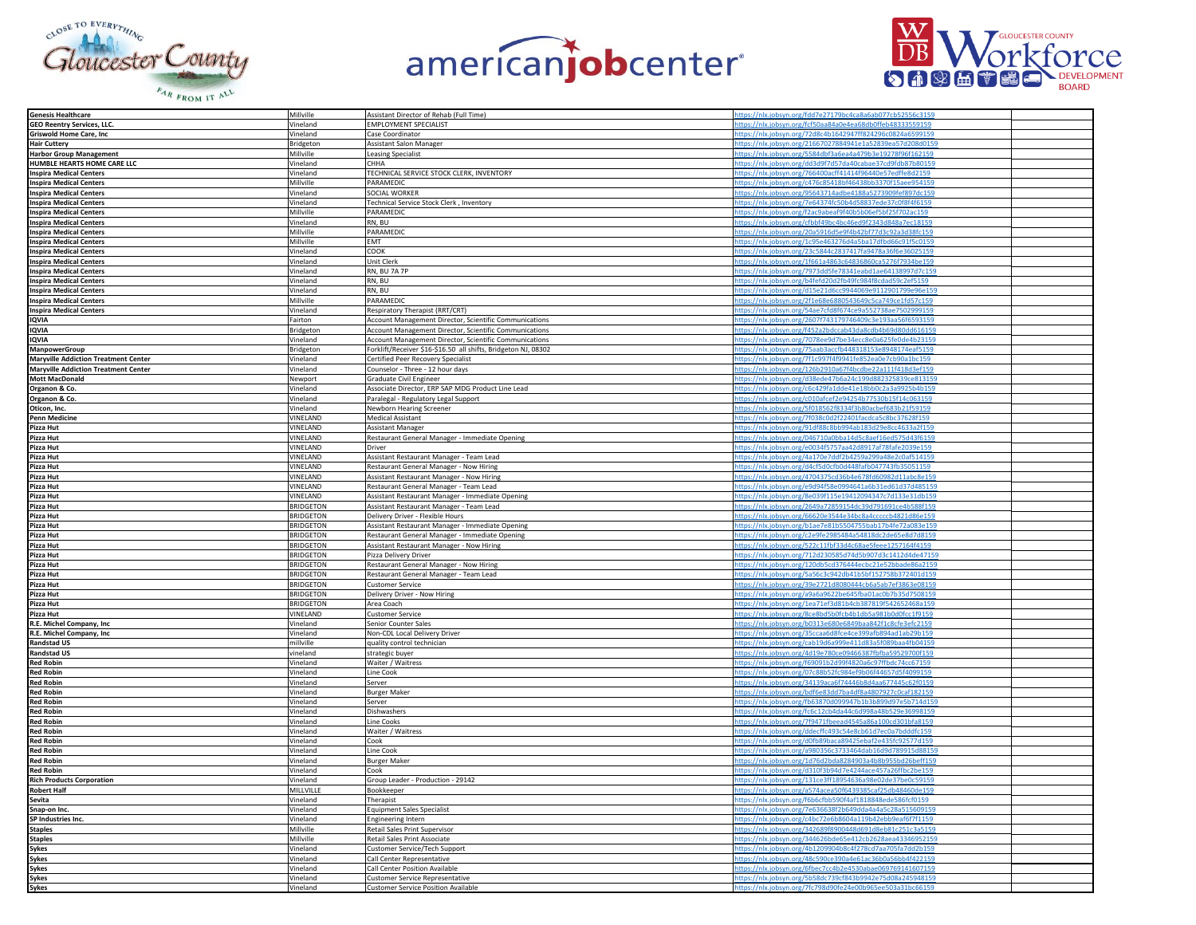





| <b>Genesis Healthcare</b>                     | Millville        | Assistant Director of Rehab (Full Time)                        | https://nlx.jobsyn.org/fdd7e27179bc4ca8a6ab077cb52556c3159 |  |
|-----------------------------------------------|------------------|----------------------------------------------------------------|------------------------------------------------------------|--|
| <b>GEO Reentry Services, LLC.</b>             | Vineland         | EMPLOYMENT SPECIALIST                                          | https://nlx.jobsyn.org/fcf50aa84a0e4ea68db0ffeb48333559159 |  |
|                                               |                  |                                                                |                                                            |  |
| <b>Griswold Home Care, Inc.</b>               | Vineland         | Case Coordinator                                               | https://nlx.jobsyn.org/72d8c4b1642947ff824296c0824a6599159 |  |
| <b>Hair Cuttery</b>                           | Bridgeton        | <b>Assistant Salon Manager</b>                                 | https://nlx.jobsyn.org/21667027884941e1a52839ea57d208d0159 |  |
|                                               |                  |                                                                |                                                            |  |
| <b>Harbor Group Management</b>                | Millville        | <b>Leasing Specialist</b>                                      | https://nlx.jobsyn.org/5584dbf3a6ea4a479b3e19278f96f162159 |  |
| HUMBLE HEARTS HOME CARE LLC                   | Vineland         | CHHA                                                           | https://nlx.jobsyn.org/dd3d9f7d57da40cabae37cd9fdb87b80159 |  |
| <b>Inspira Medical Centers</b>                | Vineland         | TECHNICAL SERVICE STOCK CLERK, INVENTORY                       | https://nlx.jobsyn.org/766400acff41414f96440e57edffe8d2159 |  |
|                                               |                  |                                                                |                                                            |  |
| <b>Inspira Medical Centers</b>                | Millville        | <b>PARAMEDIC</b>                                               | https://nlx.jobsyn.org/c476c85418bf46438bb3370f15aee954159 |  |
| <b>Inspira Medical Centers</b>                | <b>Vineland</b>  | SOCIAL WORKER                                                  | nttps://nlx.jobsyn.org/95643714adbe4188a5273909fef897dc159 |  |
|                                               |                  | Technical Service Stock Clerk, Inventory                       |                                                            |  |
| <b>Inspira Medical Centers</b>                | Vineland         |                                                                | https://nlx.jobsyn.org/7e64374fc50b4d58837ede37c0f8f4f6159 |  |
| <b>Inspira Medical Centers</b>                | Millville        | PARAMEDIC                                                      | https://nlx.jobsyn.org/f2ac9abeaf9f40b5b06ef5bf25f702ac159 |  |
|                                               | Vineland         | RN, BU                                                         | https://nlx.jobsyn.org/cfbbf49bc4bc46ed9f2343d848a7ec18159 |  |
| <b>Inspira Medical Centers</b>                |                  |                                                                |                                                            |  |
| <b>Inspira Medical Centers</b>                | Millville        | PARAMEDIC                                                      | https://nlx.jobsyn.org/20a5916d5e9f4b42bf77d3c92a3d38fc159 |  |
| <b>Inspira Medical Centers</b>                | Millville        | EMT                                                            | https://nlx.jobsyn.org/1c95e463276d4a5ba17dfbd66c91f5c0159 |  |
|                                               |                  | COOK                                                           | https://nlx.jobsyn.org/23c5844c2837417fa9478a36f6e36025159 |  |
| <b>Inspira Medical Centers</b>                | Vineland         |                                                                |                                                            |  |
| <b>Inspira Medical Centers</b>                | Vineland         | Unit Clerk                                                     | https://nlx.jobsyn.org/1f661a4863c64836860ca5276f7934be159 |  |
|                                               | Vineland         | RN, BU 7A 7P                                                   | https://nlx.jobsyn.org/7973dd5fe78341eabd1ae64138997d7c159 |  |
| <b>Inspira Medical Centers</b>                |                  |                                                                |                                                            |  |
| <b>Inspira Medical Centers</b>                | Vineland         | RN, BU                                                         | https://nlx.jobsyn.org/b4fefd20d2fb49fc984f8cdad59c2ef5159 |  |
| <b>Inspira Medical Centers</b>                | Vineland         | RN, BU                                                         | https://nlx.jobsyn.org/d15e21d6cc9944069e9112901799e96e159 |  |
|                                               |                  |                                                                |                                                            |  |
| <b>Inspira Medical Centers</b>                | Millville        | PARAMEDIC                                                      | https://nlx.jobsyn.org/2f1e68e6880543649c5ca749ce1fd57c159 |  |
| <b>Inspira Medical Centers</b>                | Vineland         | Respiratory Therapist (RRT/CRT)                                | https://nlx.jobsyn.org/54ae7cfd8f674ce9a552738ae7502999159 |  |
|                                               | Fairton          |                                                                | https://nlx.jobsyn.org/2607f743179746409c3e193aa56f6593159 |  |
| <b>IQVIA</b>                                  |                  | <b>Account Management Director, Scientific Communications</b>  |                                                            |  |
| <b>IQVIA</b>                                  | Bridgeton        | Account Management Director, Scientific Communications         | https://nlx.jobsyn.org/f452a2bdccab43da8cdb4b69d80dd616159 |  |
| <b>IQVIA</b>                                  | Vineland         | Account Management Director, Scientific Communications         | https://nlx.jobsyn.org/7078ee9d7be34ecc8e0a625fe0de4b23159 |  |
|                                               |                  |                                                                |                                                            |  |
| ManpowerGroup                                 | Bridgeton        | Forklift/Receiver \$16-\$16.50 all shifts, Bridgeton NJ, 08302 | https://nlx.jobsyn.org/75aab3accfb448318153e8948174eaf5159 |  |
| <b>Maryville Addiction Treatment Center</b>   | Vineland         | Certified Peer Recovery Specialist                             | https://nlx.jobsyn.org/7f1c997f4f9941fe852ea0e7cb90a1bc159 |  |
|                                               | Vineland         |                                                                | https://nlx.jobsyn.org/126b2910a67f4bcdbe22a111f418d3ef159 |  |
| <b>Maryville Addiction Treatment Center</b>   |                  | Counselor - Three - 12 hour days                               |                                                            |  |
| <b>Mott MacDonald</b>                         | Newport          | Graduate Civil Engineer                                        | https://nlx.jobsyn.org/d38ede47b6a24c199d882325839ce813159 |  |
| Organon & Co.                                 | /ineland         | Associate Director, ERP SAP MDG Product Line Lead              | https://nlx.jobsyn.org/c6c429fa1dde41e18bb0c2a3a9925b4b159 |  |
|                                               |                  |                                                                |                                                            |  |
| Organon & Co.                                 | Vineland         | Paralegal - Regulatory Legal Support                           | https://nlx.jobsyn.org/c010afcef2e94254b77530b15f14c063159 |  |
| Oticon, Inc.                                  | Vineland         | Newborn Hearing Screener                                       | https://nlx.jobsyn.org/5f018562f8334f3b80acbef683b21f59159 |  |
|                                               |                  |                                                                |                                                            |  |
| <b>Penn Medicine</b>                          | VINELAND         | <b>Medical Assistant</b>                                       | https://nlx.jobsyn.org/7f038c0d2f22401facdca5c8bc37628f159 |  |
| Pizza Hut                                     | VINELAND         | <b>Assistant Manager</b>                                       | https://nlx.jobsyn.org/91df88c8bb994ab183d29e8cc4633a2f159 |  |
| Pizza Hut                                     | VINELAND         | Restaurant General Manager - Immediate Opening                 | https://nlx.jobsyn.org/046710a0bba14d5c8aef16ed575d43f6159 |  |
|                                               |                  |                                                                |                                                            |  |
| Pizza Hut                                     | VINELAND         | Driver                                                         | https://nlx.jobsyn.org/e0034f5757aa42d8917af78fafe2039e159 |  |
| Pizza Hut                                     | <b>VINEI AND</b> | Assistant Restaurant Manager - Team Lead                       | https://nlx.jobsyn.org/4a170e7ddf2b4259a299a48e2c0af514159 |  |
|                                               |                  |                                                                |                                                            |  |
| Pizza Hut                                     | VINELAND         | Restaurant General Manager - Now Hiring                        | https://nlx.jobsyn.org/d4cf5d0cfb0d448fafb047743fb35051159 |  |
| Pizza Hut<br>Pizza Hut                        | VINELAND         | Assistant Restaurant Manager - Now Hiring                      | https://nlx.jobsyn.org/4704375cd36b4e678fd60982d11abc8e159 |  |
|                                               | VINELAND         | Restaurant General Manager - Team Lead                         | https://nlx.jobsyn.org/e9d94f58e0994641a6b31ed61d37d485159 |  |
|                                               |                  |                                                                |                                                            |  |
| Pizza Hut                                     | VINELAND         | Assistant Restaurant Manager - Immediate Opening               | https://nlx.jobsyn.org/8e039f115e19412094347c7d133e31db159 |  |
| Pizza Hut                                     | <b>BRIDGETON</b> | Assistant Restaurant Manager - Team Lead                       | https://nlx.jobsyn.org/2649a72859154dc39d791691ce4b588f159 |  |
|                                               |                  |                                                                |                                                            |  |
| Pizza Hut                                     | <b>BRIDGETON</b> | Delivery Driver - Flexible Hours                               | https://nlx.jobsyn.org/66620e3544e34bc8a4cccccb4821d86e159 |  |
| Pizza Hut                                     | <b>BRIDGETON</b> | Assistant Restaurant Manager - Immediate Opening               | https://nlx.jobsyn.org/b1ae7e81b5504755bab17b4fe72a083e159 |  |
| Pizza Hut                                     | <b>BRIDGETON</b> | Restaurant General Manager - Immediate Opening                 | https://nlx.jobsyn.org/c2e9fe2985484a54818dc2de65e8d7d8159 |  |
|                                               |                  |                                                                |                                                            |  |
| Pizza Hut<br>Pizza Hut                        | <b>BRIDGETON</b> | Assistant Restaurant Manager - Now Hiring                      | https://nlx.jobsyn.org/522c11fbf33d4c68ae5feee1257164f4159 |  |
|                                               | <b>BRIDGETON</b> | Pizza Delivery Driver                                          | https://nlx.jobsyn.org/712d230585d74d5b907d3c1412d4de47159 |  |
|                                               |                  |                                                                |                                                            |  |
| Pizza Hut                                     | <b>BRIDGETON</b> | Restaurant General Manager - Now Hiring                        | https://nlx.jobsyn.org/120db5cd376444ecbc21e52bbade86a2159 |  |
| Pizza Hut                                     | <b>BRIDGETON</b> | Restaurant General Manager - Team Lead                         | https://nlx.jobsyn.org/5a56c3c942db41b5bf152758b372401d159 |  |
|                                               |                  |                                                                |                                                            |  |
| Pizza Hut                                     | <b>BRIDGETON</b> | <b>Customer Service</b>                                        | https://nlx.jobsyn.org/39e2721d8080444cb6a5ab7ef3863e08159 |  |
| Pizza Hut                                     | <b>BRIDGETON</b> | Delivery Driver - Now Hiring                                   | https://nlx.jobsyn.org/a9a6a9622be645fba01ac0b7b35d7508159 |  |
| Pizza Hut                                     | <b>BRIDGETON</b> | Area Coach                                                     | https://nlx.jobsyn.org/1ea71ef3d81b4cb387819f542652468a159 |  |
|                                               |                  |                                                                |                                                            |  |
| <b>Pizza Hut</b><br>R.E. Michel Company, Inc. | VINELAND         | <b>Customer Service</b>                                        | https://nlx.jobsyn.org/8ce8bd5b0fcb4b1db5a981b0d0fcc1f9159 |  |
|                                               | Vineland         | Senior Counter Sales                                           | https://nlx.jobsyn.org/b0313e680e6849baa842f1c8cfe3efc2159 |  |
|                                               | Vineland         | Non-CDL Local Delivery Driver                                  | https://nlx.jobsyn.org/35ccaa6d8fce4ce399afb894ad1ab29b159 |  |
| R.E. Michel Company, Inc.                     |                  |                                                                |                                                            |  |
| <b>Randstad US</b>                            | millville        | quality control technician                                     | https://nlx.jobsyn.org/cab19d6a999e411d83a5f089baa4fb04159 |  |
| <b>Randstad US</b>                            | vineland         | strategic buyer                                                | https://nlx.jobsyn.org/4d19e780ce09466387fbfba59529700f159 |  |
|                                               |                  |                                                                |                                                            |  |
| <b>Red Robin</b>                              | <b>Vineland</b>  | Waiter / Waitress                                              | https://nlx.jobsyn.org/f69091b2d99f4820a6c97ffbdc74cc67159 |  |
| <b>Red Robin</b>                              | Vineland         | Line Cook                                                      | https://nlx.jobsyn.org/07c88b52fc984ef9b06f44657d5f4099159 |  |
|                                               | Vineland         | Server                                                         | https://nlx.jobsyn.org/34139aca6f74446b8d4aa677445c62f0159 |  |
| <b>Red Robin</b>                              |                  |                                                                |                                                            |  |
| <b>Red Robin</b>                              | Vineland         | <b>Burger Maker</b>                                            | https://nlx.jobsyn.org/bdf6e83dd7ba4df8a4807927c0caf182159 |  |
| <b>Red Robin</b>                              | Vineland         | Server                                                         | https://nlx.jobsyn.org/fb63870d099947b1b3b899d97e5b714d159 |  |
|                                               |                  |                                                                |                                                            |  |
| <b>Red Robin</b>                              | Vineland         | Dishwashers                                                    | https://nlx.jobsyn.org/fc6c12cb4da44c6d998a48b529e36998159 |  |
| <b>Red Robin</b>                              | Vineland         | Line Cooks                                                     | https://nlx.jobsyn.org/7f9471fbeead4545a86a100cd301bfa8159 |  |
| <b>Red Robin</b>                              | Vineland         | Waiter / Waitress                                              | https://nlx.jobsyn.org/ddecffc493c54e8cb61d7ec0a7bdddfc159 |  |
|                                               |                  |                                                                |                                                            |  |
| <b>Red Robin</b>                              | Vineland         | Cook                                                           | https://nlx.jobsyn.org/d0fb89baca89425ebaf2e435fc92577d159 |  |
| <b>Red Robin</b>                              | Vineland         | Line Cook                                                      | https://nlx.jobsyn.org/a980356c3733464dab16d9d789915d8815  |  |
| <b>Red Robin</b>                              |                  |                                                                | https://nlx.jobsyn.org/1d76d2bda8284903a4b8b955bd26beff159 |  |
|                                               | Vineland         | <b>Burger Maker</b>                                            |                                                            |  |
| <b>Red Robin</b>                              | Vineland         | Cook                                                           | https://nlx.jobsyn.org/d310f3b94d7e4244ace457a26ffbc2be159 |  |
| <b>Rich Products Corporation</b>              | Vineland         | Group Leader - Production - 29142                              | https://nlx.jobsyn.org/131ce3ff18954636a98e02de37be0c59159 |  |
|                                               |                  |                                                                |                                                            |  |
| <b>Robert Half</b>                            | MILLVILLE        | Bookkeeper                                                     | https://nlx.jobsyn.org/a574acea50f6439385caf25db48460de159 |  |
| <b>Sevita</b>                                 | /ineland         | Therapist                                                      | https://nlx.jobsyn.org/f6b6cfbb590f4af1818848ede586fcf0159 |  |
|                                               |                  |                                                                | https://nlx.jobsyn.org/7e636638f2b649dda4a4a5c28a515609159 |  |
| Snap-on Inc.                                  | <b>Vineland</b>  | <b>Equipment Sales Specialist</b>                              |                                                            |  |
| SP Industries Inc.                            | Vineland         | Engineering Intern                                             | https://nlx.jobsyn.org/c4bc72e6b8604a119b42ebb9eaf6f7f1159 |  |
| <b>Staples</b>                                | Millville        | Retail Sales Print Supervisor                                  | https://nlx.jobsyn.org/342689f8900448d691d8eb81c251c3a5159 |  |
|                                               |                  |                                                                |                                                            |  |
| <b>Staples</b>                                | Millville        | Retail Sales Print Associate                                   | https://nlx.jobsyn.org/344626bde65e412cb2628aea43346952159 |  |
| Sykes                                         | Vineland         | Customer Service/Tech Support                                  | https://nlx.jobsyn.org/4b1209904b8c4f278cd7aa705fa7dd2b159 |  |
|                                               |                  |                                                                |                                                            |  |
| <b>Sykes</b>                                  | Vineland         | Call Center Representative                                     | https://nlx.jobsyn.org/48c590ce390a4e61ac36b0a56bb4f422159 |  |
| <b>Sykes</b>                                  | Vineland         | Call Center Position Available                                 | https://nlx.jobsyn.org/6fbec7cc4b2e4530abae069769141607159 |  |
| <b>Sykes</b>                                  | Vineland         | <b>Customer Service Representative</b>                         | https://nlx.jobsyn.org/5b58dc739cf843b9942e75d08a245948159 |  |
|                                               |                  |                                                                | https://nlx.jobsyn.org/7fc798d90fe24e00b965ee503a31bc66159 |  |
| <b>Sykes</b>                                  | Vineland         | <b>Customer Service Position Available</b>                     |                                                            |  |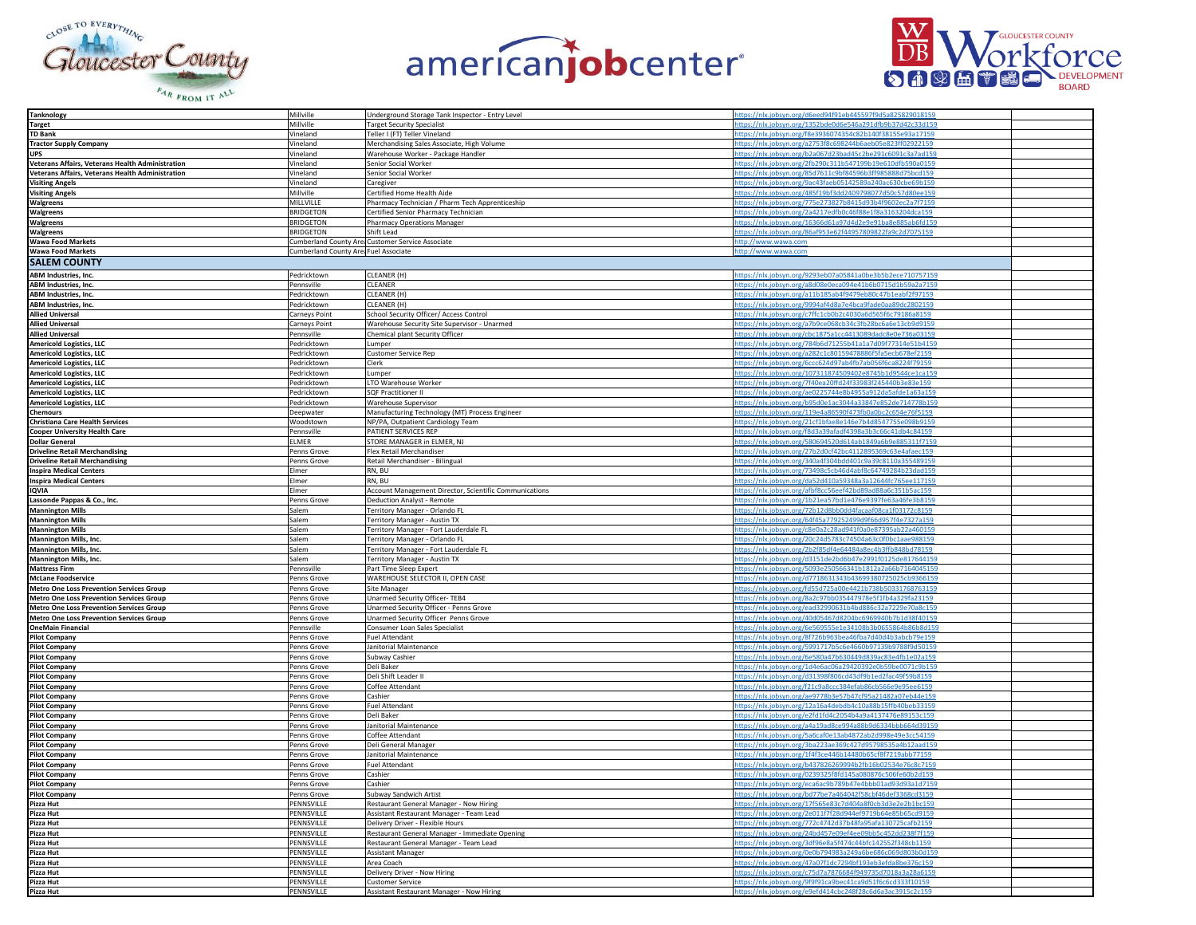





| <b>Tanknology</b>                                | Millville                             | Underground Storage Tank Inspector - Entry Level       | https://nlx.jobsyn.org/d6eed94f91eb445597f9d5a825829018159                                                               |  |
|--------------------------------------------------|---------------------------------------|--------------------------------------------------------|--------------------------------------------------------------------------------------------------------------------------|--|
| Target                                           | Millville                             | <b>Target Security Specialist</b>                      | https://nlx.jobsyn.org/1352bde0d6e546a291dfb9b37d42c33d159                                                               |  |
| <b>TD Bank</b>                                   | Vineland                              | Teller I (FT) Teller Vineland                          | https://nlx.jobsyn.org/f8e3936074354c82b140f38155e93a17159                                                               |  |
| <b>Tractor Supply Company</b>                    | Vineland                              | Merchandising Sales Associate, High Volume             | https://nlx.jobsyn.org/a2753f8c698244b6aeb05e823ff02922159                                                               |  |
| <b>UPS</b>                                       | Vineland                              | Warehouse Worker - Package Handler                     | https://nlx.jobsyn.org/b2a067d23bad45c2be291c6091c3a7ad159                                                               |  |
| Veterans Affairs, Veterans Health Administration | Vineland                              | Senior Social Worker                                   | https://nlx.jobsyn.org/2fb290c311b547199b19e610dfb590a0159                                                               |  |
| Veterans Affairs, Veterans Health Administration | Vineland                              | Senior Social Worker                                   | https://nlx.jobsyn.org/85d7611c9bf84596b3ff985888d75bcd159                                                               |  |
| <b>Visiting Angels</b>                           | Vineland                              | Caregiver                                              | ttps://nlx.jobsyn.org/9ac43faeb05142589a240ac630cbe69b159                                                                |  |
| <b>Visiting Angels</b>                           | Millville                             | Certified Home Health Aide                             | https://nlx.jobsyn.org/485f19bf3dd2409798077d50c57d80ee159                                                               |  |
| Walgreens                                        | MILLVILLE                             | Pharmacy Technician / Pharm Tech Apprenticeship        | https://nlx.jobsyn.org/775e273827b8415d93b4f9602ec2a7f7159                                                               |  |
| Walgreens                                        | <b>BRIDGETON</b>                      | Certified Senior Pharmacy Technician                   | https://nlx.jobsyn.org/2a4217edfb0c46f88e1f8a3163204dca159                                                               |  |
| Walgreens                                        | <b>BRIDGETON</b>                      | <b>Pharmacy Operations Manager</b>                     | https://nlx.jobsyn.org/16366d61a97d4d2e9e91ba8e885ab6fd159                                                               |  |
| Walgreens                                        | <b>BRIDGETON</b>                      | Shift Lead                                             | https://nlx.jobsyn.org/86af953e62f44957809822fa9c2d7075159                                                               |  |
| <b>Wawa Food Markets</b>                         |                                       | Cumberland County Are Customer Service Associate       | http://www.wawa.com                                                                                                      |  |
| <b>Wawa Food Markets</b>                         | Cumberland County Are: Fuel Associate |                                                        | http://www.wawa.com                                                                                                      |  |
| <b>SALEM COUNTY</b>                              |                                       |                                                        |                                                                                                                          |  |
| <b>ABM Industries, Inc</b>                       | Pedricktown                           | CLEANER (H)                                            | https://nlx.jobsyn.org/9293eb07a05841a0be3b5b2ece710757159                                                               |  |
| ABM Industries, Inc.                             | Pennsville                            | CLEANER                                                | https://nlx.jobsyn.org/a8d08e0eca094e41b6b0715d1b59a2a7159                                                               |  |
| ABM Industries, Inc.                             | Pedricktown                           | CLEANER (H)                                            | https://nlx.jobsyn.org/a11b185ab4f9479eb80c47b1eabf2f97159                                                               |  |
| ABM Industries, Inc.                             | Pedricktown                           | CLEANER (H)                                            | https://nlx.jobsyn.org/9994af4d8a7e4bca9fade0aa89dc2802159                                                               |  |
| <b>Allied Universal</b>                          | Carneys Point                         | School Security Officer/ Access Control                | https://nlx.jobsyn.org/c7ffc1cb0b2c4030a6d565f6c79186a8159                                                               |  |
| <b>Allied Universal</b>                          | Carneys Point                         | Warehouse Security Site Supervisor - Unarmed           | https://nlx.jobsyn.org/a7b9ce068cb34c3fb28bc6a6e13cb9d9159                                                               |  |
| <b>Allied Universal</b>                          | Pennsville                            | Chemical plant Security Officer                        | https://nlx.jobsyn.org/cbc1875a1cc4413089dadc8e0e736a03159                                                               |  |
| <b>Americold Logistics, LLC</b>                  | Pedricktown                           | Lumper                                                 | https://nlx.jobsyn.org/784b6d71255b41a1a7d09f77314e51b4159                                                               |  |
| <b>Americold Logistics, LLC</b>                  | Pedricktown                           | Customer Service Rep                                   | https://nlx.jobsyn.org/a282c1c80159478886f5fa5ecb678ef2159                                                               |  |
| <b>Americold Logistics, LLC</b>                  | Pedricktown                           | Clerk                                                  | https://nlx.jobsyn.org/6ccc624d97ab4fb7ab056f6ca8224f79159                                                               |  |
| <b>Americold Logistics, LLC</b>                  | Pedricktown                           | Lumper                                                 | https://nlx.jobsyn.org/107311874509402e8745b1d9544ce1ca159                                                               |  |
| Americold Logistics, LLC                         | Pedricktown                           | LTO Warehouse Worker                                   | https://nlx.jobsyn.org/7f40ea20ffd24f33983f245440b3e83e159                                                               |  |
| <b>Americold Logistics, LLC</b>                  | Pedricktown                           | <b>SQF Practitioner II</b>                             | https://nlx.jobsyn.org/ae0225744e8b4955a912da5afde1a63a159                                                               |  |
| <b>Americold Logistics, LLC</b>                  | Pedricktown                           | Warehouse Supervisor                                   | https://nlx.jobsyn.org/b95d0e1ac3044a33847e852de714778b159                                                               |  |
| <b>Chemours</b>                                  | Deepwater                             | Manufacturing Technology (MT) Process Engineer         | https://nlx.jobsyn.org/119e4a86590f473fb0a0bc2c654e76f5159                                                               |  |
| <b>Christiana Care Health Services</b>           | Woodstown                             | NP/PA, Outpatient Cardiology Team                      | https://nlx.jobsyn.org/21cf1bfae8e146e7b4d8547755e098b9159                                                               |  |
| <b>Cooper University Health Care</b>             | Pennsville                            | PATIENT SERVICES REP                                   | https://nlx.jobsyn.org/f8d3a39afadf4398a3b3c66c41db4c84159                                                               |  |
| <b>Dollar General</b>                            | <b>FIMFR</b>                          | STORE MANAGER in ELMER, NJ                             | https://nlx.jobsyn.org/580694520d614ab1849a6b9e885311f7159                                                               |  |
| <b>Driveline Retail Merchandising</b>            | Penns Grove                           | Flex Retail Merchandiser                               | https://nlx.jobsyn.org/27b2d0cf42bc4112895369c63e4afaec159                                                               |  |
| <b>Driveline Retail Merchandising</b>            | Penns Grove                           | Retail Merchandiser - Bilingual                        | https://nlx.jobsyn.org/340a4f304bdd401c9a39c8110a355489159                                                               |  |
| <b>Inspira Medical Centers</b>                   | Elmer                                 | RN, BU                                                 | https://nlx.jobsyn.org/73498c5cb46d4abf8c64749284b23dad15                                                                |  |
| <b>Inspira Medical Centers</b>                   | Elmer                                 | RN, BU                                                 | https://nlx.jobsyn.org/da52d410a59348a3a12644fc765ee117159                                                               |  |
| <b>IQVIA</b>                                     | Elmer                                 | Account Management Director, Scientific Communications | https://nlx.jobsyn.org/afbf8cc56eef42bd89ad88a6c351b5ac159                                                               |  |
| Lassonde Pappas & Co., Inc.                      | Penns Grove                           | Deduction Analyst - Remote                             | https://nlx.jobsyn.org/1b21ea57bd1e476e9397fe63a46fe3b8159                                                               |  |
| <b>Mannington Mills</b>                          | Salem                                 | Territory Manager - Orlando FL                         | https://nlx.jobsyn.org/72b12d8bb0dd4facaaf08ca1f03172c8159                                                               |  |
| <b>Mannington Mills</b>                          | Salem                                 | Territory Manager - Austin TX                          | https://nlx.jobsyn.org/64f45a779252499d9f66d957f4e7327a159                                                               |  |
| <b>Mannington Mills</b>                          | Salem                                 | Territory Manager - Fort Lauderdale FL                 | https://nlx.jobsyn.org/c8e0a2c28ad941f0a0e87395ab22a460159                                                               |  |
| Mannington Mills, Inc.                           | Salem                                 | Territory Manager - Orlando FL                         | https://nlx.jobsyn.org/20c24d5783c74504a63c0f0bc1aae988159                                                               |  |
| Mannington Mills, Inc.                           | Salem                                 | Territory Manager - Fort Lauderdale FL                 | https://nlx.jobsyn.org/2b2f85df4e64484a8ec4b3ffb848bd78159                                                               |  |
| Mannington Mills, Inc.                           | Salem                                 | Territory Manager - Austin TX                          | https://nlx.jobsyn.org/d3151de2bd6b47e2991f0125de817644159                                                               |  |
| <b>Mattress Firm</b>                             | Pennsville                            | Part Time Sleep Expert                                 | https://nlx.jobsyn.org/5093e250566341b1812a2a66b7164045159                                                               |  |
| <b>McLane Foodservice</b>                        | Penns Grove                           | WAREHOUSE SELECTOR II, OPEN CASE                       | https://nlx.jobsyn.org/d7718631343b43699380725025cb9366159                                                               |  |
| <b>Metro One Loss Prevention Services Group</b>  | Penns Grove                           | Site Manager                                           | https://nlx.jobsyn.org/fd55d725a00e4421b738b50331768763159                                                               |  |
| <b>Metro One Loss Prevention Services Group</b>  | Penns Grove                           | Unarmed Security Officer-TEB4                          | https://nlx.jobsyn.org/8a2c97bb035447978e5f1fb4a329fa23159                                                               |  |
| <b>Metro One Loss Prevention Services Group</b>  | Penns Grove                           | Unarmed Security Officer - Penns Grove                 | https://nlx.jobsyn.org/ead32990631b4bd886c32a7229e70a8c159                                                               |  |
| <b>Metro One Loss Prevention Services Group</b>  | Penns Grove                           | Unarmed Security Officer Penns Grove                   | https://nlx.jobsyn.org/40d05467d8204bc6969940b7b1d38f40159                                                               |  |
| <b>OneMain Financial</b>                         | Pennsville                            | Consumer Loan Sales Specialist                         | https://nlx.jobsyn.org/6e569555e1e34108b3b0655864b86b8d159                                                               |  |
| <b>Pilot Company</b>                             | Penns Grove                           | Fuel Attendant                                         | https://nlx.jobsyn.org/8f726b963bea46fba7d40d4b3abcb79e159                                                               |  |
| <b>Pilot Company</b>                             | Penns Grove                           | Janitorial Maintenance                                 | https://nlx.jobsyn.org/5991717b5c6e4660b97139b9788f9d50159                                                               |  |
| <b>Pilot Company</b>                             | Penns Grove                           | Subway Cashier                                         | https://nlx.jobsyn.org/6e580a47b630449d839ac83e4fb1e02a159                                                               |  |
| <b>Pilot Company</b>                             | Penns Grove                           | Deli Baker                                             | https://nlx.jobsyn.org/1d4e6ac06a29420392e0b59be0071c9b159                                                               |  |
| Pilot Company                                    | Penns Grove                           | Deli Shift Leader II                                   | https://nlx.jobsyn.org/d31398f806cd43df9b1ed2fac49f59b8159                                                               |  |
| <b>Pilot Company</b>                             | Penns Grove                           | Coffee Attendant<br>Cashier                            | https://nlx.jobsyn.org/f21c9a8ccc384efab86cb566e9e95ee6159                                                               |  |
| Pilot Company<br><b>Pilot Company</b>            | Penns Grove<br>Penns Grove            | <b>Fuel Attendant</b>                                  | https://nlx.jobsyn.org/ae9778b3e57b47cf95a21482a07eb44e159<br>https://nlx.jobsyn.org/12a16a4debdb4c10a88b15ffb40beb33159 |  |
| <b>Pilot Company</b>                             | Penns Grove                           | Deli Baker                                             | https://nlx.jobsyn.org/e2fd1fd4c2054b4a9a4137476e89153c159                                                               |  |
| <b>Pilot Company</b>                             | Penns Grove                           | Janitorial Maintenance                                 | https://nlx.jobsyn.org/a4a19ad8ce994a88b9d6334bbb664d39159                                                               |  |
| <b>Pilot Company</b>                             | Penns Grove                           | Coffee Attendant                                       | https://nlx.jobsyn.org/5a6caf0e13ab4872ab2d998e49e3cc54159                                                               |  |
| <b>Pilot Company</b>                             | Penns Grove                           | Deli General Manager                                   | https://nlx.jobsyn.org/3ba223ae369c427d95798535a4b12aad159                                                               |  |
| <b>Pilot Company</b>                             | Penns Grove                           | Janitorial Maintenance                                 | https://nlx.jobsyn.org/1f4f3ce446b14480b65cf8f7219abb77159                                                               |  |
| Pilot Company                                    | Penns Grove                           | <b>Fuel Attendant</b>                                  | https://nlx.jobsyn.org/b437826269994b2fb16b02534e76c8c7159                                                               |  |
| <b>Pilot Company</b>                             | Penns Grove                           | Cashier                                                | https://nlx.jobsyn.org/0239325f8fd145a080876c506fe60b2d159                                                               |  |
| <b>Pilot Company</b>                             | Penns Grove                           | Cashier                                                | https://nlx.jobsyn.org/eca6ac9b789b47e4bbb01ad93d93a1d7159                                                               |  |
| <b>Pilot Company</b>                             | Penns Grove                           | Subway Sandwich Artist                                 | https://nlx.jobsyn.org/bd77be7a464042f58cbf46def3368cd3159                                                               |  |
| Pizza Hut                                        | PENNSVILLE                            | Restaurant General Manager - Now Hiring                | https://nlx.jobsyn.org/17f565e83c7d404a8f0cb3d3e2e2b1bc159                                                               |  |
| Pizza Hut                                        | PENNSVILLE                            | Assistant Restaurant Manager - Team Lead               | https://nlx.jobsyn.org/2e011f7f28d944ef9719b64e85b65cd9159                                                               |  |
| Pizza Hut                                        | PENNSVILLE                            | Delivery Driver - Flexible Hours                       | https://nlx.jobsyn.org/772c4742d37b48fa95afa130725cafb2159                                                               |  |
| Pizza Hut                                        | PENNSVILLE                            | Restaurant General Manager - Immediate Opening         | https://nlx.jobsyn.org/24bd457e09ef4ee09bb5c452dd238f7f159                                                               |  |
| Pizza Hut                                        | PENNSVILLE                            | Restaurant General Manager - Team Lead                 | https://nlx.jobsyn.org/3df96e8a5f474c44bfc142552f348cb1159                                                               |  |
| Pizza Hut                                        | PENNSVILLE                            | Assistant Manager                                      | https://nlx.jobsyn.org/0e0b794983a249a6be686c069d803b0d159                                                               |  |
| Pizza Hut                                        | PENNSVILLE                            | Area Coach                                             | https://nlx.jobsyn.org/47a07f1dc7294bf193eb3efda8be376c159                                                               |  |
| Pizza Hut                                        | PENNSVILLE                            | Delivery Driver - Now Hiring                           | https://nlx.jobsyn.org/c75d7a7876684f949735d7018a3a28a6159                                                               |  |
| Pizza Hut                                        | PENNSVILLE                            | <b>Customer Service</b>                                | https://nlx.jobsyn.org/9f9f91ca9bec41ca9d51f6c6cd333f10159                                                               |  |
| Pizza Hut                                        | PENNSVILLE                            | <b>Assistant Restaurant Manager - Now Hiring</b>       | https://nlx.jobsyn.org/e9efd414cbc248f28c6d6a3ac3915c2c159                                                               |  |